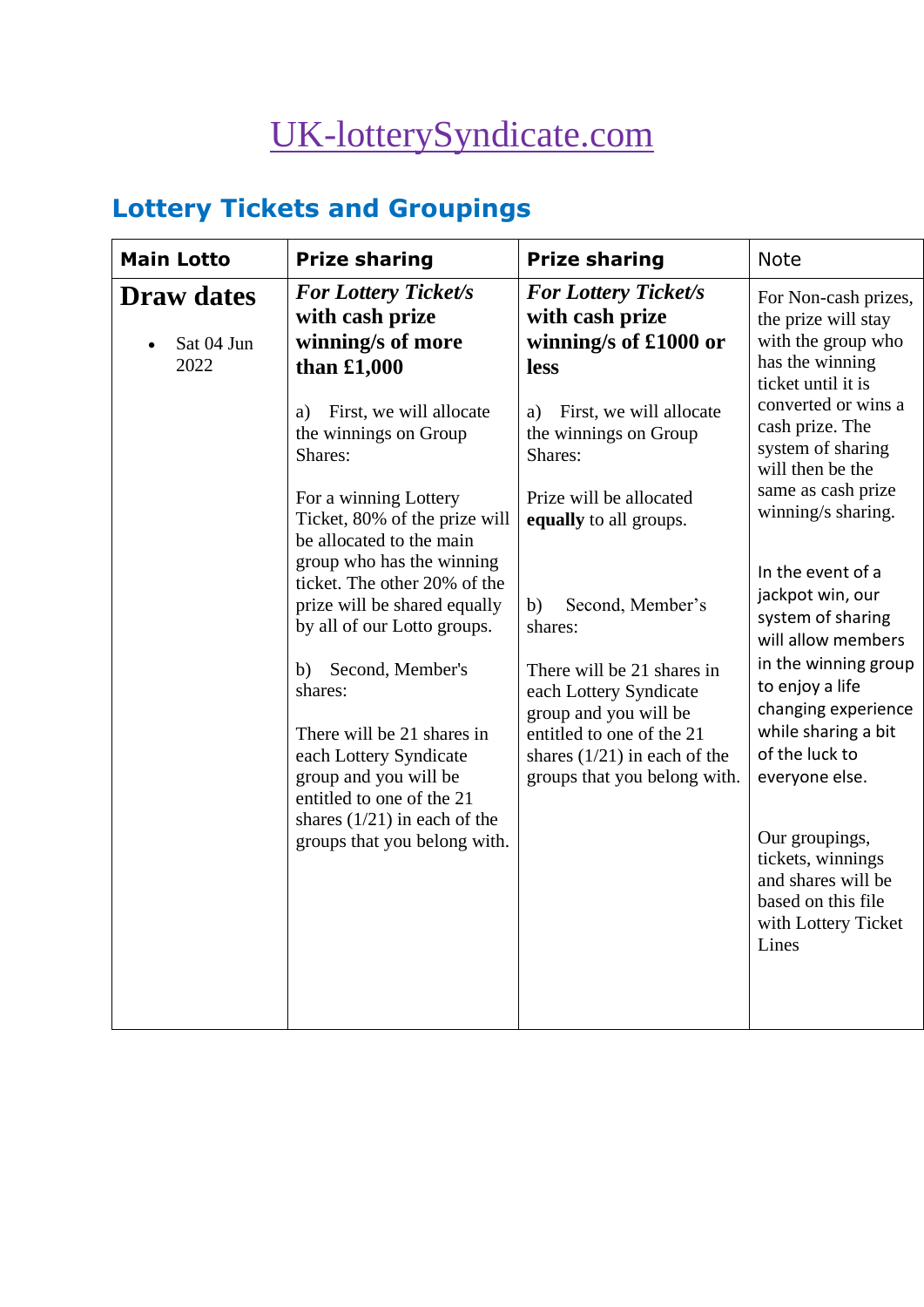# [UK-lotterySyndicate.com](http://www.uk-lotterysyndicate.com/)

# **Lottery Tickets and Groupings**

| <b>Main Lotto</b>                       | <b>Prize sharing</b>                                                                                                                                                                                                                                                                                                                                                                                                                | <b>Prize sharing</b>                                                                                                                                                                                                                                                   | <b>Note</b>                                                                                                                                                                                                                                                                                                                                                                                      |
|-----------------------------------------|-------------------------------------------------------------------------------------------------------------------------------------------------------------------------------------------------------------------------------------------------------------------------------------------------------------------------------------------------------------------------------------------------------------------------------------|------------------------------------------------------------------------------------------------------------------------------------------------------------------------------------------------------------------------------------------------------------------------|--------------------------------------------------------------------------------------------------------------------------------------------------------------------------------------------------------------------------------------------------------------------------------------------------------------------------------------------------------------------------------------------------|
| <b>Draw dates</b><br>Sat 04 Jun<br>2022 | <b>For Lottery Ticket/s</b><br>with cash prize<br>winning/s of more<br>than £1,000<br>First, we will allocate<br>a)<br>the winnings on Group<br>Shares:                                                                                                                                                                                                                                                                             | <b>For Lottery Ticket/s</b><br>with cash prize<br>winning/s of £1000 or<br><b>less</b><br>First, we will allocate<br>a)<br>the winnings on Group<br>Shares:                                                                                                            | For Non-cash prizes,<br>the prize will stay<br>with the group who<br>has the winning<br>ticket until it is<br>converted or wins a<br>cash prize. The<br>system of sharing                                                                                                                                                                                                                        |
|                                         | For a winning Lottery<br>Ticket, 80% of the prize will<br>be allocated to the main<br>group who has the winning<br>ticket. The other 20% of the<br>prize will be shared equally<br>by all of our Lotto groups.<br>Second, Member's<br>b)<br>shares:<br>There will be 21 shares in<br>each Lottery Syndicate<br>group and you will be<br>entitled to one of the 21<br>shares $(1/21)$ in each of the<br>groups that you belong with. | Prize will be allocated<br>equally to all groups.<br>Second, Member's<br>b)<br>shares:<br>There will be 21 shares in<br>each Lottery Syndicate<br>group and you will be<br>entitled to one of the 21<br>shares $(1/21)$ in each of the<br>groups that you belong with. | will then be the<br>same as cash prize<br>winning/s sharing.<br>In the event of a<br>jackpot win, our<br>system of sharing<br>will allow members<br>in the winning group<br>to enjoy a life<br>changing experience<br>while sharing a bit<br>of the luck to<br>everyone else.<br>Our groupings,<br>tickets, winnings<br>and shares will be<br>based on this file<br>with Lottery Ticket<br>Lines |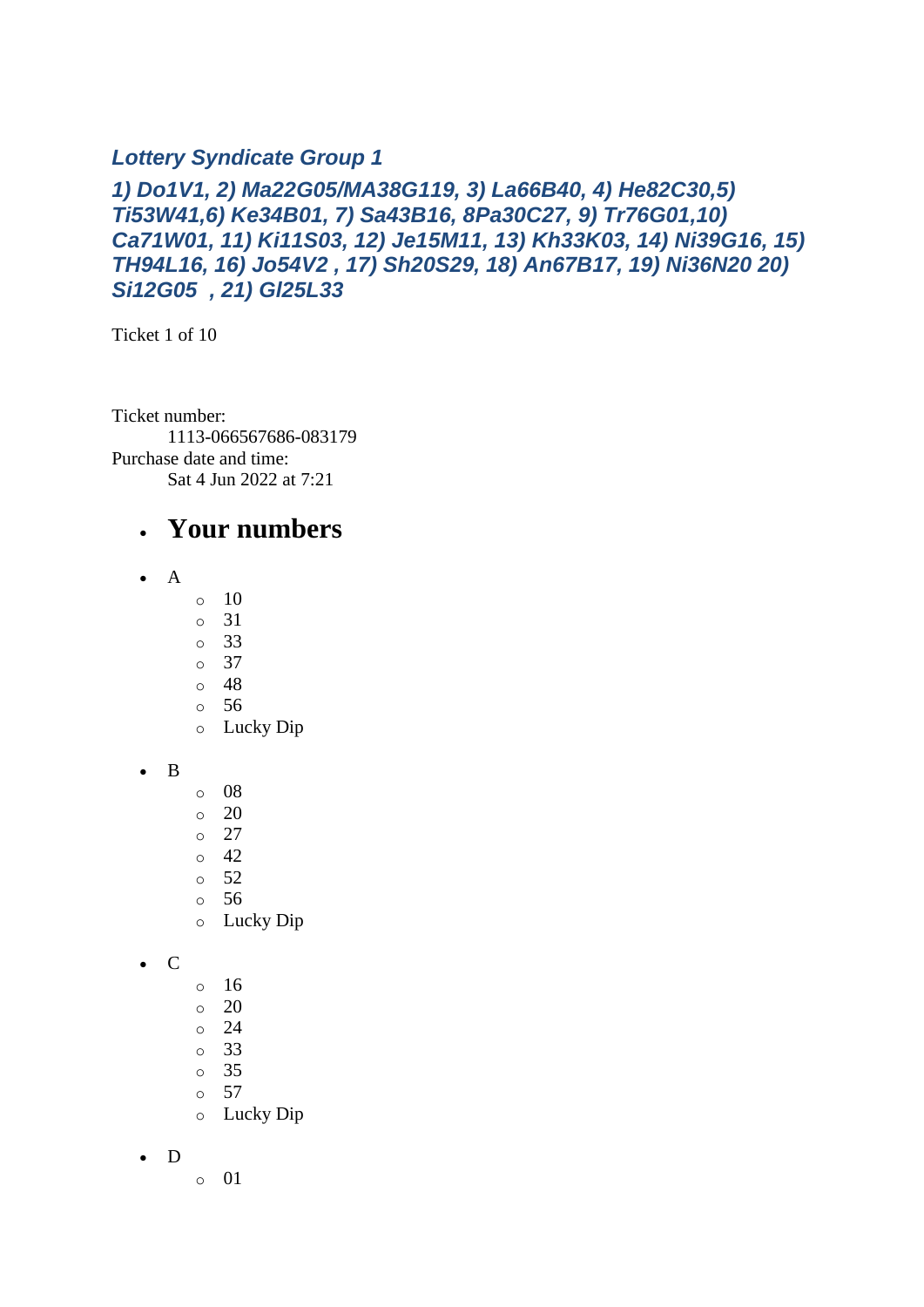#### *Lottery Syndicate Group 1*

#### *1) Do1V1, 2) Ma22G05/MA38G119, 3) La66B40, 4) He82C30,5) Ti53W41,6) Ke34B01, 7) Sa43B16, 8Pa30C27, 9) Tr76G01,10) Ca71W01, 11) Ki11S03, 12) Je15M11, 13) Kh33K03, 14) Ni39G16, 15) TH94L16, 16) Jo54V2 , 17) Sh20S29, 18) An67B17, 19) Ni36N20 20) Si12G05 , 21) Gl25L33*

Ticket 1 of 10

Ticket number: 1113-066567686-083179 Purchase date and time: Sat 4 Jun 2022 at 7:21

#### • **Your numbers**

- A
- o 10
- o 31
- o 33
- o 37
- o 48
- o 56
- o Lucky Dip
- B
- o 08
- $\circ$  20
- o 27
- $\circ$  42
- o 52
- o 56
- o Lucky Dip
- C
- o 16
- o 20 o 24
- o 33
- o 35
- o 57
- o Lucky Dip

• D

o 01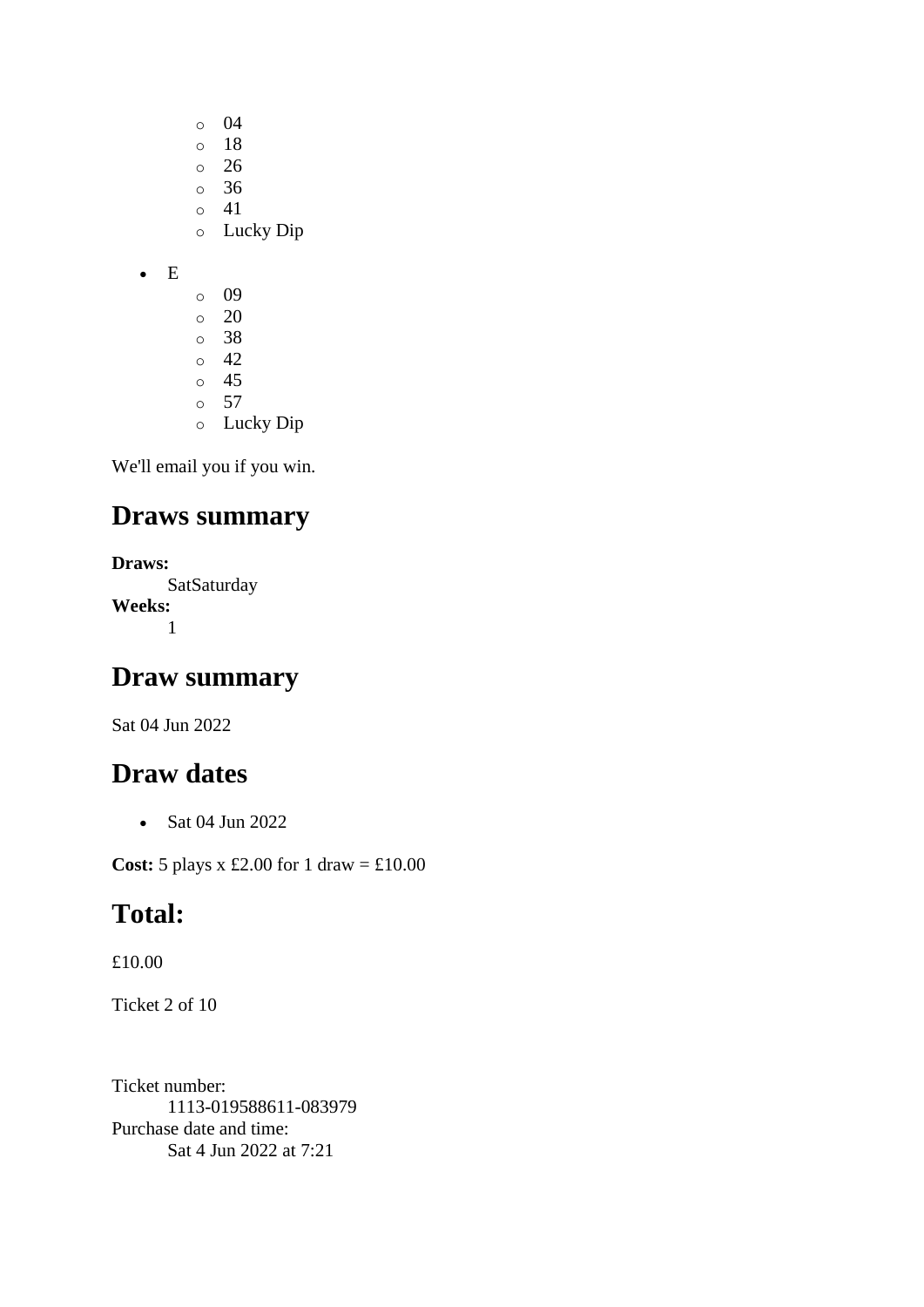- o 04
- o 18
- o 26
- o 36 o 41
- o Lucky Dip

• E

- o 09  $\circ$  20 o 38 o 42 o 45 o 57
- o Lucky Dip

We'll email you if you win.

## **Draws summary**

```
Draws:
      SatSaturday
Weeks:
      1
```
## **Draw summary**

Sat 04 Jun 2022

## **Draw dates**

• Sat 04 Jun 2022

**Cost:** 5 plays x £2.00 for 1 draw = £10.00

## **Total:**

£10.00

Ticket 2 of 10

Ticket number: 1113-019588611-083979 Purchase date and time: Sat 4 Jun 2022 at 7:21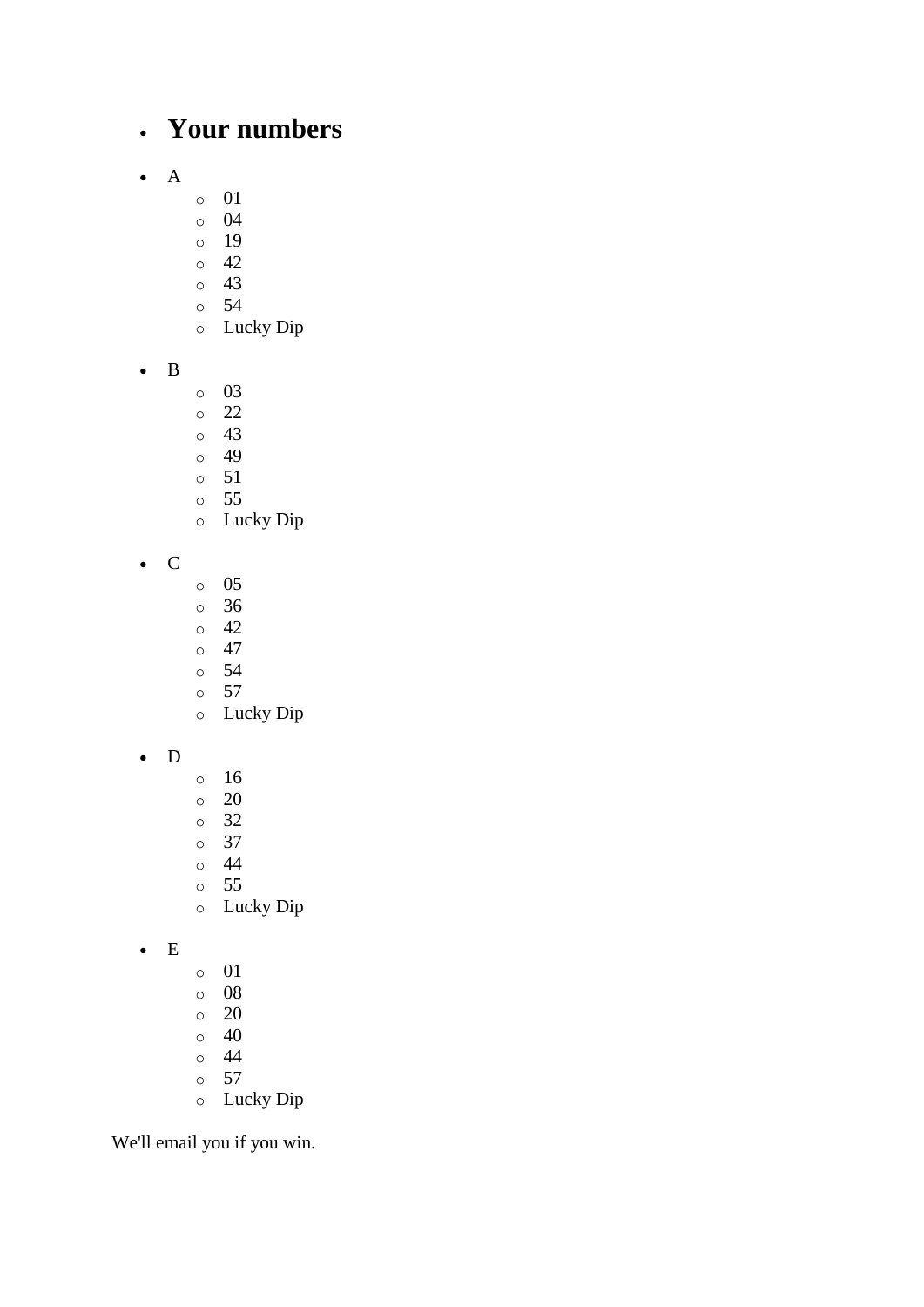## • **Your numbers**

- A
- o 01
- o 04
- o 19
- o 42
- o 43
- o 54
- o Lucky Dip
- B
- o 03
- o 22
- o 43
- o 49
- o 51
- o 55
- o Lucky Dip
- C
- o 05
- o 36
- o 42
- $\circ$  47
- o 54 o 57
- o Lucky Dip
- D
- o 16
- o 20
- o 32
- o 37 o 44
- o 55
- o Lucky Dip
- E
- o 01
- o 08
- o 20
- o 40
- o 44 o 57
- o Lucky Dip

We'll email you if you win.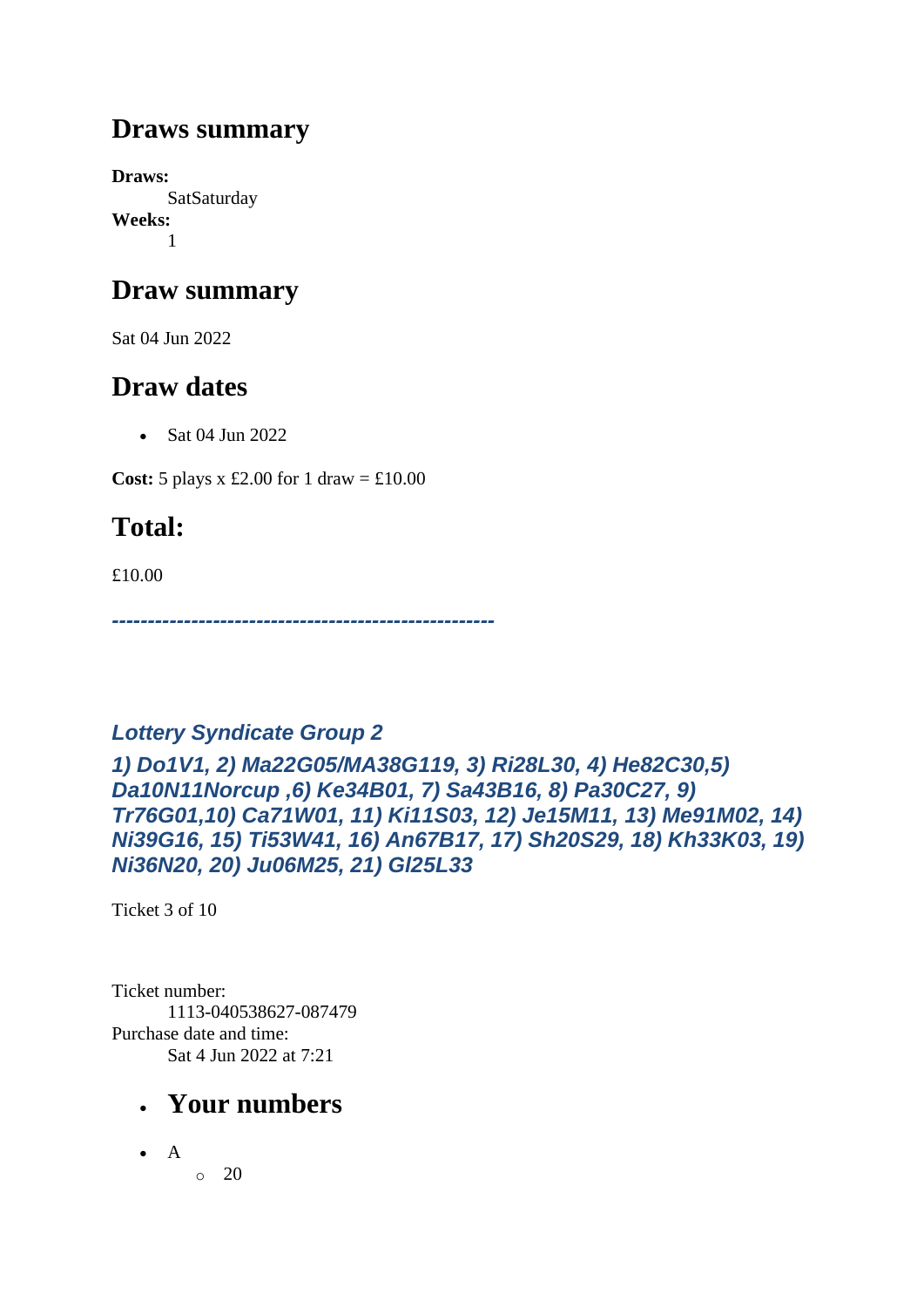## **Draws summary**

**Draws: SatSaturday Weeks:** 1

## **Draw summary**

Sat 04 Jun 2022

## **Draw dates**

• Sat 04 Jun 2022

**Cost:** 5 plays x £2.00 for 1 draw =  $\text{\textsterling}10.00$ 

## **Total:**

£10.00

*-----------------------------------------------------*

## *Lottery Syndicate Group 2*

*1) Do1V1, 2) Ma22G05/MA38G119, 3) Ri28L30, 4) He82C30,5) Da10N11Norcup ,6) Ke34B01, 7) Sa43B16, 8) Pa30C27, 9) Tr76G01,10) Ca71W01, 11) Ki11S03, 12) Je15M11, 13) Me91M02, 14) Ni39G16, 15) Ti53W41, 16) An67B17, 17) Sh20S29, 18) Kh33K03, 19) Ni36N20, 20) Ju06M25, 21) Gl25L33*

Ticket 3 of 10

Ticket number: 1113-040538627-087479 Purchase date and time: Sat 4 Jun 2022 at 7:21

- **Your numbers**
- A
- $\circ$  20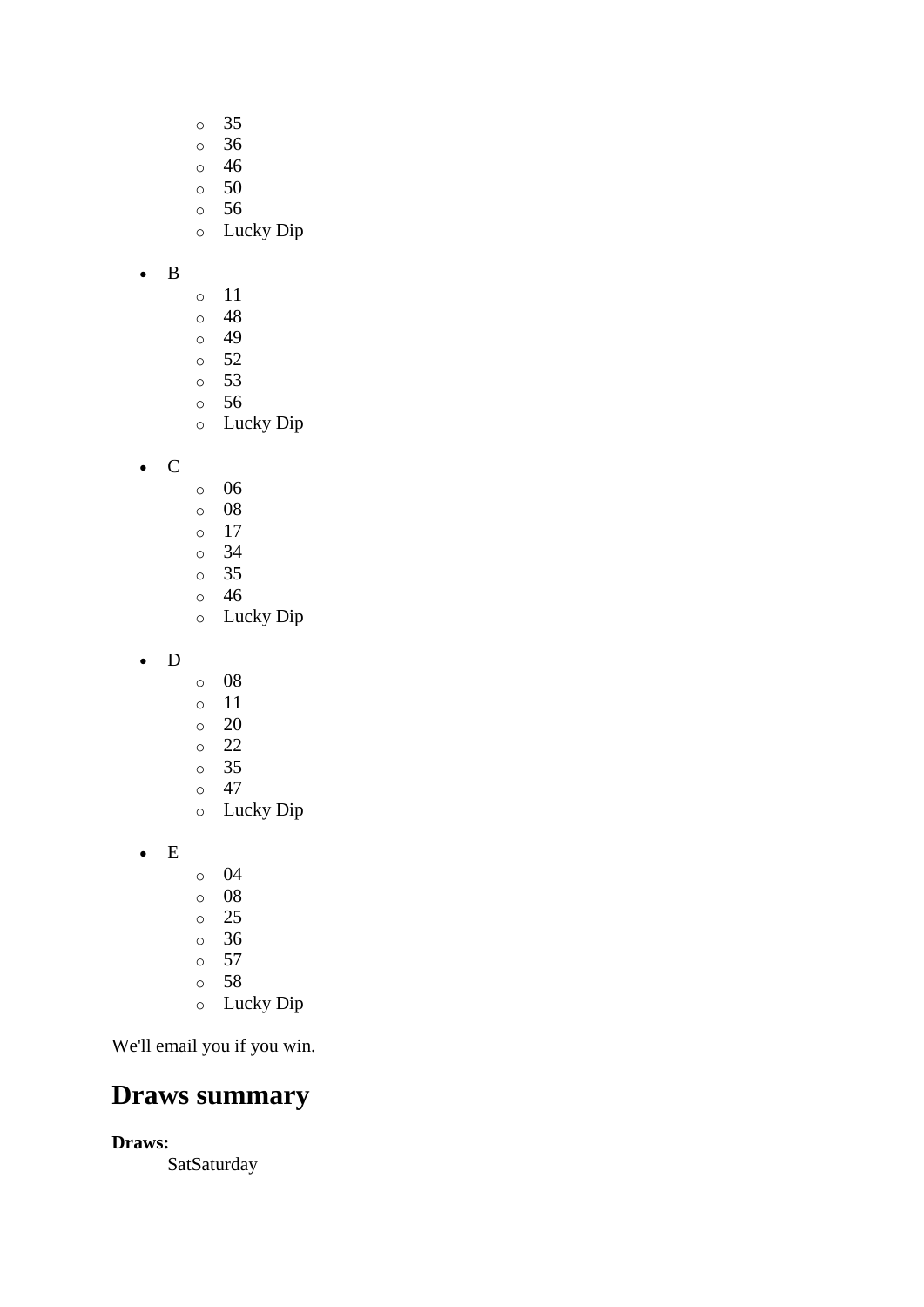- o 35
- o 36
- o 46
- o 50
- o 56
- o Lucky Dip

#### • B

- o 11
- o 48
- o 49
- o 52
- o 53 o 56
- o Lucky Dip

• C

- o 06
- o 08
- o 17
- o 34 o 35
- o 46
- o Lucky Dip
- D
- o 08
- o 11
- $\circ$  20
- o 22
- o 35
- o 47
- o Lucky Dip

• E

- o 04
- o 08
- o 25
- o 36
- o 57
- o 58
- o Lucky Dip

We'll email you if you win.

## **Draws summary**

**Draws:**

**SatSaturday**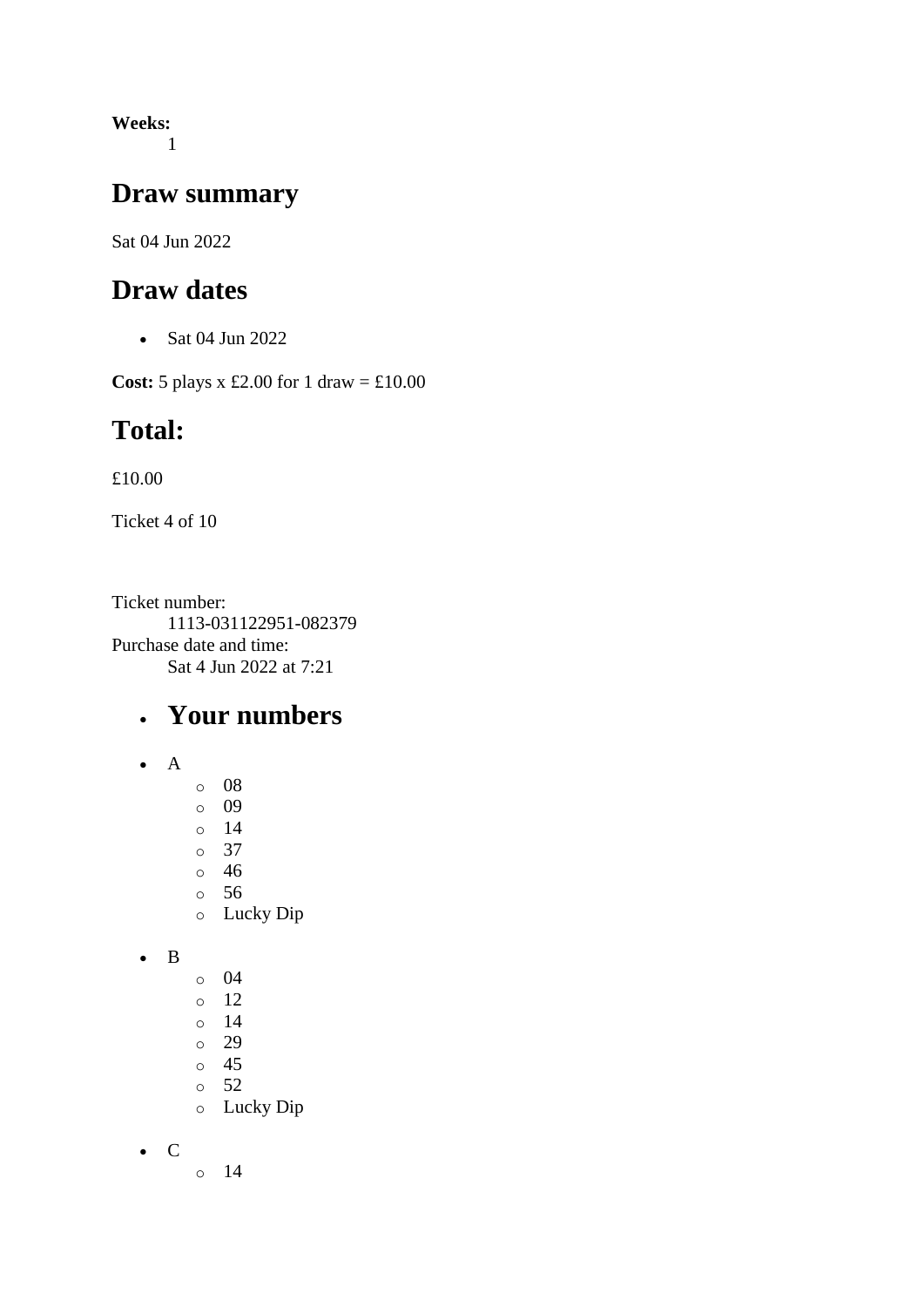**Weeks:** 1

#### **Draw summary**

Sat 04 Jun 2022

## **Draw dates**

• Sat 04 Jun 2022

**Cost:**  $5$  plays x £2.00 for 1 draw = £10.00

## **Total:**

£10.00

Ticket 4 of 10

Ticket number: 1113-031122951-082379 Purchase date and time: Sat 4 Jun 2022 at 7:21

## • **Your numbers**

- A
- o 08
- o 09
- o 14
- o 37
- o 46 o 56
- o Lucky Dip
- B
- o 04
- o 12
- o 14
- o 29
- o 45
- o 52
- o Lucky Dip
- C
- $\circ$  14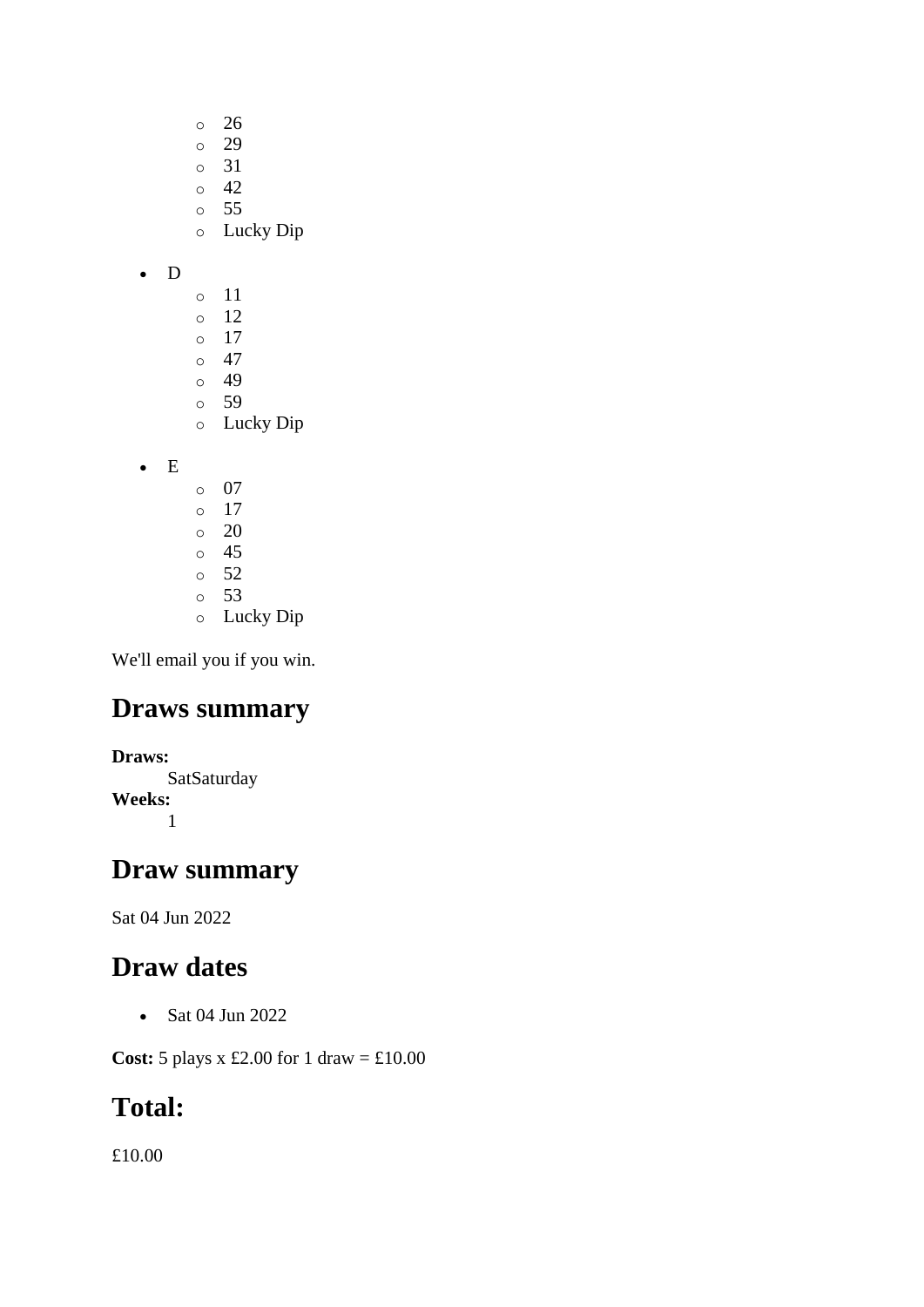- o 26 o 29 o 31
- $\circ$  42
- o 55
- o Lucky Dip
- D
- o 11
- o 12
- o 17  $\circ$  47
- o 49
- o 59
- o Lucky Dip
- E
- o 07 o 17 o 20 o 45  $\circ$  52 o 53
- o Lucky Dip

## **Draws summary**

**Draws: SatSaturday Weeks:** 1

## **Draw summary**

Sat 04 Jun 2022

# **Draw dates**

• Sat 04 Jun 2022

**Cost:** 5 plays x £2.00 for 1 draw = £10.00

# **Total:**

£10.00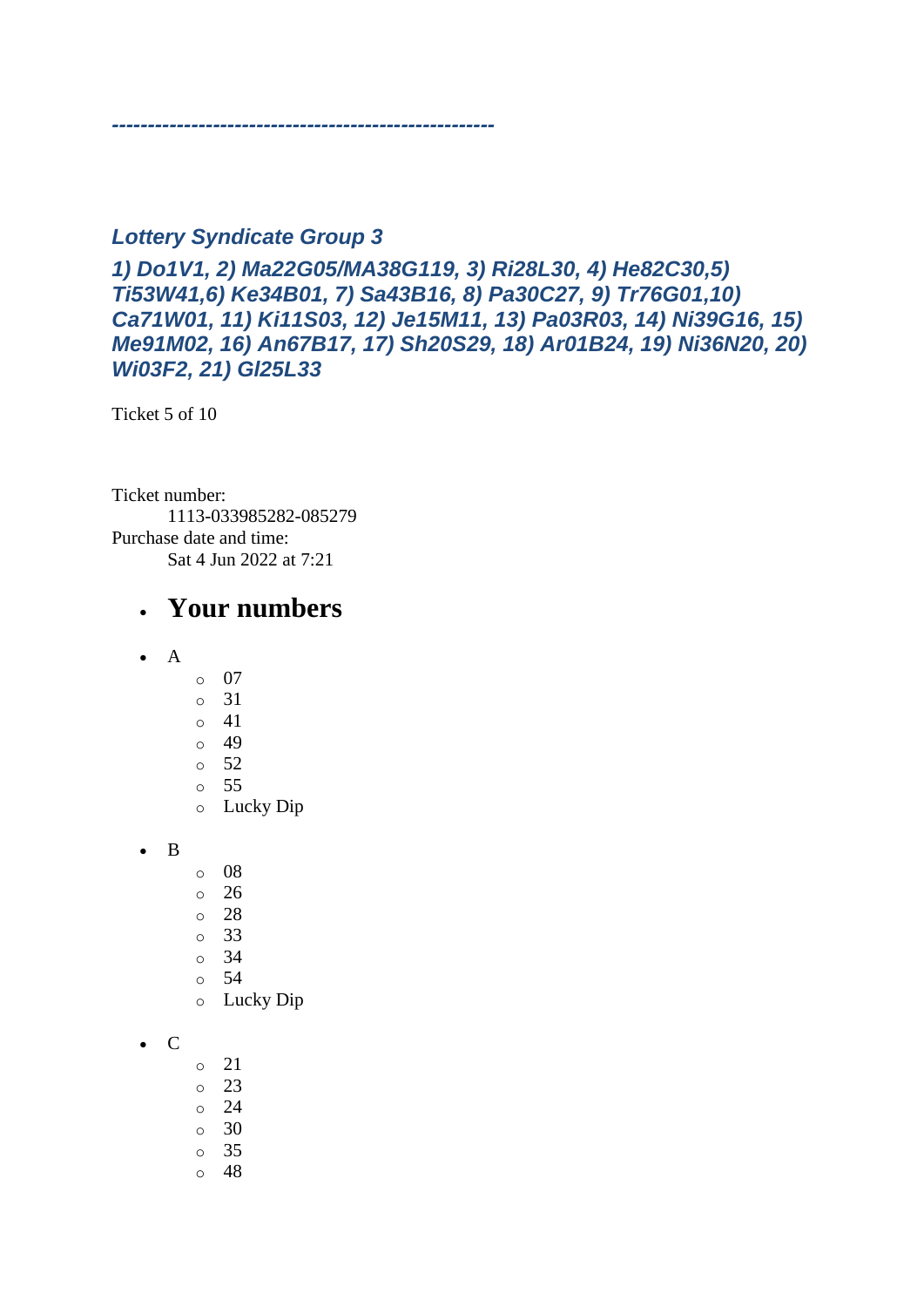#### *Lottery Syndicate Group 3*

*-----------------------------------------------------*

*1) Do1V1, 2) Ma22G05/MA38G119, 3) Ri28L30, 4) He82C30,5) Ti53W41,6) Ke34B01, 7) Sa43B16, 8) Pa30C27, 9) Tr76G01,10) Ca71W01, 11) Ki11S03, 12) Je15M11, 13) Pa03R03, 14) Ni39G16, 15) Me91M02, 16) An67B17, 17) Sh20S29, 18) Ar01B24, 19) Ni36N20, 20) Wi03F2, 21) Gl25L33*

Ticket 5 of 10

Ticket number: 1113-033985282-085279 Purchase date and time: Sat 4 Jun 2022 at 7:21

#### • **Your numbers**

- A
- o 07
- o 31
- o 41
- o 49
- o 52
- o 55
- o Lucky Dip

• B

- o 08
- $\degree$  26
- o 28
- o 33
- o 34
- o 54
- o Lucky Dip
- C
- o 21
- o 23
- o 24
- o 30
- o 35
- $\circ$  48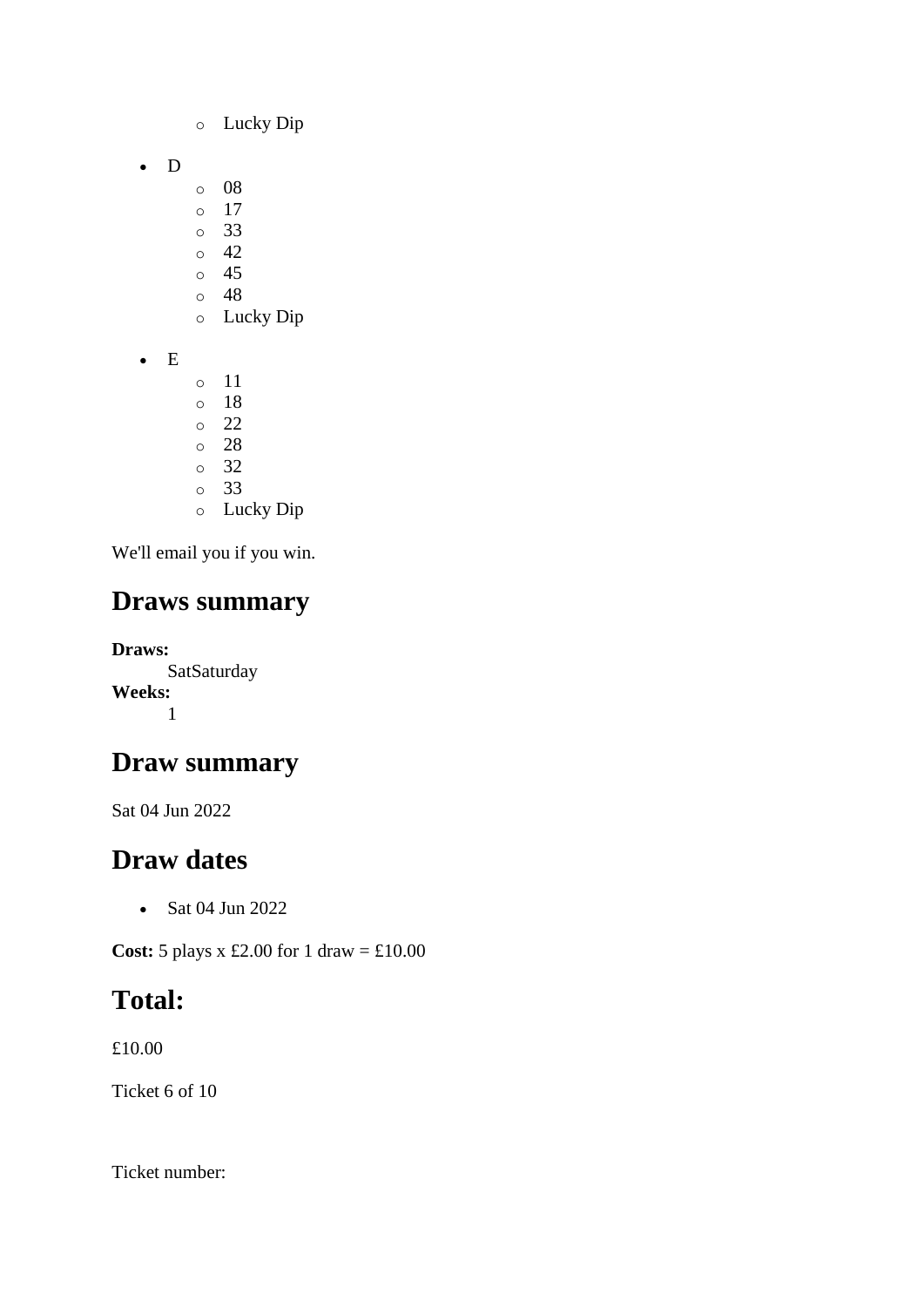- o Lucky Dip
- D
- o 08
- o 17
- o 33
- $\circ$  42  $\circ$  45
- o 48
- o Lucky Dip
- E
- o 11
- o 18 o 22
- o 28
- o 32
- o 33
- o Lucky Dip

## **Draws summary**

**Draws: SatSaturday Weeks:** 1

## **Draw summary**

Sat 04 Jun 2022

## **Draw dates**

• Sat 04 Jun 2022

**Cost:** 5 plays x £2.00 for 1 draw = £10.00

## **Total:**

£10.00

Ticket 6 of 10

Ticket number: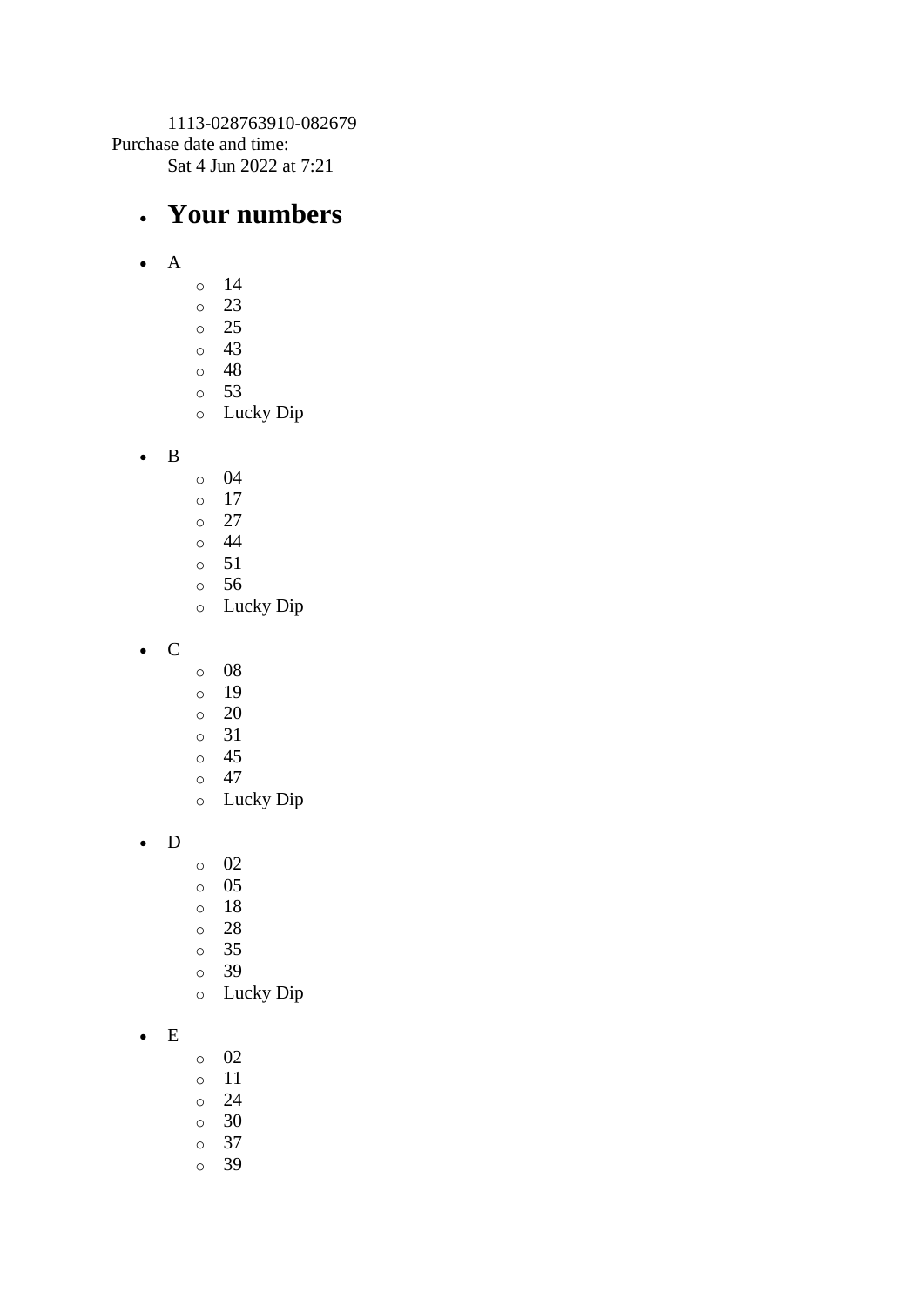1113-028763910-082679 Purchase date and time: Sat 4 Jun 2022 at 7:21

#### • **Your numbers**

- A
- o 14
- o 23
- o 25
- o 43
- o 48
- o 53
- o Lucky Dip
- B
- o 04
- o 17
- $\circ$  27
- o 44
- o 51
- o 56
- o Lucky Dip
- C
- o 08
- o 19
- $\circ$  20
- o 31
- o 45
- $\circ$  47
- o Lucky Dip
- D
- o 02
- o 05
- o 18
- o 28
- o 35
- o 39
- o Lucky Dip
- E
- o 02
- o 11
- o 24
- o 30
- o 37
- o 39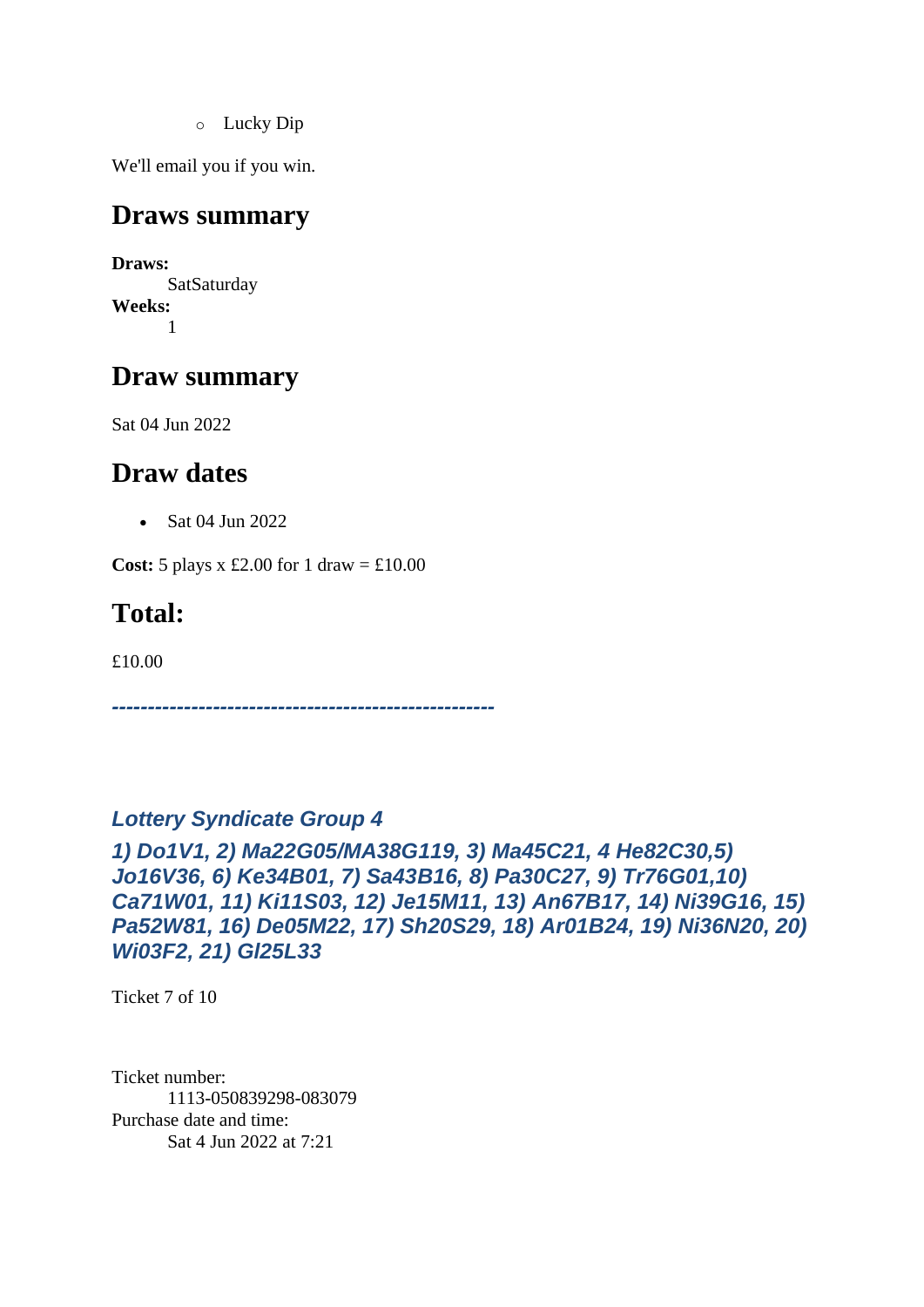o Lucky Dip

We'll email you if you win.

#### **Draws summary**

**Draws: SatSaturday Weeks:** 1

## **Draw summary**

Sat 04 Jun 2022

## **Draw dates**

• Sat 04 Jun 2022

**Cost:** 5 plays x £2.00 for 1 draw =  $\text{\textsterling}10.00$ 

## **Total:**

£10.00

*-----------------------------------------------------*

#### *Lottery Syndicate Group 4*

*1) Do1V1, 2) Ma22G05/MA38G119, 3) Ma45C21, 4 He82C30,5) Jo16V36, 6) Ke34B01, 7) Sa43B16, 8) Pa30C27, 9) Tr76G01,10) Ca71W01, 11) Ki11S03, 12) Je15M11, 13) An67B17, 14) Ni39G16, 15) Pa52W81, 16) De05M22, 17) Sh20S29, 18) Ar01B24, 19) Ni36N20, 20) Wi03F2, 21) Gl25L33*

Ticket 7 of 10

Ticket number: 1113-050839298-083079 Purchase date and time: Sat 4 Jun 2022 at 7:21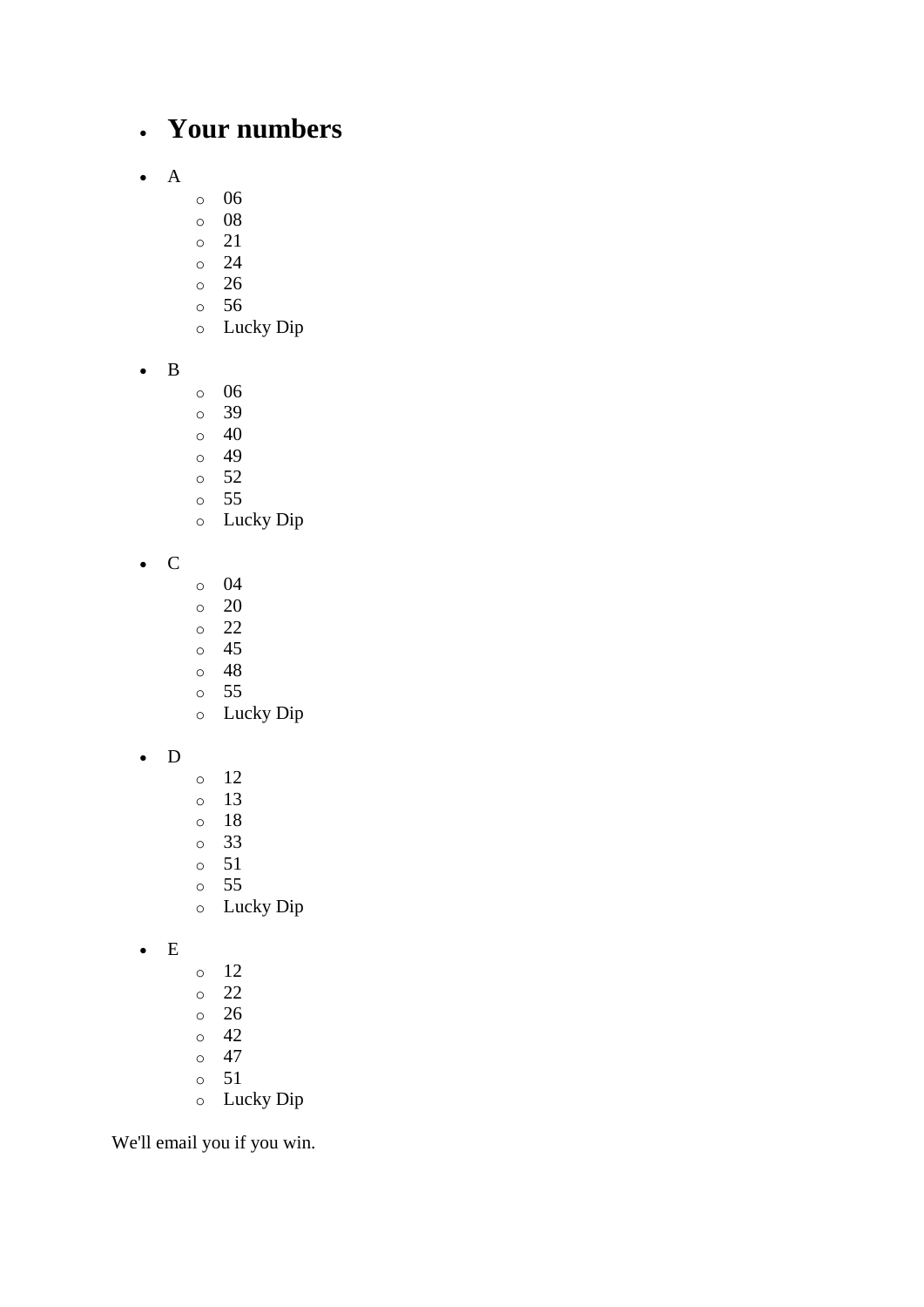## • **Your numbers**

- A
- o 06
- o 08
- o 21
- o 24
- o 26
- o 56
- o Lucky Dip
- B
- o 06
- o 39
- $\circ$  40
- o 49
- o 52
- o 55
- o Lucky Dip
- C
- o 04
- o 20
- o 22
- o 45
- o 48
- o 55 o Lucky Dip
- 
- D
- o 12 o 13
- o 18
- o 33
- o 51
- o 55
- o Lucky Dip
- E
- o 12
- o 22
- o 26
- o 42
- $\circ$  47 o 51
- o Lucky Dip

We'll email you if you win.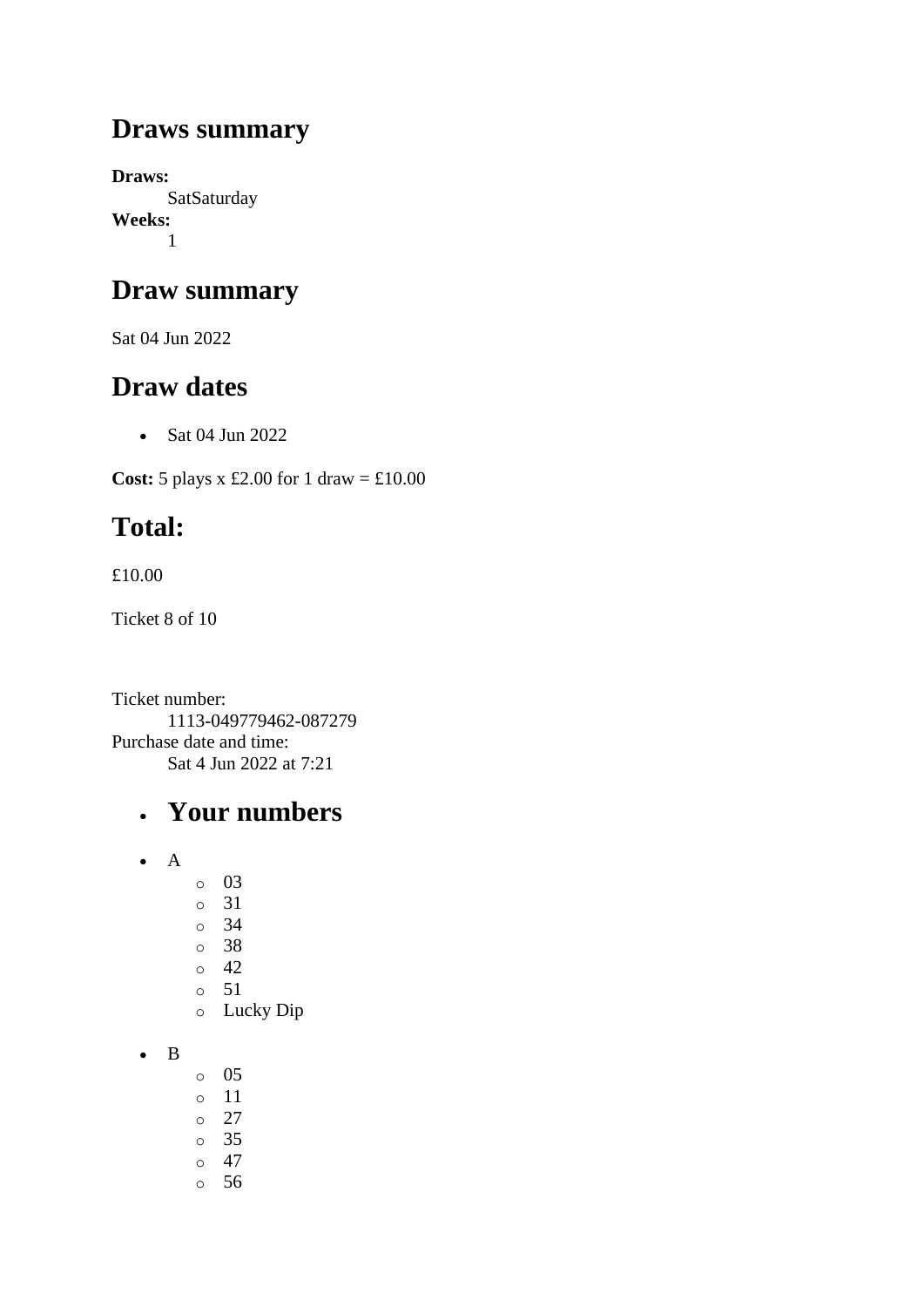## **Draws summary**

**Draws: SatSaturday Weeks:** 1

## **Draw summary**

Sat 04 Jun 2022

## **Draw dates**

• Sat 04 Jun 2022

**Cost:**  $5$  plays x £2.00 for 1 draw = £10.00

# **Total:**

£10.00

Ticket 8 of 10

Ticket number: 1113-049779462-087279 Purchase date and time: Sat 4 Jun 2022 at 7:21

## • **Your numbers**

- A
- o 03
- o 31
- o 34
- o 38
- o 42
- o 51
- o Lucky Dip
- B
- o 05
- o 11
- o 27
- o 35
- o 47
- o 56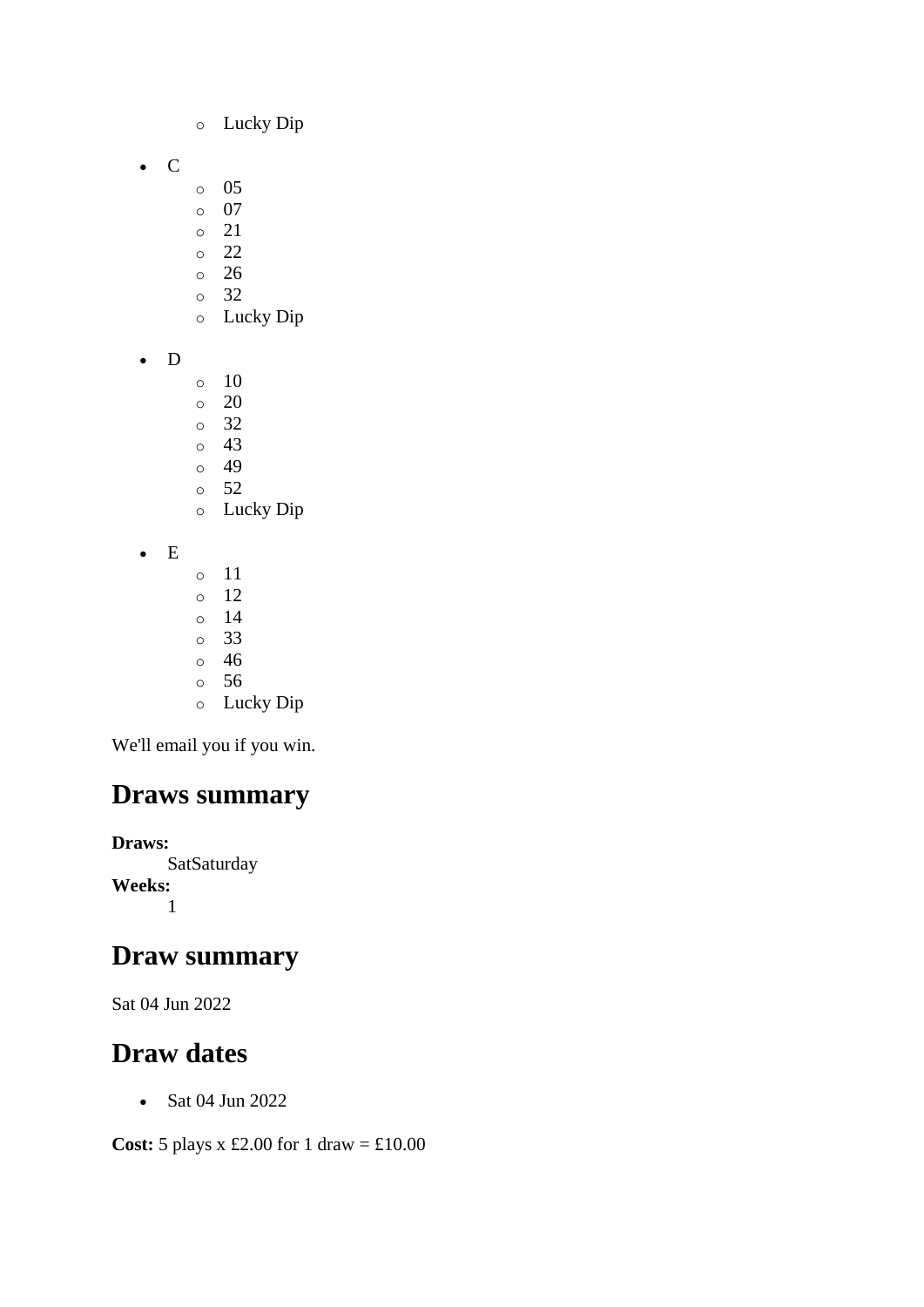- o Lucky Dip
- C
- o 05
- o 07
- o 21
- o 22
- o 26 o 32
- o Lucky Dip
- D
- o 10
- o 20
- o 32
- o 43
- o 49
- o 52 o Lucky Dip
- E
- o 11 o 12 o 14 o 33 o 46
- o 56
- o Lucky Dip

## **Draws summary**

**Draws: SatSaturday Weeks:** 1

## **Draw summary**

Sat 04 Jun 2022

## **Draw dates**

• Sat 04 Jun 2022

**Cost:** 5 plays x £2.00 for 1 draw = £10.00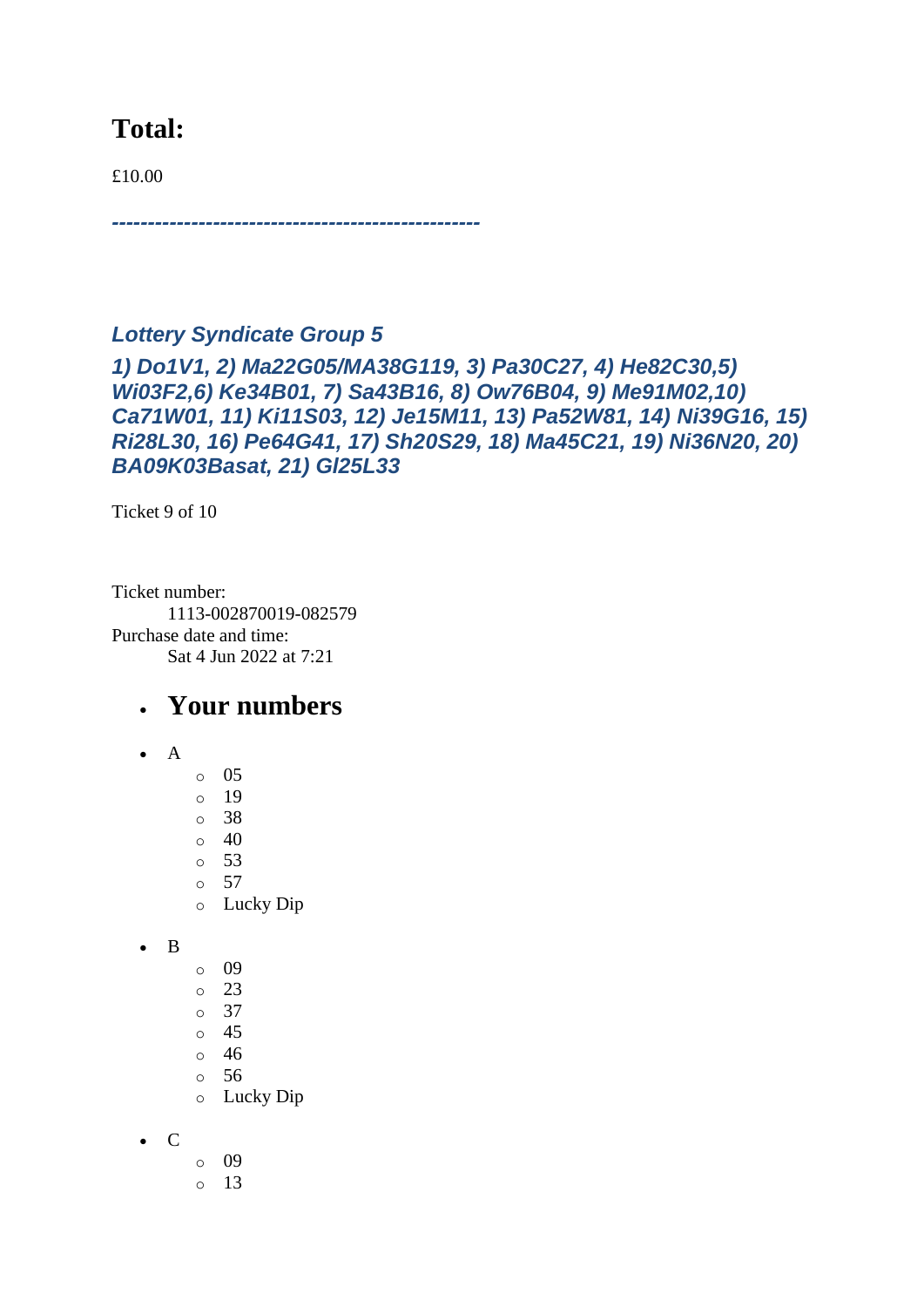## **Total:**

£10.00

# *Lottery Syndicate Group 5*

*---------------------------------------------------*

*1) Do1V1, 2) Ma22G05/MA38G119, 3) Pa30C27, 4) He82C30,5) Wi03F2,6) Ke34B01, 7) Sa43B16, 8) Ow76B04, 9) Me91M02,10) Ca71W01, 11) Ki11S03, 12) Je15M11, 13) Pa52W81, 14) Ni39G16, 15) Ri28L30, 16) Pe64G41, 17) Sh20S29, 18) Ma45C21, 19) Ni36N20, 20) BA09K03Basat, 21) Gl25L33*

Ticket 9 of 10

Ticket number: 1113-002870019-082579 Purchase date and time: Sat 4 Jun 2022 at 7:21

#### • **Your numbers**

- A
	- $\circ$  05
	- $\circ$  19 o 38
	- $\circ$  40
	- o 53
	- o 57
	- o Lucky Dip

• B

- o 09
- o 23
- o 37
- $\circ$  45
- o 46
- o 56 o Lucky Dip
- C
	- o 09
		- o 13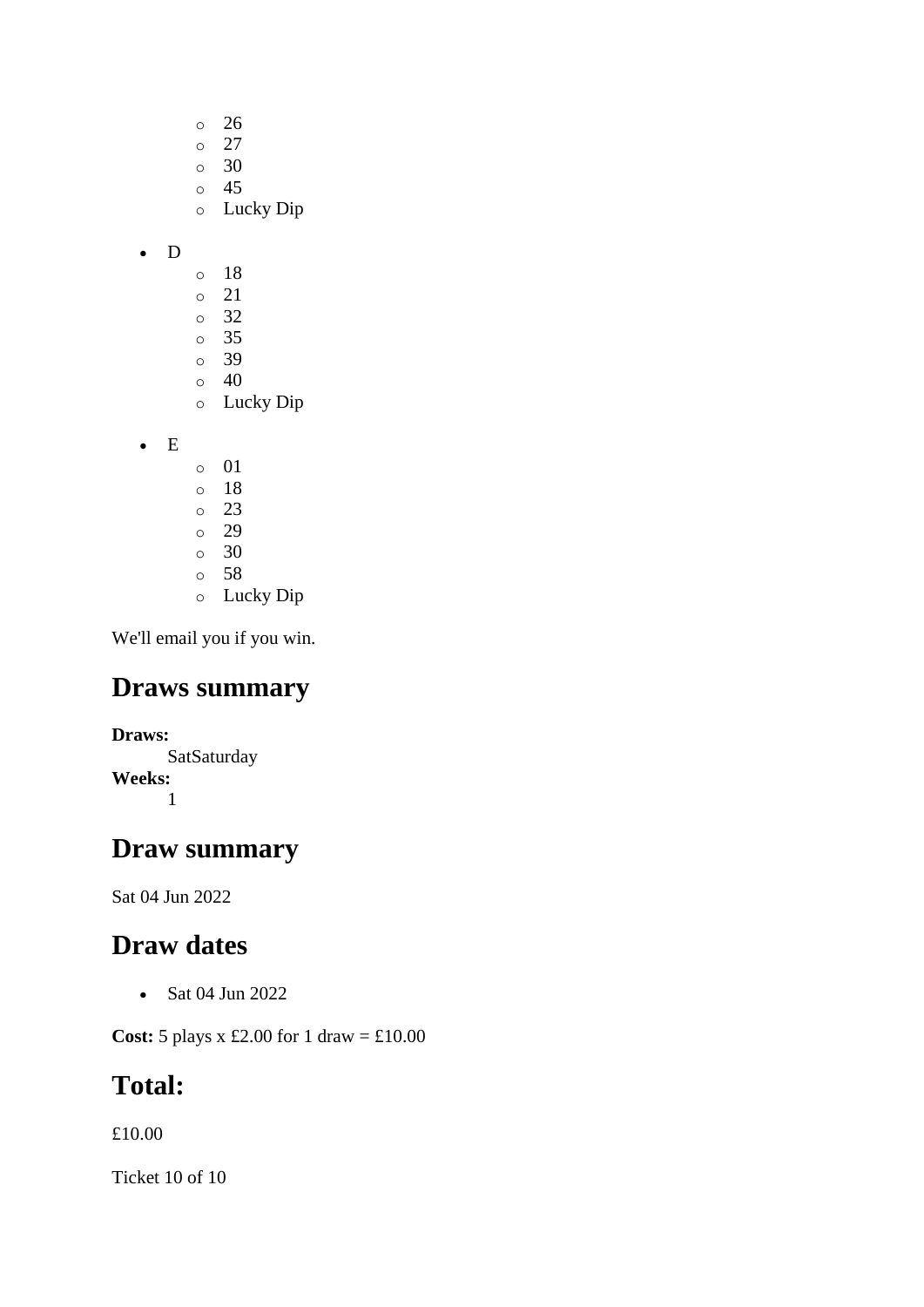- o 26 o 27 o 30
- o 45
- o Lucky Dip

#### • D

- o 18
- o 21
- o 32
- o 35 o 39
- $\circ$  40
- o Lucky Dip

• E

- o 01 o 18 o 23 o 29 o 30 o 58
- o Lucky Dip

We'll email you if you win.

## **Draws summary**

**Draws: SatSaturday Weeks:** 1

## **Draw summary**

Sat 04 Jun 2022

## **Draw dates**

• Sat 04 Jun 2022

**Cost:** 5 plays x £2.00 for 1 draw = £10.00

## **Total:**

£10.00

Ticket 10 of 10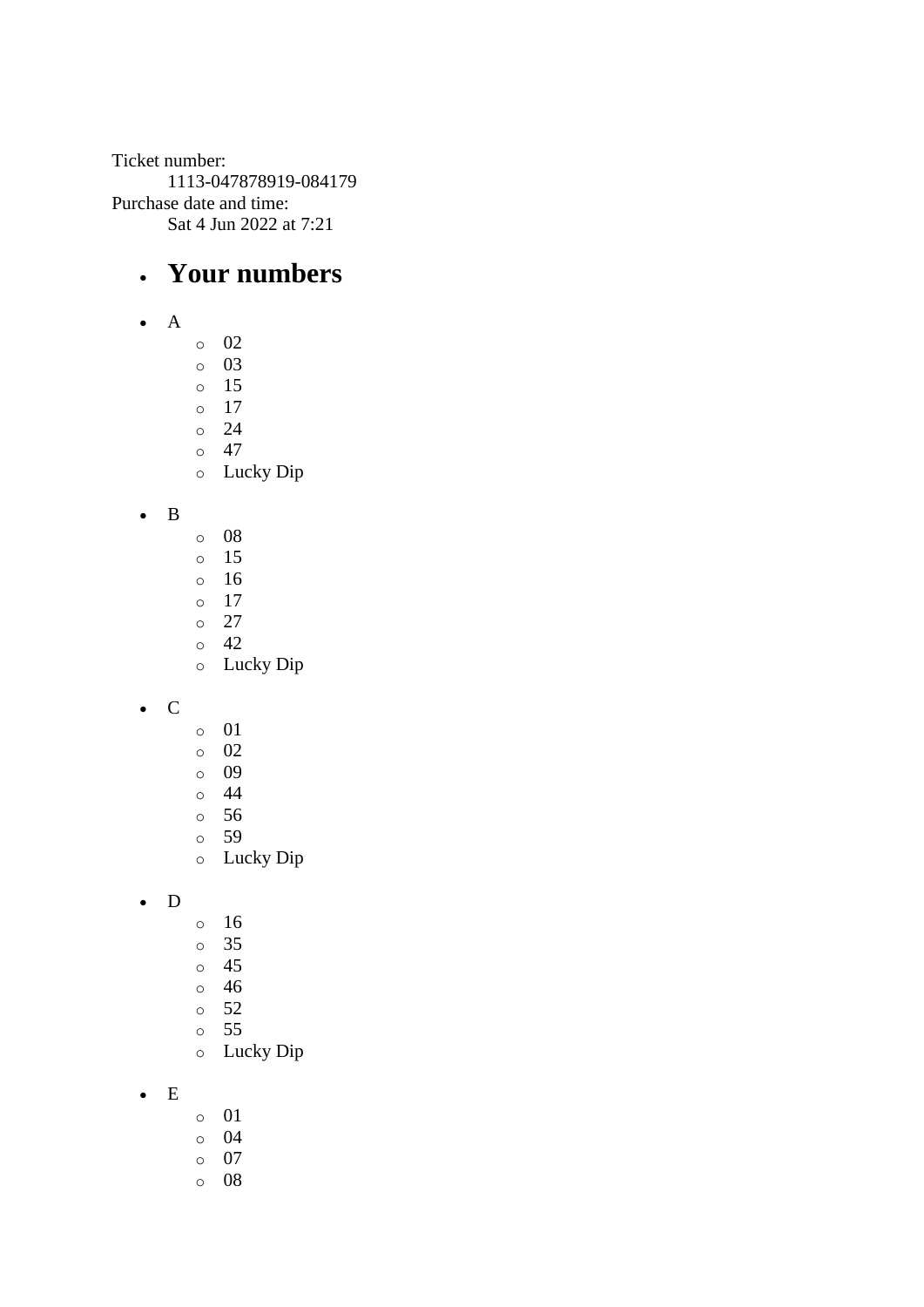Ticket number: 1113-047878919-084179 Purchase date and time: Sat 4 Jun 2022 at 7:21

## • **Your numbers**

- A
- o 02
- o 03 o 15
- o 17
- o 24
- o 47
- o Lucky Dip
- B
- o 08
- o 15
- o 16
- o 17 o 27
- o 42
- o Lucky Dip
- C
- o 01
- o 02
- o 09
- o 44
- o 56
- o 59 o Lucky Dip
- 
- D
- o 16
- o 35
- o 45
- o 46
- o 52
- o 55
- o Lucky Dip
- E
- o 01
- o 04
- o 07
- o 08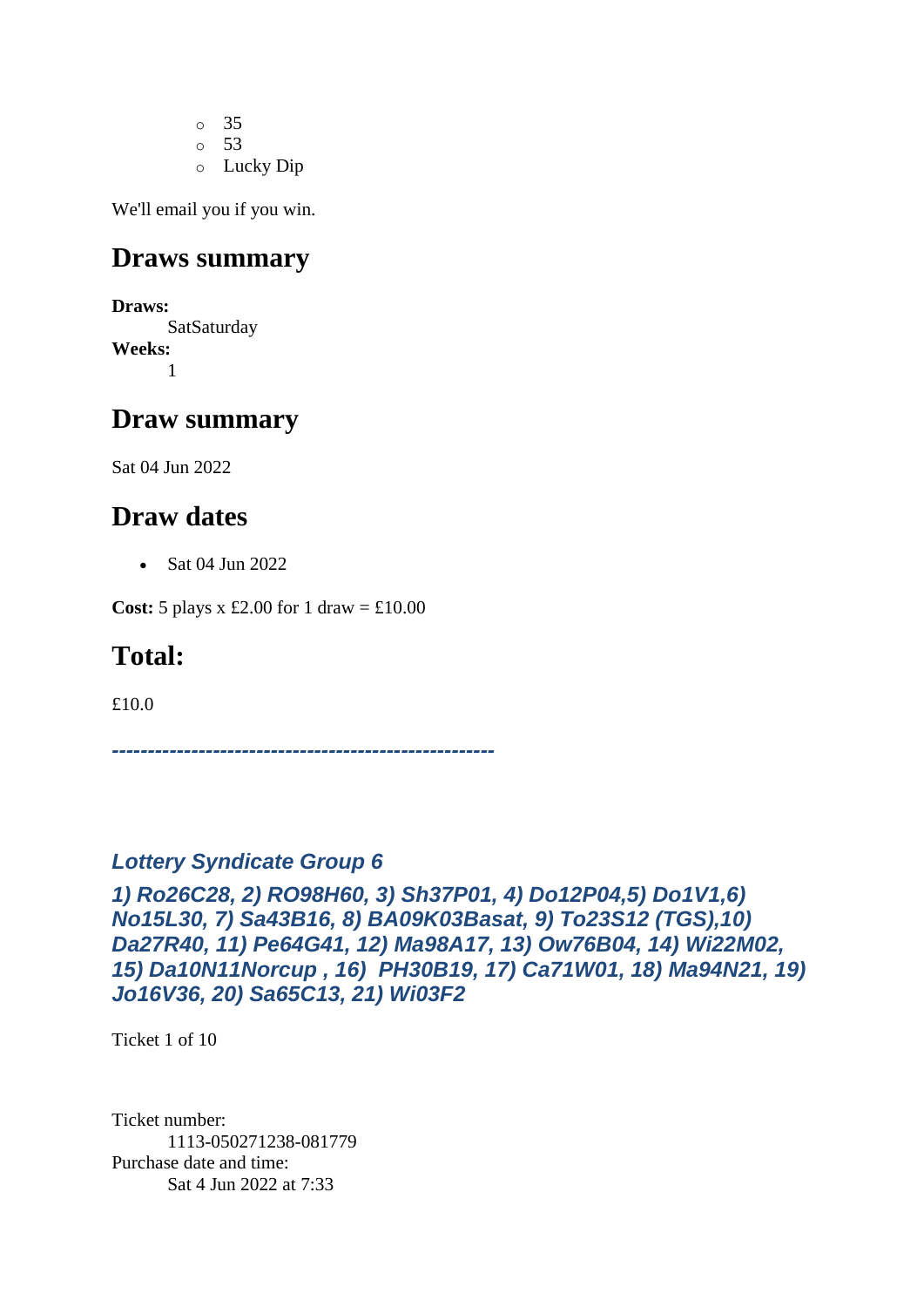o 35 o 53 o Lucky Dip

We'll email you if you win.

#### **Draws summary**

**Draws:** SatSaturday **Weeks:** 1

#### **Draw summary**

Sat 04 Jun 2022

## **Draw dates**

• Sat 04 Jun 2022

**Cost:** 5 plays x £2.00 for 1 draw =  $\text{\textsterling}10.00$ 

## **Total:**

£10.0

*-----------------------------------------------------*

#### *Lottery Syndicate Group 6*

*1) Ro26C28, 2) RO98H60, 3) Sh37P01, 4) Do12P04,5) Do1V1,6) No15L30, 7) Sa43B16, 8) BA09K03Basat, 9) To23S12 (TGS),10) Da27R40, 11) Pe64G41, 12) Ma98A17, 13) Ow76B04, 14) Wi22M02, 15) Da10N11Norcup , 16) PH30B19, 17) Ca71W01, 18) Ma94N21, 19) Jo16V36, 20) Sa65C13, 21) Wi03F2*

Ticket 1 of 10

Ticket number: 1113-050271238-081779 Purchase date and time: Sat 4 Jun 2022 at 7:33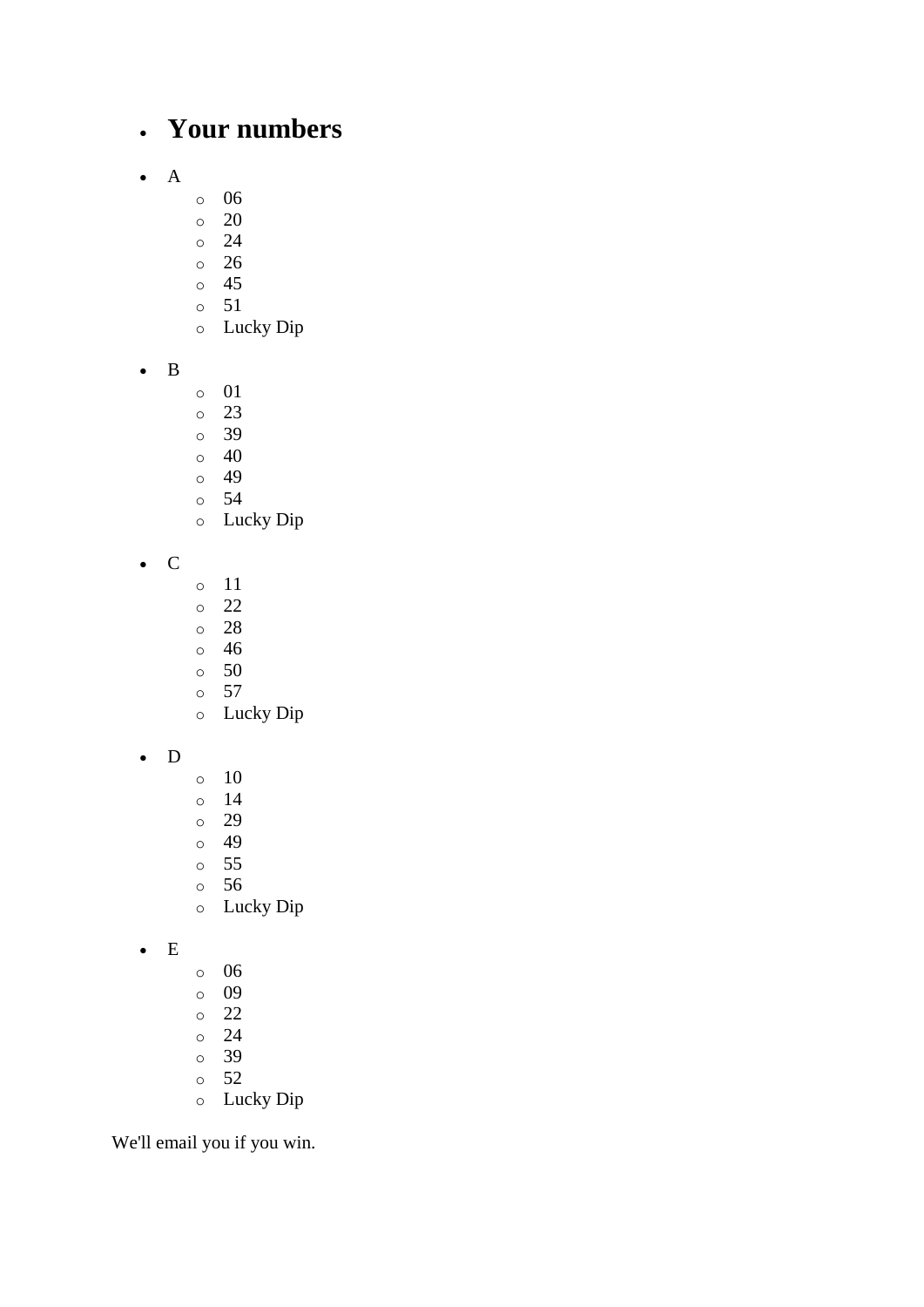## • **Your numbers**

- A
- o 06
- o 20
- o 24
- o 26
- o 45
- o 51
- o Lucky Dip
- B
- o 01
- o 23
- o 39
- $\circ$  40
- o 49
- o 54
- o Lucky Dip
- C
- o 11
- o 22
- o 28
- o 46
- o 50
- o 57
- o Lucky Dip
- D
- $\circ$  10
- o 14
- o 29
- o 49
- o 55
- o 56
- o Lucky Dip
- E
- o 06
- o 09
- o 22
- o 24 o 39
- o 52
- o Lucky Dip

We'll email you if you win.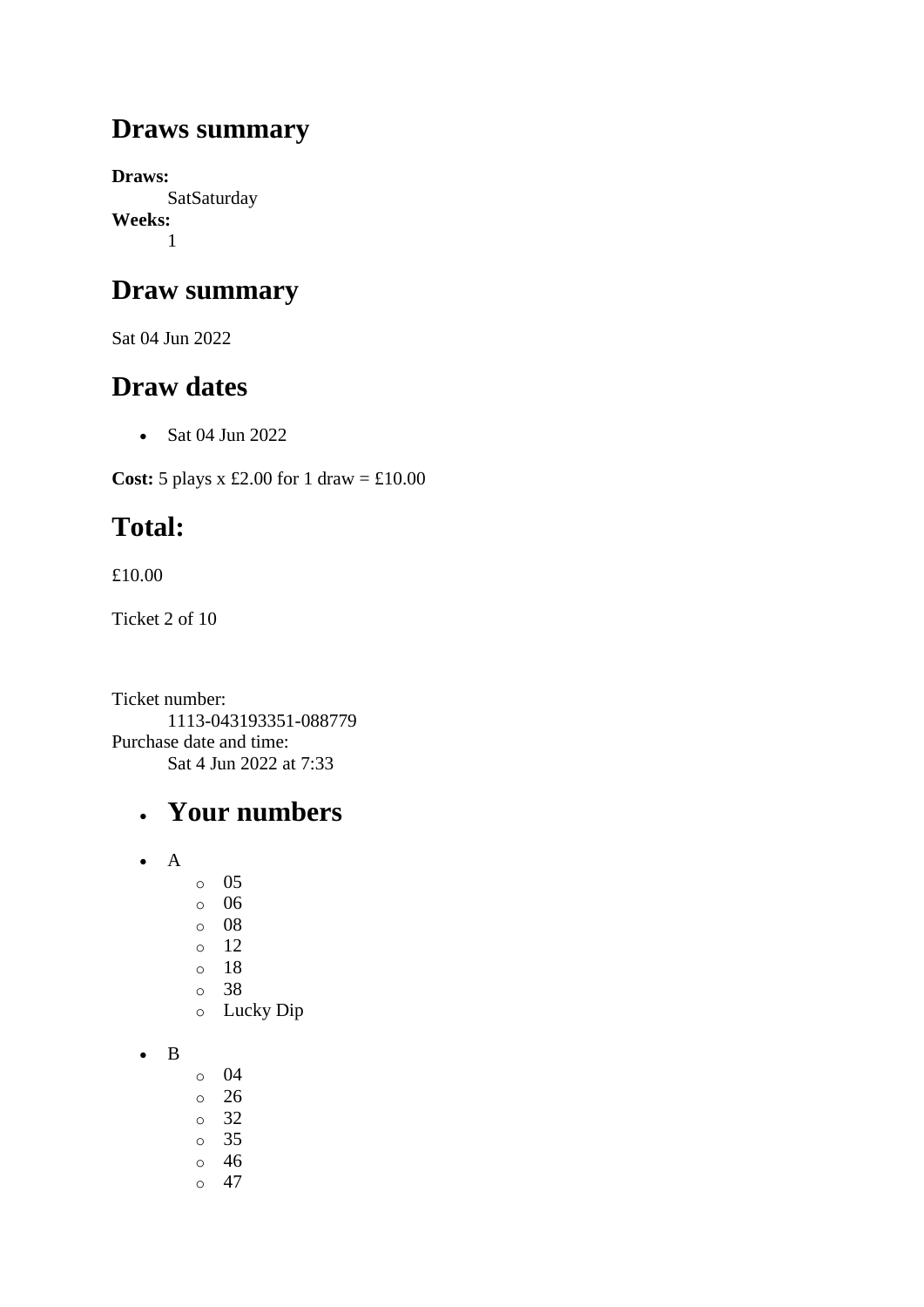## **Draws summary**

**Draws: SatSaturday Weeks:** 1

## **Draw summary**

Sat 04 Jun 2022

## **Draw dates**

• Sat 04 Jun 2022

**Cost:**  $5$  plays x £2.00 for 1 draw = £10.00

# **Total:**

£10.00

Ticket 2 of 10

Ticket number: 1113-043193351-088779 Purchase date and time: Sat 4 Jun 2022 at 7:33

## • **Your numbers**

- A
- o 05
- o 06
- o 08
- o 12
- o 18
- o 38
- o Lucky Dip
- B
- o 04
- $\circ$  26
- o 32
- o 35
- o 46
- $\circ$  47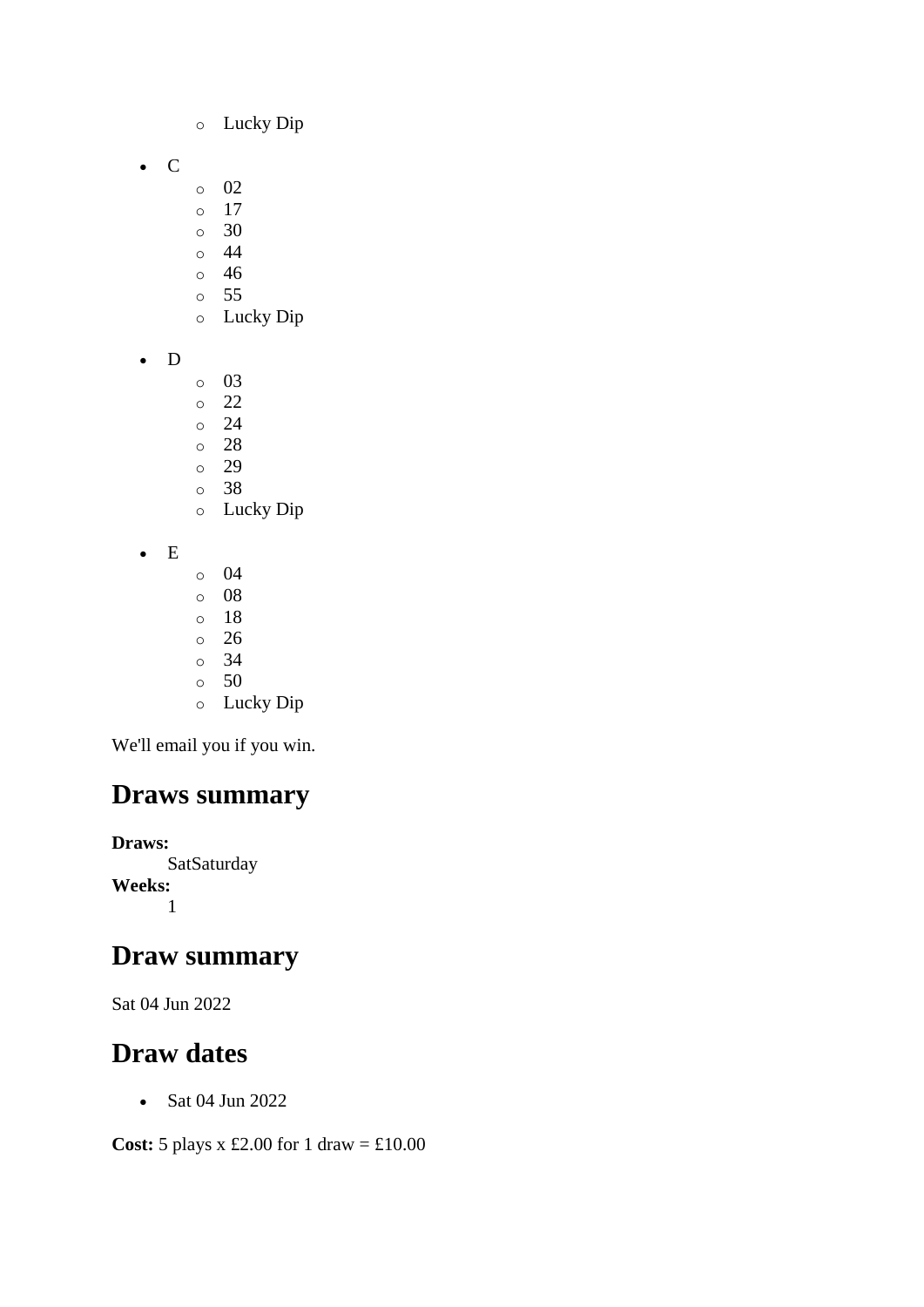- o Lucky Dip
- C
- o 02
- o 17
- o 30
- o 44 o 46
- o 55
- o Lucky Dip
- D
- o 03
- o 22
- o 24
- o 28
- o 29
- o 38 o Lucky Dip
- E
- $\circ$  04
- o 08
- o 18 o 26
- o 34
- o 50
- o Lucky Dip

## **Draws summary**

**Draws: SatSaturday Weeks:** 1

#### **Draw summary**

Sat 04 Jun 2022

## **Draw dates**

• Sat 04 Jun 2022

**Cost:** 5 plays x £2.00 for 1 draw = £10.00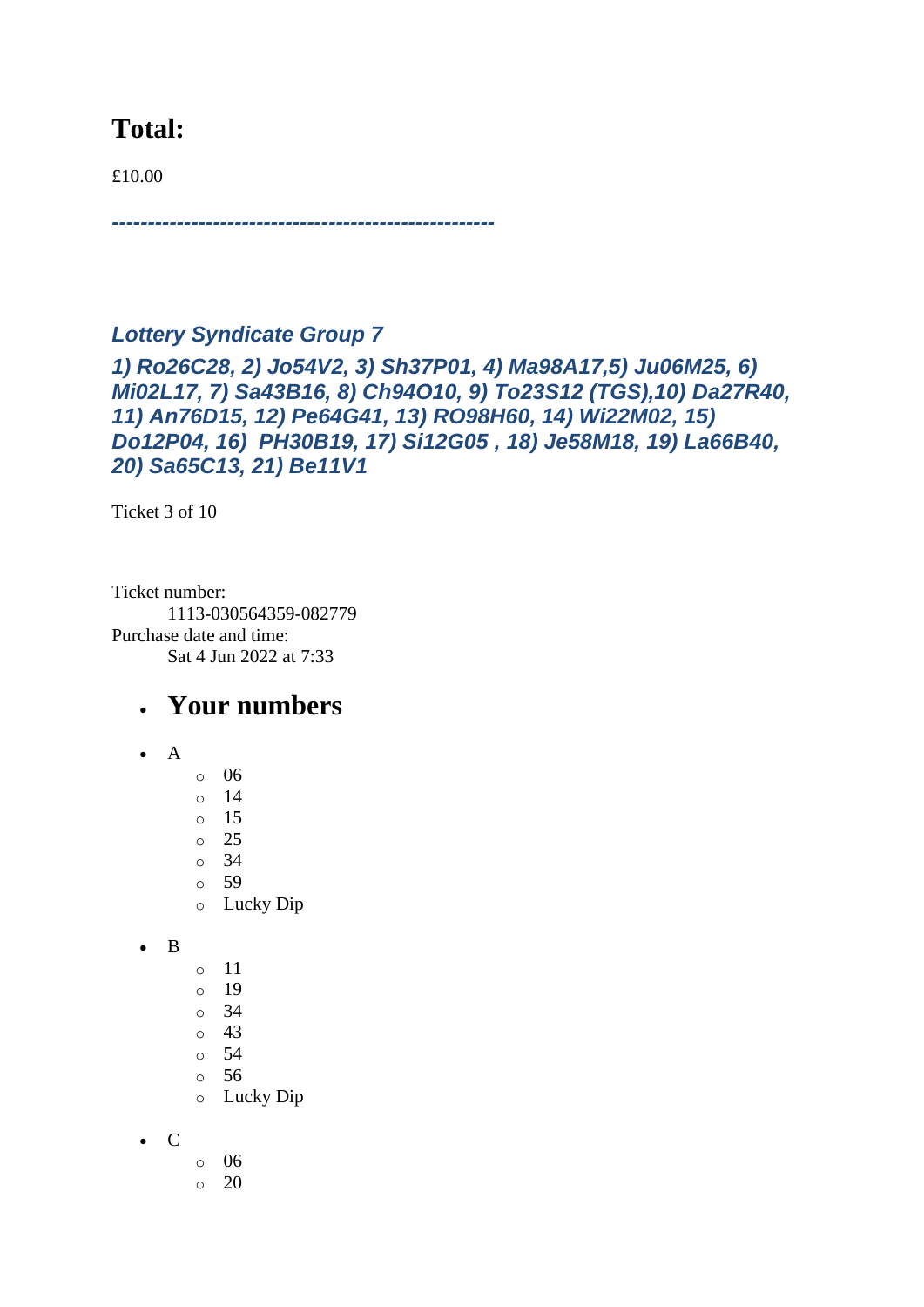## **Total:**

£10.00

*-----------------------------------------------------*

*Lottery Syndicate Group 7 1) Ro26C28, 2) Jo54V2, 3) Sh37P01, 4) Ma98A17,5) Ju06M25, 6) Mi02L17, 7) Sa43B16, 8) Ch94O10, 9) To23S12 (TGS),10) Da27R40, 11) An76D15, 12) Pe64G41, 13) RO98H60, 14) Wi22M02, 15) Do12P04, 16) PH30B19, 17) Si12G05 , 18) Je58M18, 19) La66B40, 20) Sa65C13, 21) Be11V1*

Ticket 3 of 10

Ticket number: 1113-030564359-082779 Purchase date and time: Sat 4 Jun 2022 at 7:33

#### • **Your numbers**

- A
	- $\circ$  06  $\circ$  14
	- o 15
	- o 25
	- $\circ$  34
	- o 59
	- o Lucky Dip

• B

- o 11
- o 19
- o 34
- o 43
- o 54
- o 56
- o Lucky Dip
- C
- o 06
- $\circ$  20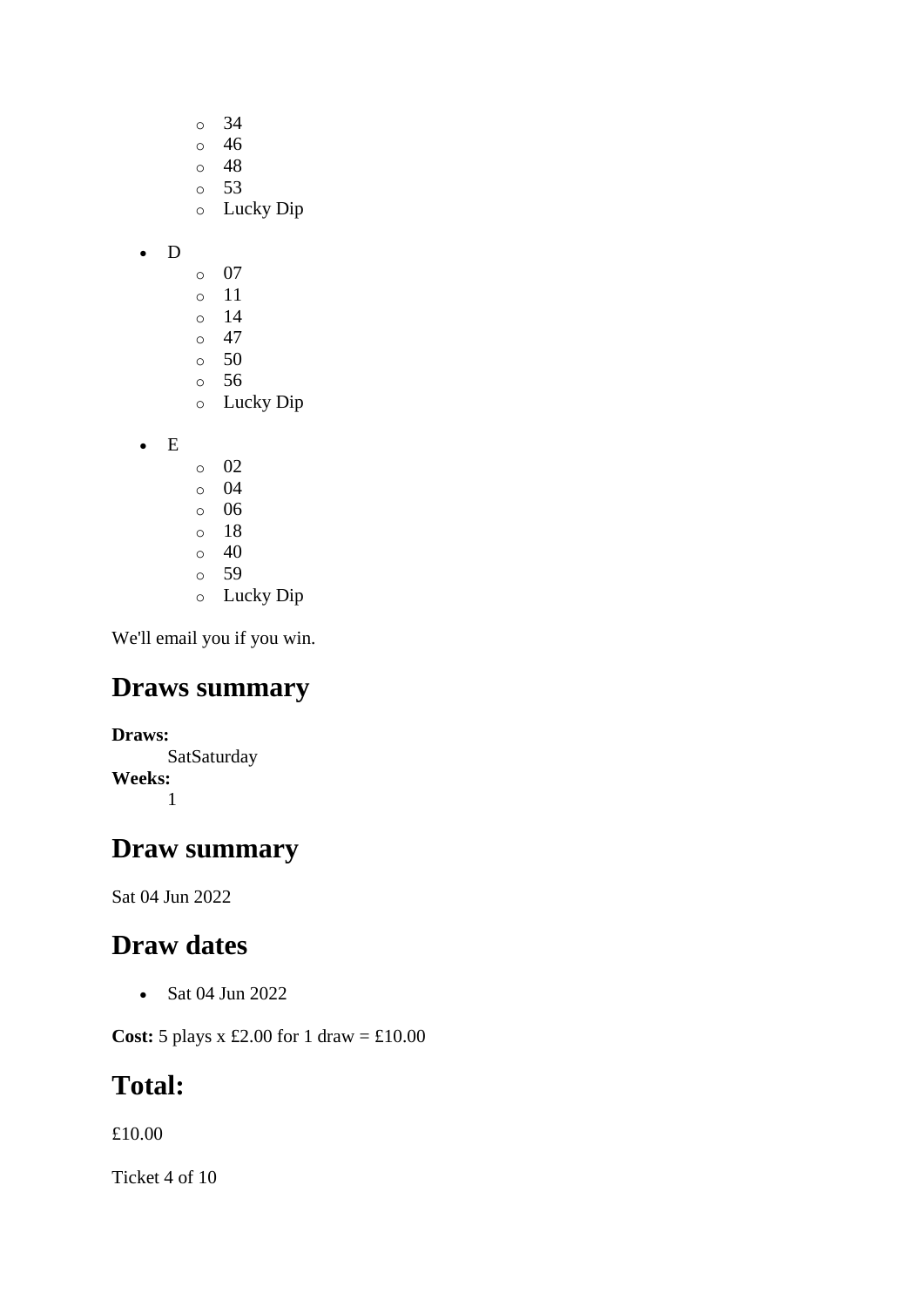- o 34 o 46
- o 48
- o 53
- o Lucky Dip
- D
- o 07
- o 11
- $\circ$  14
- $\circ$  47 o 50
- o 56
- o Lucky Dip
- E
- o 02 o 04
- o 06
- o 18  $\circ$  40
- o 59
- o Lucky Dip

## **Draws summary**

**Draws: SatSaturday Weeks:** 1

## **Draw summary**

Sat 04 Jun 2022

## **Draw dates**

• Sat 04 Jun 2022

**Cost:** 5 plays x £2.00 for 1 draw = £10.00

## **Total:**

£10.00

Ticket 4 of 10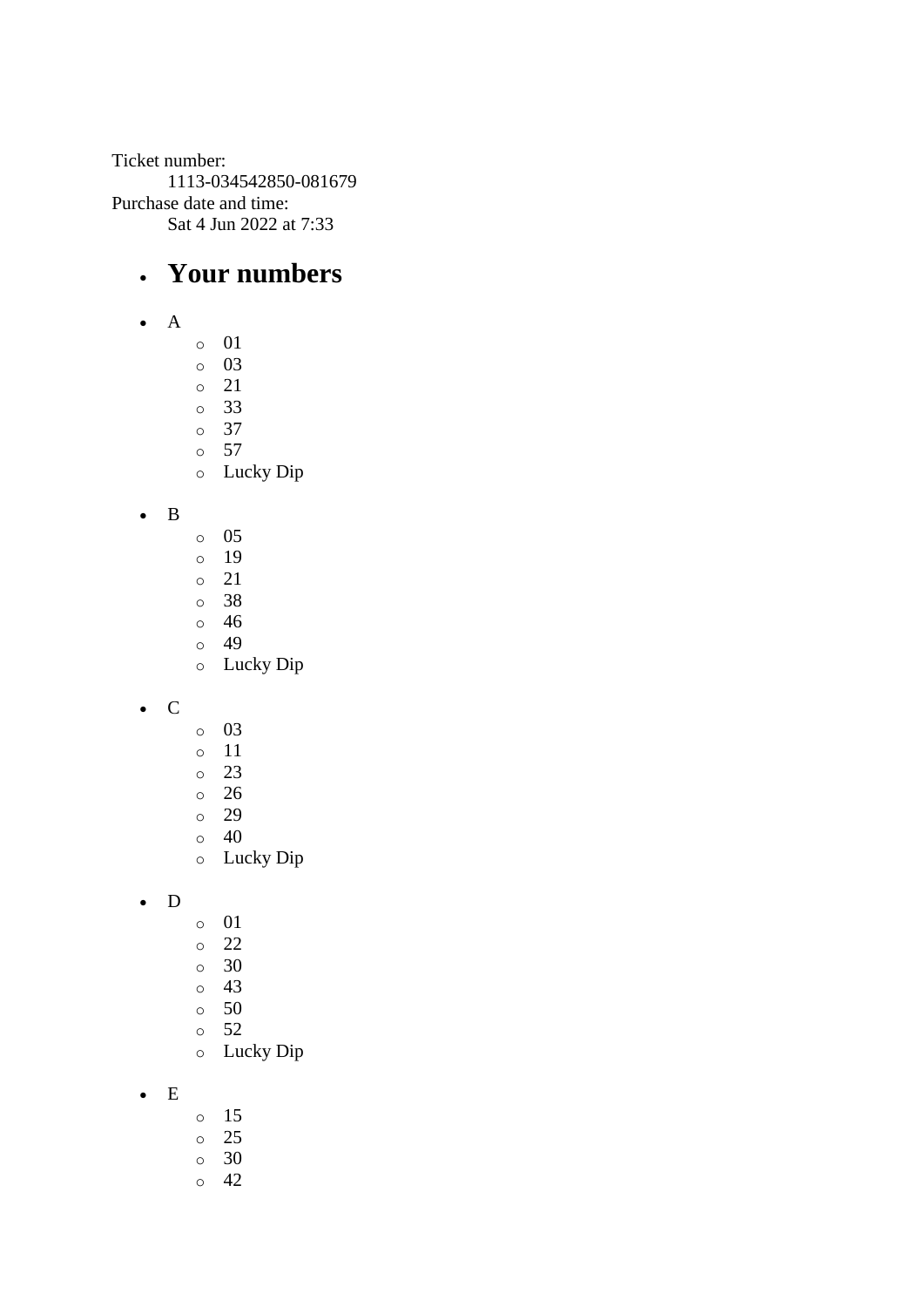Ticket number: 1113-034542850-081679 Purchase date and time: Sat 4 Jun 2022 at 7:33

## • **Your numbers**

- A
- o 01
- o 03 o 21
- o 33
- o 37
- o 57
- o Lucky Dip

• B

- o 05
- o 19
- o 21
- o 38
- o 46 o 49
- o Lucky Dip
- C
- o 03
- o 11
- o 23
- o 26
- o 29
- o 40
- o Lucky Dip

• D

- o 01
- o 22
- o 30
- o 43
- o 50
- o 52
- o Lucky Dip
- E
- o 15
- o 25
- o 30
- o 42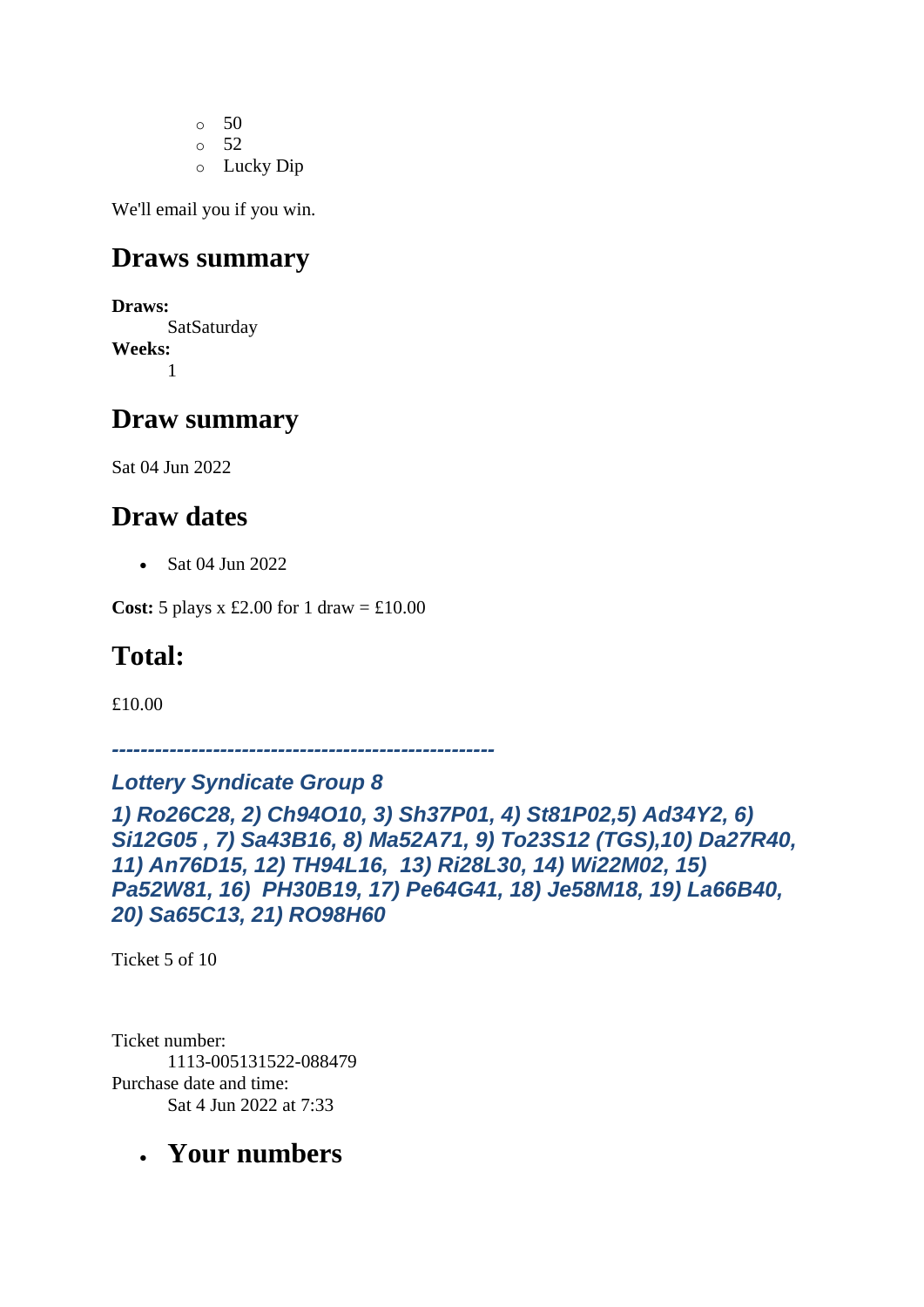$\circ$  50 o 52 o Lucky Dip

We'll email you if you win.

## **Draws summary**

**Draws:** SatSaturday **Weeks:** 1

#### **Draw summary**

Sat 04 Jun 2022

## **Draw dates**

• Sat 04 Jun 2022

**Cost:** 5 plays x £2.00 for 1 draw =  $\text{\textsterling}10.00$ 

## **Total:**

£10.00

*-----------------------------------------------------*

#### *Lottery Syndicate Group 8*

```
1) Ro26C28, 2) Ch94O10, 3) Sh37P01, 4) St81P02,5) Ad34Y2, 6) 
Si12G05 , 7) Sa43B16, 8) Ma52A71, 9) To23S12 (TGS),10) Da27R40, 
11) An76D15, 12) TH94L16, 13) Ri28L30, 14) Wi22M02, 15) 
Pa52W81, 16) PH30B19, 17) Pe64G41, 18) Je58M18, 19) La66B40, 
20) Sa65C13, 21) RO98H60
```
Ticket 5 of 10

Ticket number: 1113-005131522-088479 Purchase date and time: Sat 4 Jun 2022 at 7:33

## • **Your numbers**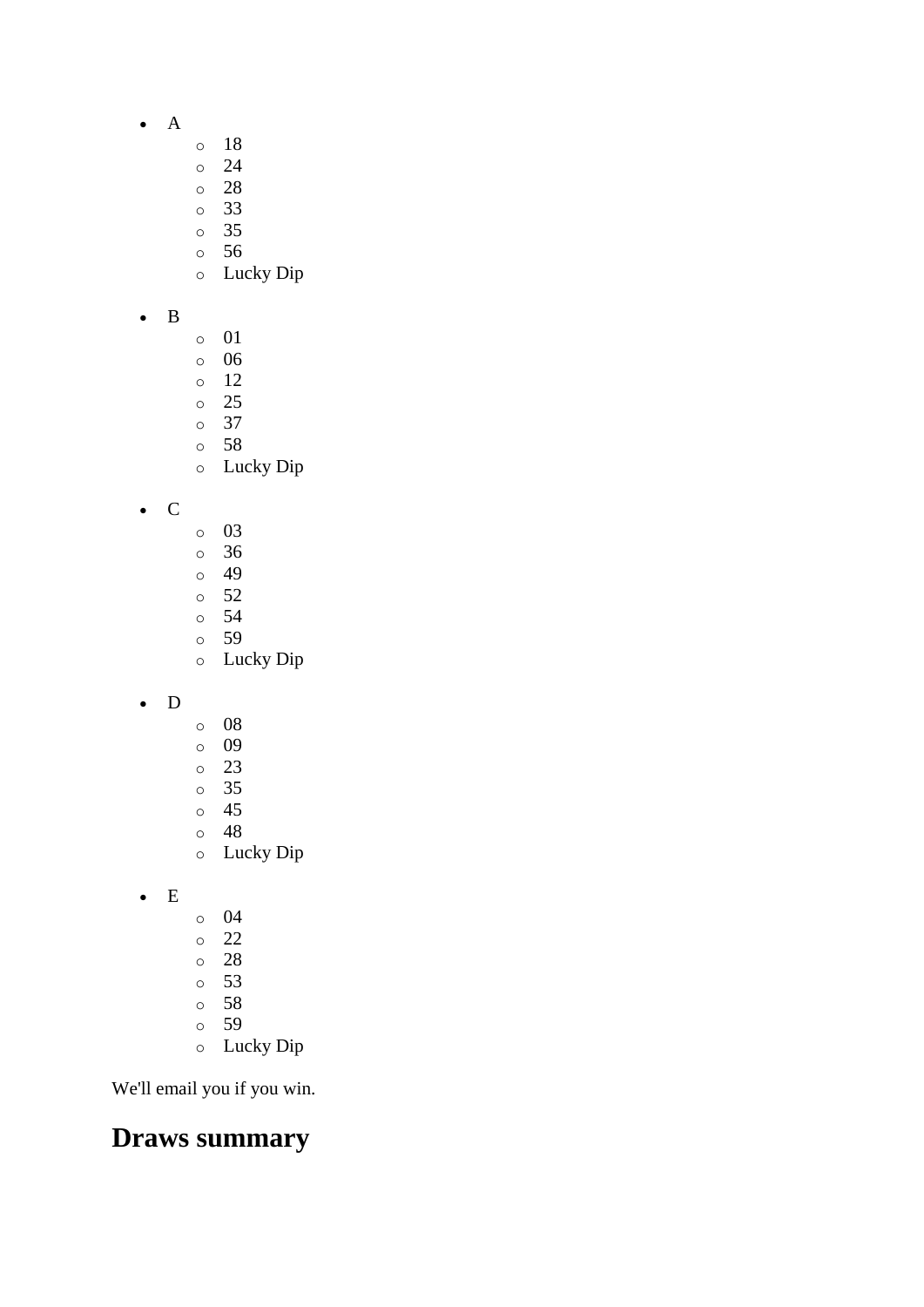- A
- o 18
- o 24
- o 28
- o 33
- o 35
- o 56
- o Lucky Dip
- B
- o 01
- o 06
- o 12
- o 25
- o 37 o 58
- o Lucky Dip

• C

- o 03
- o 36
- o 49
- o 52 o 54
- o 59
- o Lucky Dip
- D
- o 08
- o 09
- o 23
- o 35
- o 45
- o 48
- o Lucky Dip
- E
- o 04
- o 22
- o 28
- o 53
- o 58
- o 59
- o Lucky Dip

We'll email you if you win.

## **Draws summary**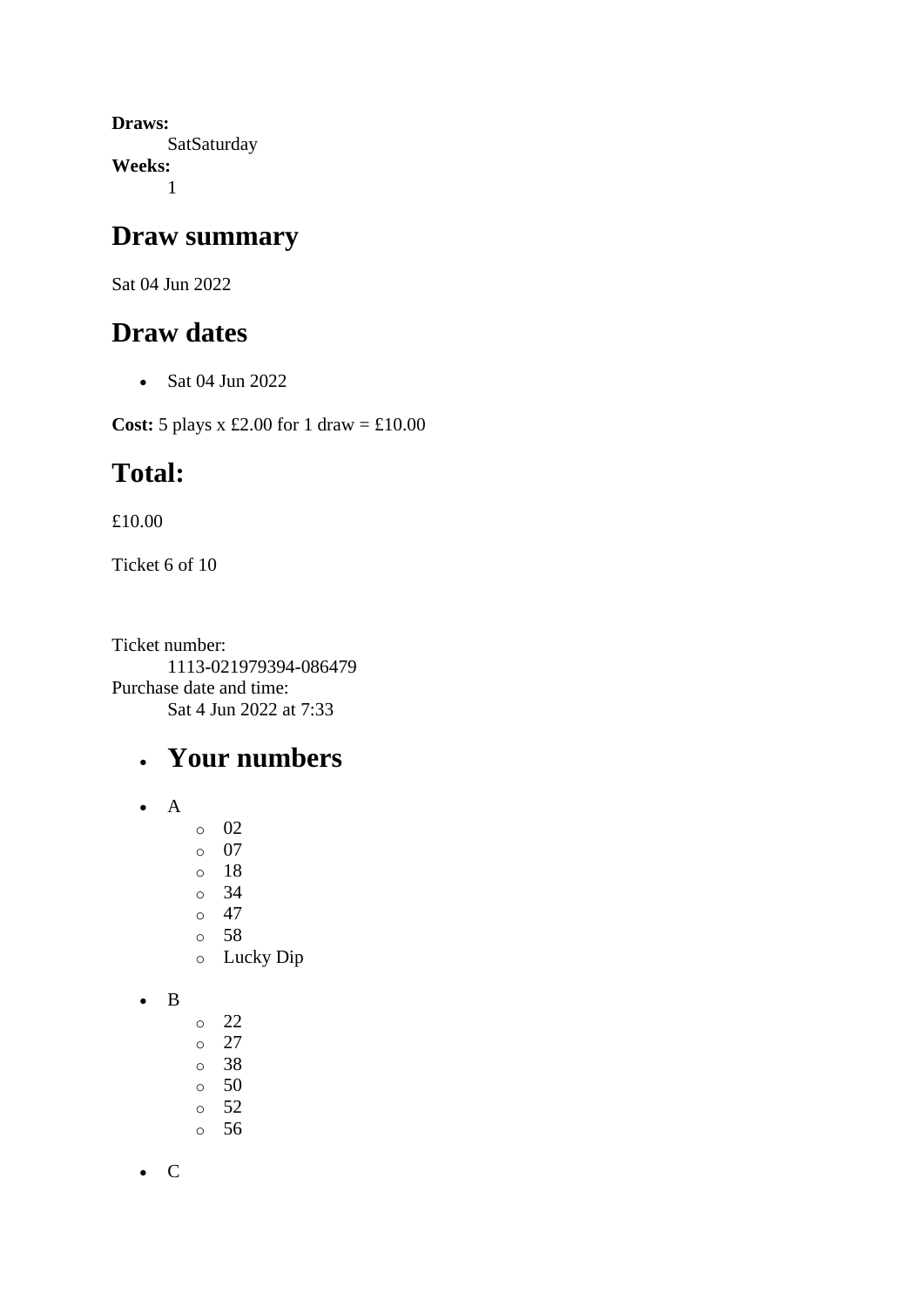**Draws: SatSaturday Weeks:** 1

#### **Draw summary**

Sat 04 Jun 2022

## **Draw dates**

• Sat 04 Jun 2022

**Cost:** 5 plays x £2.00 for 1 draw = £10.00

## **Total:**

£10.00

Ticket 6 of 10

Ticket number: 1113-021979394-086479 Purchase date and time: Sat 4 Jun 2022 at 7:33

## • **Your numbers**

- A
- o 02
- o 07
- o 18
- o 34
- $\circ$  47
- o 58
- o Lucky Dip
- B
- o 22
- o 27
- o 38
- o 50
- o 52
- o 56

• C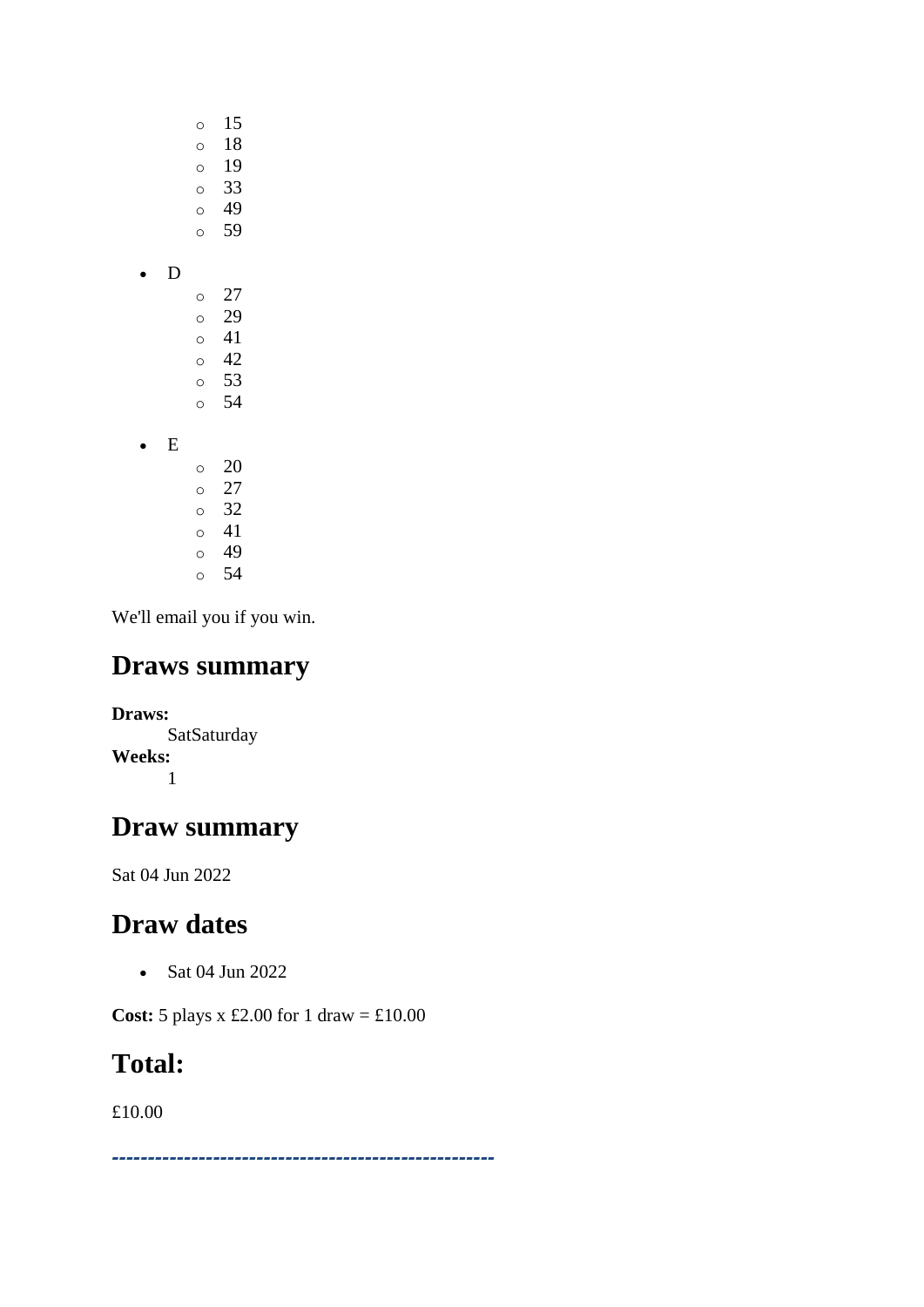- o 15 o 18 o 19
	- o 33
	- o 49 o 59
- 
- D
	- o 27 o 29 o 41  $\circ$  42 o 53 o 54
- E
	- o 20  $\circ$  27 o 32 o 41 o 49 o 54

# **Draws summary**

**Draws: SatSaturday Weeks:** 1

# **Draw summary**

Sat 04 Jun 2022

# **Draw dates**

• Sat 04 Jun 2022

**Cost:** 5 plays x £2.00 for 1 draw = £10.00

# **Total:**

£10.00

*-----------------------------------------------------*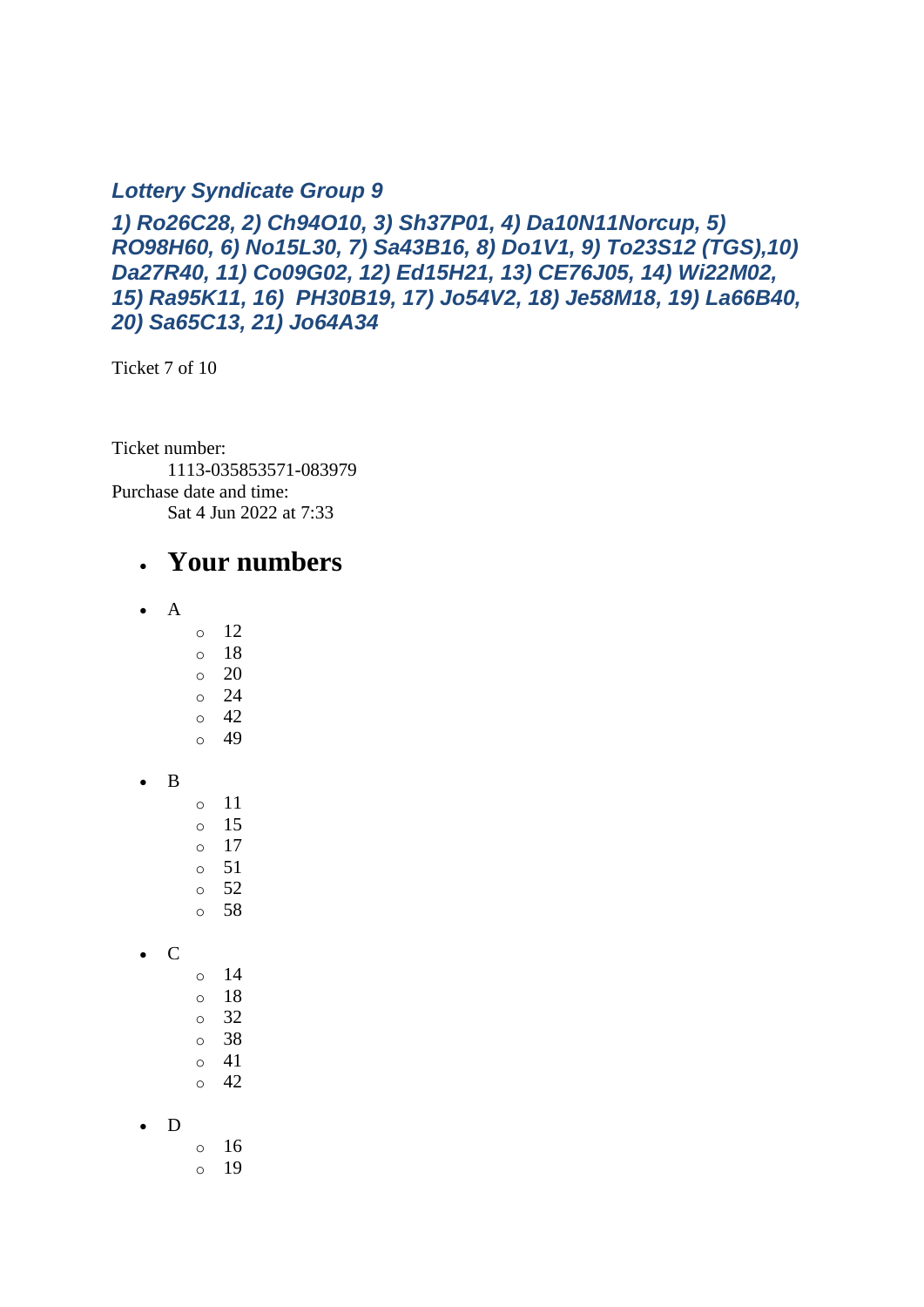#### *Lottery Syndicate Group 9*

*1) Ro26C28, 2) Ch94O10, 3) Sh37P01, 4) Da10N11Norcup, 5) RO98H60, 6) No15L30, 7) Sa43B16, 8) Do1V1, 9) To23S12 (TGS),10) Da27R40, 11) Co09G02, 12) Ed15H21, 13) CE76J05, 14) Wi22M02, 15) Ra95K11, 16) PH30B19, 17) Jo54V2, 18) Je58M18, 19) La66B40, 20) Sa65C13, 21) Jo64A34*

Ticket 7 of 10

Ticket number: 1113-035853571-083979 Purchase date and time: Sat 4 Jun 2022 at 7:33

#### • **Your numbers**

- A
	- o 12
	- o 18
	- $\circ$  20 o 24
	- o 42
	- o 49
- B
- o 11
- o 15  $\circ$  17
- $\circ$  51
- $\circ$  52
- o 58
- C
- o 14 o 18 o 32 o 38 o 41
- $\circ$  42

#### • D

- o 16
- o 19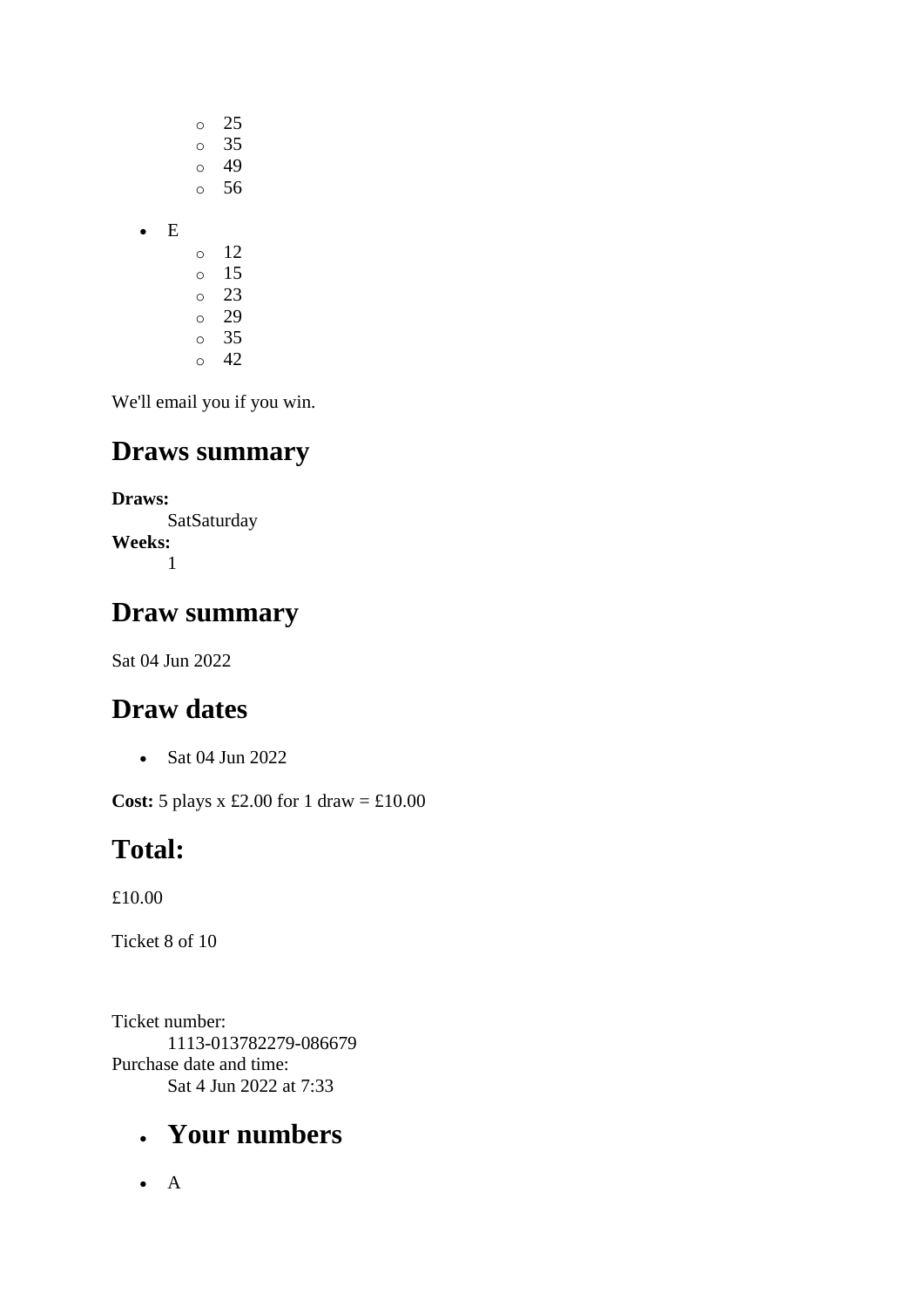|   | O | 25 |
|---|---|----|
|   | O | 35 |
|   | O | 49 |
|   | Ò | 56 |
| E |   |    |
|   |   |    |
|   | O | 12 |
|   | O | 15 |
|   | Ó | 23 |
|   | O | 29 |
|   | Ó | 35 |

## **Draws summary**

**Draws: SatSaturday Weeks:** 1

## **Draw summary**

Sat 04 Jun 2022

## **Draw dates**

• Sat 04 Jun 2022

**Cost:** 5 plays x £2.00 for 1 draw = £10.00

## **Total:**

£10.00

Ticket 8 of 10

Ticket number: 1113-013782279-086679 Purchase date and time: Sat 4 Jun 2022 at 7:33

## • **Your numbers**

• A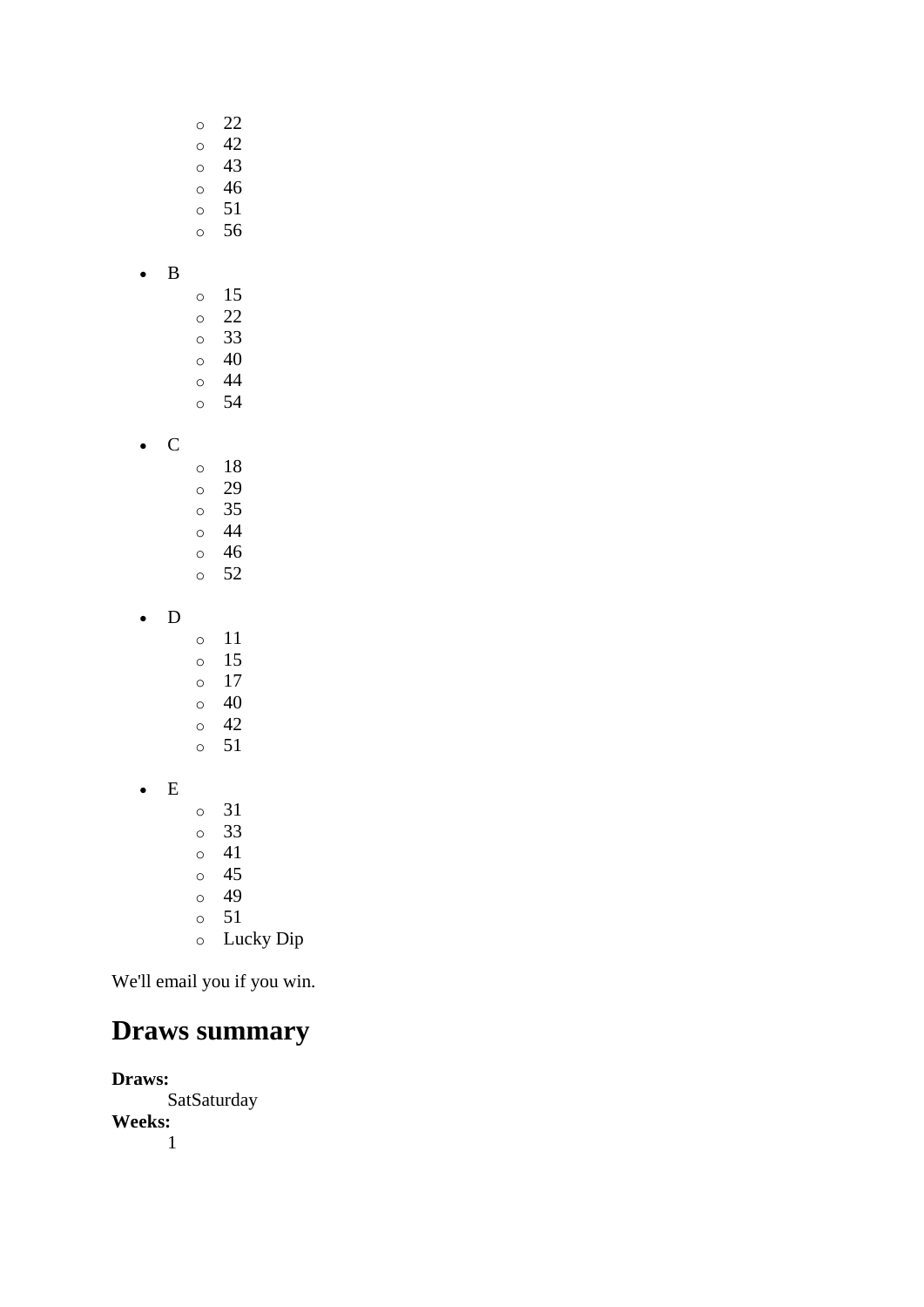- o 22 o 42
- o 43
- o 46
- o 51
- o 56
- B
- o 15 o 22 o 33 o 40 o 44
- o 54
- C
- o 18 o 29 o 35 o 44 o 46 o 52
- D
- o 11 o 15 o 17 o 40 o 42 o 51 • E o 31 o 33 o 41
	- o 45 o 49
	- o 51
	- o Lucky Dip

# **Draws summary**

**Draws:** SatSaturday **Weeks:** 1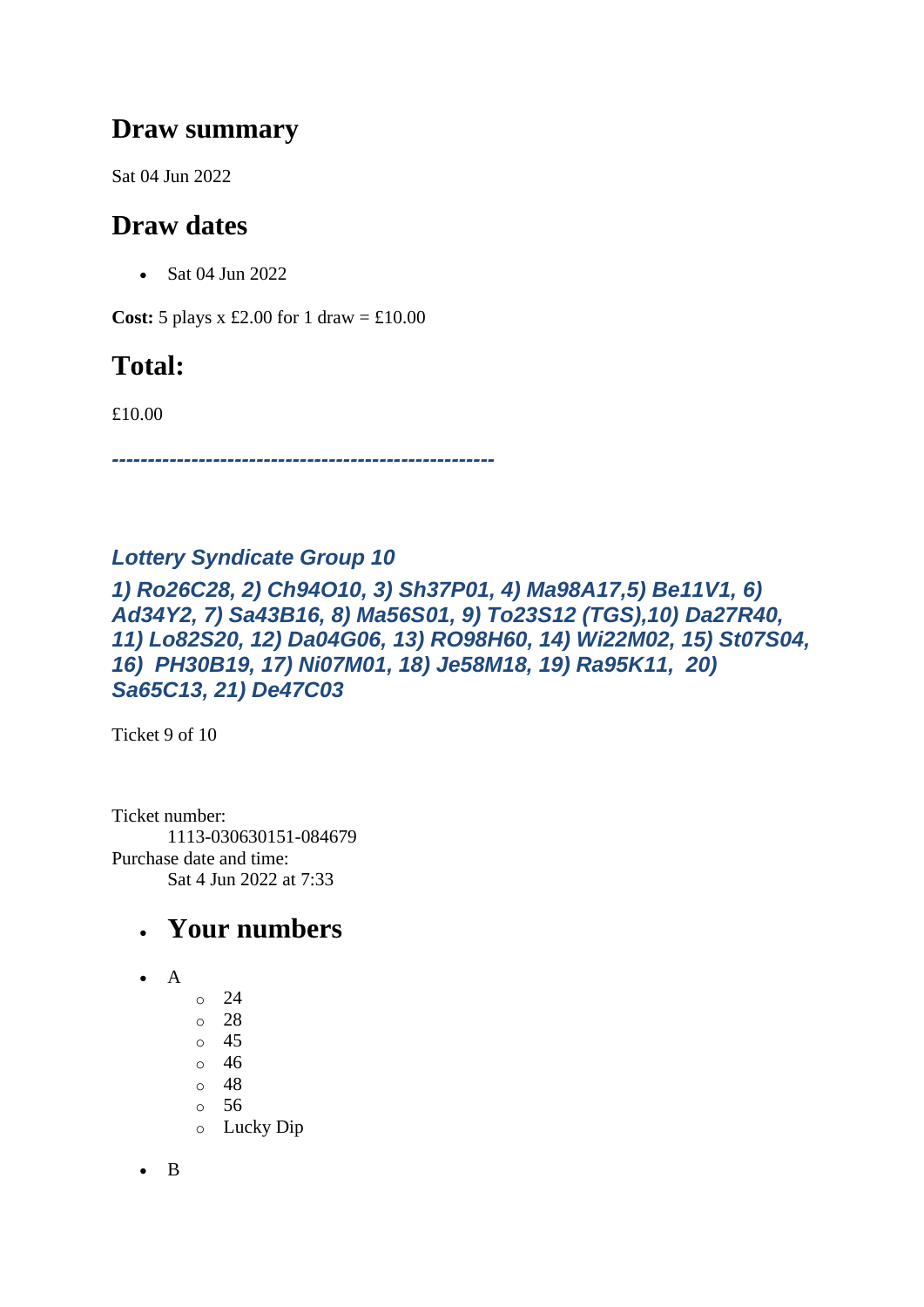## **Draw summary**

Sat 04 Jun 2022

## **Draw dates**

• Sat 04 Jun 2022

**Cost:** 5 plays x £2.00 for 1 draw = £10.00

## **Total:**

£10.00

*-----------------------------------------------------*

#### *Lottery Syndicate Group 10*

*1) Ro26C28, 2) Ch94O10, 3) Sh37P01, 4) Ma98A17,5) Be11V1, 6) Ad34Y2, 7) Sa43B16, 8) Ma56S01, 9) To23S12 (TGS),10) Da27R40, 11) Lo82S20, 12) Da04G06, 13) RO98H60, 14) Wi22M02, 15) St07S04, 16) PH30B19, 17) Ni07M01, 18) Je58M18, 19) Ra95K11, 20) Sa65C13, 21) De47C03*

Ticket 9 of 10

Ticket number: 1113-030630151-084679 Purchase date and time: Sat 4 Jun 2022 at 7:33

## • **Your numbers**

- $\bullet$  A
- o 24 o 28
- o 45
- o 46
- o 48
- o 56
- o Lucky Dip

• B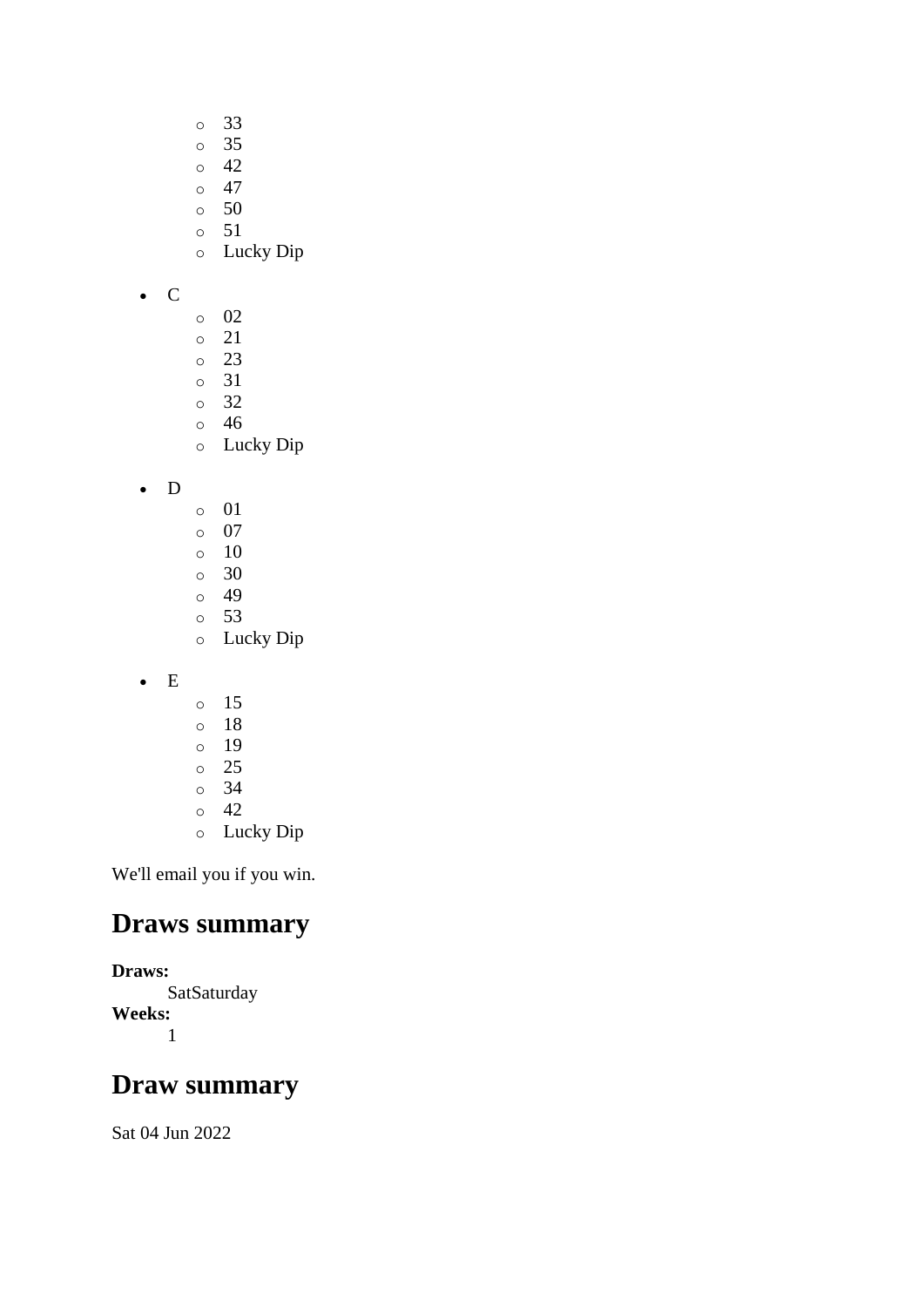- o 33
- o 35
- o 42
- $\circ$  47
- o 50
- o 51
- o Lucky Dip
- C
- o 02
- o 21
- o 23
- o 31 o 32
- o 46
- o Lucky Dip
- D
- o 01
- o 07
- o 10
- $\circ$  30
- o 49 o 53
- o Lucky Dip
- E
- o 15
- o 18
- o 19
- o 25
- o 34  $\circ$  42
- o Lucky Dip

## **Draws summary**

#### **Draws:**

**SatSaturday Weeks:** 1

## **Draw summary**

Sat 04 Jun 2022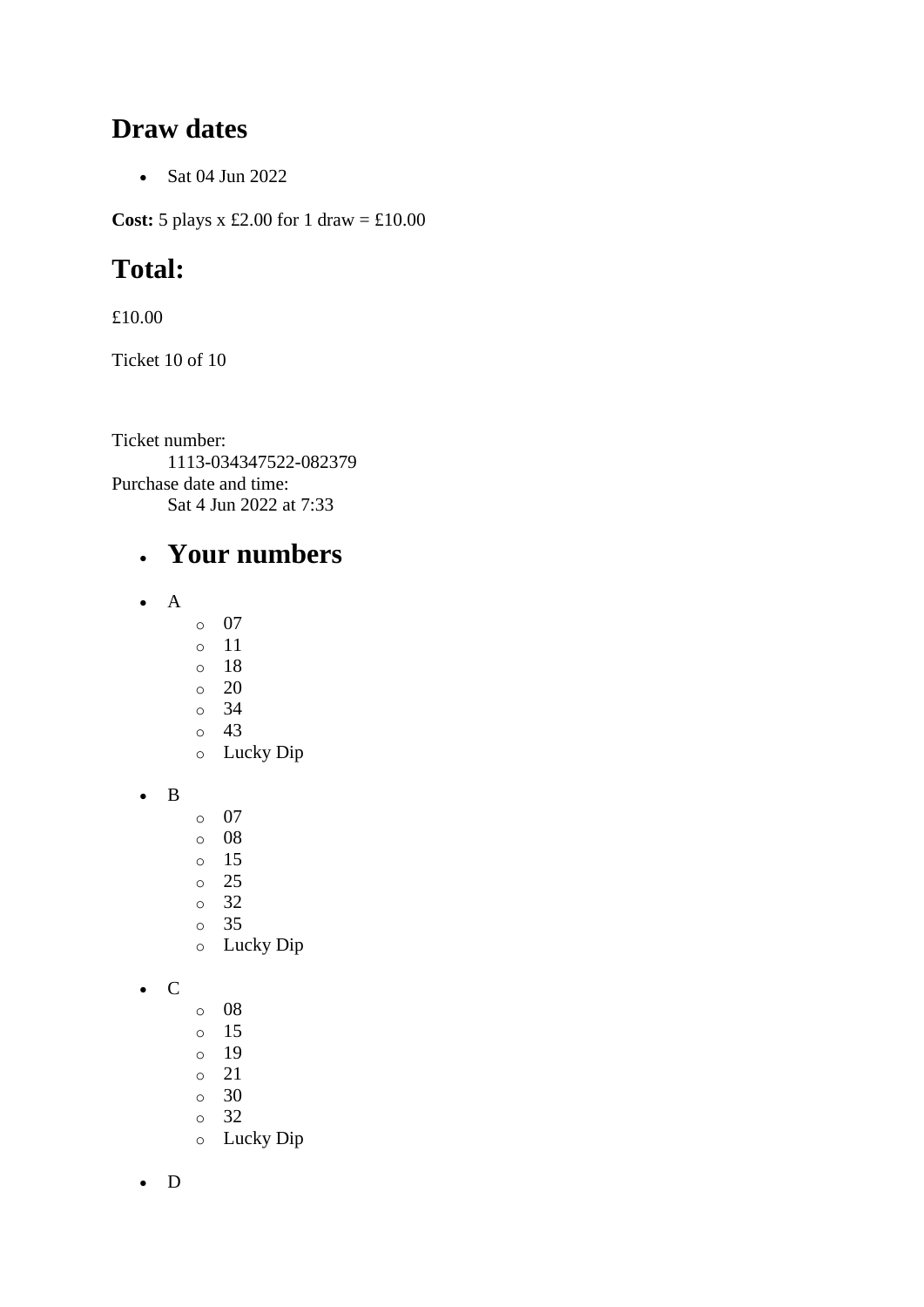#### **Draw dates**

• Sat 04 Jun 2022

**Cost:** 5 plays x £2.00 for 1 draw = £10.00

## **Total:**

£10.00

Ticket 10 of 10

Ticket number: 1113-034347522-082379 Purchase date and time: Sat 4 Jun 2022 at 7:33

## • **Your numbers**

- A
	- o 07
	- o 11
	- o 18
	- o 20
	- o 34 o 43
	- o Lucky Dip
- B
- o 07
- o 08
- o 15
- o 25
- o 32
- o 35
- o Lucky Dip
- C
- o 08
- o 15
- o 19
- o 21
- o 30
- o 32 o Lucky Dip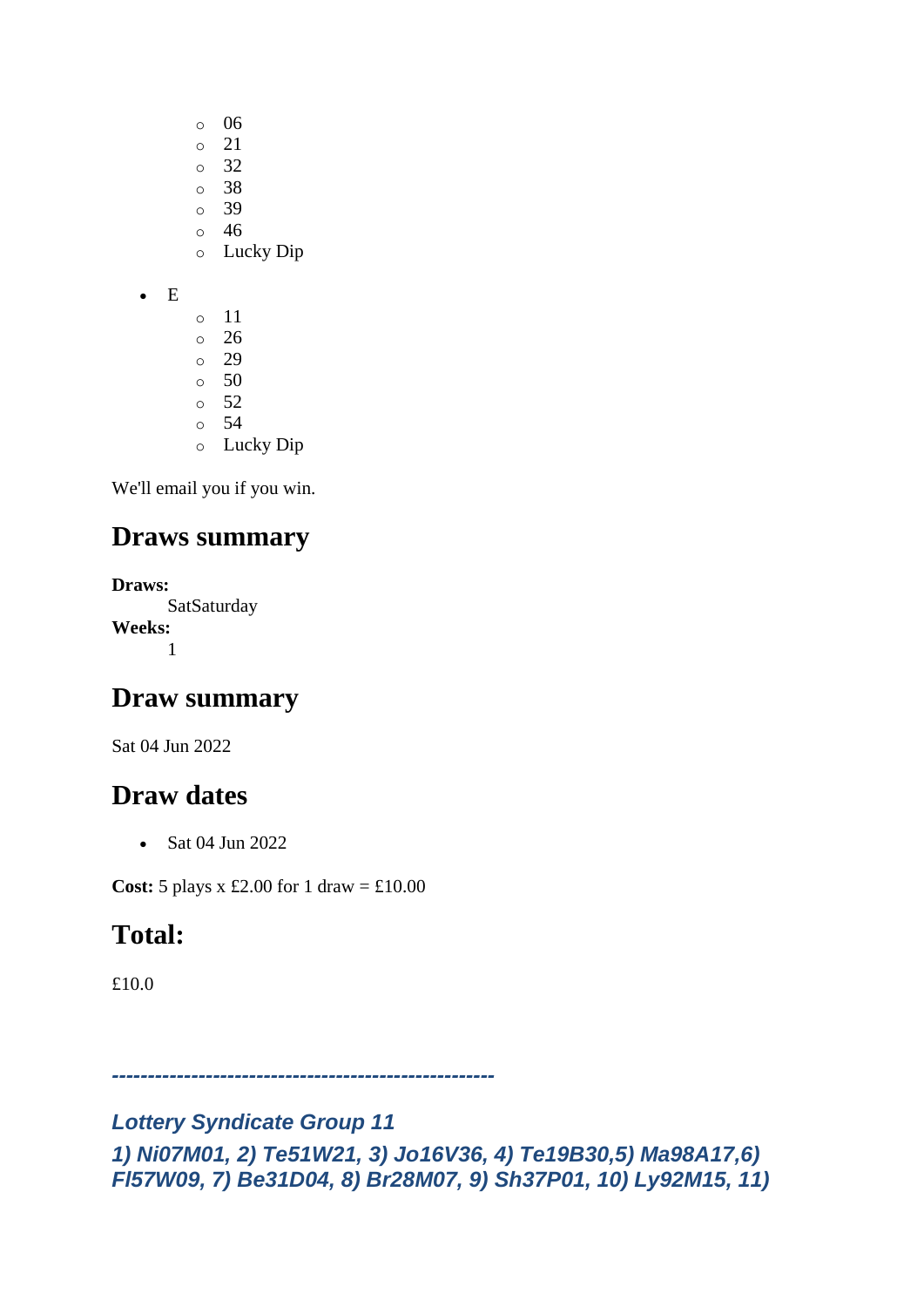- o 06
- o 21
- o 32
- o 38
- o 39 o 46
- o Lucky Dip
- E
- o 11 o 26 o 29 o 50
- o 52
- o 54
- o Lucky Dip

## **Draws summary**

**Draws: SatSaturday Weeks:** 1

## **Draw summary**

Sat 04 Jun 2022

## **Draw dates**

• Sat 04 Jun 2022

**Cost:** 5 plays x £2.00 for 1 draw = £10.00

## **Total:**

£10.0

*-----------------------------------------------------*

#### *Lottery Syndicate Group 11 1) Ni07M01, 2) Te51W21, 3) Jo16V36, 4) Te19B30,5) Ma98A17,6) Fl57W09, 7) Be31D04, 8) Br28M07, 9) Sh37P01, 10) Ly92M15, 11)*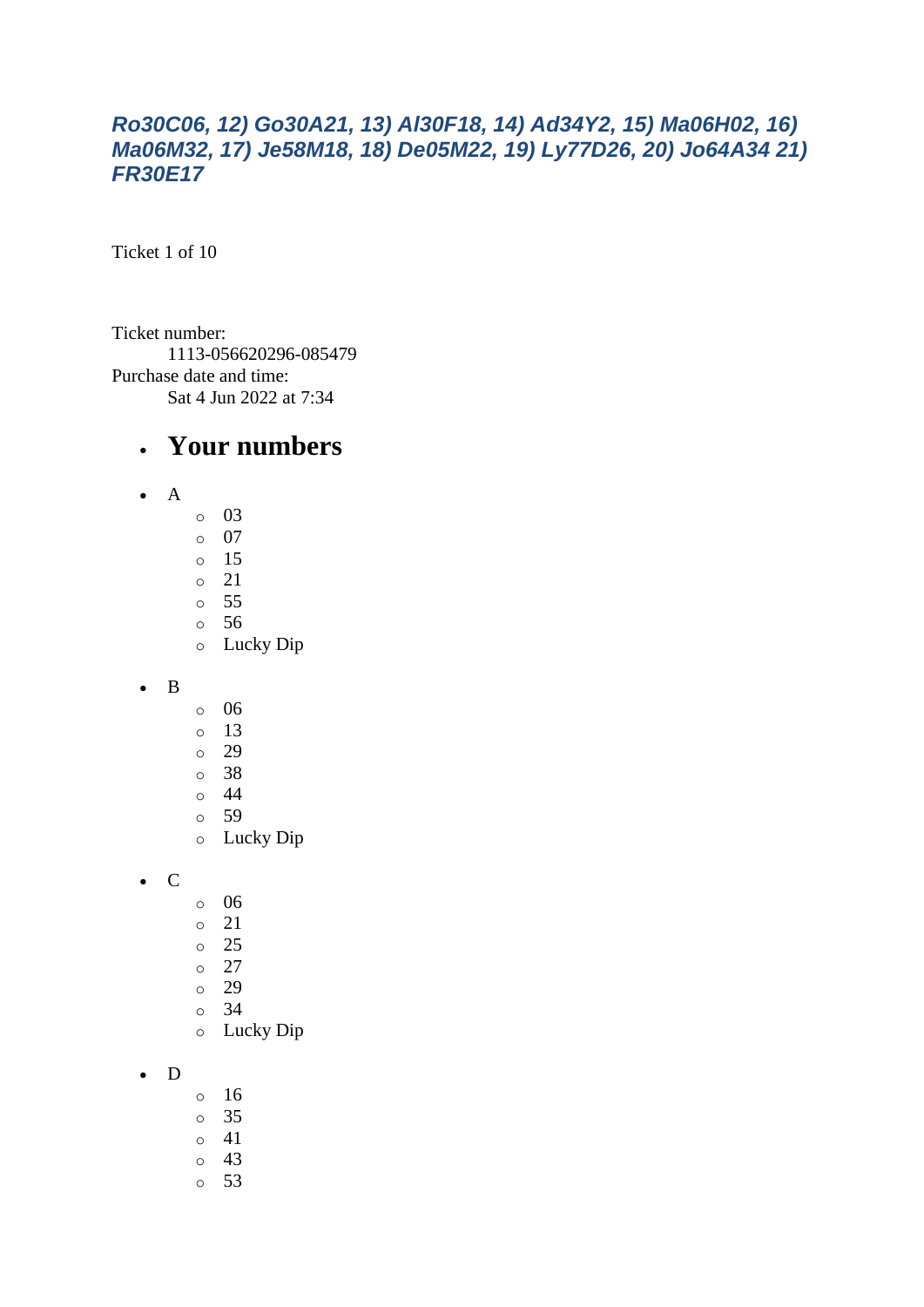#### *Ro30C06, 12) Go30A21, 13) Al30F18, 14) Ad34Y2, 15) Ma06H02, 16) Ma06M32, 17) Je58M18, 18) De05M22, 19) Ly77D26, 20) Jo64A34 21) FR30E17*

Ticket 1 of 10

Ticket number: 1113-056620296-085479 Purchase date and time: Sat 4 Jun 2022 at 7:34

#### • **Your numbers**

- A
- o 03
- o 07
- o 15
- o 21
- o 55
- o 56
- o Lucky Dip
- B
- o 06
- o 13
- o 29
- o 38
- o 44
- o 59
- o Lucky Dip

• C

- o 06
- o 21
- o 25
- $\circ$  27
- o 29
- o 34
- o Lucky Dip

• D

- o 16
- o 35
- o 41
- o 43
- o 53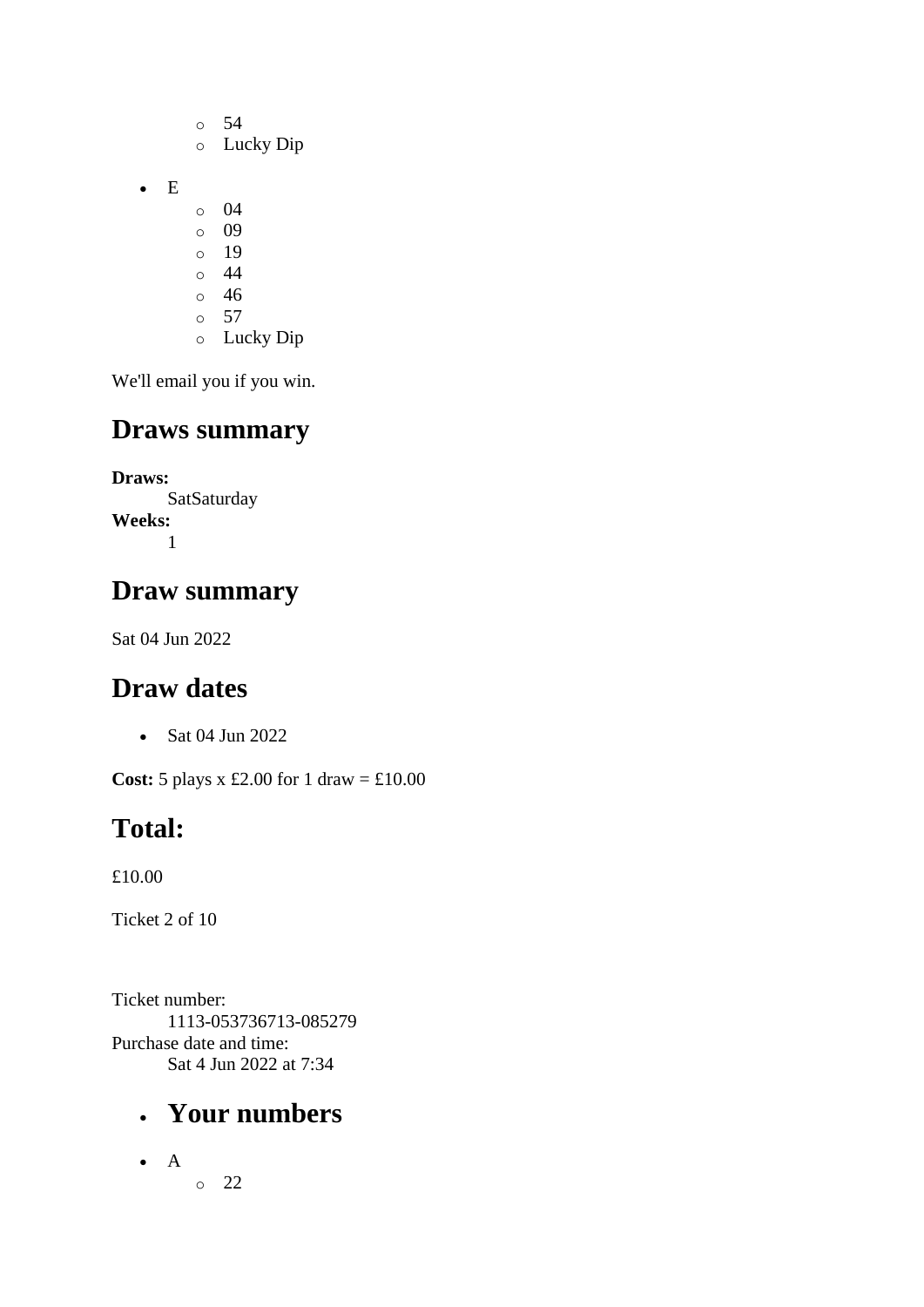- o 54 o Lucky Dip o 04
- o 09

• E

- o 19
- $\circ$  44
- o 46  $\circ$  57
- o Lucky Dip

We'll email you if you win.

# **Draws summary**

**Draws: SatSaturday Weeks:** 1

# **Draw summary**

Sat 04 Jun 2022

# **Draw dates**

• Sat 04 Jun 2022

**Cost:** 5 plays x £2.00 for 1 draw = £10.00

# **Total:**

£10.00

Ticket 2 of 10

Ticket number: 1113-053736713-085279 Purchase date and time: Sat 4 Jun 2022 at 7:34

# • **Your numbers**

• A o 22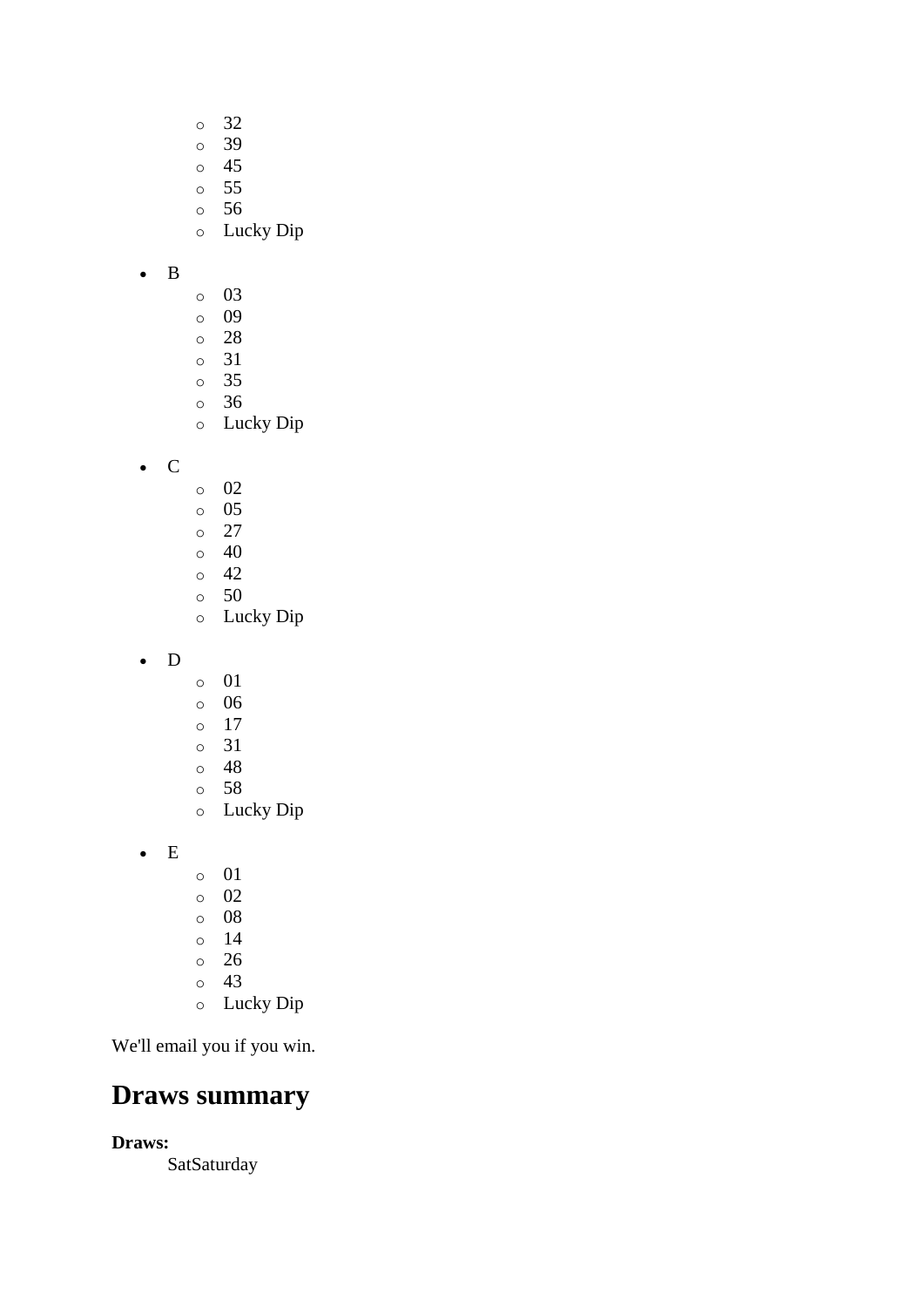- o 32
- o 39
- o 45
- o 55
- o 56
- o Lucky Dip
- B
- o 03
- o 09
- o 28
- o 31
- o 35 o 36
- o Lucky Dip

• C

- o 02
- o 05
- o 27
- $\circ$  40  $\circ$  42
- o 50
- o Lucky Dip
- D
- o 01
- o 06
- o 17
- o 31
- o 48
- o 58
- o Lucky Dip
- E
- o 01
- o 02
- o 08
- o 14
- o 26
- o 43
- o Lucky Dip

We'll email you if you win.

### **Draws summary**

**Draws:**

**SatSaturday**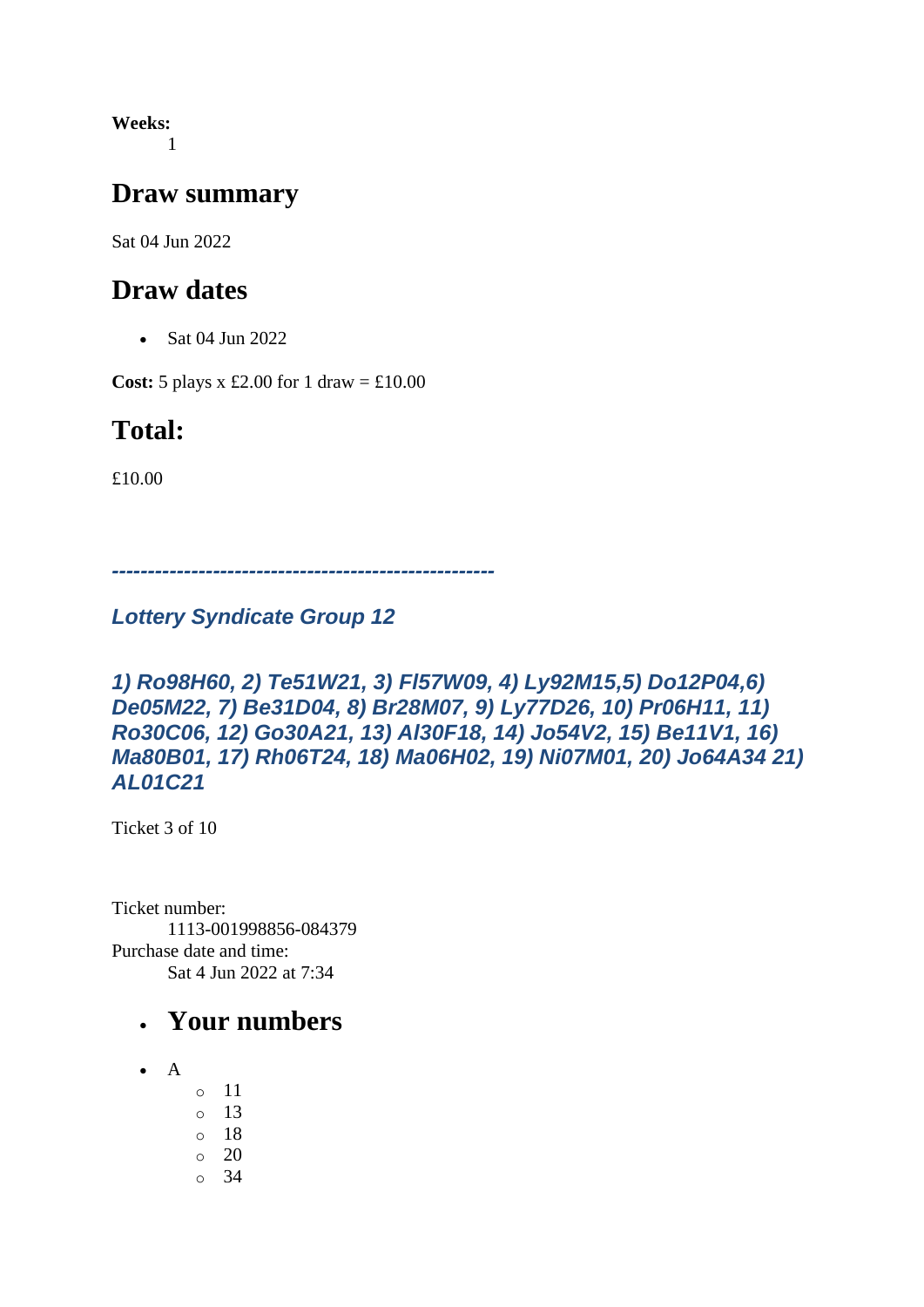**Weeks:** 1

#### **Draw summary**

Sat 04 Jun 2022

#### **Draw dates**

• Sat 04 Jun 2022

**Cost:** 5 plays x £2.00 for 1 draw =  $\text{\textsterling}10.00$ 

### **Total:**

£10.00

*-----------------------------------------------------*

#### *Lottery Syndicate Group 12*

*1) Ro98H60, 2) Te51W21, 3) Fl57W09, 4) Ly92M15,5) Do12P04,6) De05M22, 7) Be31D04, 8) Br28M07, 9) Ly77D26, 10) Pr06H11, 11) Ro30C06, 12) Go30A21, 13) Al30F18, 14) Jo54V2, 15) Be11V1, 16) Ma80B01, 17) Rh06T24, 18) Ma06H02, 19) Ni07M01, 20) Jo64A34 21) AL01C21*

Ticket 3 of 10

Ticket number: 1113-001998856-084379 Purchase date and time: Sat 4 Jun 2022 at 7:34

- $\bullet$  A
- o 11 o 13 o 18 o 20
- o 34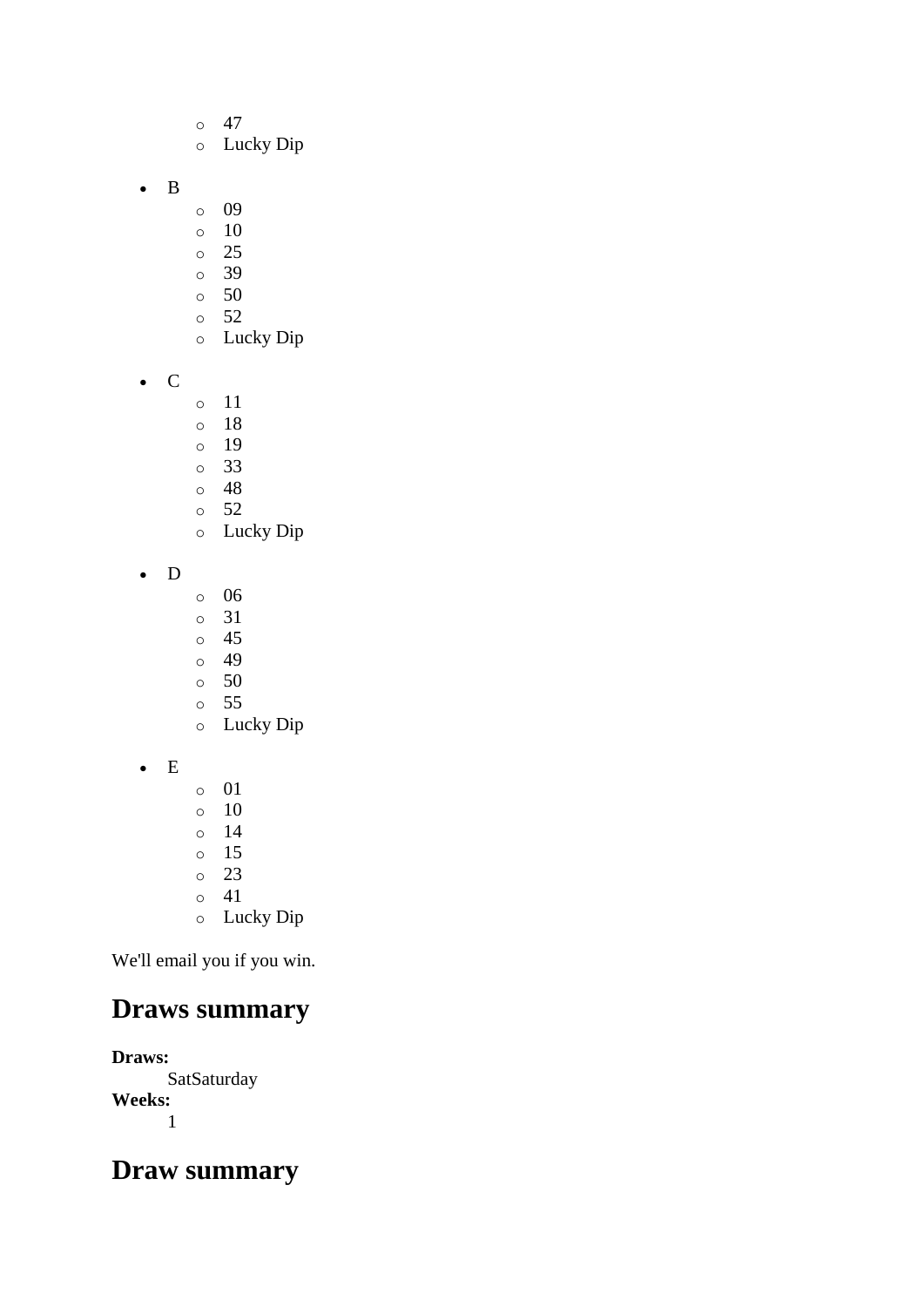- $\circ$  47
- o Lucky Dip
- B
- o 09
- $\circ$  10
- o 25
- o 39
- o 50
- $\circ$  52 o Lucky Dip
- C
- o 11
- o 18
- o 19
- o 33
- o 48
- o 52 o Lucky Dip
- D
- o 06
- o 31
- o 45
- o 49
- o 50
- o 55 o Lucky Dip
- E
- o 01  $\circ$  10 o 14 o 15 o 23 o 41
- o Lucky Dip

# **Draws summary**

**Draws: SatSaturday Weeks:** 1

### **Draw summary**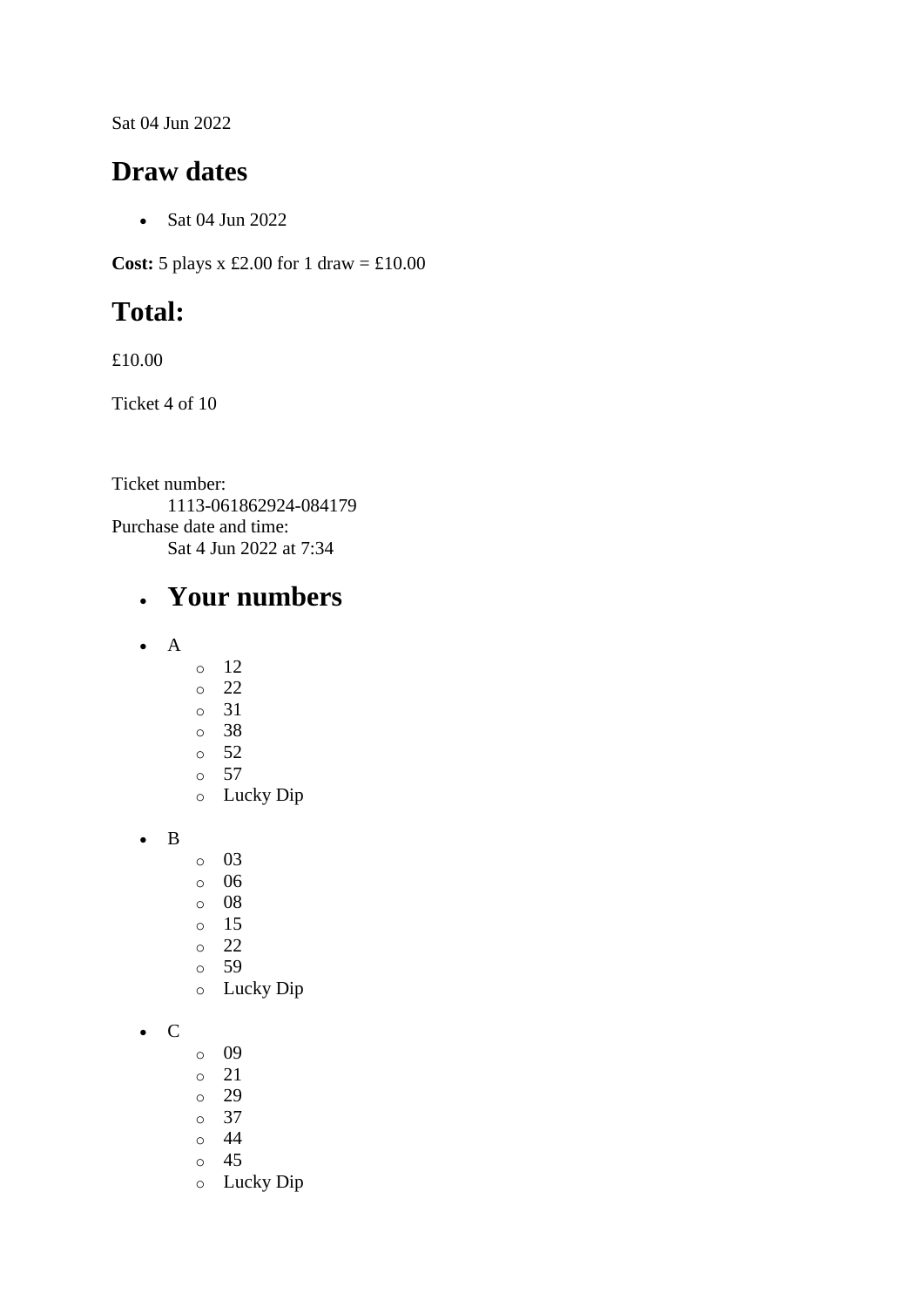Sat 04 Jun 2022

#### **Draw dates**

• Sat 04 Jun 2022

**Cost:** 5 plays x £2.00 for 1 draw =  $\text{\textsterling}10.00$ 

## **Total:**

£10.00

Ticket 4 of 10

Ticket number: 1113-061862924-084179 Purchase date and time: Sat 4 Jun 2022 at 7:34

- A
- o 12
- o 22
- o 31
- o 38
- $\circ$  52  $\circ$  57
- o Lucky Dip
- B
- o 03
- o 06
- o 08
- o 15
- o 22
- o 59
- o Lucky Dip
- C
- o 09
- o 21
- o 29
- o 37
- o 44
- o 45
- o Lucky Dip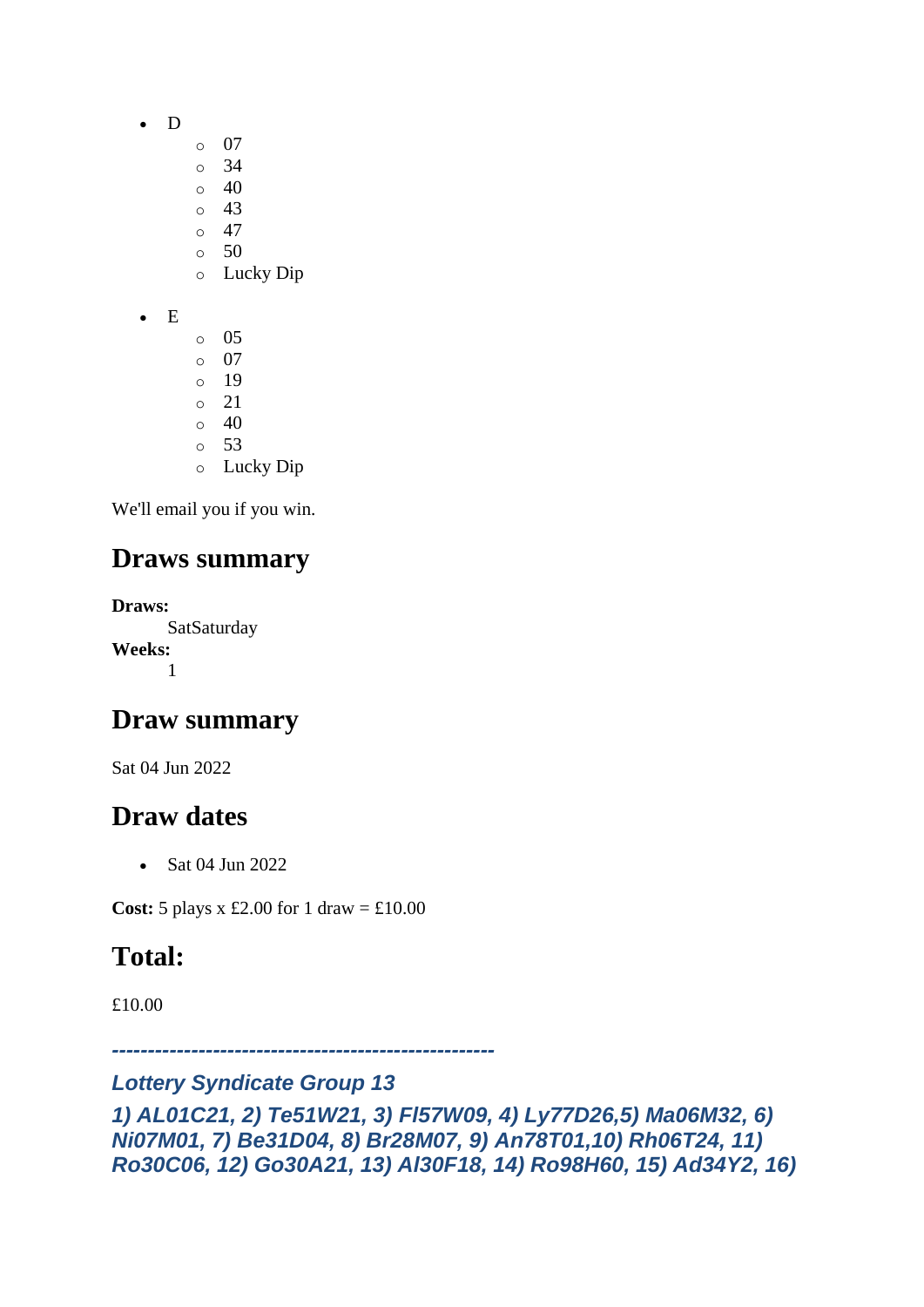- D
	- o 07
	- o 34
	- $\circ$  40
	- o 43  $\circ$  47
	- $\circ$  50
	- o Lucky Dip
- E
	- $\circ$  05 o 07 o 19  $\circ$  21  $\circ$  40 o 53 o Lucky Dip

### **Draws summary**

**Draws:** SatSaturday **Weeks:** 1

### **Draw summary**

Sat 04 Jun 2022

### **Draw dates**

• Sat 04 Jun 2022

**Cost:** 5 plays x £2.00 for 1 draw =  $\text{\textsterling}10.00$ 

## **Total:**

£10.00

*-----------------------------------------------------*

#### *Lottery Syndicate Group 13*

*1) AL01C21, 2) Te51W21, 3) Fl57W09, 4) Ly77D26,5) Ma06M32, 6) Ni07M01, 7) Be31D04, 8) Br28M07, 9) An78T01,10) Rh06T24, 11) Ro30C06, 12) Go30A21, 13) Al30F18, 14) Ro98H60, 15) Ad34Y2, 16)*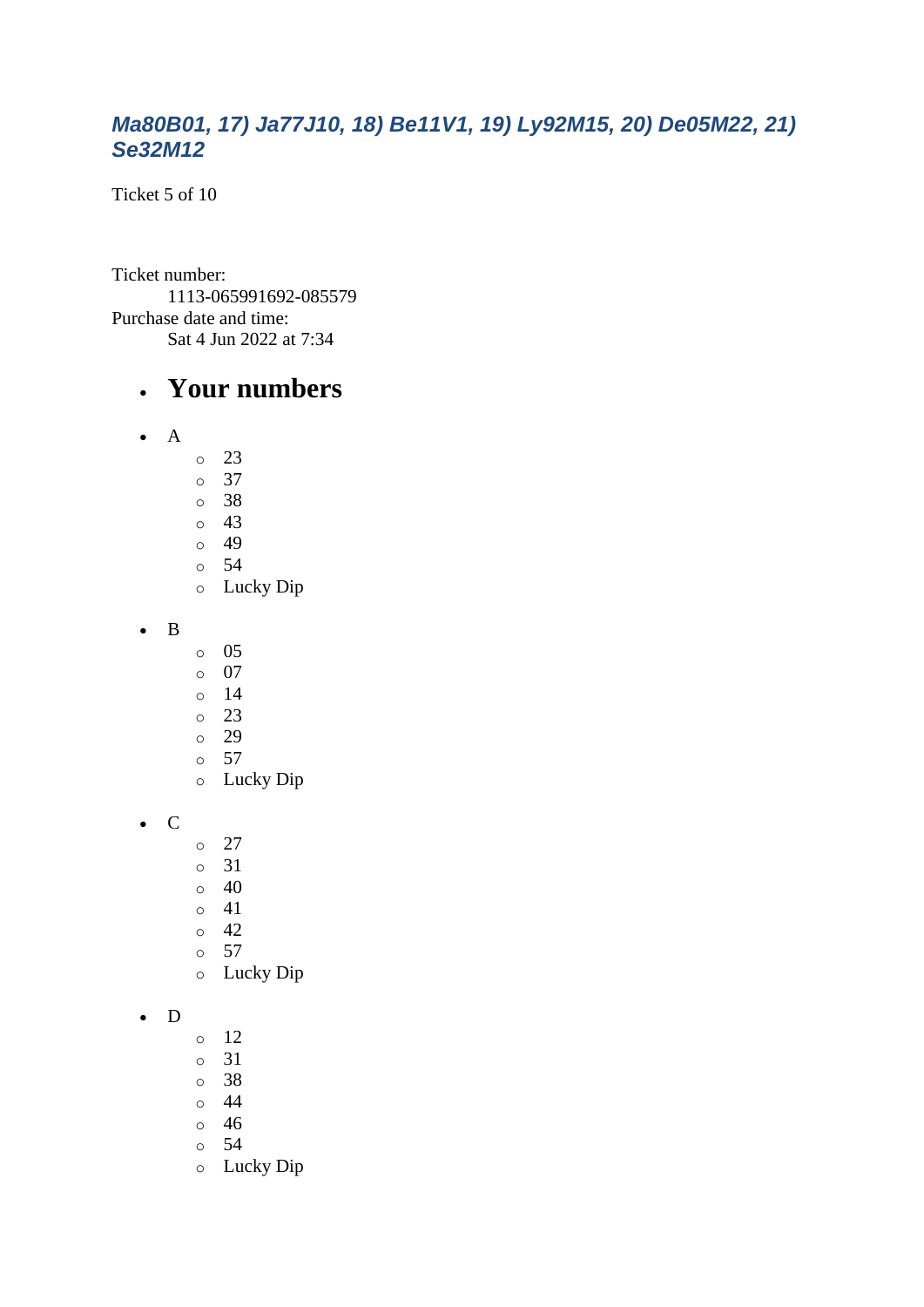#### *Ma80B01, 17) Ja77J10, 18) Be11V1, 19) Ly92M15, 20) De05M22, 21) Se32M12*

Ticket 5 of 10

Ticket number: 1113-065991692-085579 Purchase date and time: Sat 4 Jun 2022 at 7:34

#### • **Your numbers**

- A
- o 23
- o 37
- o 38
- o 43  $\circ$  49
- o 54
- o Lucky Dip

• B

- o 05
- o 07
- o 14
- o 23
- o 29
- o 57 o Lucky Dip
- C
- $\circ$  27
- o 31
- $\circ$  40
- o 41
- $\circ$  42
- o 57
- o Lucky Dip

#### • D

- o 12
- o 31
- o 38
- o 44
- o 46
- o 54
- o Lucky Dip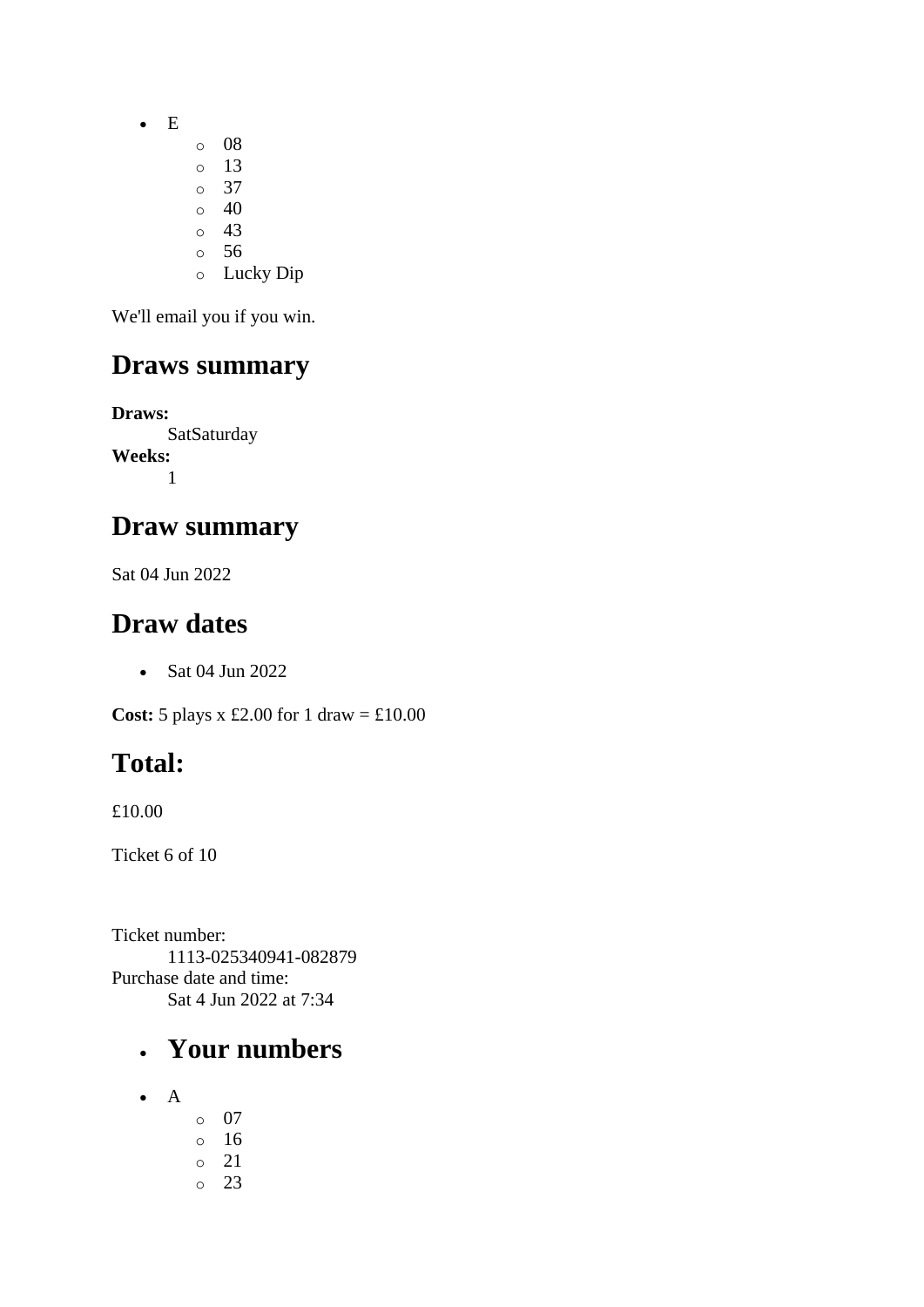- E
- o 08
- o 13 o 37
- $\circ$  40
- $\circ$  43
- o 56
- o Lucky Dip

### **Draws summary**

**Draws: SatSaturday Weeks:** 1

### **Draw summary**

Sat 04 Jun 2022

### **Draw dates**

• Sat 04 Jun 2022

**Cost:** 5 plays x £2.00 for 1 draw = £10.00

# **Total:**

£10.00

Ticket 6 of 10

Ticket number: 1113-025340941-082879 Purchase date and time: Sat 4 Jun 2022 at 7:34

- A
- o 07 o 16 o 21
- o 23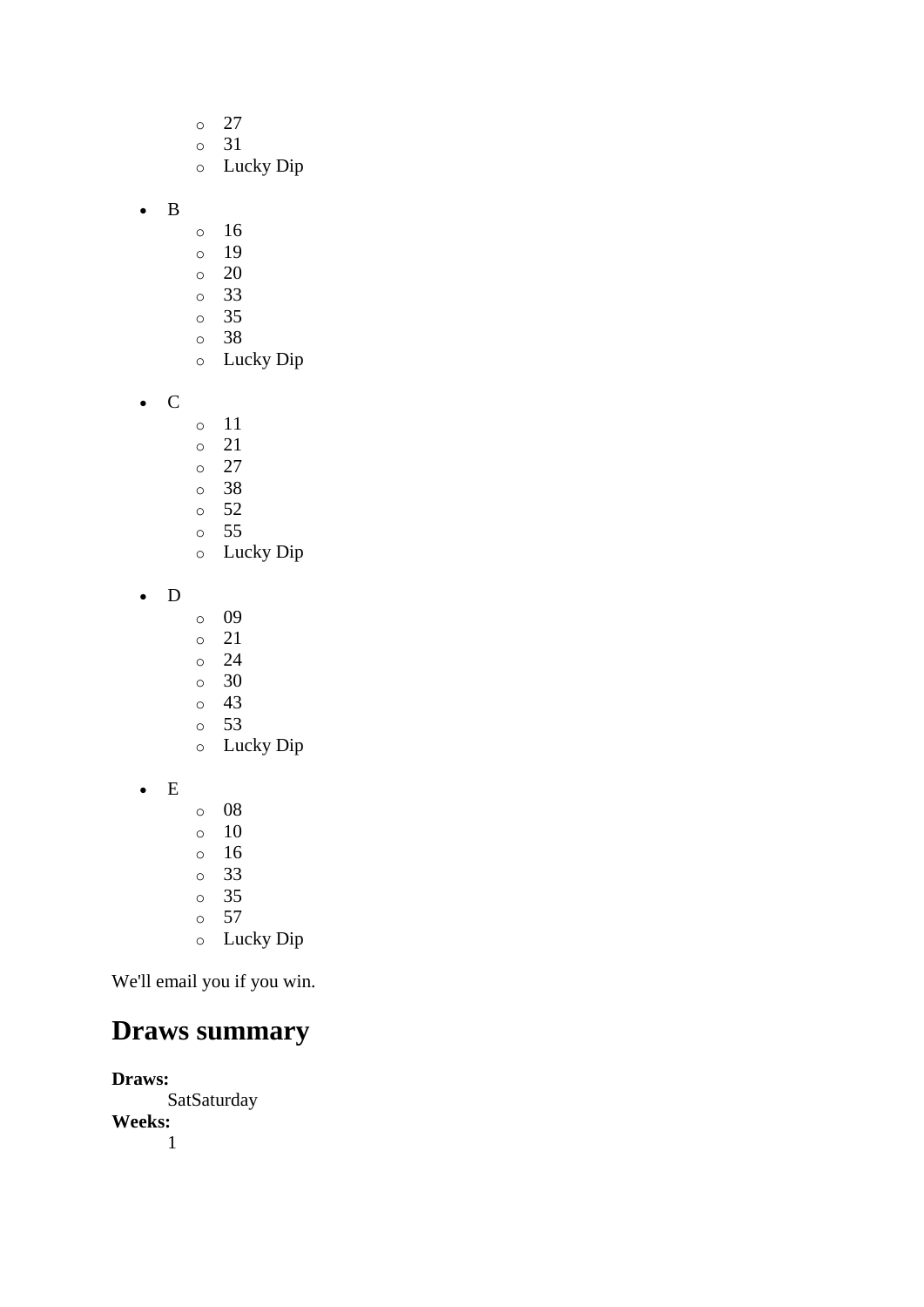- $\circ$  27
- o 31
- o Lucky Dip
- B
- o 16
- o 19
- o 20
- o 33
- o 35
- o 38
- o Lucky Dip
- C
- o 11
- o 21
- $\circ$  27
- o 38
- o 52 o 55
- o Lucky Dip
- D
- o 09
- o 21
- o 24
- o 30
- o 43 o 53
- o Lucky Dip
- E
- o 08
- o 10
- o 16 o 33
- o 35
- o 57
- o Lucky Dip

## **Draws summary**

**Draws:** SatSaturday **Weeks:** 1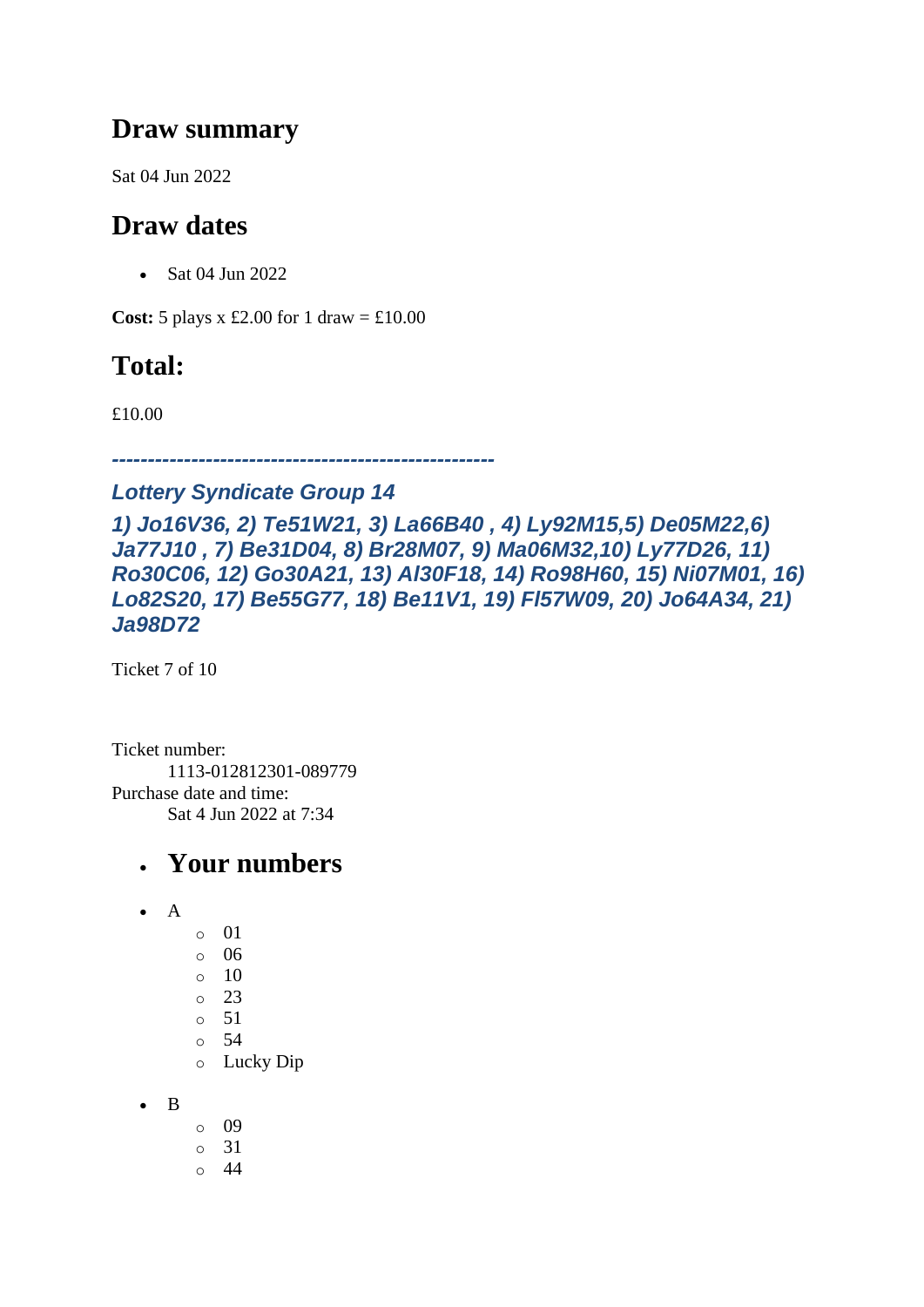#### **Draw summary**

Sat 04 Jun 2022

### **Draw dates**

• Sat 04 Jun 2022

**Cost:**  $5$  plays x £2.00 for 1 draw = £10.00

## **Total:**

£10.00

*-----------------------------------------------------*

#### *Lottery Syndicate Group 14*

*1) Jo16V36, 2) Te51W21, 3) La66B40 , 4) Ly92M15,5) De05M22,6) Ja77J10 , 7) Be31D04, 8) Br28M07, 9) Ma06M32,10) Ly77D26, 11) Ro30C06, 12) Go30A21, 13) Al30F18, 14) Ro98H60, 15) Ni07M01, 16) Lo82S20, 17) Be55G77, 18) Be11V1, 19) Fl57W09, 20) Jo64A34, 21) Ja98D72*

Ticket 7 of 10

Ticket number: 1113-012812301-089779 Purchase date and time: Sat 4 Jun 2022 at 7:34

- $\bullet$  A
- o 01 o 06 o 10  $\circ$  23 o 51 o 54
- o Lucky Dip
- B
- o 09
- o 31
- $\circ$  44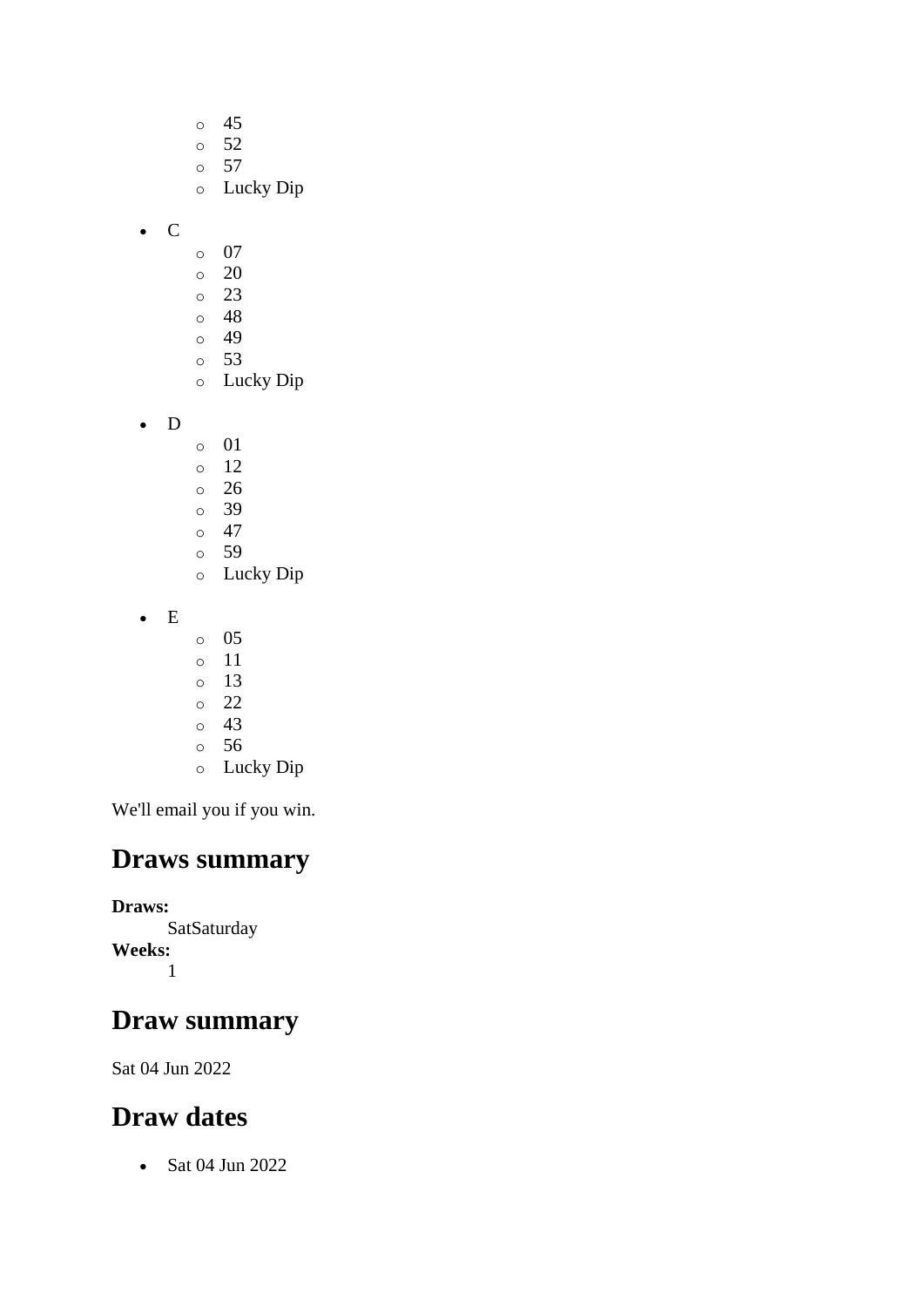- o 45 o 52 o 57 o Lucky Dip
- C
- o 07
- $\circ$  20
- o 23
- o 48  $\circ$  49
- o 53
- o Lucky Dip
- D
- o 01
- o 12
- o 26
- o 39
- $\circ$  47 o 59
- o Lucky Dip
- E
- o 05
- o 11
- o 13
- o 22
- o 43
- o 56
- o Lucky Dip

### **Draws summary**

**Draws: SatSaturday Weeks:** 1

### **Draw summary**

Sat 04 Jun 2022

## **Draw dates**

• Sat 04 Jun 2022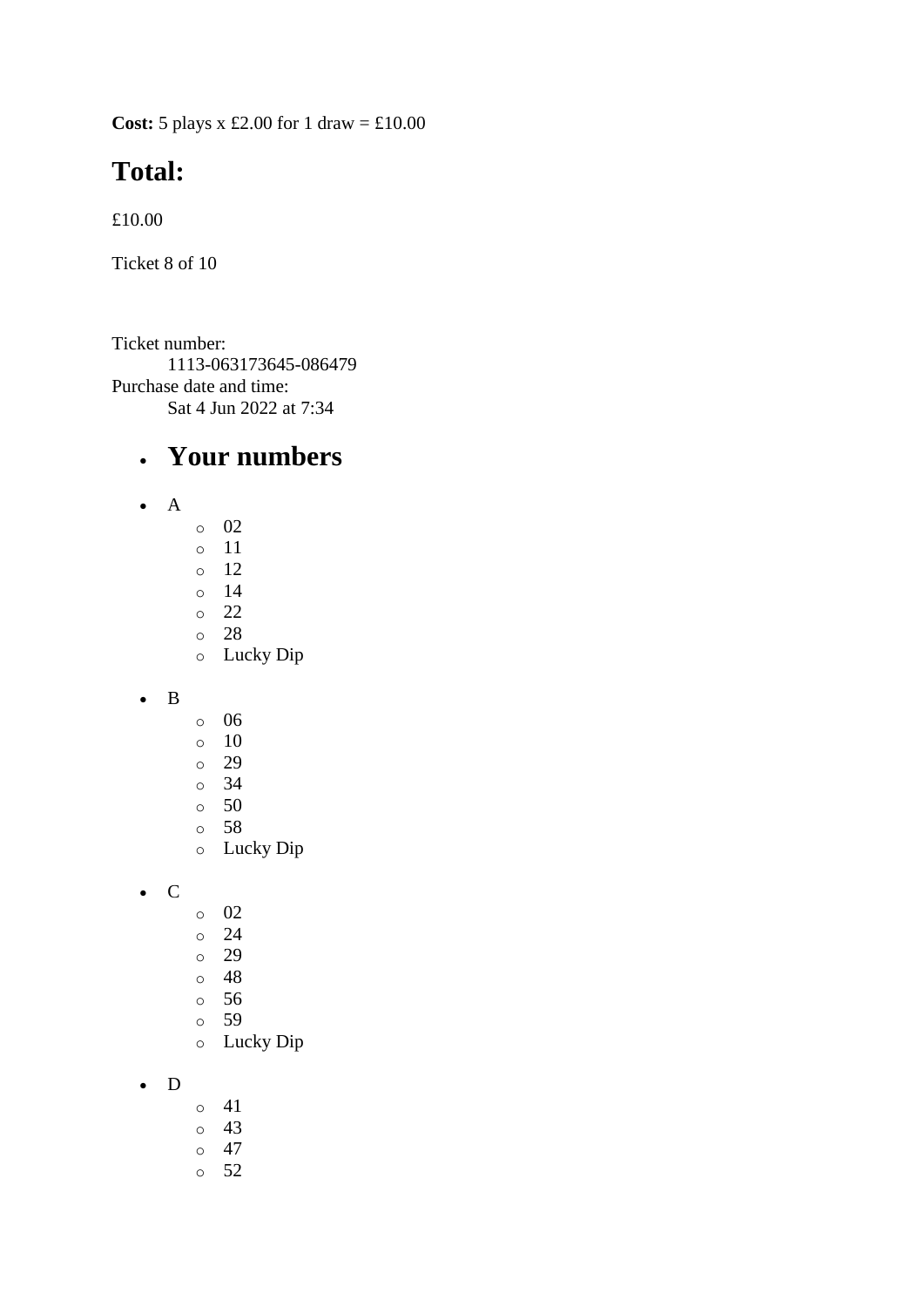**Cost:** 5 plays x £2.00 for 1 draw = £10.00

## **Total:**

£10.00

Ticket 8 of 10

Ticket number: 1113-063173645-086479 Purchase date and time: Sat 4 Jun 2022 at 7:34

- A
- o 02
- o 11
- $\circ$  12
- o 14
- o 22 o 28
- o Lucky Dip
- B
- o 06
- $\circ$  10
- o 29
- o 34
- o 50
- o 58
- o Lucky Dip
- C
- o 02
- o 24
- o 29
- o 48
- o 56
- o 59
- o Lucky Dip
- D
- o 41
- o 43
- $\circ$  47
- o 52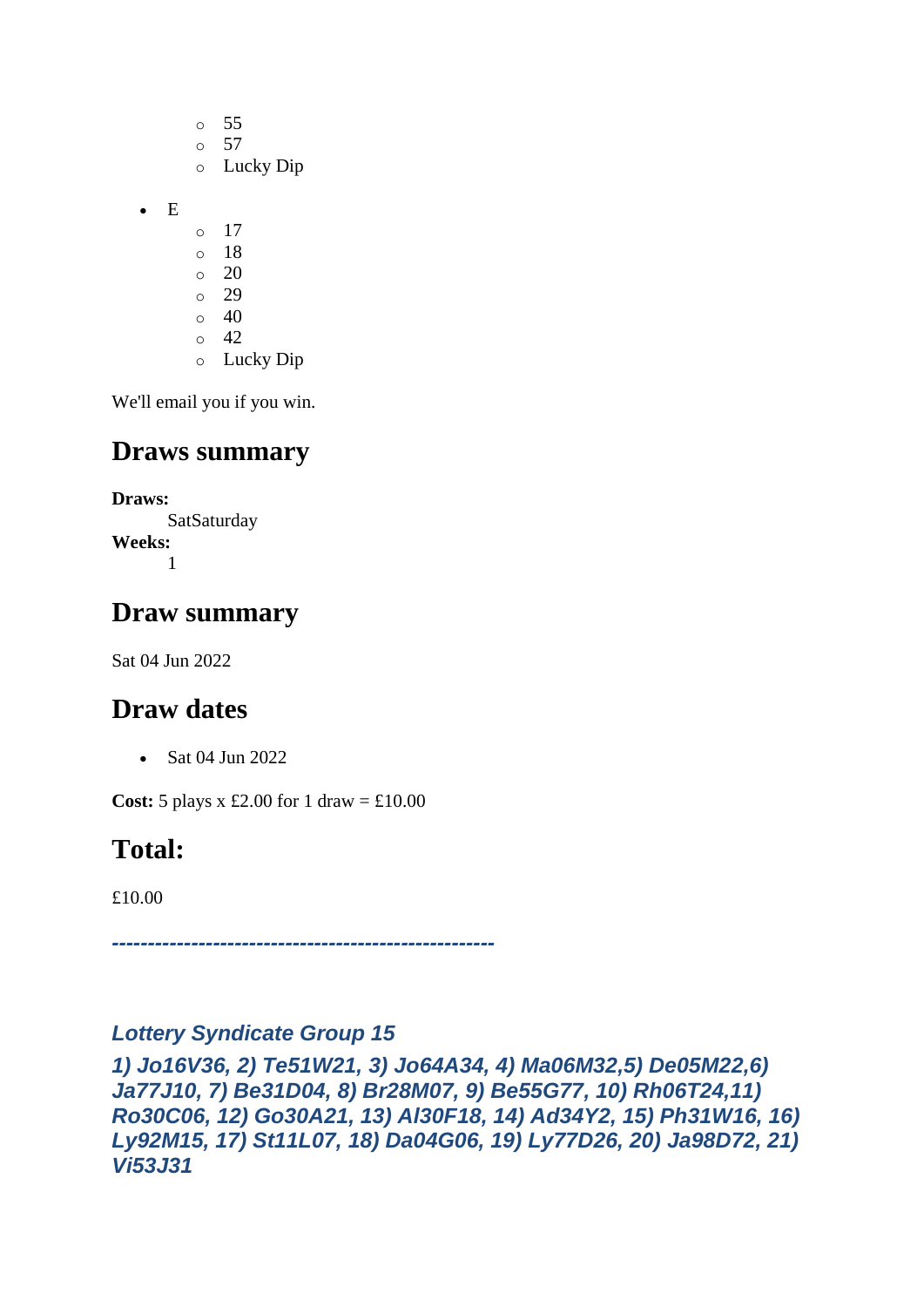o 55  $\circ$  57 o Lucky Dip • E  $\circ$  17 o 18 o 20 o 29  $\circ$  40  $\circ$  42 o Lucky Dip

We'll email you if you win.

### **Draws summary**

**Draws: SatSaturday Weeks:** 1

### **Draw summary**

Sat 04 Jun 2022

### **Draw dates**

• Sat 04 Jun 2022

**Cost:**  $5$  plays x £2.00 for 1 draw = £10.00

## **Total:**

£10.00

*-----------------------------------------------------*

#### *Lottery Syndicate Group 15*

*1) Jo16V36, 2) Te51W21, 3) Jo64A34, 4) Ma06M32,5) De05M22,6) Ja77J10, 7) Be31D04, 8) Br28M07, 9) Be55G77, 10) Rh06T24,11) Ro30C06, 12) Go30A21, 13) Al30F18, 14) Ad34Y2, 15) Ph31W16, 16) Ly92M15, 17) St11L07, 18) Da04G06, 19) Ly77D26, 20) Ja98D72, 21) Vi53J31*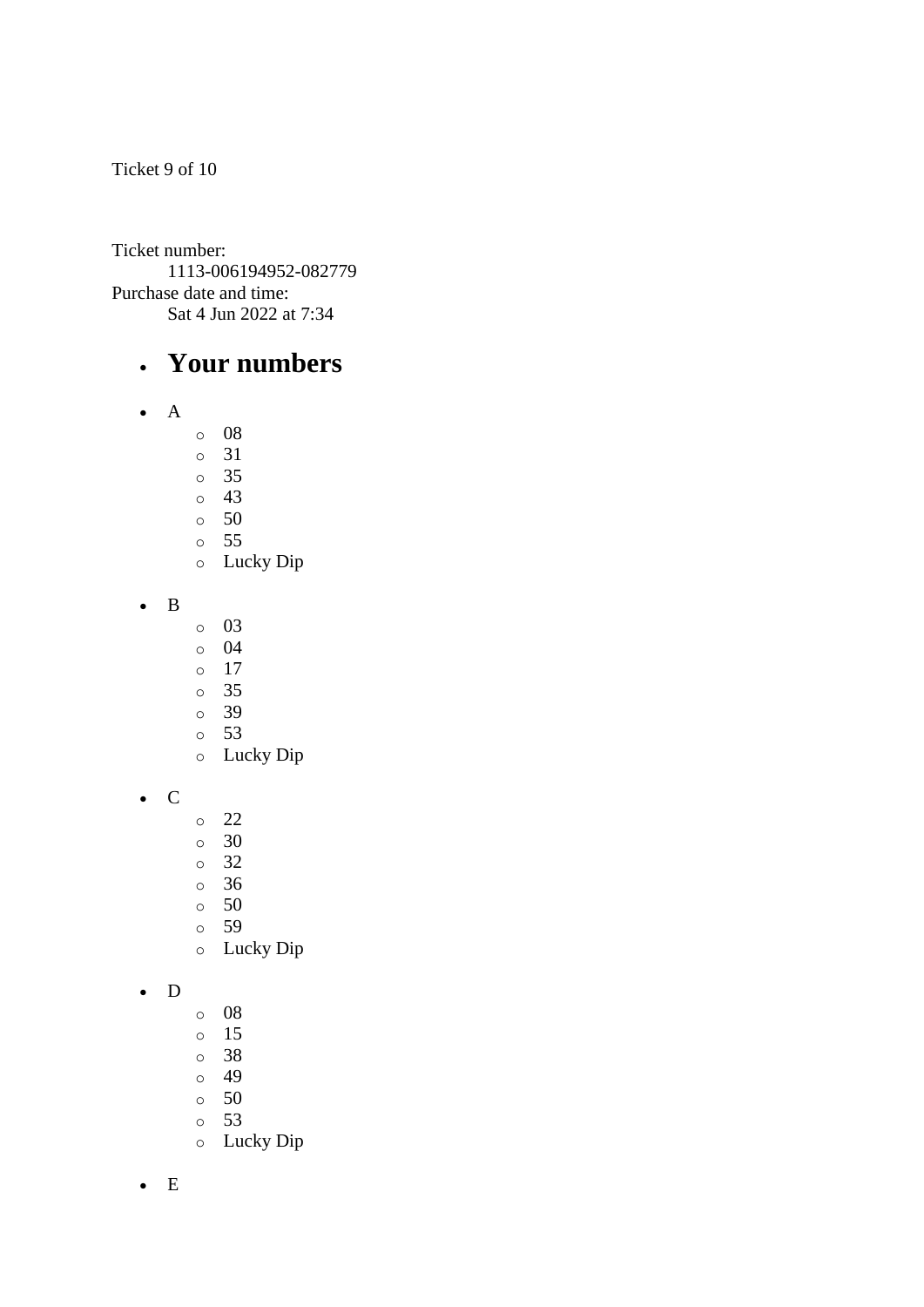Ticket 9 of 10

Ticket number: 1113-006194952-082779 Purchase date and time: Sat 4 Jun 2022 at 7:34

#### • **Your numbers**

- A
	- o 08
	- o 31
	- o 35
	- o 43  $\circ$  50
	- o 55
	- o Lucky Dip
- B
- o 03
- o 04
- o 17
- o 35
- o 39
- o 53
- o Lucky Dip
- C
- o 22
- o 30
- o 32
- o 36
- o 50
- o 59
- o Lucky Dip

#### • D

- o 08
- o 15
- o 38
- o 49
- o 50
- o 53
- o Lucky Dip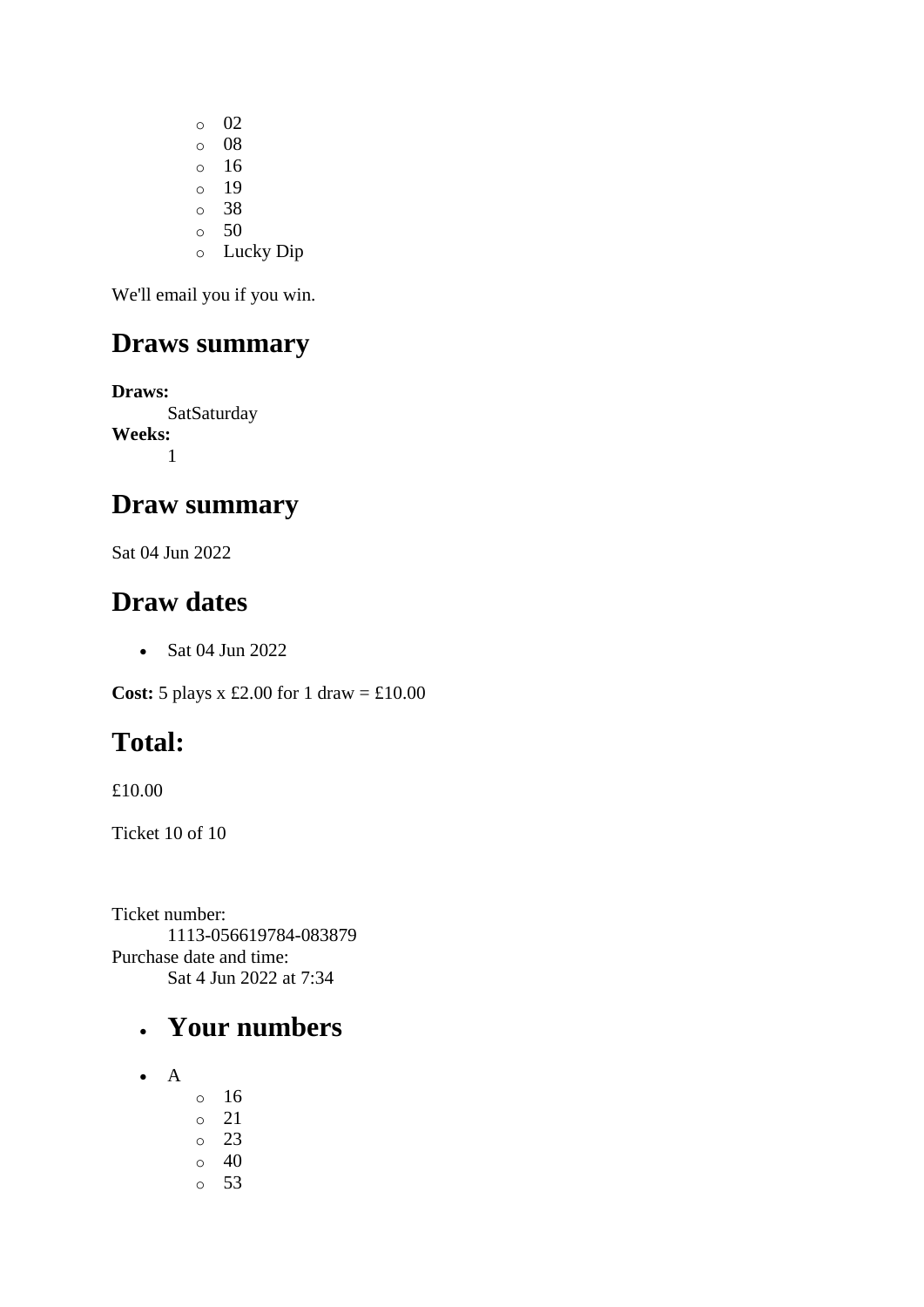o 02 o 08 o 16 o 19 o 38 o 50 o Lucky Dip

We'll email you if you win.

### **Draws summary**

**Draws: SatSaturday Weeks:** 1

### **Draw summary**

Sat 04 Jun 2022

#### **Draw dates**

• Sat 04 Jun 2022

**Cost:** 5 plays x £2.00 for 1 draw = £10.00

## **Total:**

£10.00

Ticket 10 of 10

Ticket number: 1113-056619784-083879 Purchase date and time: Sat 4 Jun 2022 at 7:34

- A
- o 16 o 21 o 23  $\circ$  40 o 53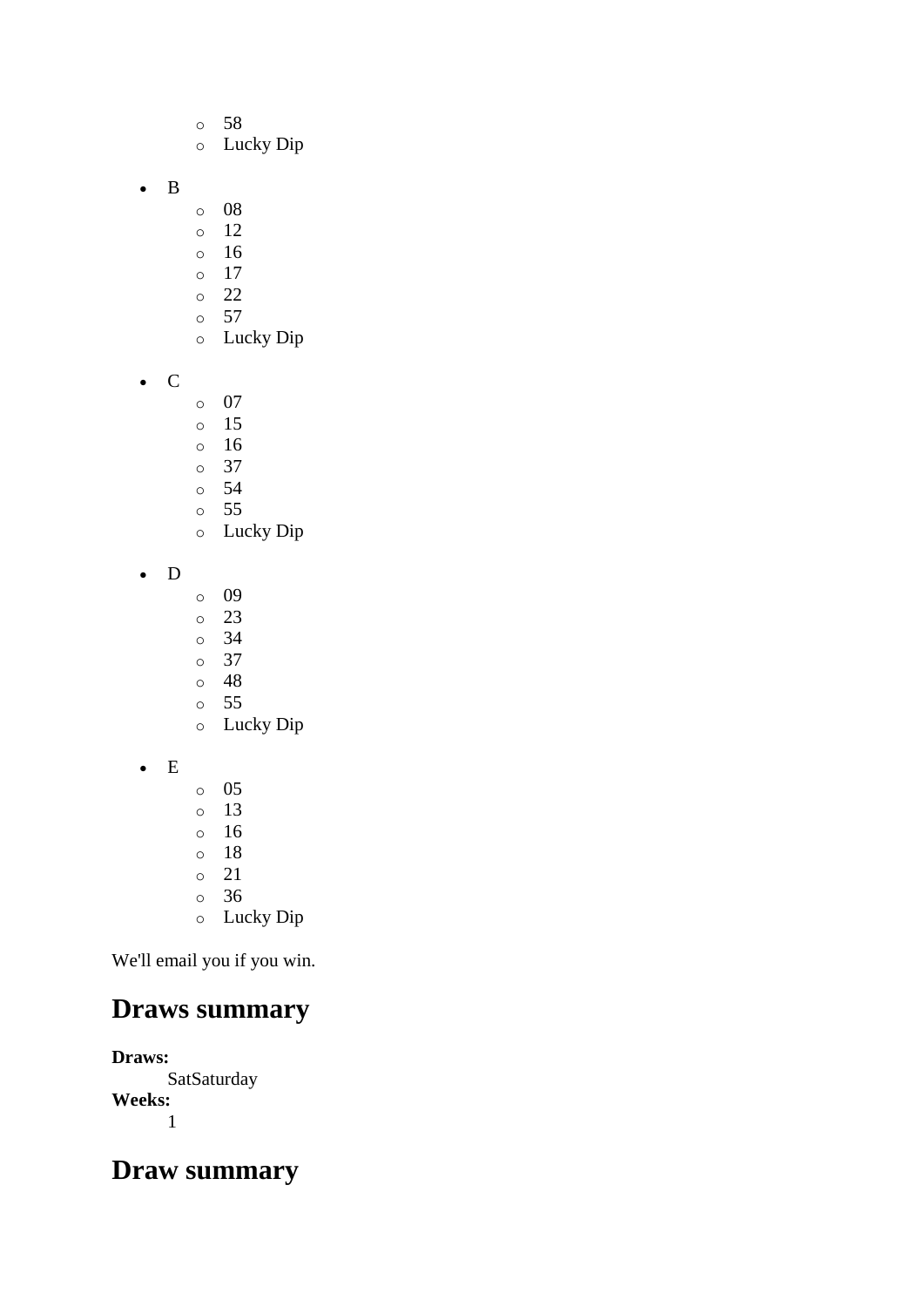- o 58
- o Lucky Dip
- B
- o 08
- o 12
- o 16
- o 17
- o 22
- $\circ$  57 o Lucky Dip
- C
- o 07
- o 15
- o 16
- o 37
- o 54 o 55
- o Lucky Dip
- D
- o 09
- o 23
- o 34
- o 37
- o 48 o 55
- o Lucky Dip
- E
- o 05 o 13 o 16 o 18 o 21
- o 36
- o Lucky Dip

## **Draws summary**

**Draws: SatSaturday Weeks:** 1

### **Draw summary**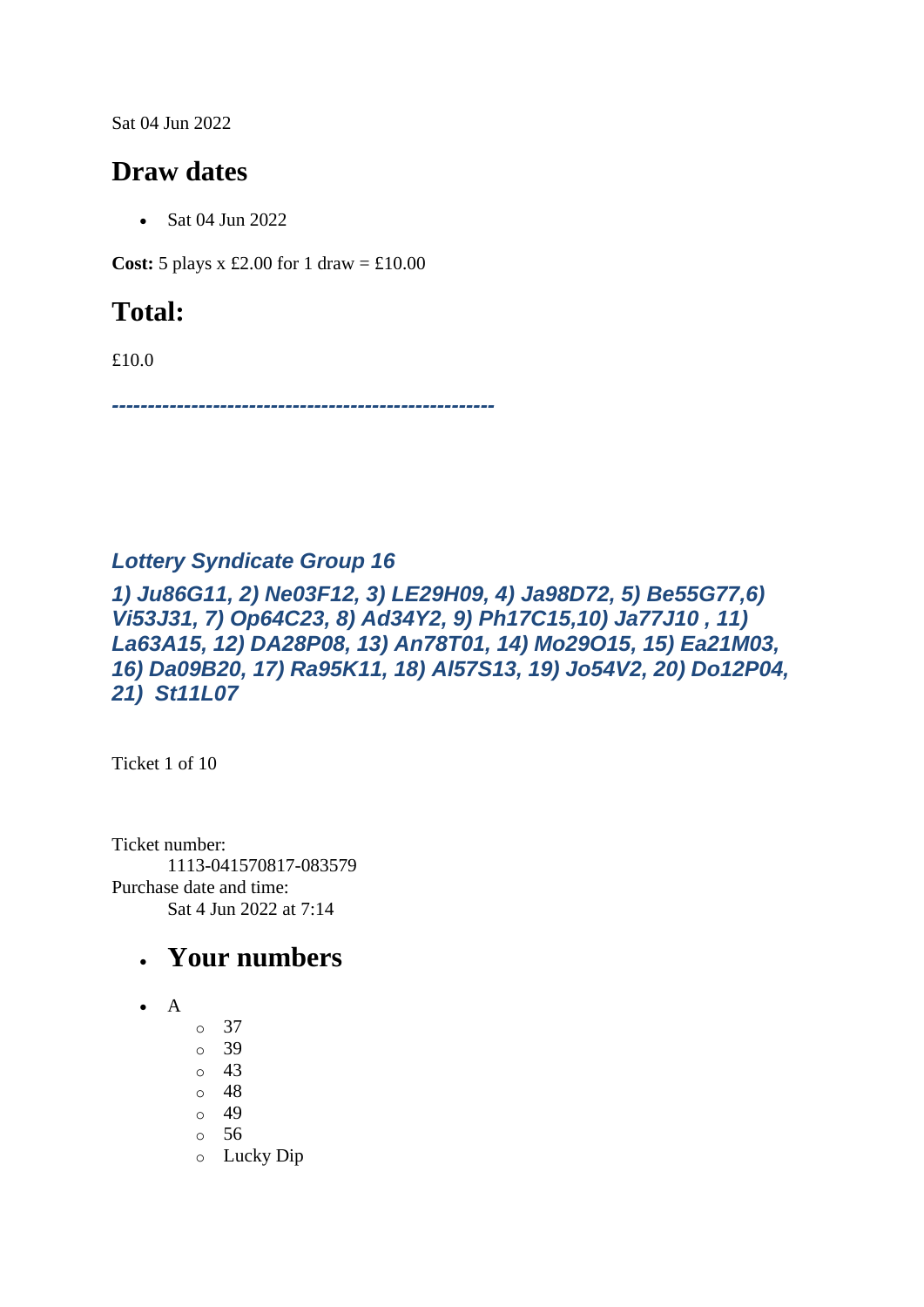Sat 04 Jun 2022

### **Draw dates**

• Sat 04 Jun 2022

**Cost:** 5 plays x £2.00 for 1 draw =  $\text{\textsterling}10.00$ 

## **Total:**

£10.0

*-----------------------------------------------------*

#### *Lottery Syndicate Group 16*

#### *1) Ju86G11, 2) Ne03F12, 3) LE29H09, 4) Ja98D72, 5) Be55G77,6) Vi53J31, 7) Op64C23, 8) Ad34Y2, 9) Ph17C15,10) Ja77J10 , 11) La63A15, 12) DA28P08, 13) An78T01, 14) Mo29O15, 15) Ea21M03, 16) Da09B20, 17) Ra95K11, 18) Al57S13, 19) Jo54V2, 20) Do12P04, 21) St11L07*

Ticket 1 of 10

Ticket number: 1113-041570817-083579 Purchase date and time: Sat 4 Jun 2022 at 7:14

- $\bullet$  A
- o 37
- o 39
- o 43
- o 48
- o 49
- o 56
- o Lucky Dip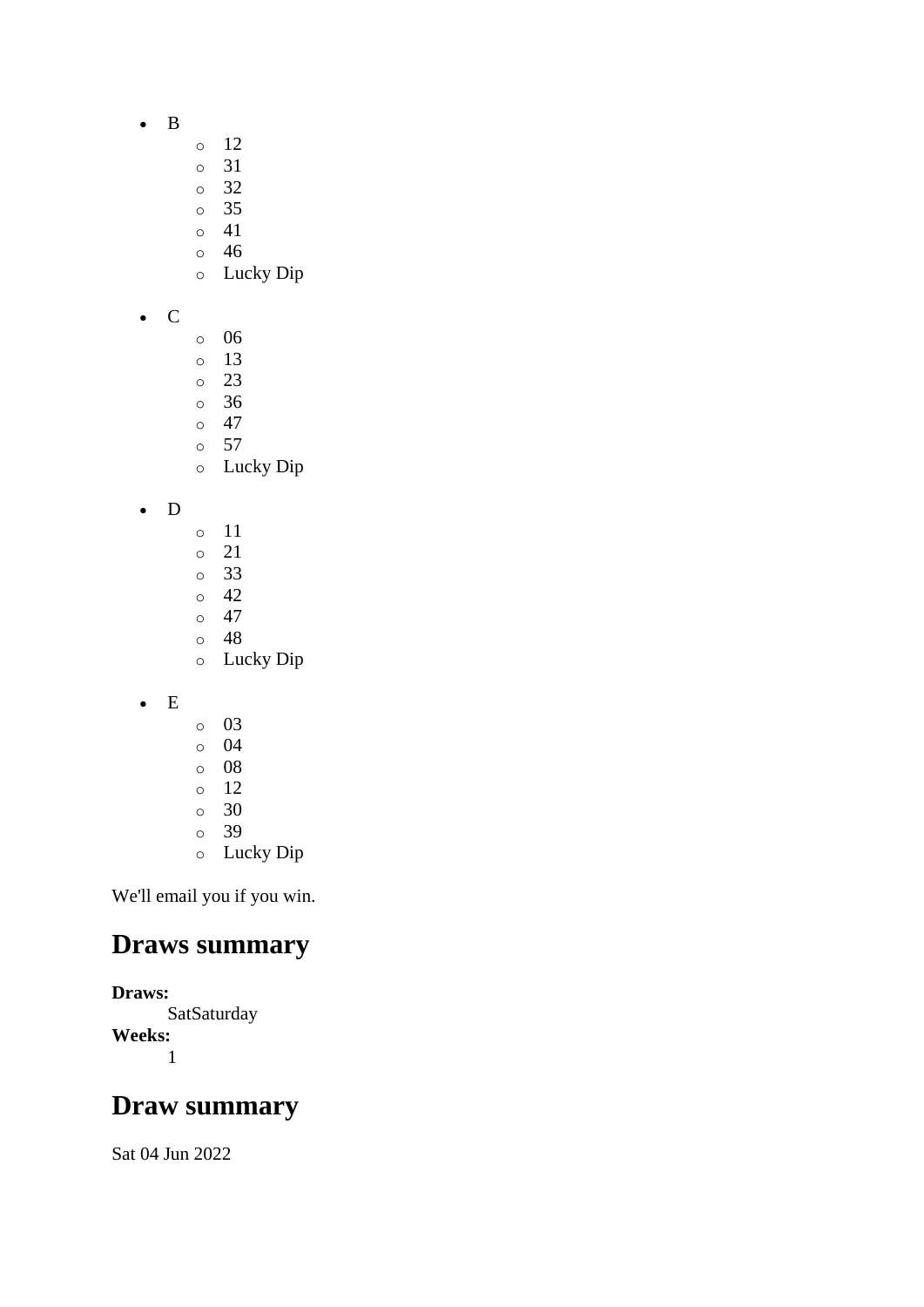- B
- o 12
- o 31
- o 32
- o 35
- o 41
- o 46
- o Lucky Dip
- C
- o 06
- o 13
- o 23
- o 36
- o 47
- o 57 o Lucky Dip
- D
- o 11
- o 21
- o 33
- o 42
- $\circ$  47 o 48
- o Lucky Dip
- E
- o 03
- o 04
- o 08
- o 12
- o 30
- o 39
- o Lucky Dip

### **Draws summary**

**Draws: SatSaturday Weeks:** 1

### **Draw summary**

Sat 04 Jun 2022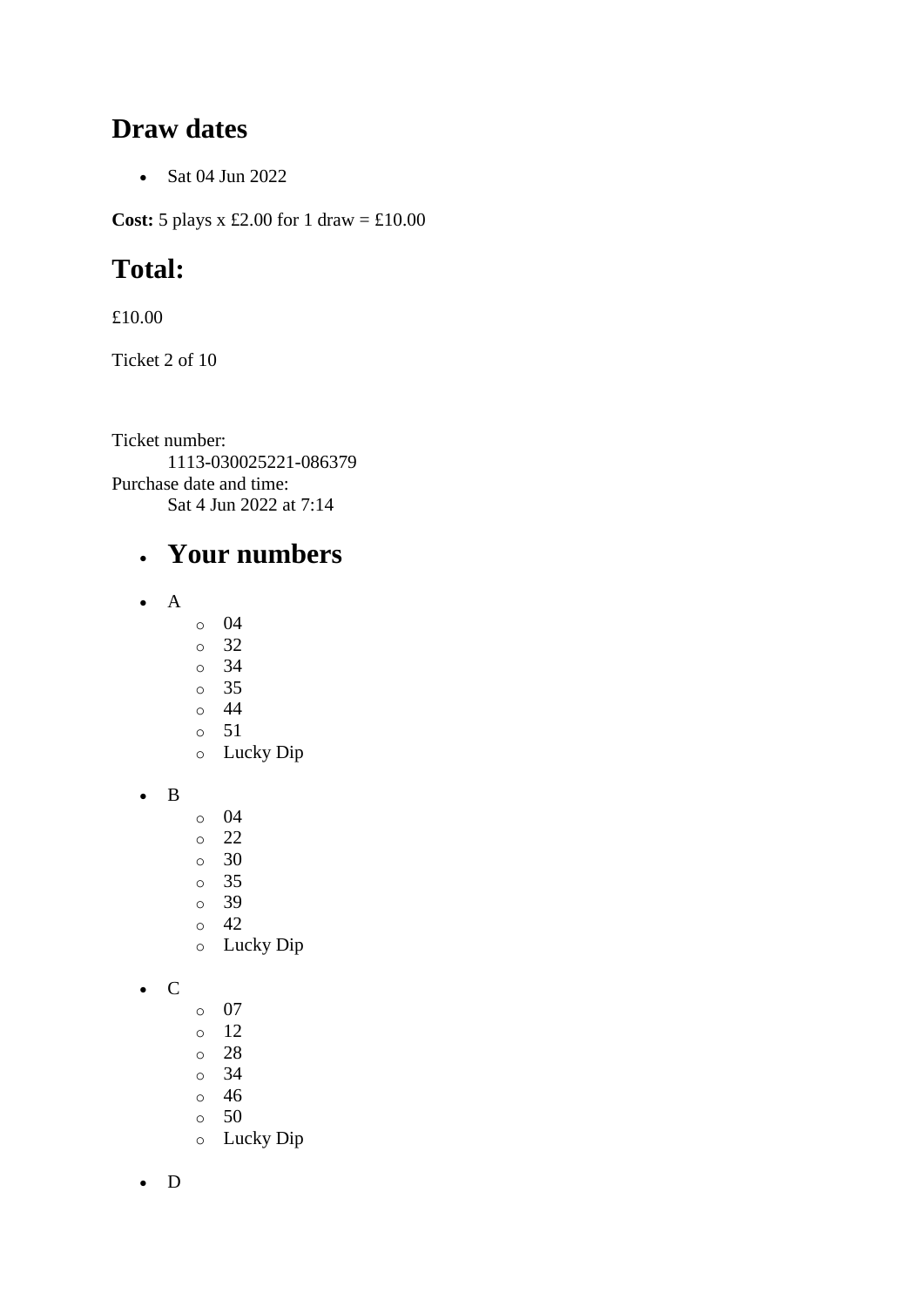#### **Draw dates**

• Sat 04 Jun 2022

**Cost:** 5 plays x £2.00 for 1 draw = £10.00

## **Total:**

£10.00

Ticket 2 of 10

Ticket number: 1113-030025221-086379 Purchase date and time: Sat 4 Jun 2022 at 7:14

### • **Your numbers**

- A
- o 04
- o 32
- o 34
- o 35
- o 44 o 51
- o Lucky Dip

• B

- o 04
- o 22
- o 30
- o 35
- o 39
- o 42
- o Lucky Dip

• C

- o 07
- o 12
- o 28
- o 34
- o 46
- o 50
- o Lucky Dip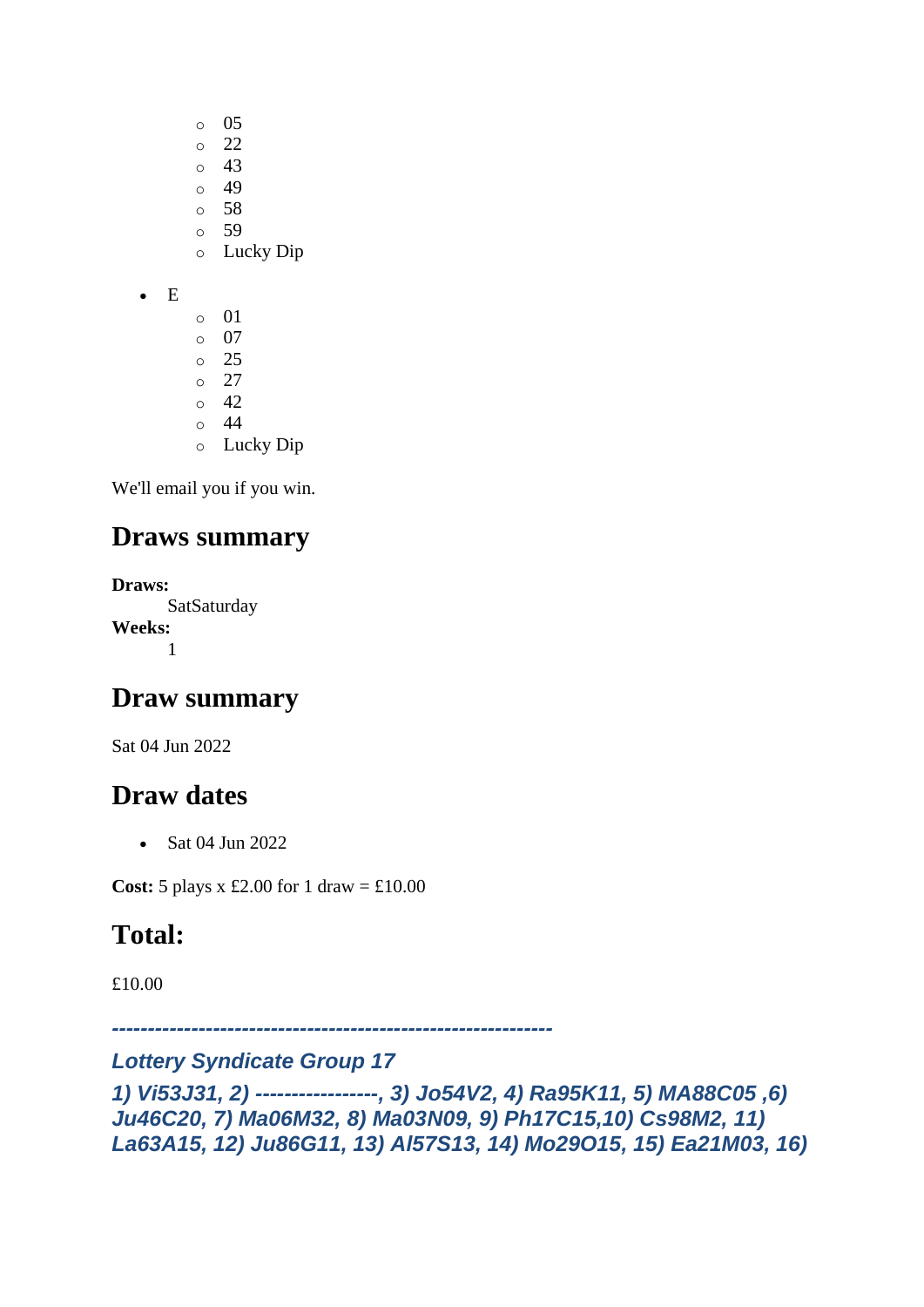- o 05
- o 22
- o 43
- $\circ$  49
- o 58 o 59
- o Lucky Dip
- E
- o 01 o 07 o 25  $\circ$  27  $\circ$  42
- o 44
- o Lucky Dip

## **Draws summary**

**Draws:** SatSaturday **Weeks:** 1

## **Draw summary**

Sat 04 Jun 2022

## **Draw dates**

• Sat 04 Jun 2022

**Cost:**  $5$  plays x £2.00 for 1 draw = £10.00

# **Total:**

£10.00

*-------------------------------------------------------------*

#### *Lottery Syndicate Group 17*

*1) Vi53J31, 2) -----------------, 3) Jo54V2, 4) Ra95K11, 5) MA88C05 ,6) Ju46C20, 7) Ma06M32, 8) Ma03N09, 9) Ph17C15,10) Cs98M2, 11) La63A15, 12) Ju86G11, 13) Al57S13, 14) Mo29O15, 15) Ea21M03, 16)*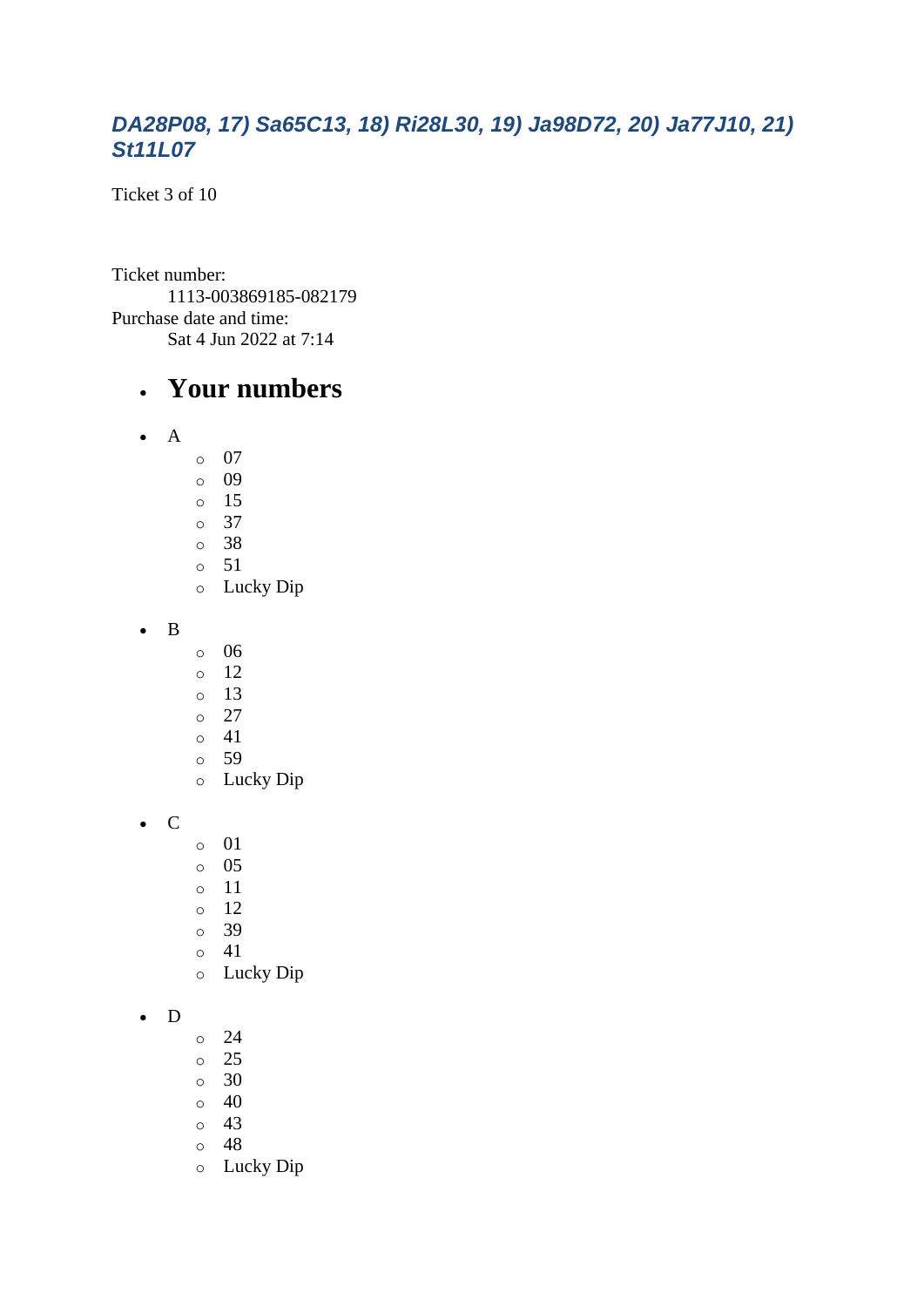#### *DA28P08, 17) Sa65C13, 18) Ri28L30, 19) Ja98D72, 20) Ja77J10, 21) St11L07*

Ticket 3 of 10

Ticket number: 1113-003869185-082179 Purchase date and time: Sat 4 Jun 2022 at 7:14

#### • **Your numbers**

- A
- o 07
- o 09
- o 15
- o 37
- o 38 o 51
- o Lucky Dip

• B

- o 06
- o 12
- o 13
- o 27
- $\circ$  41
- o 59
- o Lucky Dip

• C

- o 01
- o 05
- o 11
- o 12
- o 39
- o 41
- o Lucky Dip

#### • D

- o 24
- o 25
- $\circ$  30
- $\circ$  40
- o 43
- o 48
- o Lucky Dip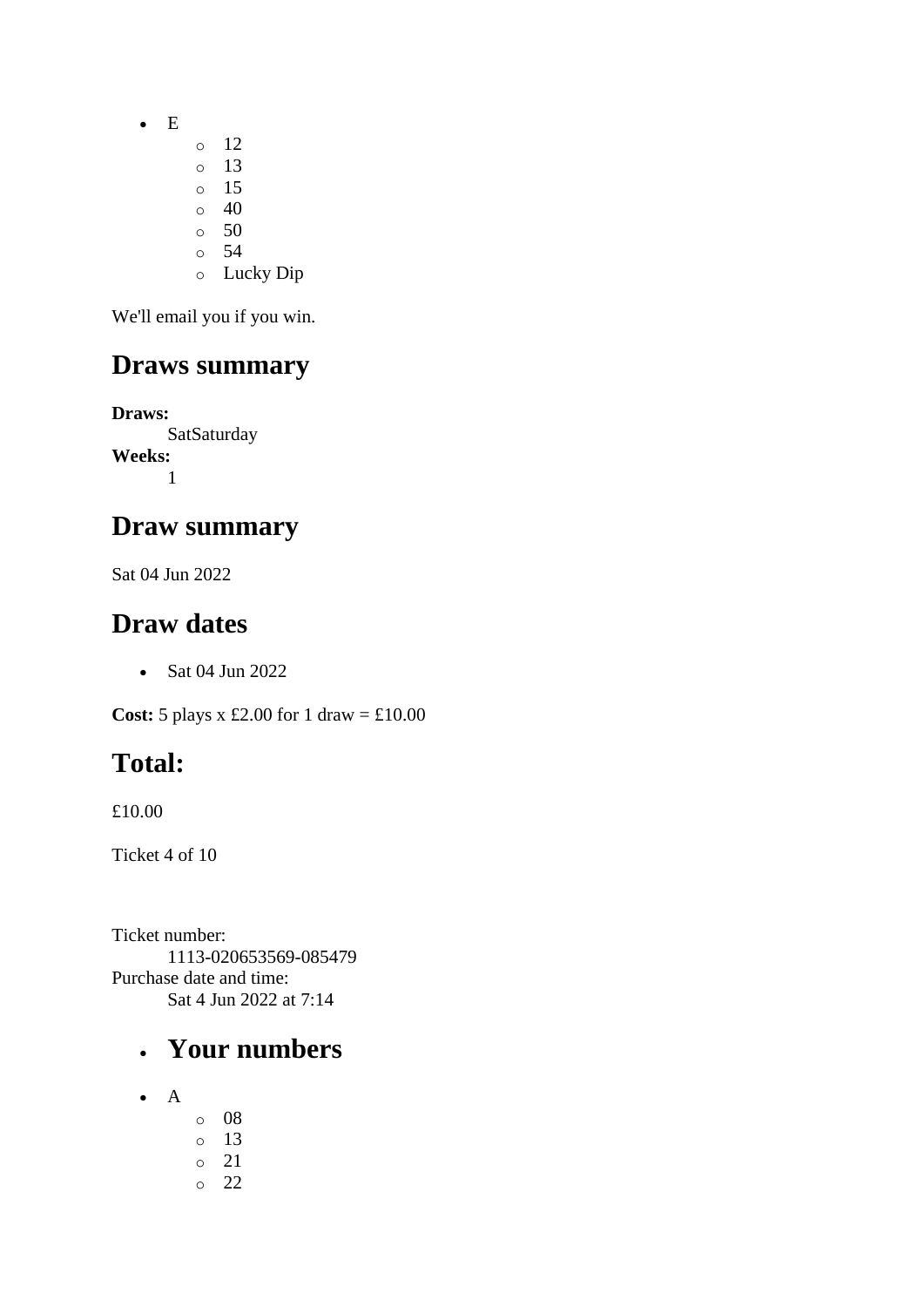• E

- o 12
- o 13 o 15
- $\circ$  40
- $\circ$  50
- o 54
- o Lucky Dip

We'll email you if you win.

### **Draws summary**

**Draws: SatSaturday Weeks:** 1

### **Draw summary**

Sat 04 Jun 2022

### **Draw dates**

• Sat 04 Jun 2022

**Cost:** 5 plays x £2.00 for 1 draw = £10.00

# **Total:**

£10.00

Ticket 4 of 10

Ticket number: 1113-020653569-085479 Purchase date and time: Sat 4 Jun 2022 at 7:14

- A
- o 08 o 13 o 21 o 22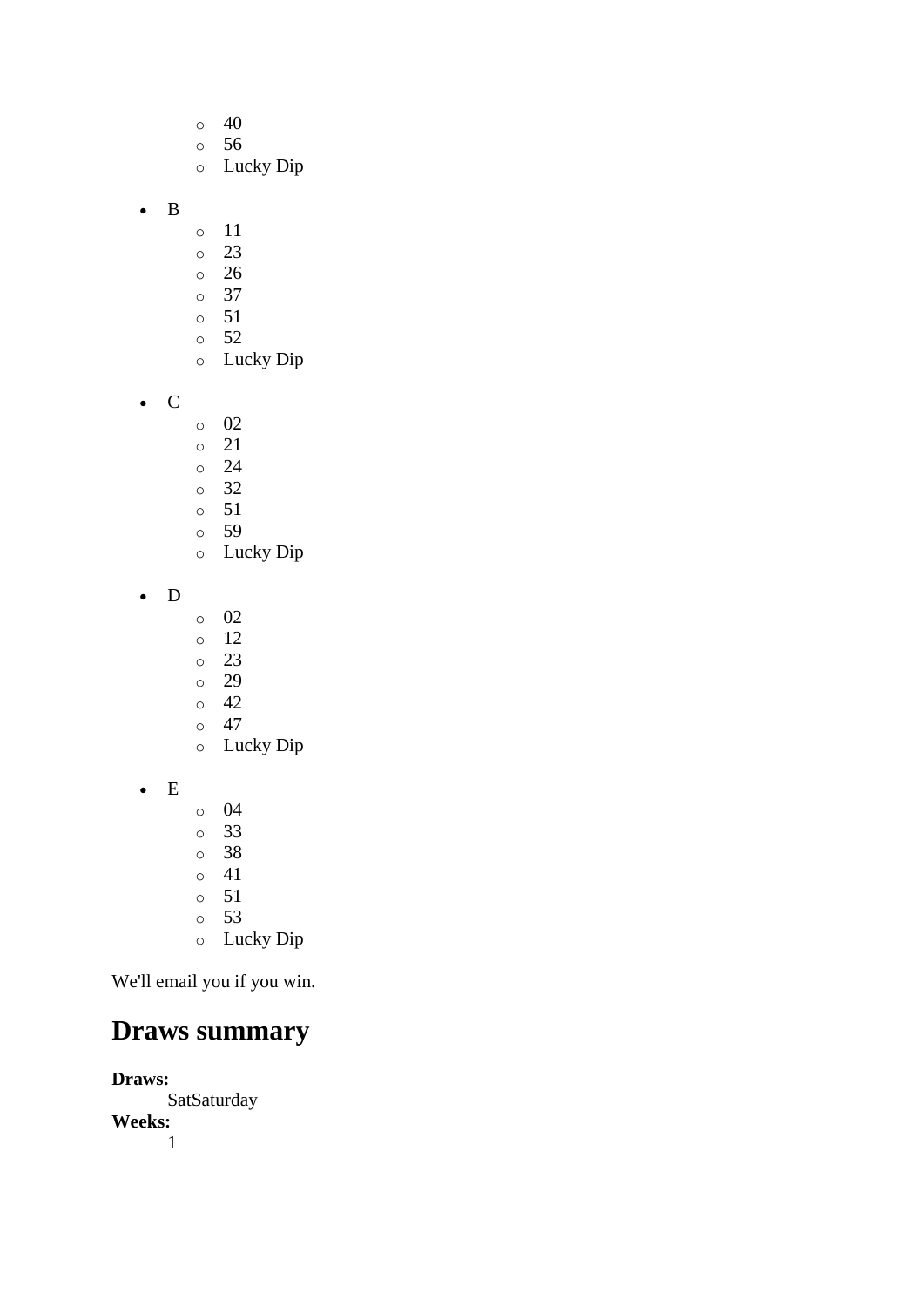- $\circ$  40
- o 56
- o Lucky Dip
- B
- o 11
- o 23
- o 26
- o 37
- o 51
- o 52
- o Lucky Dip
- C
- o 02
- o 21
- o 24
- o 32
- o 51 o 59
- o Lucky Dip
- D
- o 02
- o 12
- o 23
- o 29
- o 42  $\circ$  47
- o Lucky Dip
- E
- o 04
- o 33
- o 38
- o 41 o 51
- o 53
- o Lucky Dip

## **Draws summary**

**Draws:** SatSaturday **Weeks:** 1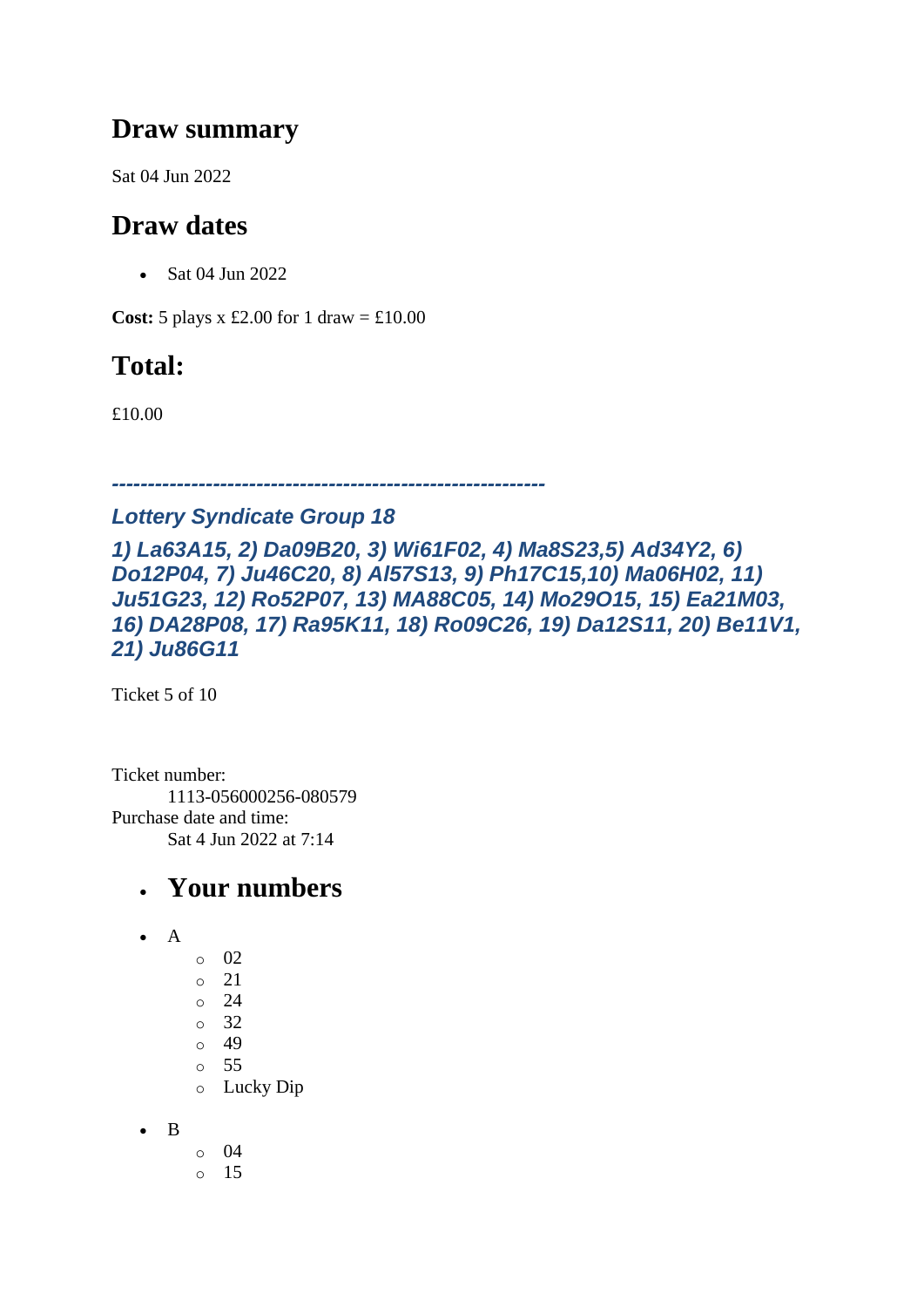### **Draw summary**

Sat 04 Jun 2022

### **Draw dates**

• Sat 04 Jun 2022

**Cost:**  $5$  plays x £2.00 for 1 draw = £10.00

## **Total:**

£10.00

*------------------------------------------------------------*

#### *Lottery Syndicate Group 18*

*1) La63A15, 2) Da09B20, 3) Wi61F02, 4) Ma8S23,5) Ad34Y2, 6) Do12P04, 7) Ju46C20, 8) Al57S13, 9) Ph17C15,10) Ma06H02, 11) Ju51G23, 12) Ro52P07, 13) MA88C05, 14) Mo29O15, 15) Ea21M03, 16) DA28P08, 17) Ra95K11, 18) Ro09C26, 19) Da12S11, 20) Be11V1, 21) Ju86G11*

Ticket 5 of 10

Ticket number: 1113-056000256-080579 Purchase date and time: Sat 4 Jun 2022 at 7:14

- A
- o 02 o 21 o 24 o 32 o 49 o 55 o Lucky Dip
- B
- o 04 o 15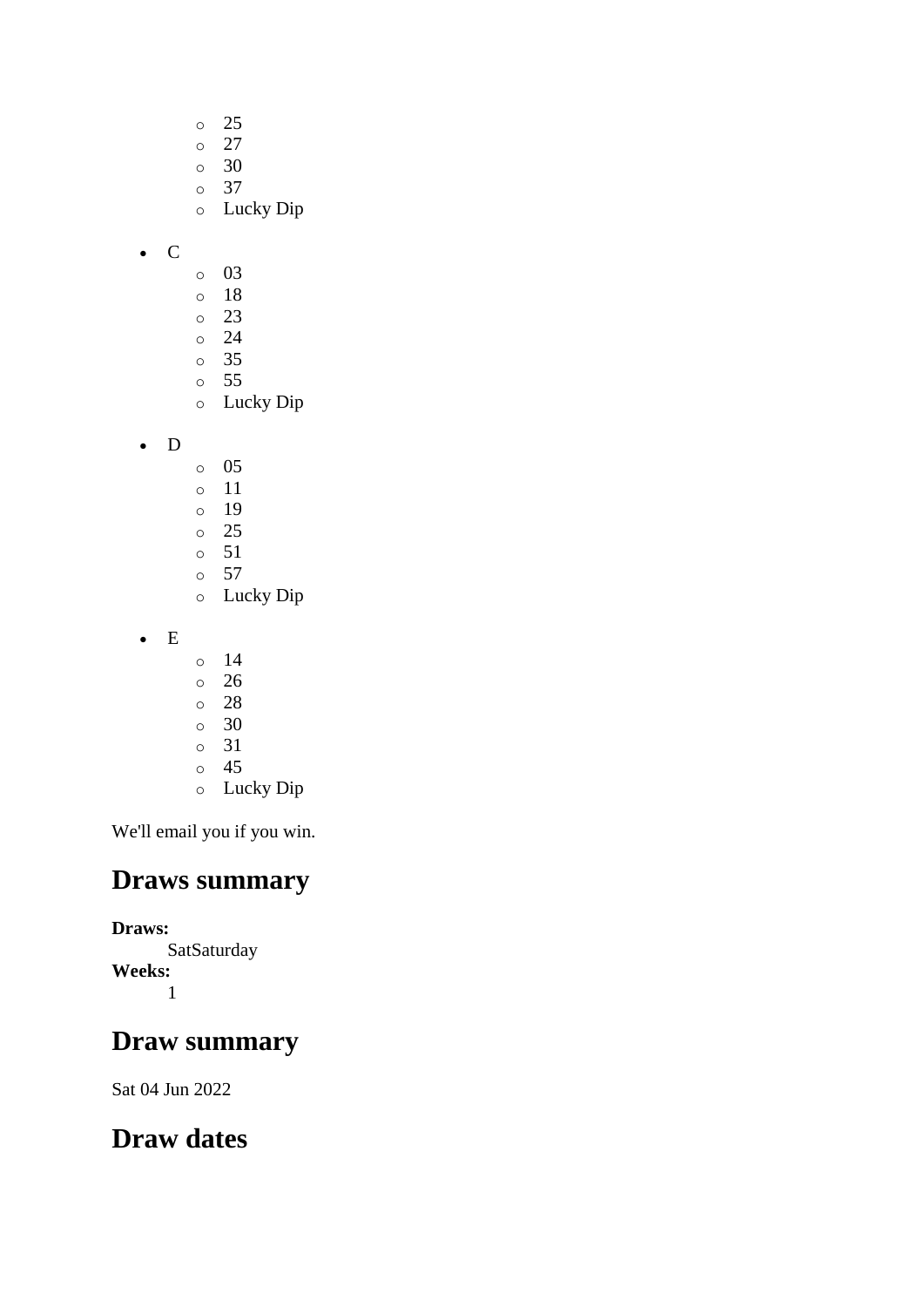- o 25
- $\circ$  27
- o 30
- o 37
- o Lucky Dip
- C
- o 03
- o 18
- o 23
- o 24
- o 35 o 55
- o Lucky Dip
- D
- o 05
- o 11
- o 19
- o 25
- o 51
- o 57 o Lucky Dip
- E
- $\circ$  14
- o 26
- o 28
- o 30
- o 31
- o 45
- o Lucky Dip

## **Draws summary**

**Draws: SatSaturday Weeks:** 1

## **Draw summary**

Sat 04 Jun 2022

## **Draw dates**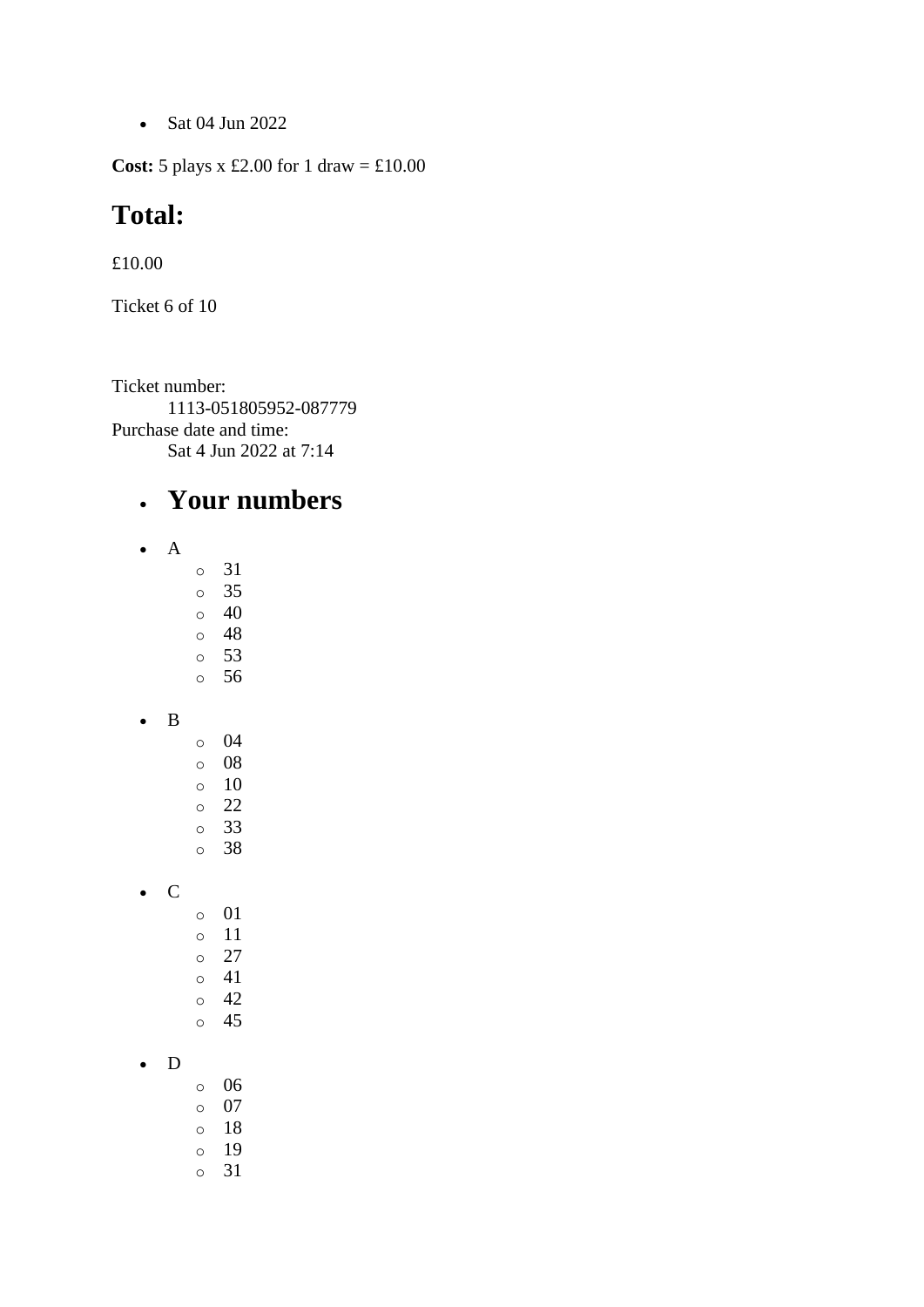• Sat 04 Jun 2022

**Cost:**  $5$  plays x £2.00 for 1 draw = £10.00

#### **Total:**

£10.00

Ticket 6 of 10

Ticket number: 1113-051805952-087779 Purchase date and time: Sat 4 Jun 2022 at 7:14

- A
- o 31
- o 35
- o 40 o 48
- o 53
- o 56
- B
- o 04 o 08 o 10 o 22 o 33
- o 38
- C
	- o 01 o 11 o 27
		- o 41 o 42 o 45
- D
- o 06
- o 07
- o 18
- o 19
- o 31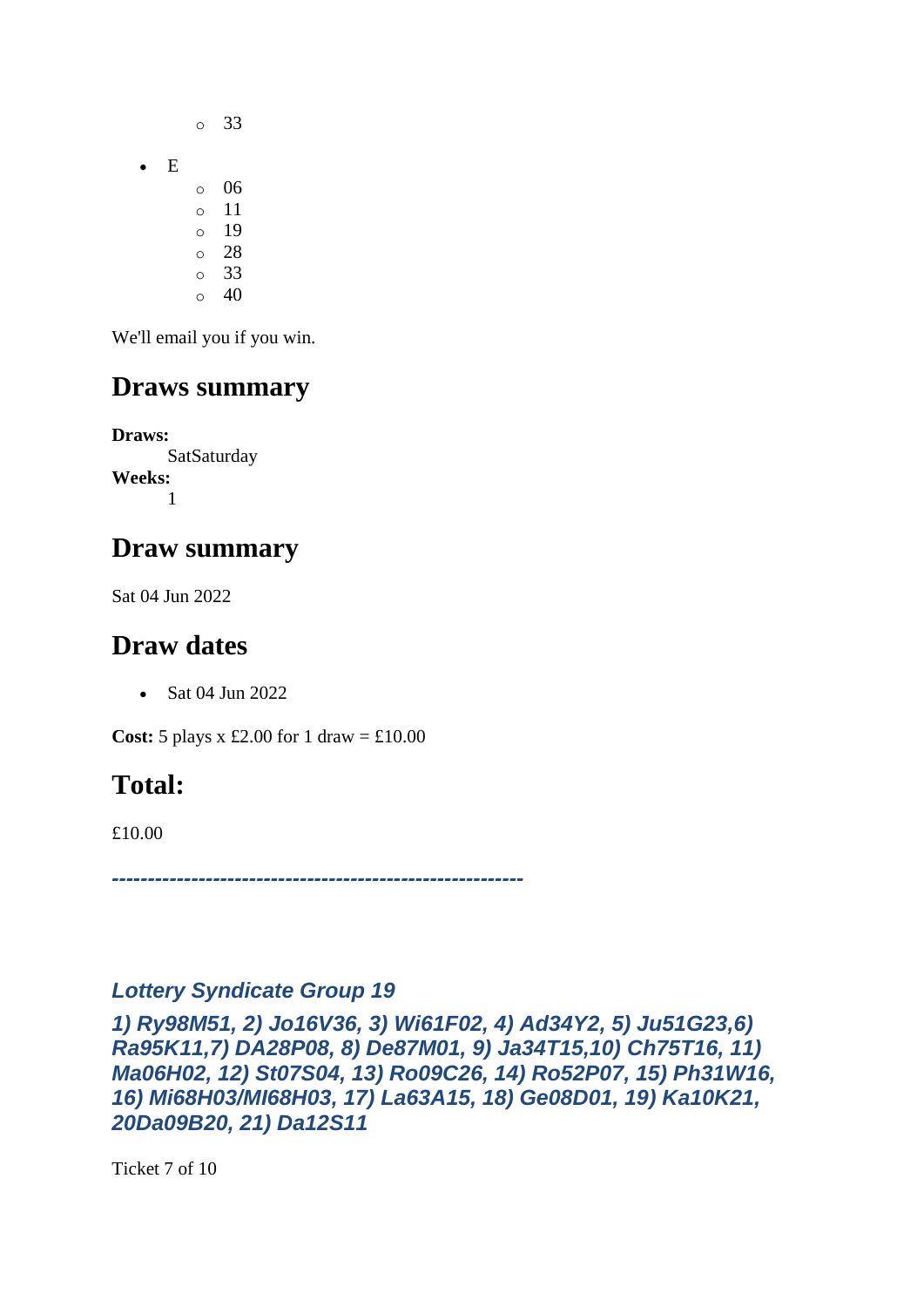- o 33 • E o 06 o 11 o 19
	- o 28
	- o 33  $\circ$  40

### **Draws summary**

**Draws: SatSaturday Weeks:** 1

### **Draw summary**

Sat 04 Jun 2022

### **Draw dates**

• Sat 04 Jun 2022

**Cost:**  $5$  plays x £2.00 for 1 draw = £10.00

## **Total:**

£10.00

*---------------------------------------------------------*

#### *Lottery Syndicate Group 19*

*1) Ry98M51, 2) Jo16V36, 3) Wi61F02, 4) Ad34Y2, 5) Ju51G23,6) Ra95K11,7) DA28P08, 8) De87M01, 9) Ja34T15,10) Ch75T16, 11) Ma06H02, 12) St07S04, 13) Ro09C26, 14) Ro52P07, 15) Ph31W16, 16) Mi68H03/MI68H03, 17) La63A15, 18) Ge08D01, 19) Ka10K21, 20Da09B20, 21) Da12S11*

Ticket 7 of 10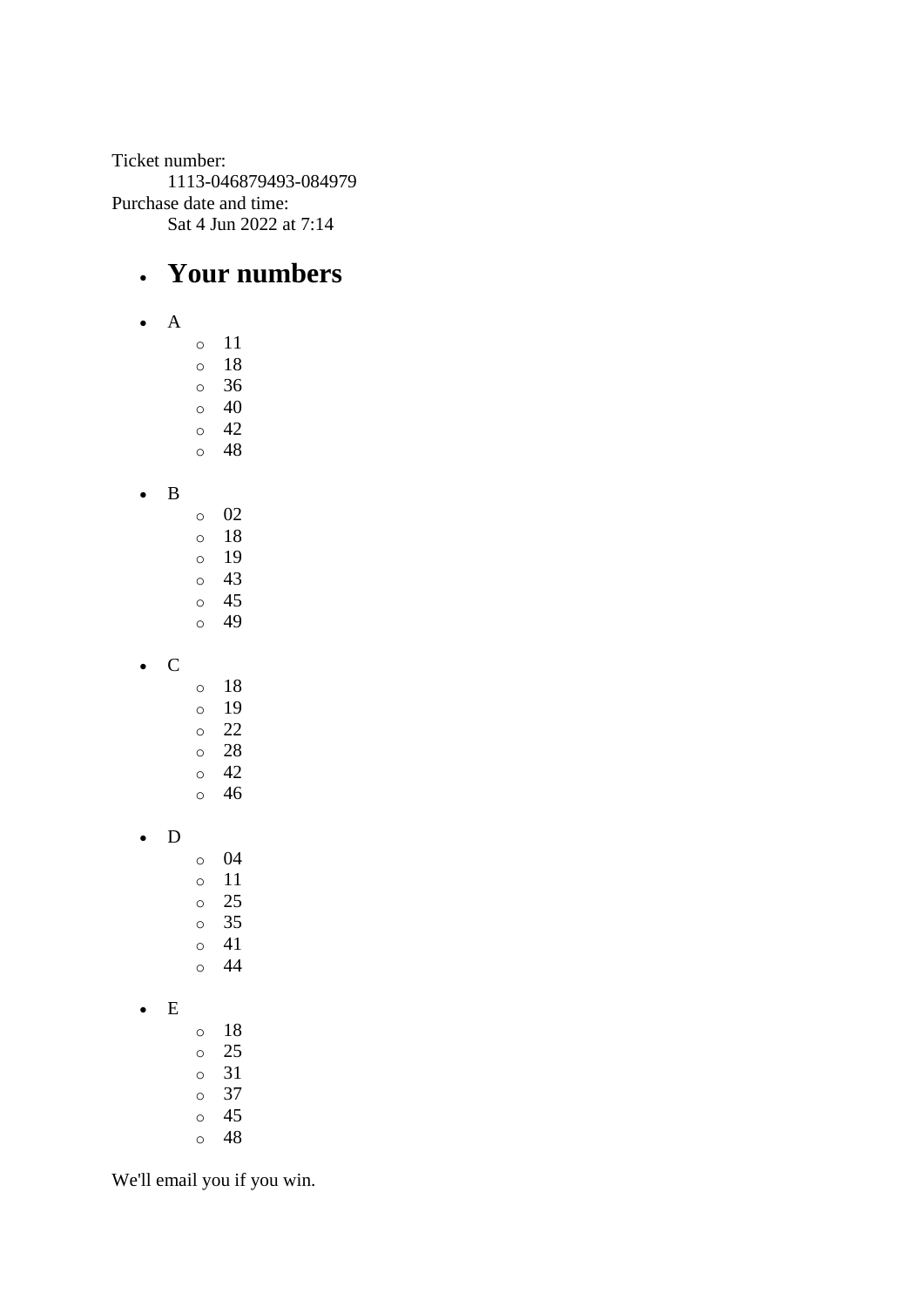Ticket number: 1113-046879493-084979 Purchase date and time: Sat 4 Jun 2022 at 7:14

### • **Your numbers**

• A

o 11 o 18

o 36

- $\circ$  40
- o 42
- o 48
- B
- o 02 o 18 o 19
- o 43 o 45
- o 49
- C
- o 18 o 19
- o 22 o 28
- o 42 o 46
- D
	- o 04 o 11
		- o 25 o 35
		- o 41
		- o 44
- E
- o 18 o 25 o 31
- o 37
- o 45
- o 48

We'll email you if you win.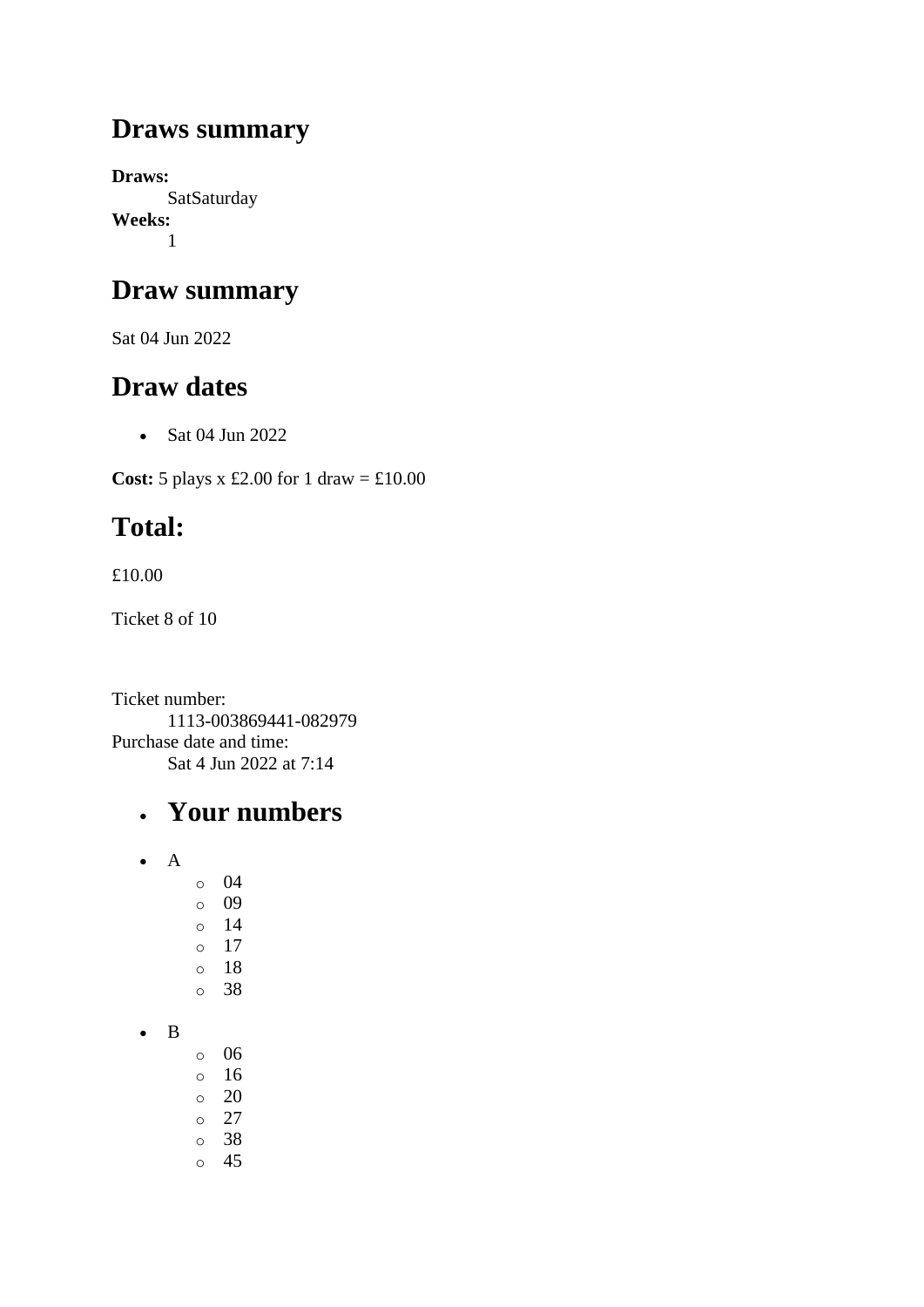### **Draws summary**

**Draws: SatSaturday Weeks:** 1

### **Draw summary**

Sat 04 Jun 2022

### **Draw dates**

• Sat 04 Jun 2022

**Cost:** 5 plays x £2.00 for 1 draw = £10.00

# **Total:**

£10.00

Ticket 8 of 10

Ticket number: 1113-003869441-082979 Purchase date and time: Sat 4 Jun 2022 at 7:14

- A
- o 04 o 09 o 14 o 17
- 
- o 18
- o 38
- B
- o 06 o 16  $\circ$  20  $\circ$  27
- o 38 o 45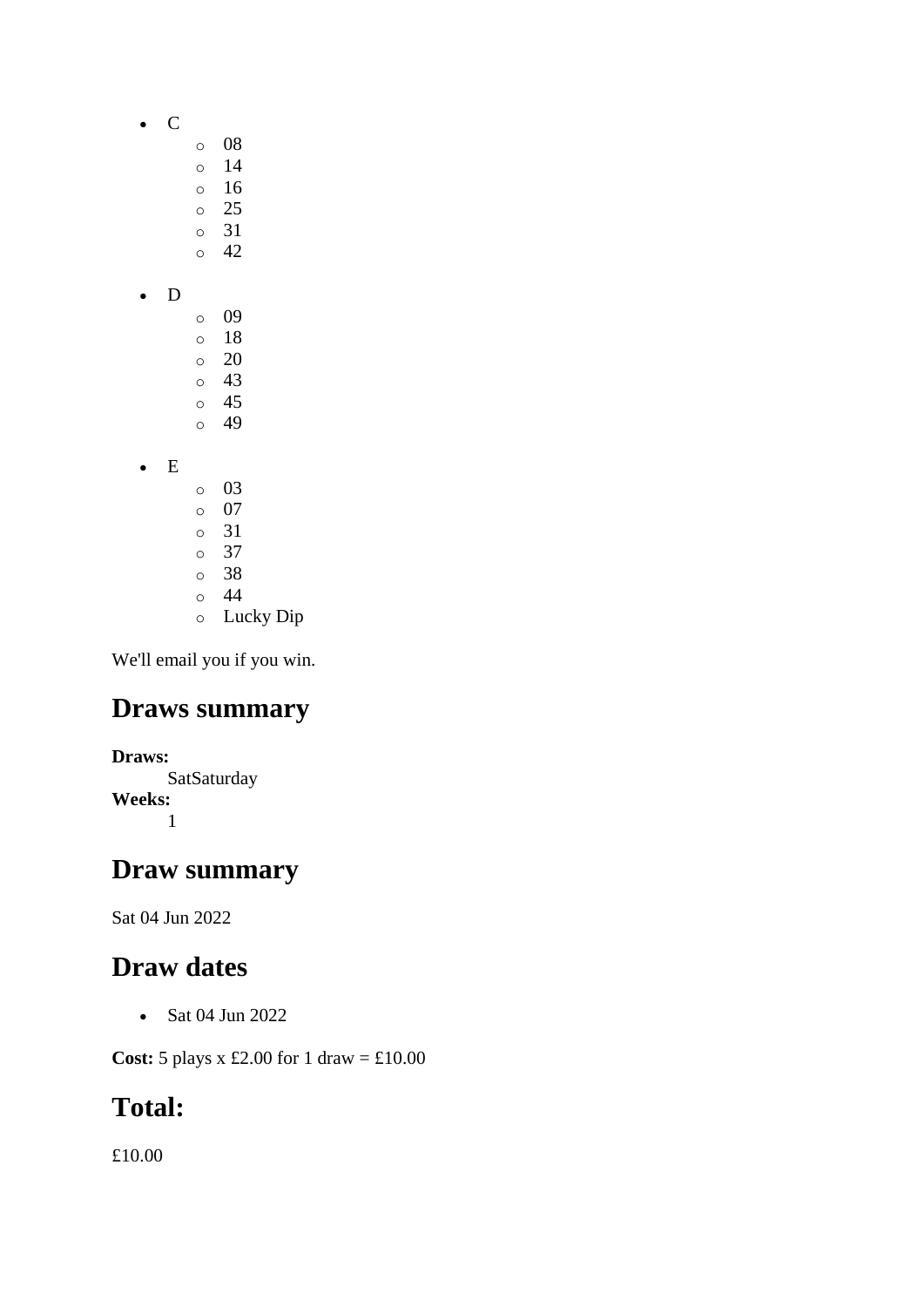- C
	- o 08
		- o 14
		- o 16 o 25
		- o 31
		- o 42
- D
- o 09 o 18 o 20 o 43 o 45 o 49
- E
- o 03 o 07 o 31 o 37 o 38 o 44
- o Lucky Dip

### **Draws summary**

**Draws: SatSaturday Weeks:** 1

#### **Draw summary**

Sat 04 Jun 2022

## **Draw dates**

• Sat 04 Jun 2022

**Cost:** 5 plays x £2.00 for 1 draw = £10.00

## **Total:**

£10.00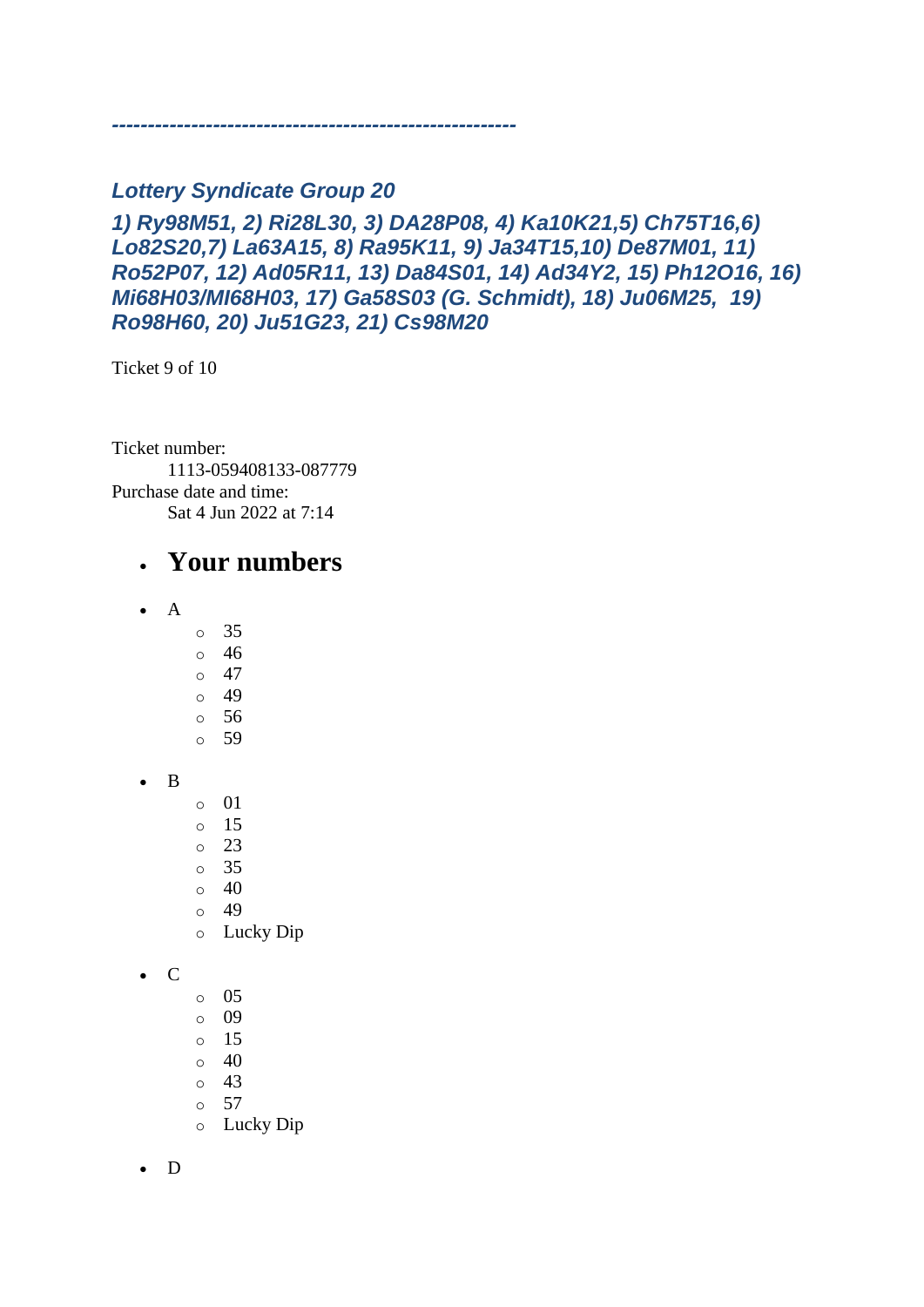#### *Lottery Syndicate Group 20*

*--------------------------------------------------------*

#### *1) Ry98M51, 2) Ri28L30, 3) DA28P08, 4) Ka10K21,5) Ch75T16,6) Lo82S20,7) La63A15, 8) Ra95K11, 9) Ja34T15,10) De87M01, 11) Ro52P07, 12) Ad05R11, 13) Da84S01, 14) Ad34Y2, 15) Ph12O16, 16) Mi68H03/MI68H03, 17) Ga58S03 (G. Schmidt), 18) Ju06M25, 19) Ro98H60, 20) Ju51G23, 21) Cs98M20*

Ticket 9 of 10

Ticket number: 1113-059408133-087779 Purchase date and time: Sat 4 Jun 2022 at 7:14

#### • **Your numbers**

- A
	- o 35
	- o 46
	- $\circ$  47
	- o 49 o 56
	- o 59
- B
- o 01
- o 15
- o 23
- o 35
- $\circ$  40 o 49
- 
- o Lucky Dip
- C
- o 05
- o 09
- $\circ$  15
- $\circ$  40
- o 43
- o 57
- o Lucky Dip

• D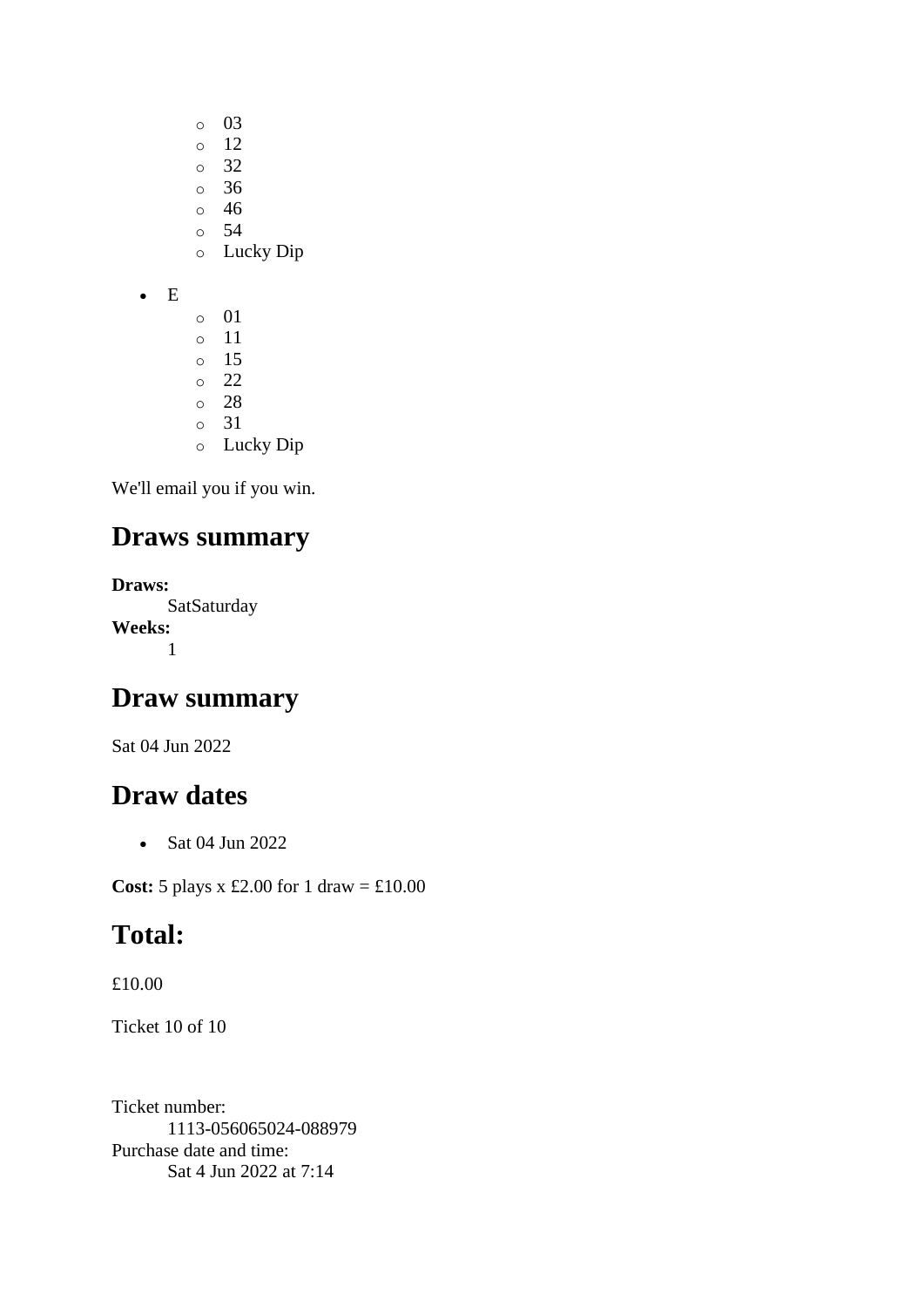- o 03
- o 12
- o 32
- o 36 o 46
- o 54
- o Lucky Dip
- E
- o 01 o 11 o 15 o 22 o 28 o 31 o Lucky Dip

### **Draws summary**

**Draws: SatSaturday Weeks:** 1

### **Draw summary**

Sat 04 Jun 2022

### **Draw dates**

• Sat 04 Jun 2022

**Cost:** 5 plays x £2.00 for 1 draw = £10.00

## **Total:**

£10.00

Ticket 10 of 10

Ticket number: 1113-056065024-088979 Purchase date and time: Sat 4 Jun 2022 at 7:14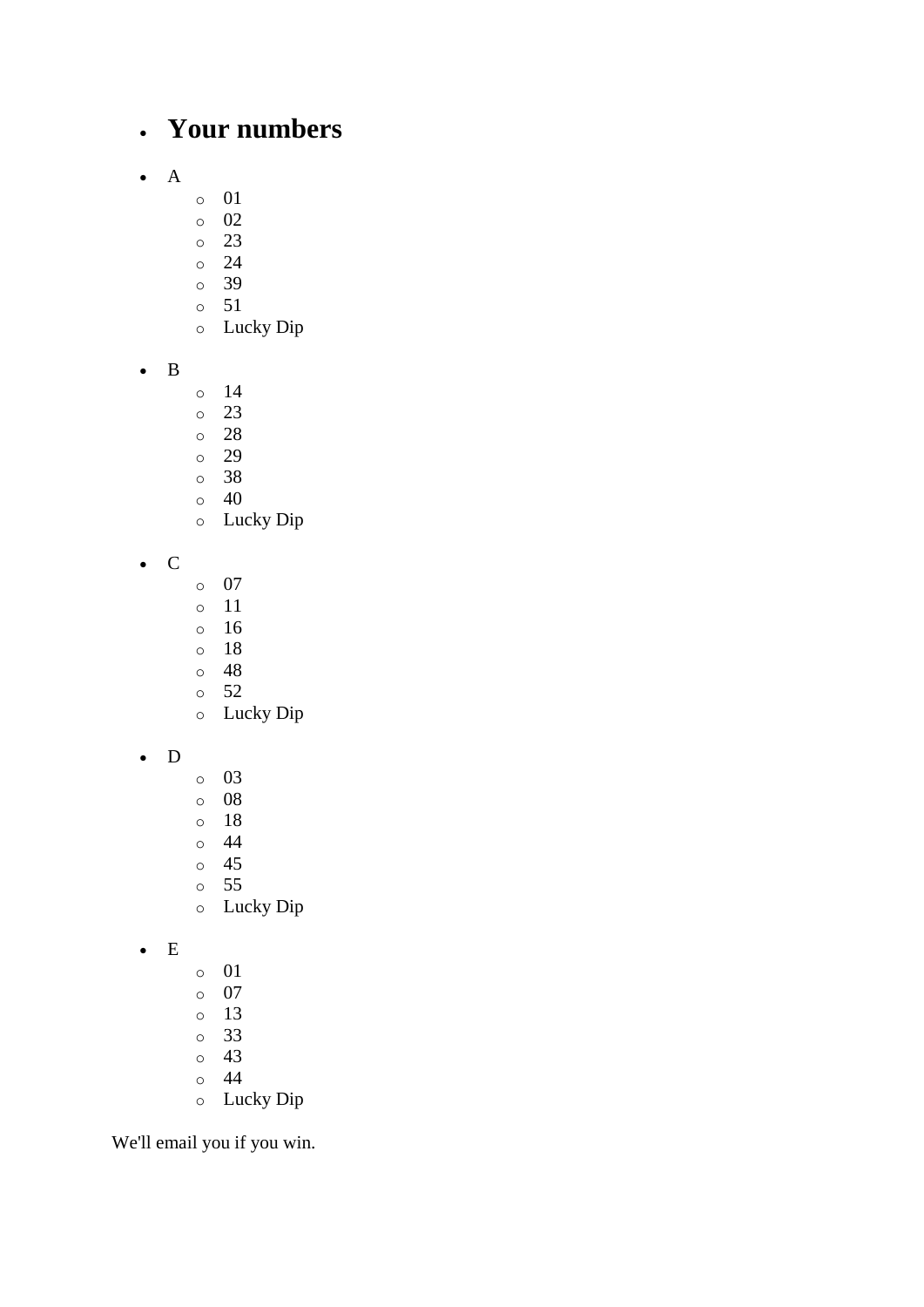### • **Your numbers**

- A
- o 01
- o 02
- o 23
- o 24
- o 39
- o 51
- o Lucky Dip
- B
- o 14
- o 23
- o 28
- o 29
- o 38
- o 40
- o Lucky Dip
- C
- o 07
- o 11
- o 16
- o 18
- o 48
- o 52 o Lucky Dip
- 
- D
- o 03 o 08
- o 18
- o 44
- o 45
- o 55
- o Lucky Dip
- E
- o 01
- o 07
- o 13
- o 33 o 43
- o 44
- o Lucky Dip

We'll email you if you win.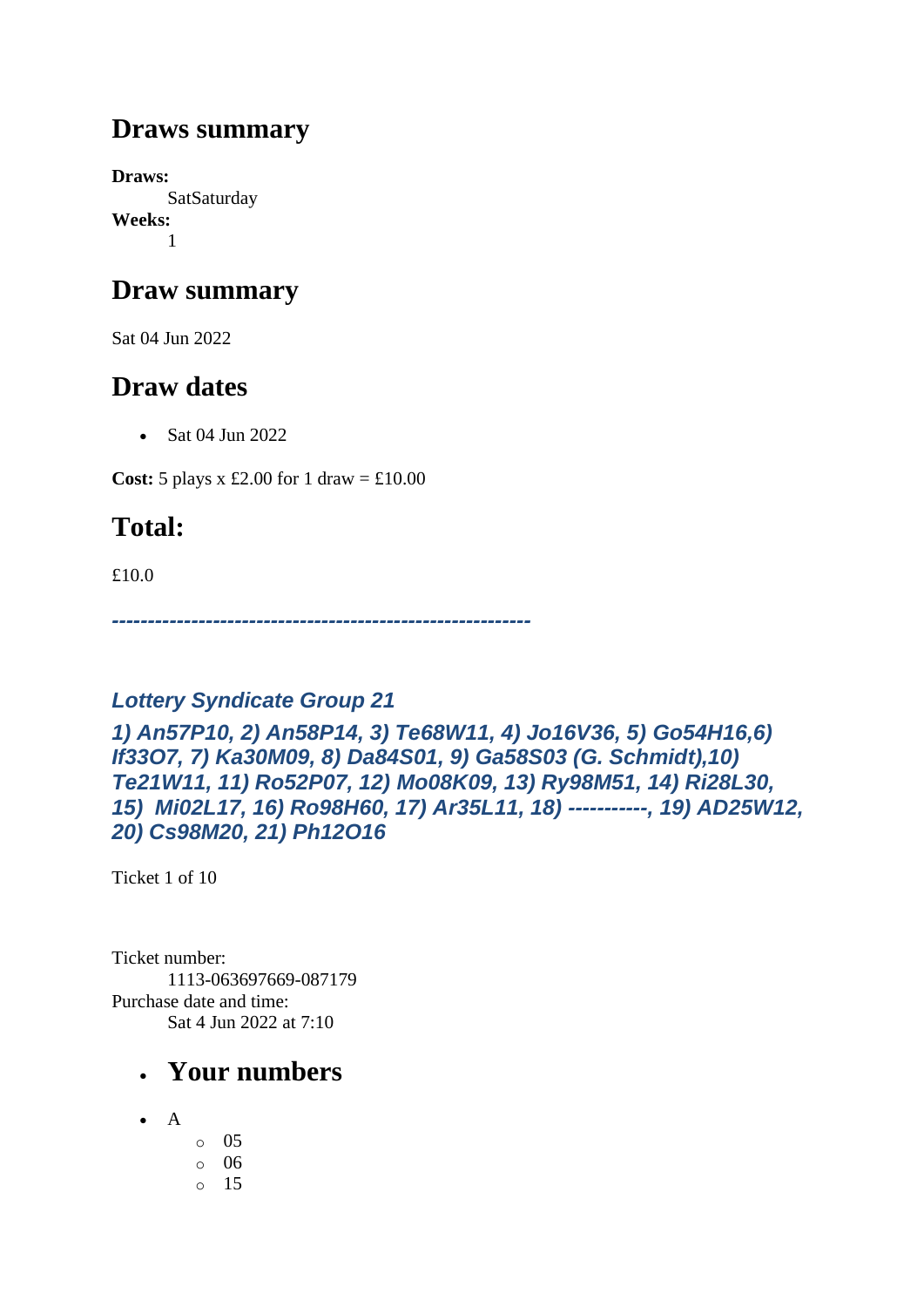### **Draws summary**

**Draws: SatSaturday Weeks:** 1

### **Draw summary**

Sat 04 Jun 2022

## **Draw dates**

• Sat 04 Jun 2022

**Cost:** 5 plays x £2.00 for 1 draw =  $\text{\textsterling}10.00$ 

# **Total:**

£10.0

*----------------------------------------------------------*

### *Lottery Syndicate Group 21*

*1) An57P10, 2) An58P14, 3) Te68W11, 4) Jo16V36, 5) Go54H16,6) If33O7, 7) Ka30M09, 8) Da84S01, 9) Ga58S03 (G. Schmidt),10) Te21W11, 11) Ro52P07, 12) Mo08K09, 13) Ry98M51, 14) Ri28L30, 15) Mi02L17, 16) Ro98H60, 17) Ar35L11, 18) -----------, 19) AD25W12, 20) Cs98M20, 21) Ph12O16*

Ticket 1 of 10

Ticket number: 1113-063697669-087179 Purchase date and time: Sat 4 Jun 2022 at 7:10

- A
- o 05 o 06 o 15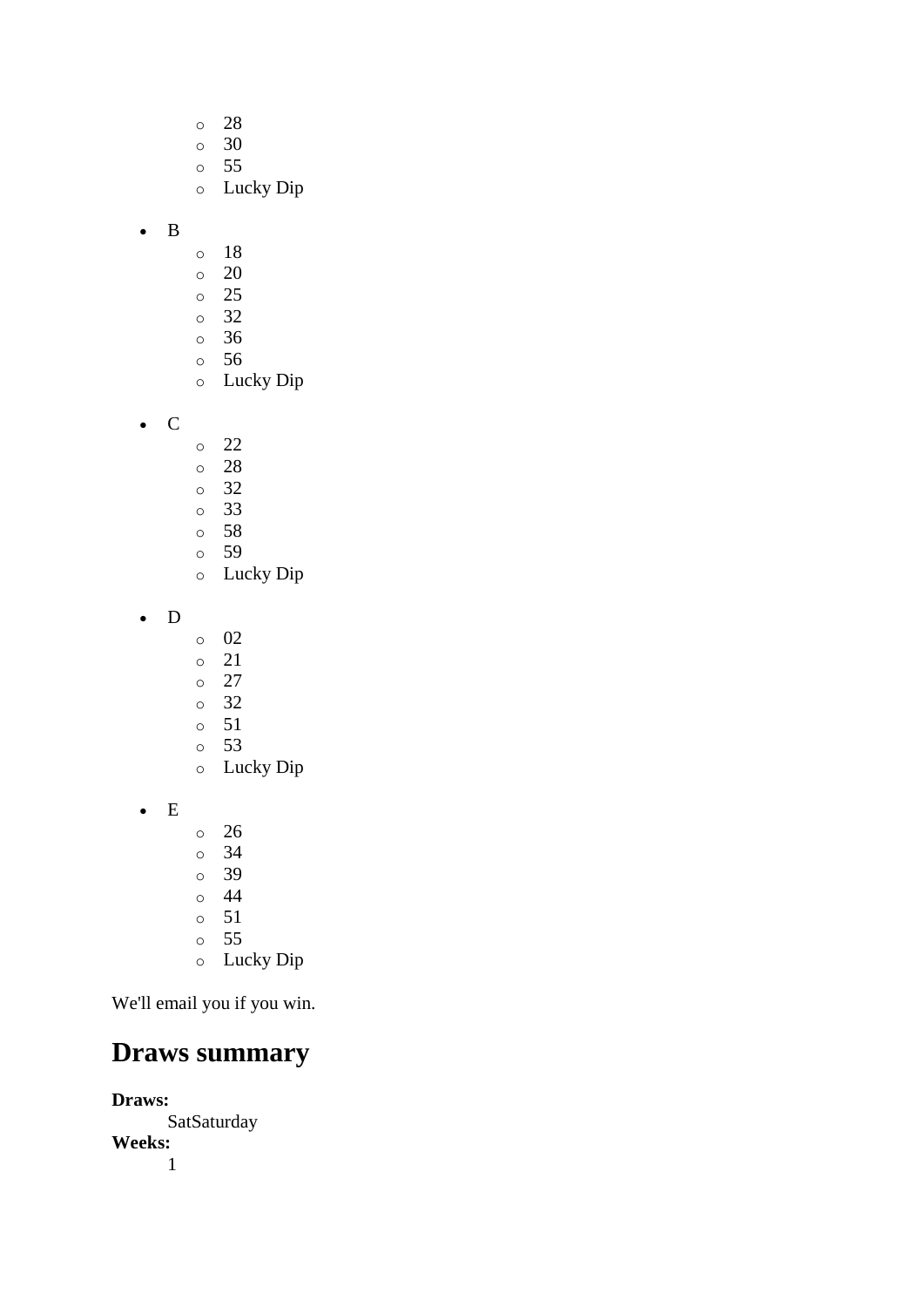- o 28 o 30 o 55 o Lucky Dip o 18
- B
	- o 20
	- o 25
	- o 32
	- o 36
	- o 56
	- o Lucky Dip
- C
- o 22
- o 28
- o 32
- o 33
- o 58
- o 59
- o Lucky Dip
- D
- o 02
- o 21
- o 27
- o 32
- o 51
- o 53
- o Lucky Dip
- E
- o 26
- o 34
- o 39
- o 44
- o 51
- o 55
- o Lucky Dip

### **Draws summary**

**Draws: SatSaturday Weeks:** 1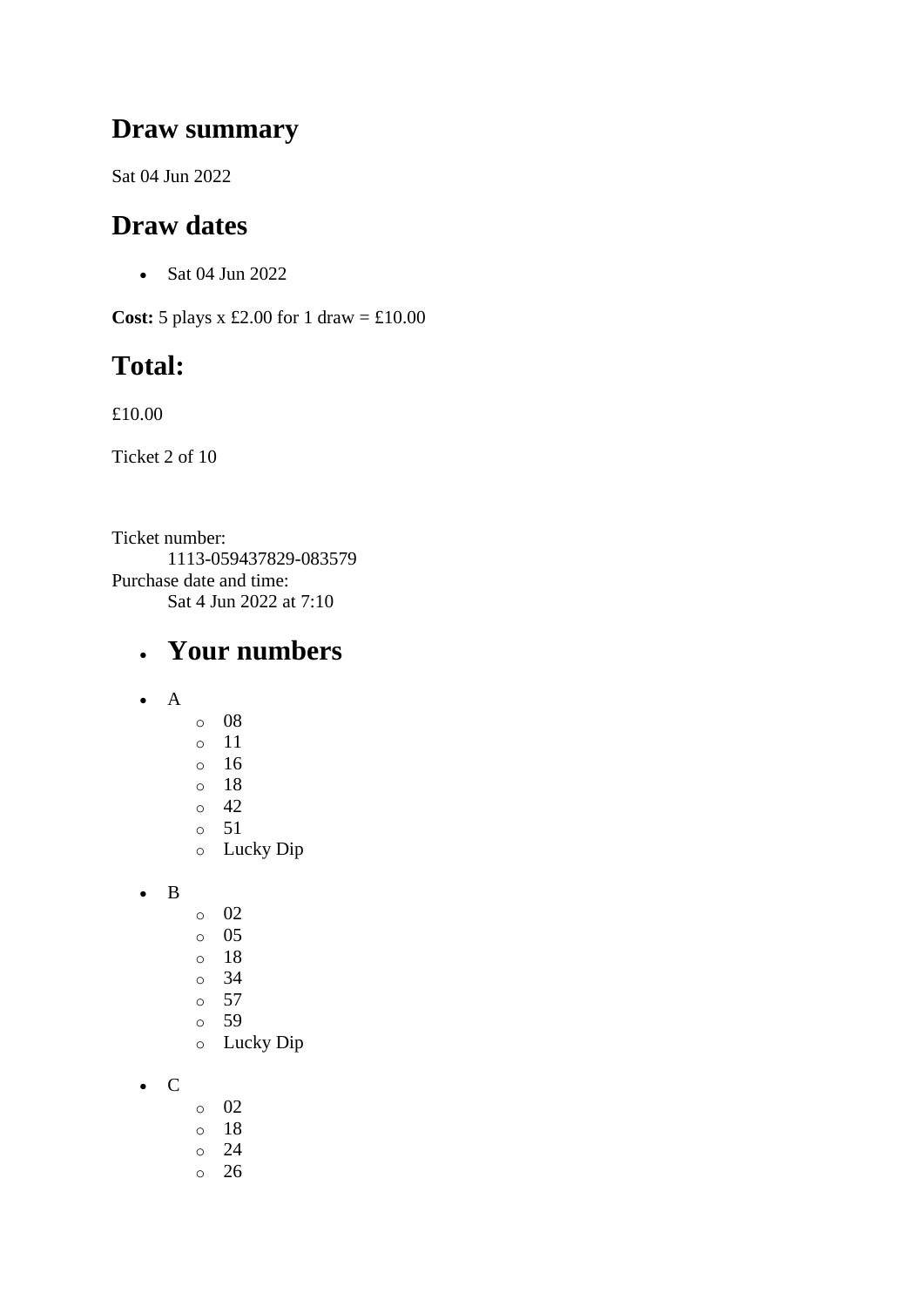#### **Draw summary**

Sat 04 Jun 2022

## **Draw dates**

• Sat 04 Jun 2022

**Cost:**  $5$  plays x £2.00 for 1 draw = £10.00

## **Total:**

£10.00

Ticket 2 of 10

Ticket number: 1113-059437829-083579 Purchase date and time: Sat 4 Jun 2022 at 7:10

#### • **Your numbers**

- A
- o 08
- o 11
- o 16
- o 18
- o 42
- o 51
- o Lucky Dip
- B
- o 02
- o 05
- o 18
- o 34
- $\circ$  57
- o 59
- o Lucky Dip

• C

- o 02
- o 18
- o 24
- o 26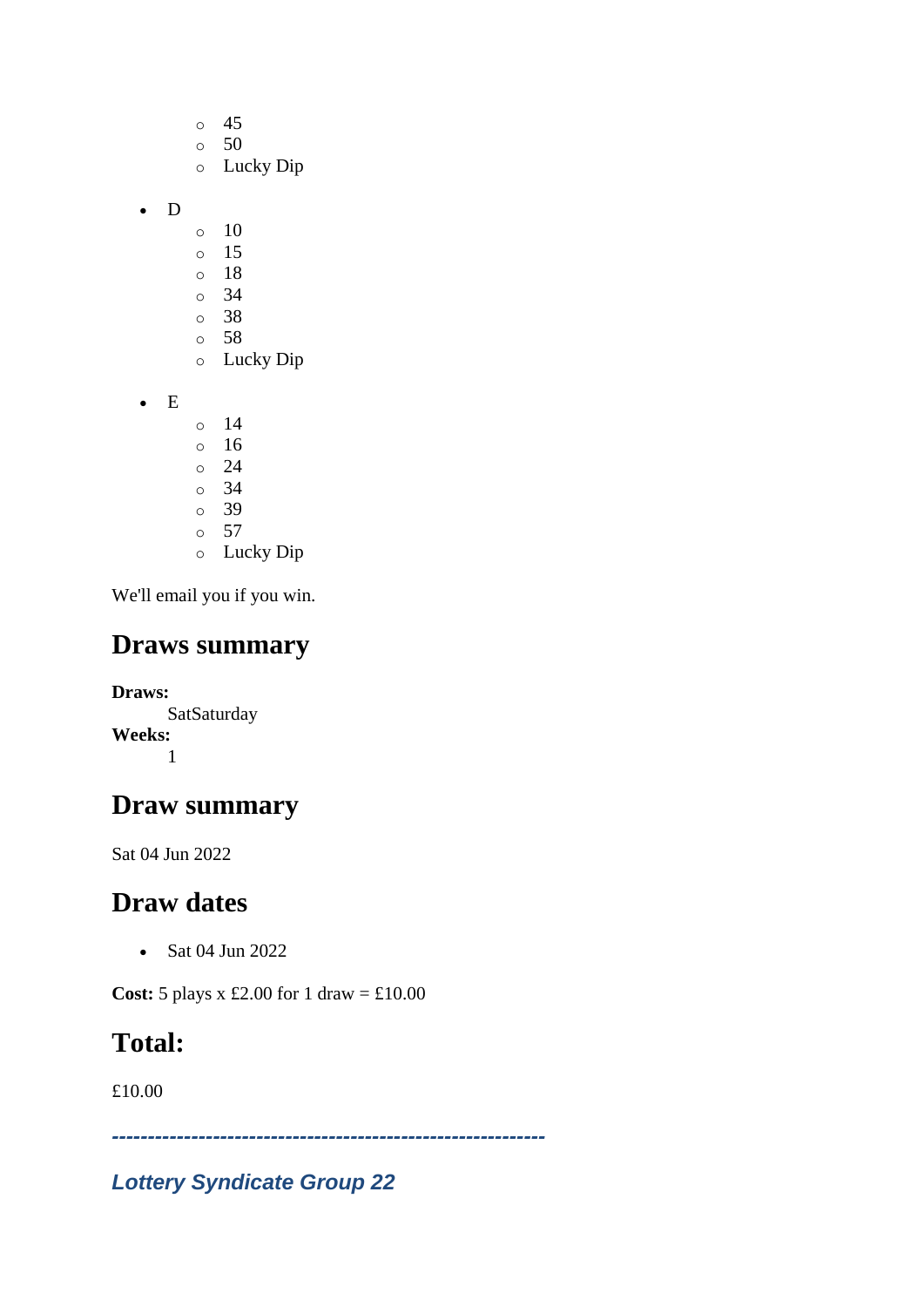- o 45
- $\circ$  50
- o Lucky Dip
- D
- $\circ$  10
- o 15
- o 18
- o 34
- o 38 o 58
- o Lucky Dip
- E
- o 14
- o 16
- o 24
- o 34
- o 39 o 57
- o Lucky Dip

## **Draws summary**

**Draws: SatSaturday Weeks:** 1

# **Draw summary**

Sat 04 Jun 2022

# **Draw dates**

• Sat 04 Jun 2022

**Cost:**  $5$  plays x £2.00 for 1 draw = £10.00

# **Total:**

£10.00

*------------------------------------------------------------*

### *Lottery Syndicate Group 22*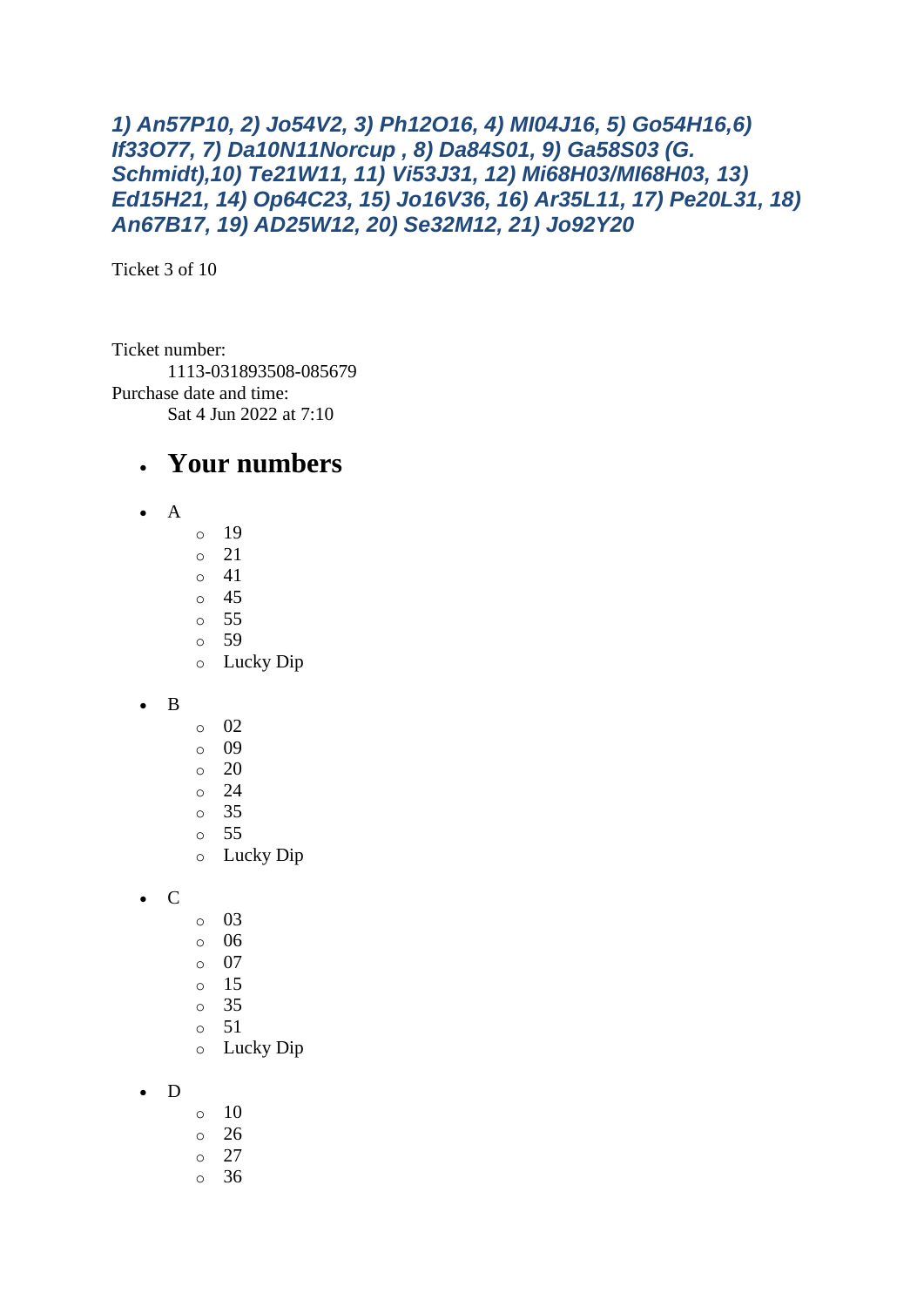#### *1) An57P10, 2) Jo54V2, 3) Ph12O16, 4) MI04J16, 5) Go54H16,6) If33O77, 7) Da10N11Norcup , 8) Da84S01, 9) Ga58S03 (G. Schmidt),10) Te21W11, 11) Vi53J31, 12) Mi68H03/MI68H03, 13) Ed15H21, 14) Op64C23, 15) Jo16V36, 16) Ar35L11, 17) Pe20L31, 18) An67B17, 19) AD25W12, 20) Se32M12, 21) Jo92Y20*

Ticket 3 of 10

Ticket number: 1113-031893508-085679 Purchase date and time: Sat 4 Jun 2022 at 7:10

#### • **Your numbers**

- $\bullet$  A
- o 19
- o 21
- o 41 o 45
- o 55
- o 59
- o Lucky Dip
- B
- o 02
- o 09
- o 20
- o 24
- o 35
- o 55
- o Lucky Dip

• C

- o 03
- o 06
- $\circ$  07
- $\circ$  15
- o 35
- o 51
- o Lucky Dip
- D
- o 10
- o 26
- o 27
- o 36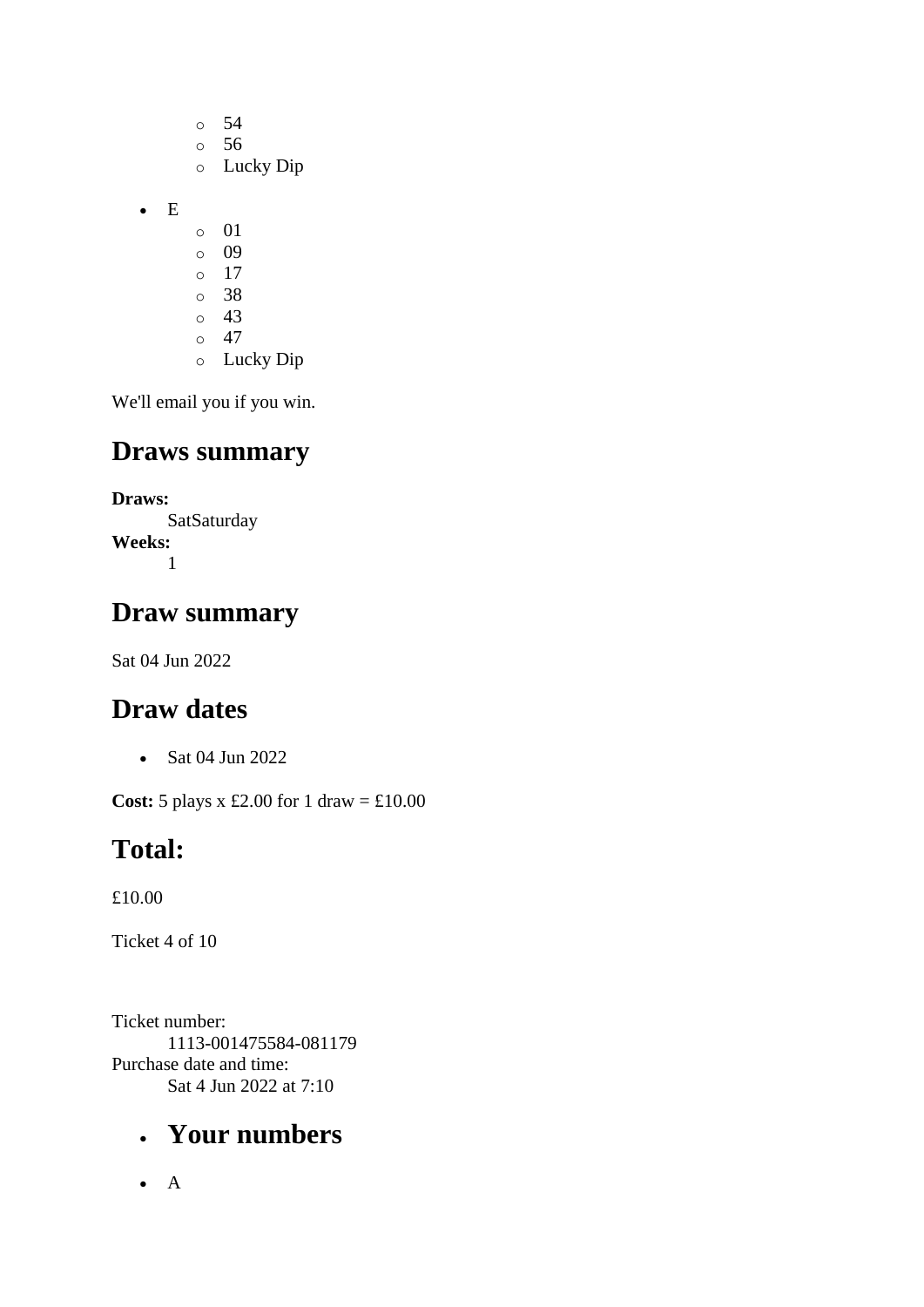- o 54 o 56 o Lucky Dip • E o 01 o 09 o 17 o 38 o 43  $\circ$  47
	- o Lucky Dip

#### **Draws summary**

**Draws:**

**SatSaturday Weeks:** 1

#### **Draw summary**

Sat 04 Jun 2022

#### **Draw dates**

• Sat 04 Jun 2022

**Cost:** 5 plays x £2.00 for 1 draw = £10.00

### **Total:**

£10.00

Ticket 4 of 10

Ticket number: 1113-001475584-081179 Purchase date and time: Sat 4 Jun 2022 at 7:10

## • **Your numbers**

• A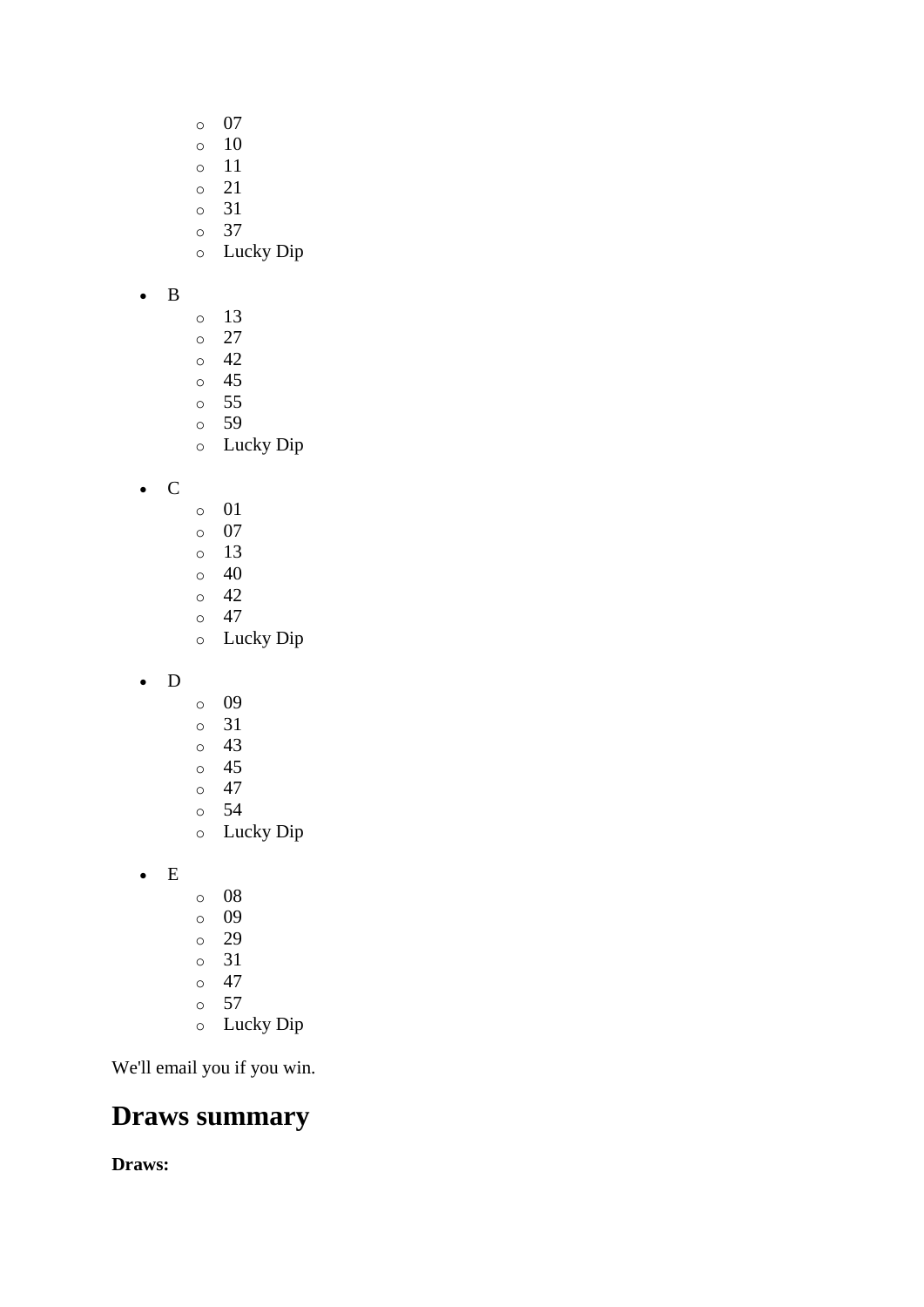- o 07
- $\circ$  10
- o 11
- o 21
- o 31
- o 37
- o Lucky Dip

#### • B

- o 13
- o 27
- o 42
- o 45
- o 55 o 59
- o Lucky Dip
- C
- o 01
- o 07
- o 13
- $\circ$  40
- o 42  $\circ$  47
- o Lucky Dip
- D
- o 09
- o 31
- o 43
- o 45
- o 47 o 54
- o Lucky Dip
- E
- o 08
- o 09
- o 29
- o 31
- o 47
- o 57
- o Lucky Dip

We'll email you if you win.

### **Draws summary**

**Draws:**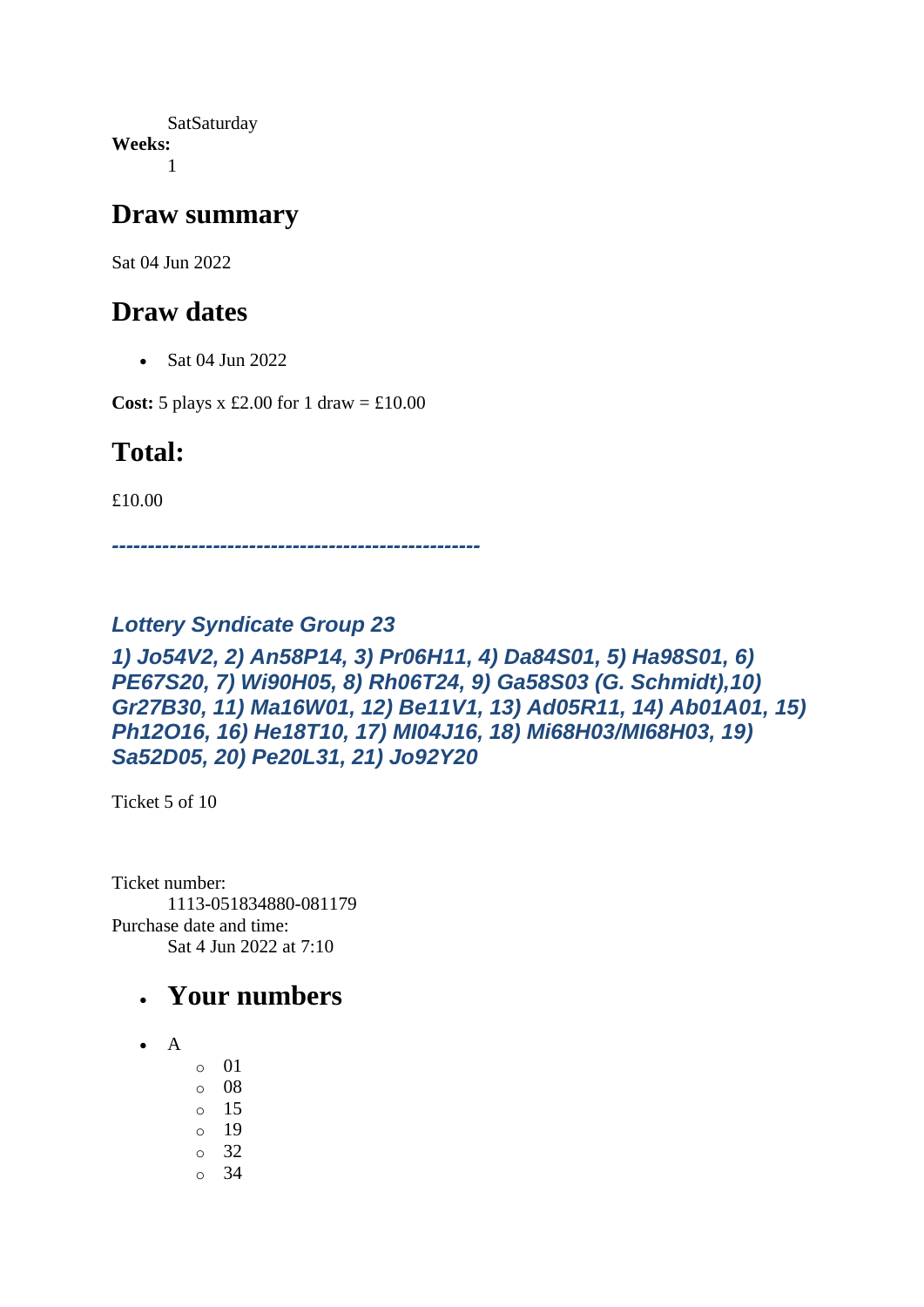SatSaturday **Weeks:** 1

#### **Draw summary**

Sat 04 Jun 2022

#### **Draw dates**

• Sat 04 Jun 2022

**Cost:**  $5$  plays x £2.00 for 1 draw = £10.00

### **Total:**

£10.00

*---------------------------------------------------*

#### *Lottery Syndicate Group 23*

#### *1) Jo54V2, 2) An58P14, 3) Pr06H11, 4) Da84S01, 5) Ha98S01, 6) PE67S20, 7) Wi90H05, 8) Rh06T24, 9) Ga58S03 (G. Schmidt),10) Gr27B30, 11) Ma16W01, 12) Be11V1, 13) Ad05R11, 14) Ab01A01, 15) Ph12O16, 16) He18T10, 17) MI04J16, 18) Mi68H03/MI68H03, 19) Sa52D05, 20) Pe20L31, 21) Jo92Y20*

Ticket 5 of 10

Ticket number: 1113-051834880-081179 Purchase date and time: Sat 4 Jun 2022 at 7:10

#### • **Your numbers**

- A
- o 01
- o 08
- o 15
- o 19
- o 32
- $\circ$  34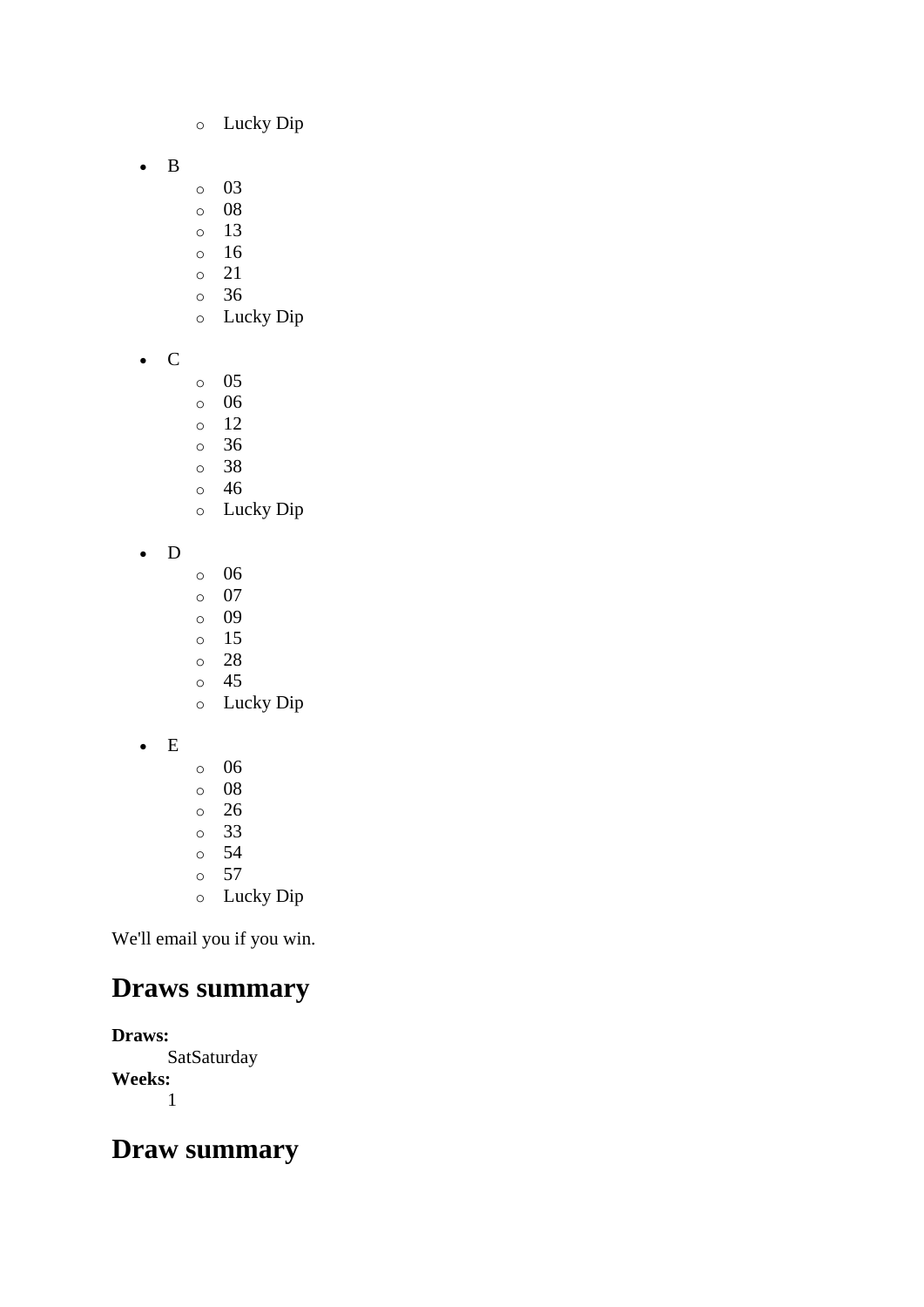- o Lucky Dip
- B
- o 03
- o 08
- o 13
- o 16 o 21
- o 36
- o Lucky Dip
- C
- o 05
- o 06
- o 12
- o 36
- o 38
- o 46 o Lucky Dip
- D
- o 06
- o 07
- o 09
- o 15 o 28
- o 45
- o Lucky Dip
- E
- o 06 o 08 o 26 o 33 o 54 o 57 o Lucky Dip
- We'll email you if you win.

# **Draws summary**

**Draws: SatSaturday Weeks:** 1

### **Draw summary**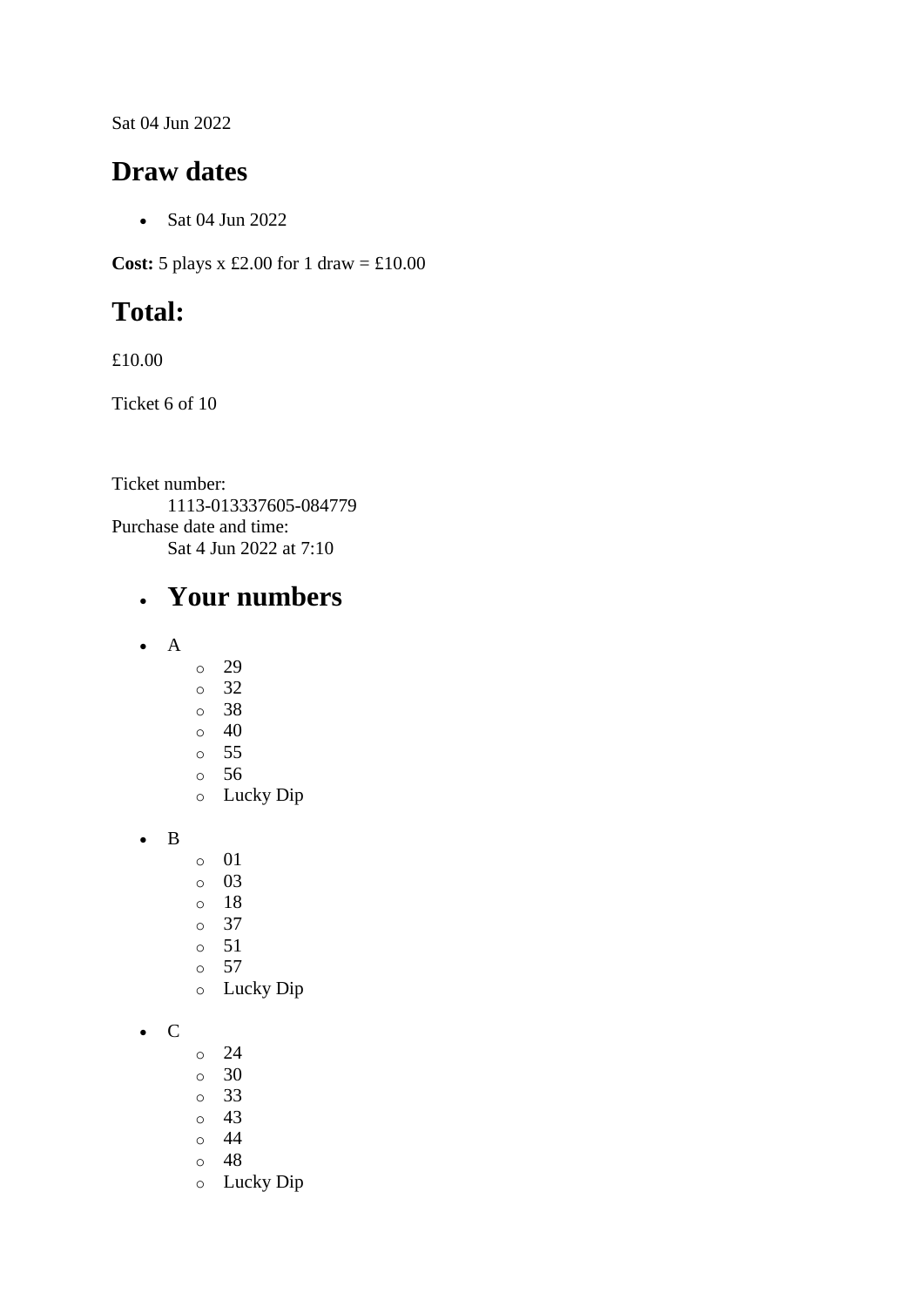Sat 04 Jun 2022

#### **Draw dates**

• Sat 04 Jun 2022

**Cost:** 5 plays x £2.00 for 1 draw =  $\text{\textsterling}10.00$ 

# **Total:**

£10.00

Ticket 6 of 10

Ticket number: 1113-013337605-084779 Purchase date and time: Sat 4 Jun 2022 at 7:10

## • **Your numbers**

- A
- o 29
- o 32
- o 38
- $\circ$  40
- o 55
- o 56 o Lucky Dip
- B
- o 01
- o 03
- o 18
- o 37
- o 51
- o 57
- o Lucky Dip
- C
- o 24
- o 30
- o 33
- o 43
- o 44
- o 48
- o Lucky Dip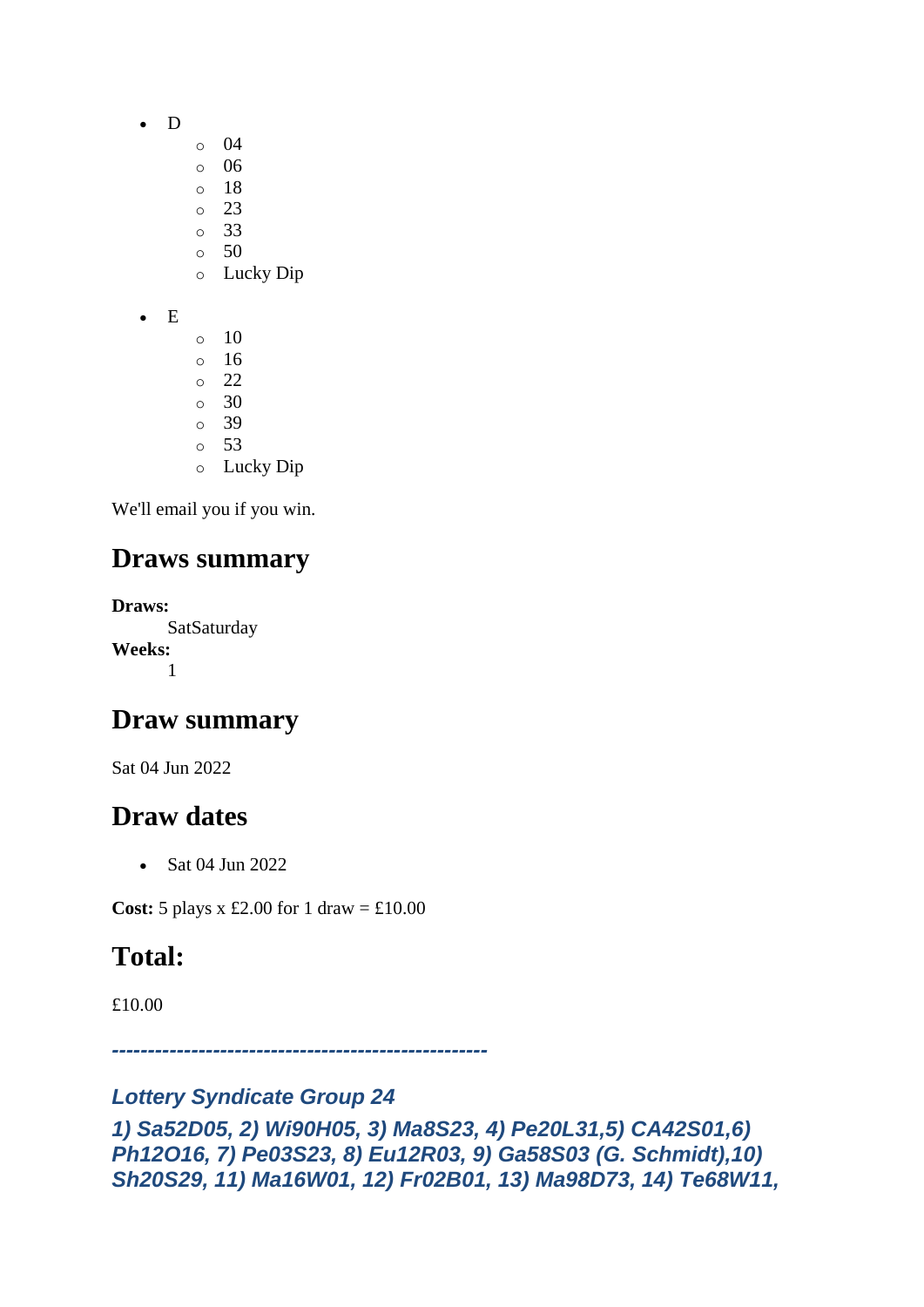- D
- o 04
- o 06
- o 18
- o 23 o 33
- $\circ$  50
- o Lucky Dip
- E
- $\circ$  10 o 16  $\circ$  22 o 30 o 39 o 53 o Lucky Dip

## **Draws summary**

**Draws:** SatSaturday **Weeks:** 1

### **Draw summary**

Sat 04 Jun 2022

## **Draw dates**

• Sat 04 Jun 2022

**Cost:** 5 plays x £2.00 for 1 draw =  $\text{\textsterling}10.00$ 

# **Total:**

£10.00

*----------------------------------------------------*

#### *Lottery Syndicate Group 24*

```
1) Sa52D05, 2) Wi90H05, 3) Ma8S23, 4) Pe20L31,5) CA42S01,6) 
Ph12O16, 7) Pe03S23, 8) Eu12R03, 9) Ga58S03 (G. Schmidt),10) 
Sh20S29, 11) Ma16W01, 12) Fr02B01, 13) Ma98D73, 14) Te68W11,
```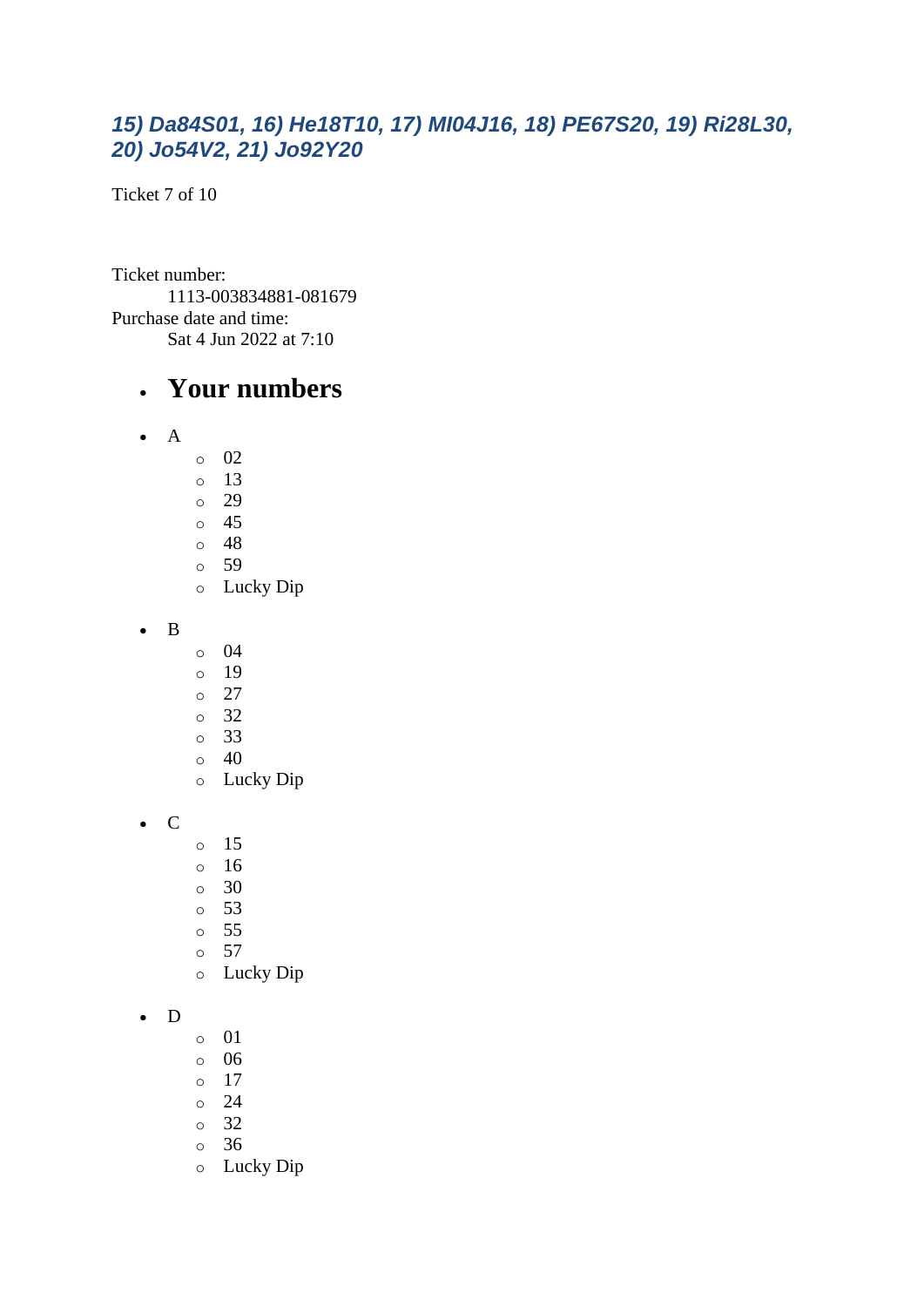#### *15) Da84S01, 16) He18T10, 17) MI04J16, 18) PE67S20, 19) Ri28L30, 20) Jo54V2, 21) Jo92Y20*

Ticket 7 of 10

Ticket number: 1113-003834881-081679 Purchase date and time: Sat 4 Jun 2022 at 7:10

#### • **Your numbers**

- A
- o 02
- o 13
- o 29
- o 45
- o 48 o 59
- o Lucky Dip
- B
- o 04
- o 19
- o 27
- o 32
- o 33
- o 40
- o Lucky Dip
- C
- o 15
- o 16
- o 30
- o 53
- o 55
- o 57
- o Lucky Dip

#### • D

- o 01
- o 06
- $\circ$  17
- o 24
- o 32
- o 36
- o Lucky Dip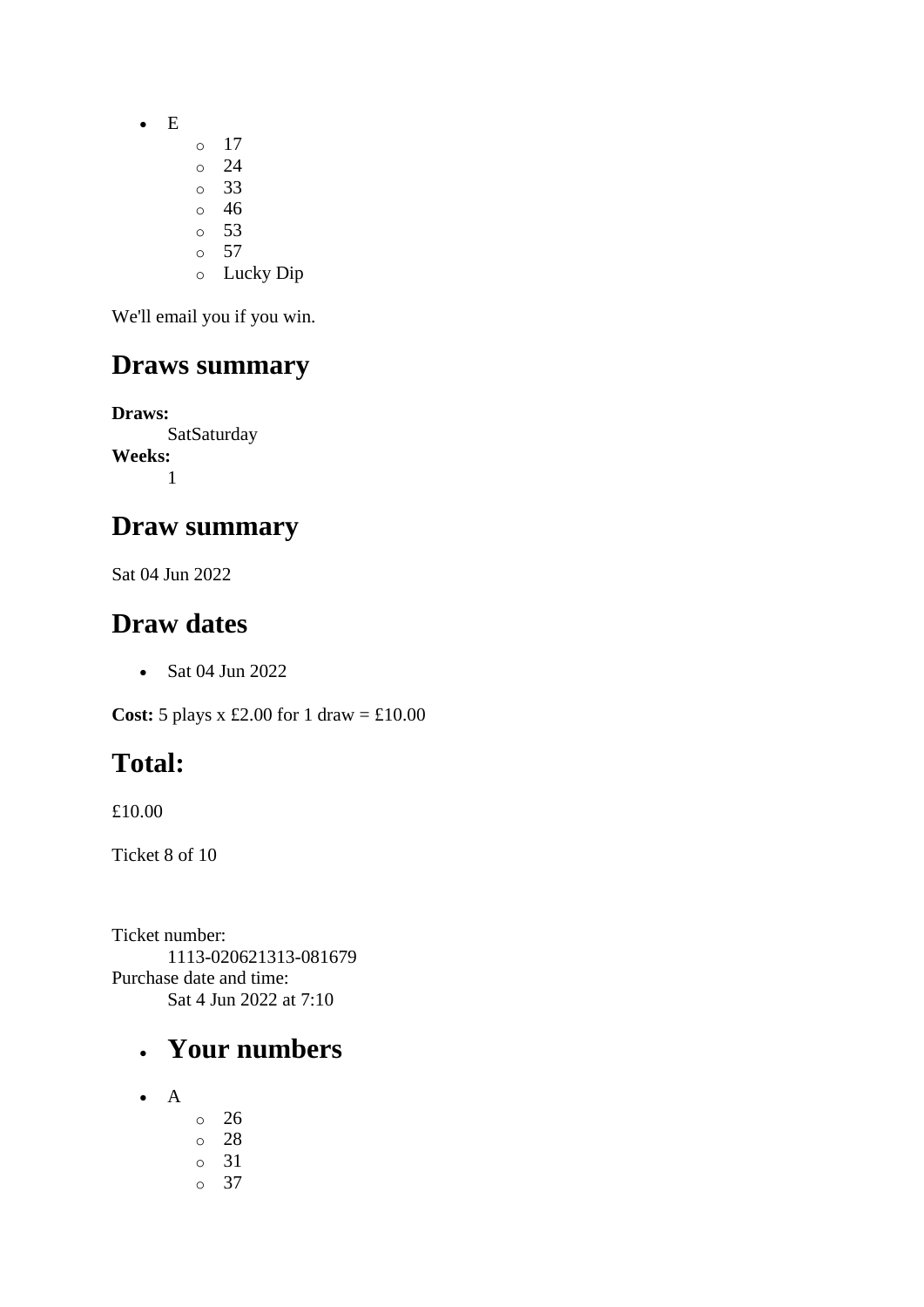• E

- o 17
- o 24
- o 33 o 46
- $\circ$  53
- $\circ$  57
- o Lucky Dip

We'll email you if you win.

# **Draws summary**

**Draws: SatSaturday Weeks:** 1

## **Draw summary**

Sat 04 Jun 2022

## **Draw dates**

• Sat 04 Jun 2022

**Cost:** 5 plays x £2.00 for 1 draw = £10.00

# **Total:**

£10.00

Ticket 8 of 10

Ticket number: 1113-020621313-081679 Purchase date and time: Sat 4 Jun 2022 at 7:10

# • **Your numbers**

- A
- o 26 o 28 o 31 o 37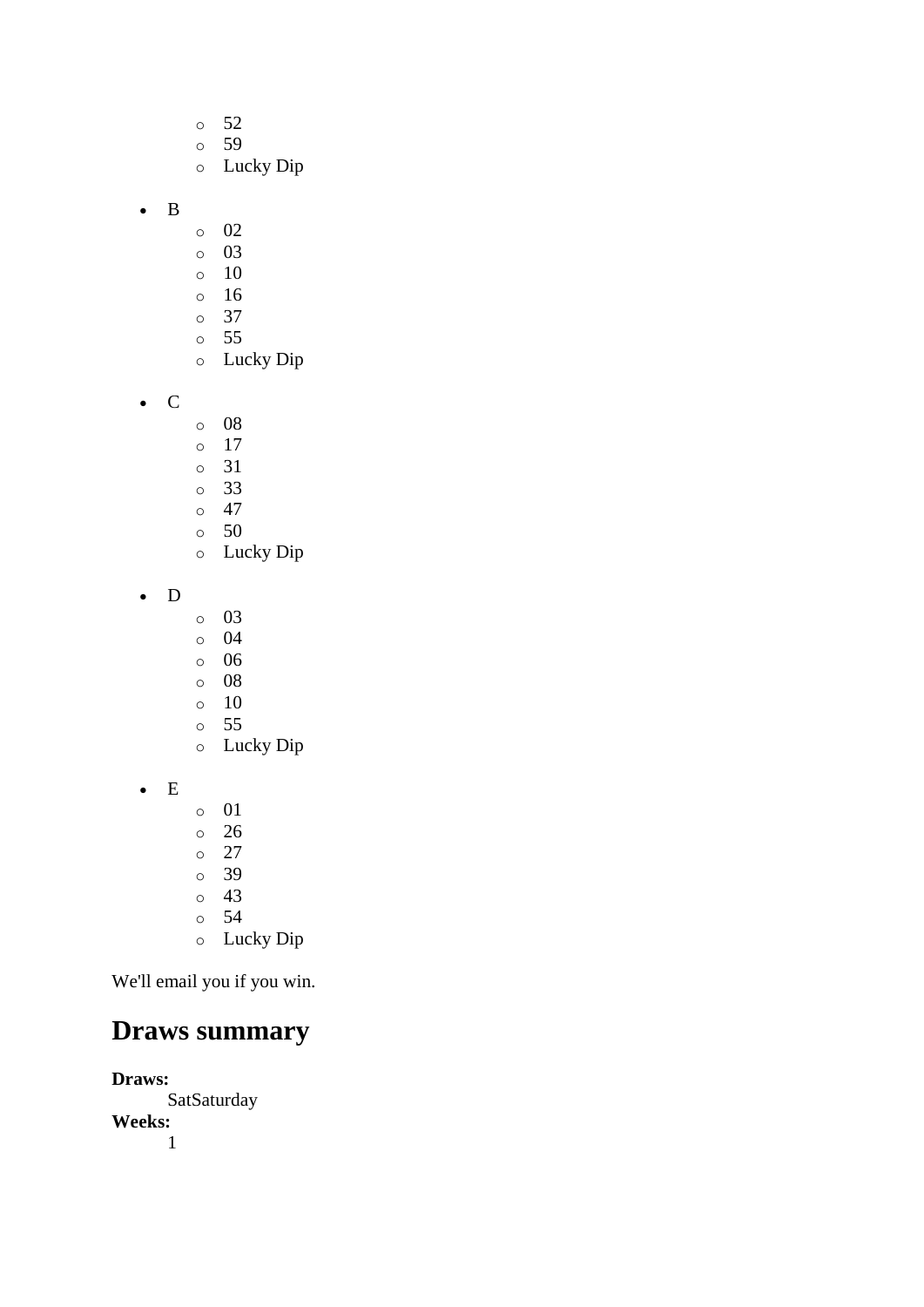- o 52
- o 59
- o Lucky Dip
- B
- o 02
- o 03
- o 10
- o 16
- o 37
- o 55 o Lucky Dip
- C
- o 08
- o 17
- o 31
- o 33
- $\circ$  47
- o 50
- o Lucky Dip
- D
- o 03
- o 04
- o 06
- o 08
- o 10 o 55
- o Lucky Dip
- E
- o 01
- o 26
- o 27
- o 39
- o 43 o 54
- o Lucky Dip

# **Draws summary**

**Draws:** SatSaturday **Weeks:** 1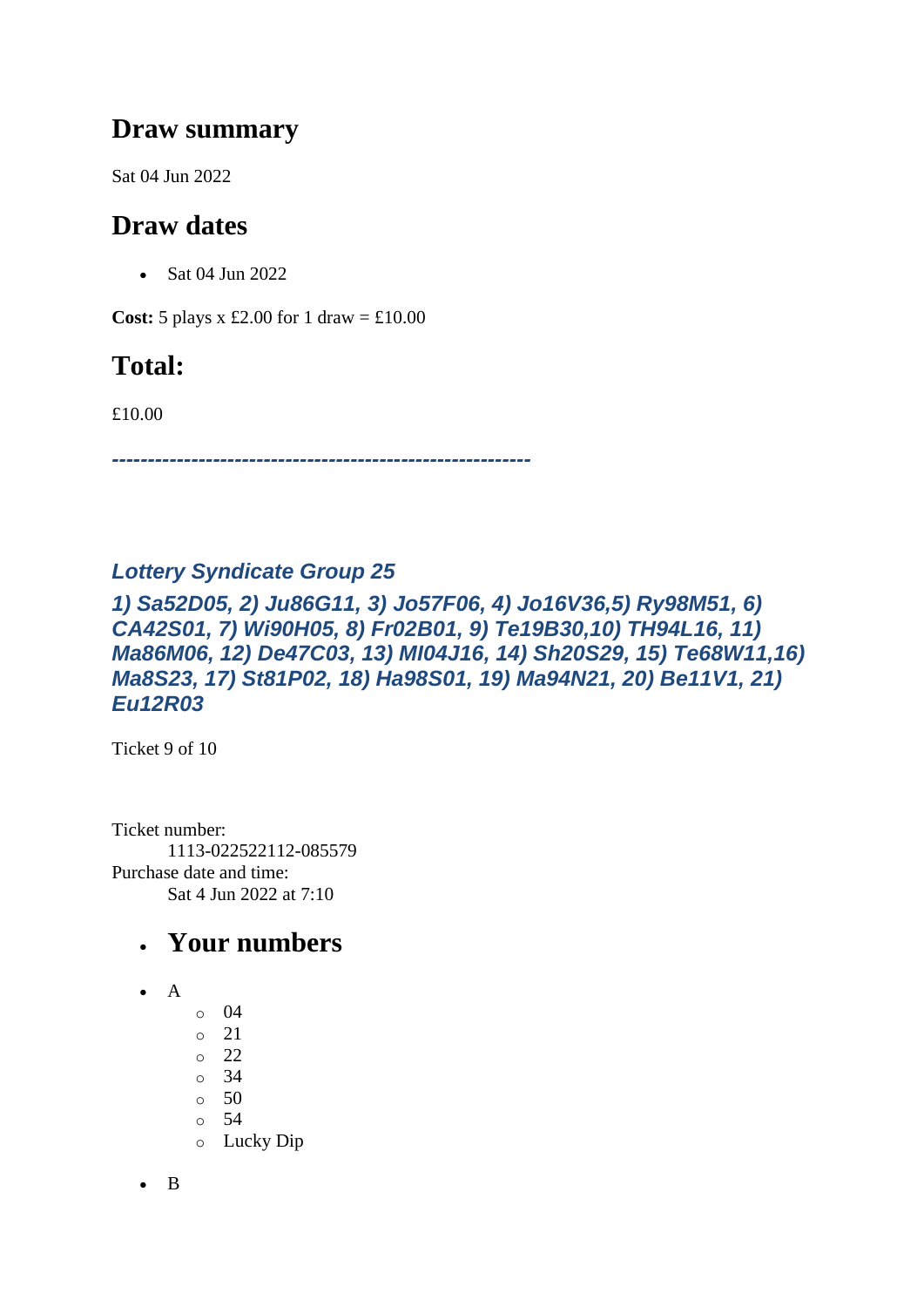### **Draw summary**

Sat 04 Jun 2022

## **Draw dates**

• Sat 04 Jun 2022

**Cost:**  $5$  plays x £2.00 for 1 draw = £10.00

## **Total:**

£10.00

*----------------------------------------------------------*

#### *Lottery Syndicate Group 25*

*1) Sa52D05, 2) Ju86G11, 3) Jo57F06, 4) Jo16V36,5) Ry98M51, 6) CA42S01, 7) Wi90H05, 8) Fr02B01, 9) Te19B30,10) TH94L16, 11) Ma86M06, 12) De47C03, 13) MI04J16, 14) Sh20S29, 15) Te68W11,16) Ma8S23, 17) St81P02, 18) Ha98S01, 19) Ma94N21, 20) Be11V1, 21) Eu12R03*

Ticket 9 of 10

Ticket number: 1113-022522112-085579 Purchase date and time: Sat 4 Jun 2022 at 7:10

## • **Your numbers**

- A
- o 04
- o 21
- o 22
- o 34
- o 50
- o 54
- o Lucky Dip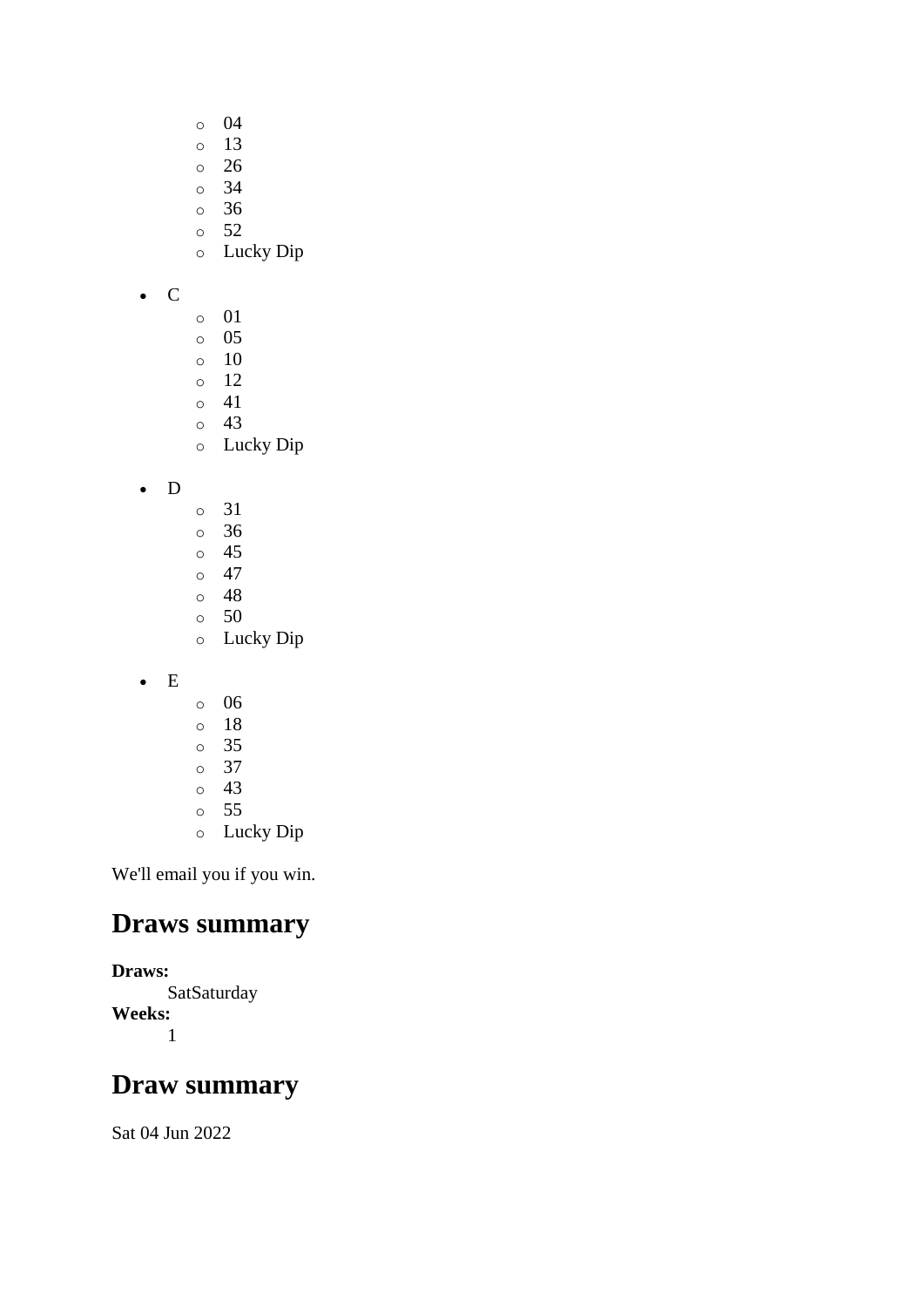- o 04
- o 13
- o 26
- o 34
- o 36
- $\circ$  52
- o Lucky Dip

• C

- o 01
- o 05
- o 10
- o 12
- $\circ$  41 o 43
- o Lucky Dip
- D
- o 31
- o 36
- o 45
- $\circ$  47
- o 48 o 50
- o Lucky Dip
- E
- o 06
- o 18
- o 35
- o 37
- o 43
- o 55 o Lucky Dip
- We'll email you if you win.

### **Draws summary**

#### **Draws:**

**SatSaturday Weeks:** 1

# **Draw summary**

Sat 04 Jun 2022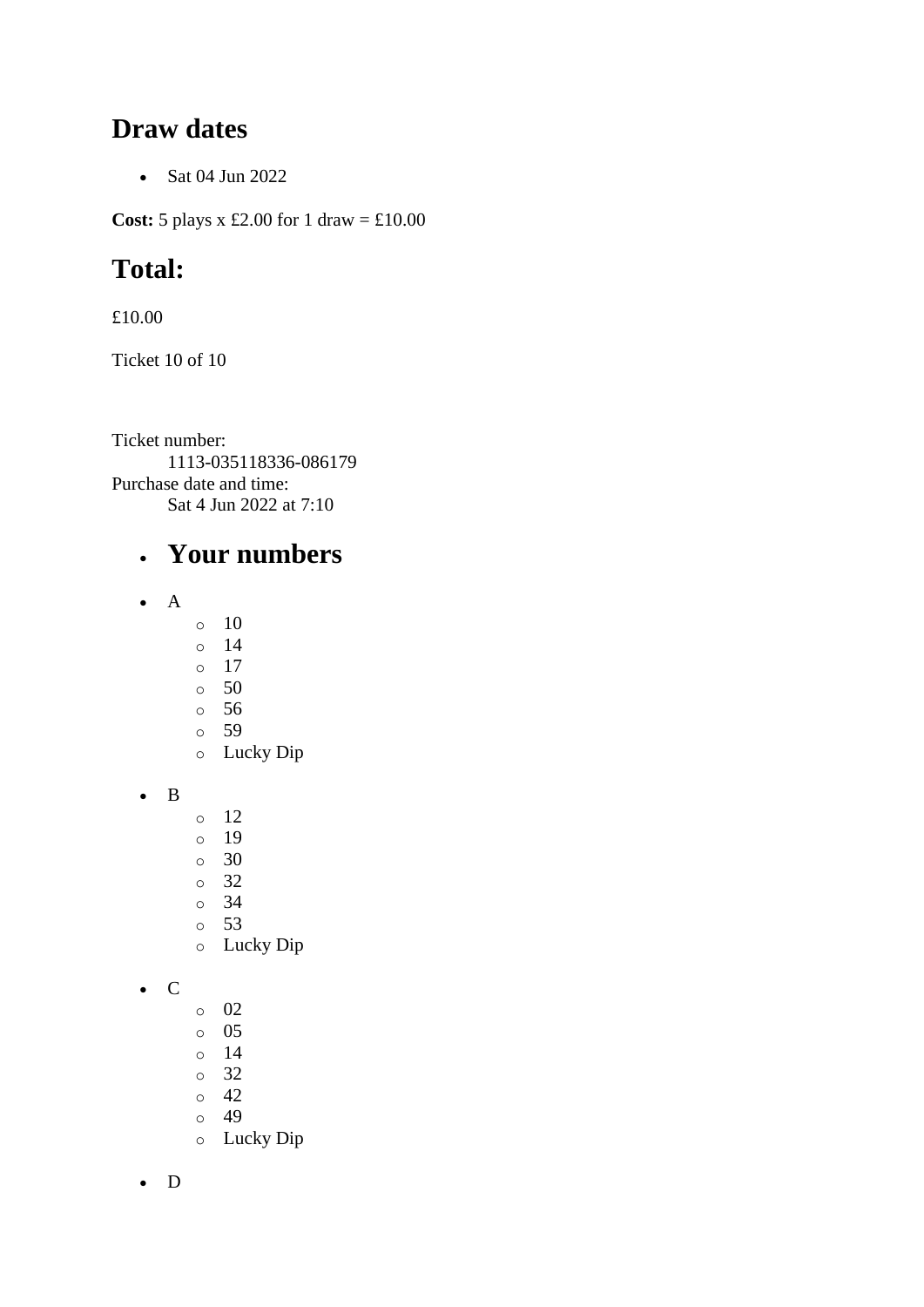#### **Draw dates**

• Sat 04 Jun 2022

**Cost:** 5 plays x £2.00 for 1 draw = £10.00

# **Total:**

£10.00

Ticket 10 of 10

Ticket number: 1113-035118336-086179 Purchase date and time: Sat 4 Jun 2022 at 7:10

## • **Your numbers**

- A
- $\circ$  10
- o 14
- o 17
- $\circ$  50
- o 56 o 59
- o Lucky Dip

• B

- o 12
- o 19
- o 30
- o 32
- o 34
- o 53
- o Lucky Dip

• C

- o 02
- o 05
- o 14
- o 32
- o 42 o 49
- o Lucky Dip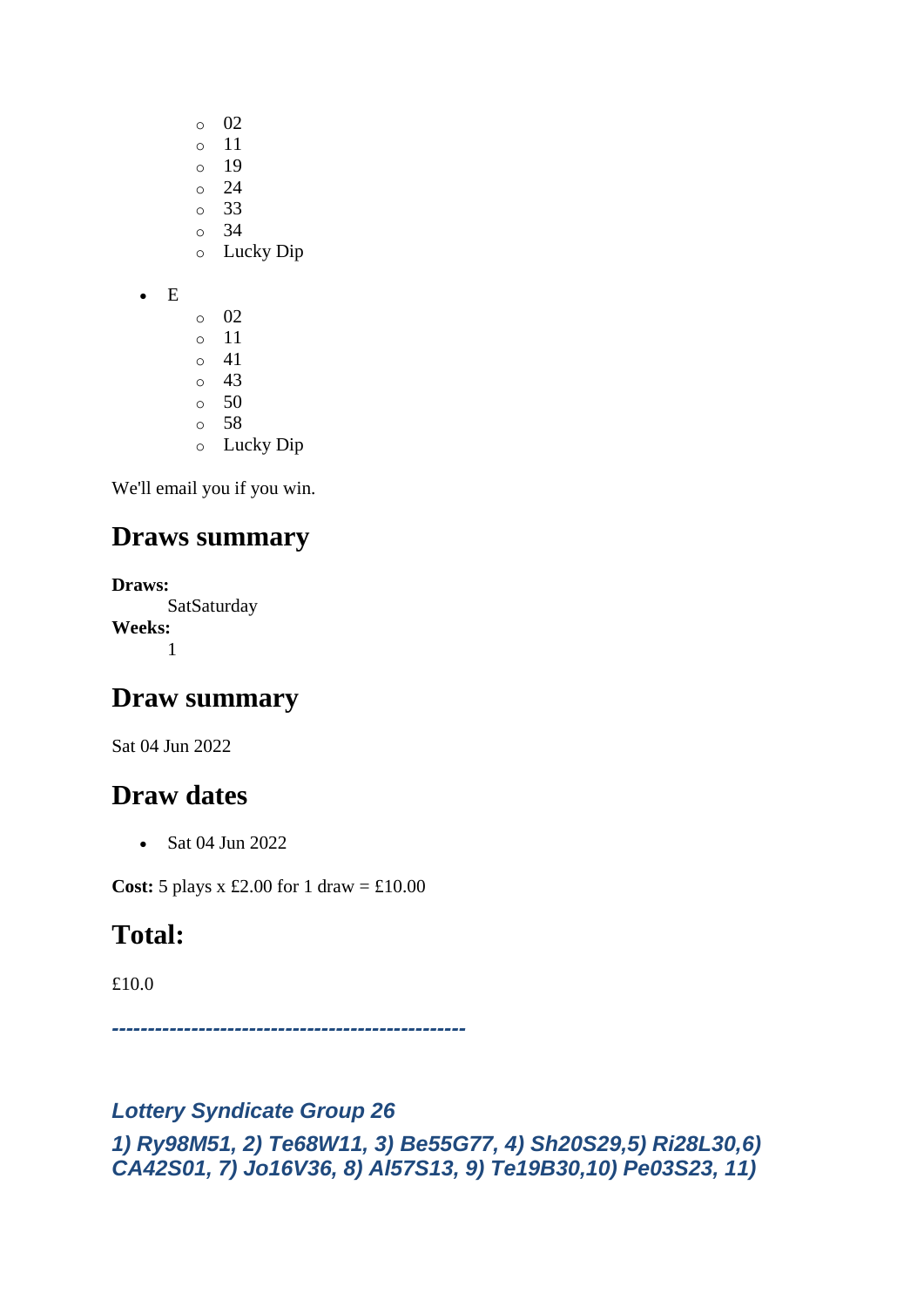- o 02
- o 11
- $\circ$  19
- $\circ$  24 o 33
- $\circ$  34
- o Lucky Dip
- E
	- $\circ$  02 o 11  $\circ$  41 o 43  $\circ$  50 o 58 o Lucky Dip

## **Draws summary**

**Draws: SatSaturday Weeks:** 1

## **Draw summary**

Sat 04 Jun 2022

## **Draw dates**

• Sat 04 Jun 2022

**Cost:** 5 plays x £2.00 for 1 draw = £10.00

# **Total:**

£10.0

*-------------------------------------------------*

#### *Lottery Syndicate Group 26*

*1) Ry98M51, 2) Te68W11, 3) Be55G77, 4) Sh20S29,5) Ri28L30,6) CA42S01, 7) Jo16V36, 8) Al57S13, 9) Te19B30,10) Pe03S23, 11)*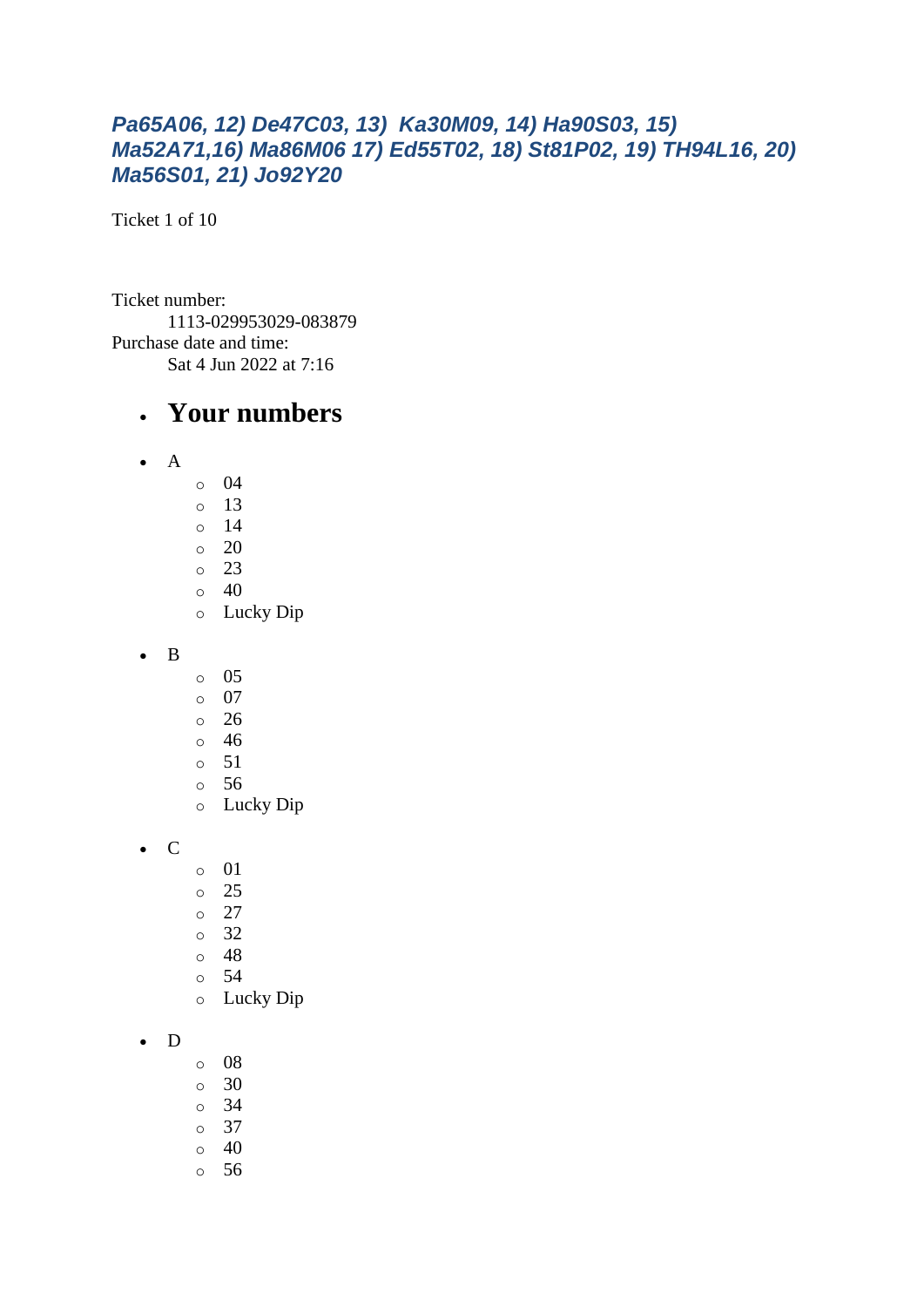#### *Pa65A06, 12) De47C03, 13) Ka30M09, 14) Ha90S03, 15) Ma52A71,16) Ma86M06 17) Ed55T02, 18) St81P02, 19) TH94L16, 20) Ma56S01, 21) Jo92Y20*

Ticket 1 of 10

Ticket number: 1113-029953029-083879 Purchase date and time: Sat 4 Jun 2022 at 7:16

#### • **Your numbers**

- $\bullet$  A
	- o 04
	- $\circ$  13
	- o 14
	- $\circ$  20
	- o 23
	- $\circ$  40
	- o Lucky Dip
- B
- o 05
- o 07
- o 26
- o 46
- $\circ$  51
- o 56
- o Lucky Dip

• C

- o 01
- o 25
- $\circ$  27
- o 32
- o 48
- o 54
- o Lucky Dip

#### • D

- o 08
- o 30
- o 34
- o 37
- $\circ$  40
- o 56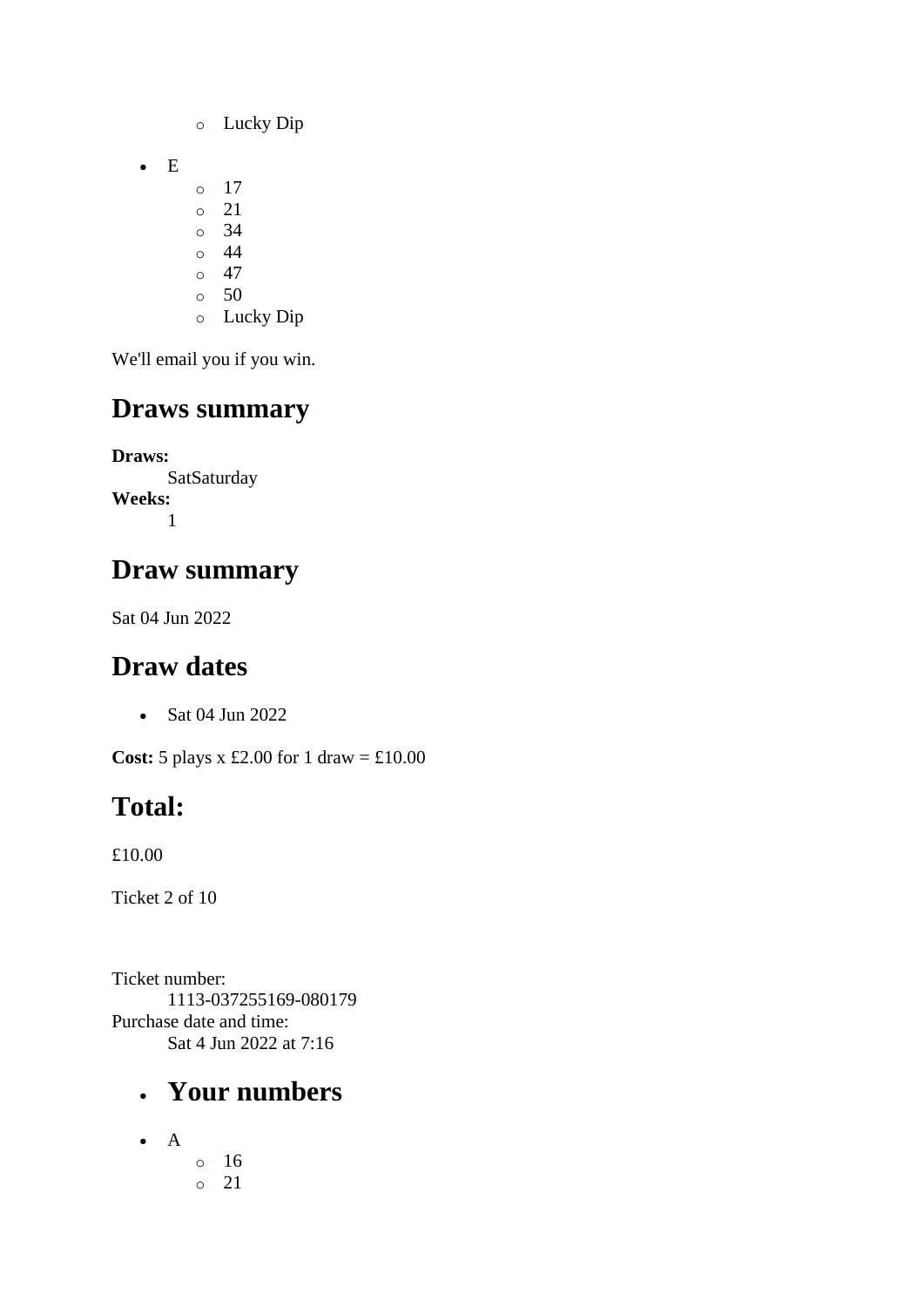- o Lucky Dip
- E
- $\circ$  17
- o 21
- o 34
- $\circ$  44  $\circ$  47
- $\circ$  50
- o Lucky Dip

# **Draws summary**

**Draws: SatSaturday Weeks:** 1

## **Draw summary**

Sat 04 Jun 2022

# **Draw dates**

• Sat 04 Jun 2022

**Cost:**  $5$  plays x £2.00 for 1 draw = £10.00

# **Total:**

£10.00

Ticket 2 of 10

Ticket number: 1113-037255169-080179 Purchase date and time: Sat 4 Jun 2022 at 7:16

### • **Your numbers**

 $\bullet$  A o 16 o 21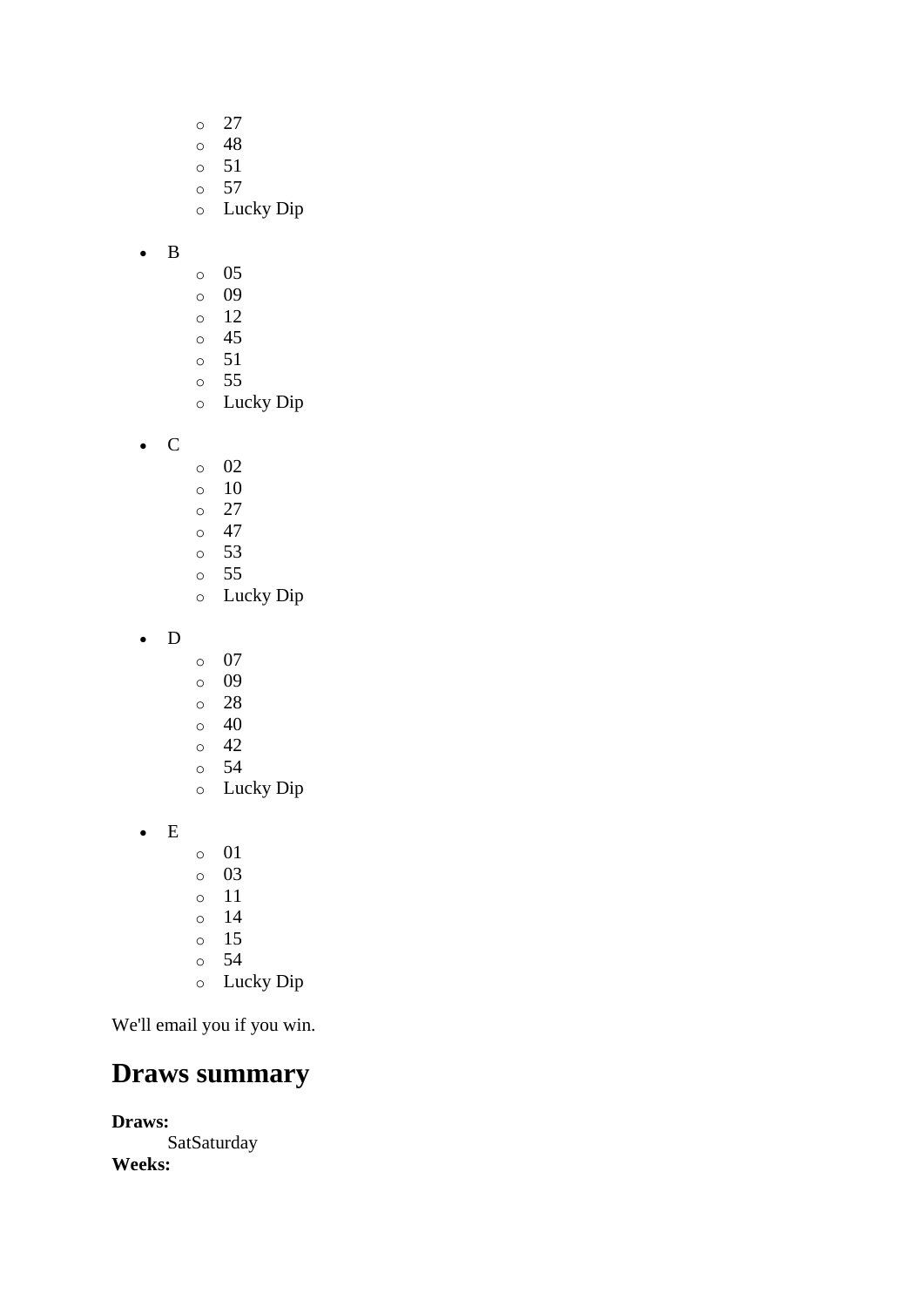- o 27
- o 48
- o 51
- o 57
- o Lucky Dip

#### • B

- o 05
- o 09
- o 12
- o 45 o 51
- o 55
- o Lucky Dip
- C
- o 02
- o 10
- o 27
- $\circ$  47
- o 53 o 55
- o Lucky Dip
- D
- o 07
- o 09
- o 28
- $\circ$  40
- o 42
- o 54
- o Lucky Dip
- E
- o 01
- o 03
- o 11
- o 14
- o 15
- o 54 o Lucky Dip

We'll email you if you win.

### **Draws summary**

**Draws: SatSaturday Weeks:**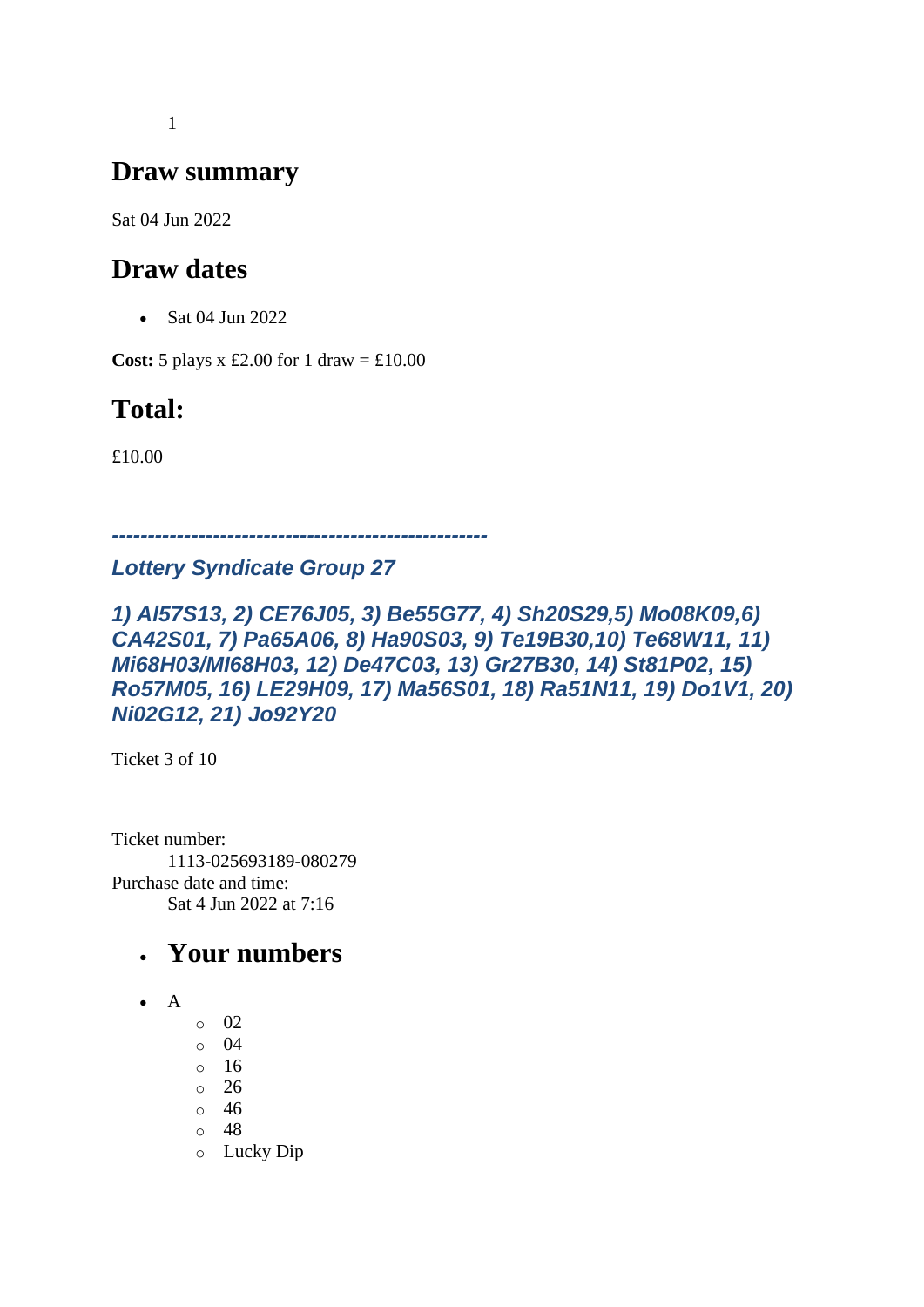1

### **Draw summary**

Sat 04 Jun 2022

## **Draw dates**

• Sat 04 Jun 2022

**Cost:**  $5$  plays x £2.00 for 1 draw = £10.00

# **Total:**

£10.00

*---------------------------------------------------- Lottery Syndicate Group 27*

#### *1) Al57S13, 2) CE76J05, 3) Be55G77, 4) Sh20S29,5) Mo08K09,6) CA42S01, 7) Pa65A06, 8) Ha90S03, 9) Te19B30,10) Te68W11, 11) Mi68H03/MI68H03, 12) De47C03, 13) Gr27B30, 14) St81P02, 15) Ro57M05, 16) LE29H09, 17) Ma56S01, 18) Ra51N11, 19) Do1V1, 20) Ni02G12, 21) Jo92Y20*

Ticket 3 of 10

Ticket number: 1113-025693189-080279 Purchase date and time: Sat 4 Jun 2022 at 7:16

## • **Your numbers**

- $\bullet$  A
- o 02
- o 04
- o 16
- o 26
- o 46
- o 48
- o Lucky Dip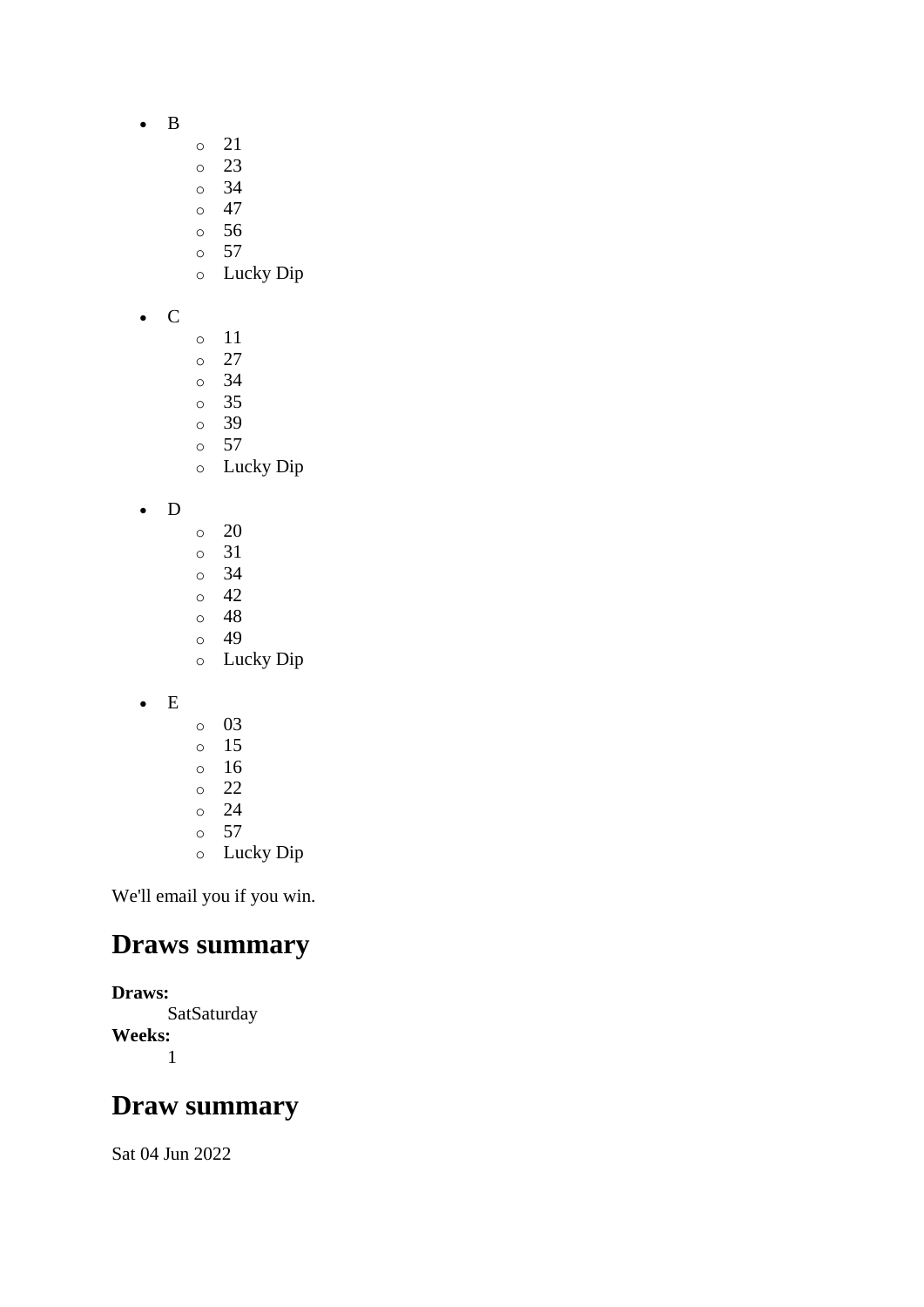- B
- o 21
- o 23
- o 34
- $\circ$  47
- o 56
- $\circ$  57
- o Lucky Dip
- C
- o 11
- o 27
- o 34
- o 35
- o 39 o 57
- o Lucky Dip

#### • D

- o 20
- o 31
- o 34
- o 42 o 48
- o 49
- o Lucky Dip
- E
- o 03
- o 15
- o 16
- o 22
- o 24
- $\circ$  57
- o Lucky Dip

We'll email you if you win.

## **Draws summary**

**Draws: SatSaturday Weeks:** 1

# **Draw summary**

Sat 04 Jun 2022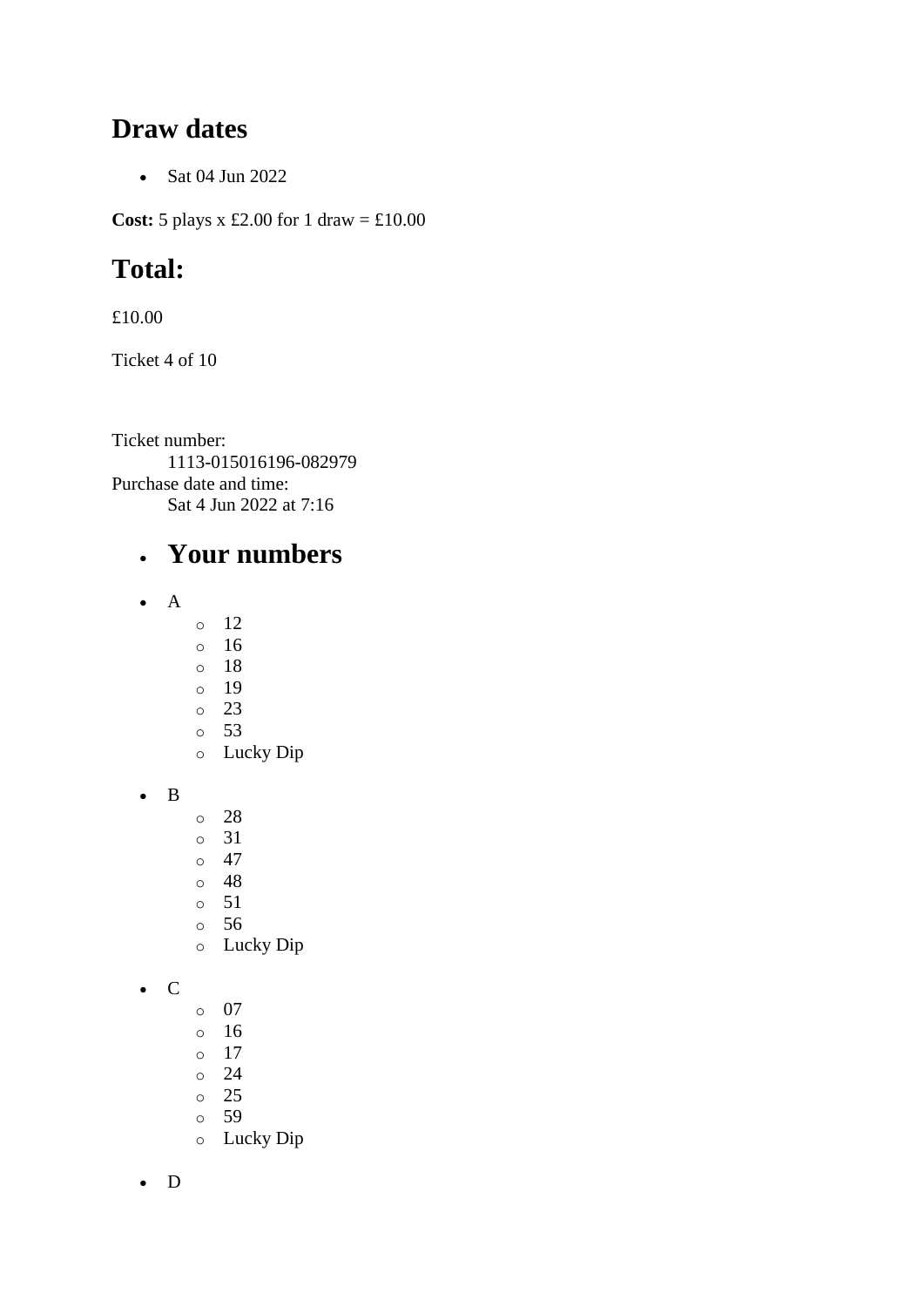#### **Draw dates**

• Sat 04 Jun 2022

**Cost:** 5 plays x £2.00 for 1 draw = £10.00

# **Total:**

£10.00

Ticket 4 of 10

Ticket number: 1113-015016196-082979 Purchase date and time: Sat 4 Jun 2022 at 7:16

## • **Your numbers**

- A
- o 12
- o 16
- o 18
- o 19
- o 23 o 53
- o Lucky Dip
- B
- o 28
- o 31
- $\circ$  47
- o 48
- o 51
- o 56
- o Lucky Dip

• C

- o 07
- o 16
- o 17
- o 24
- o 25 o 59
- o Lucky Dip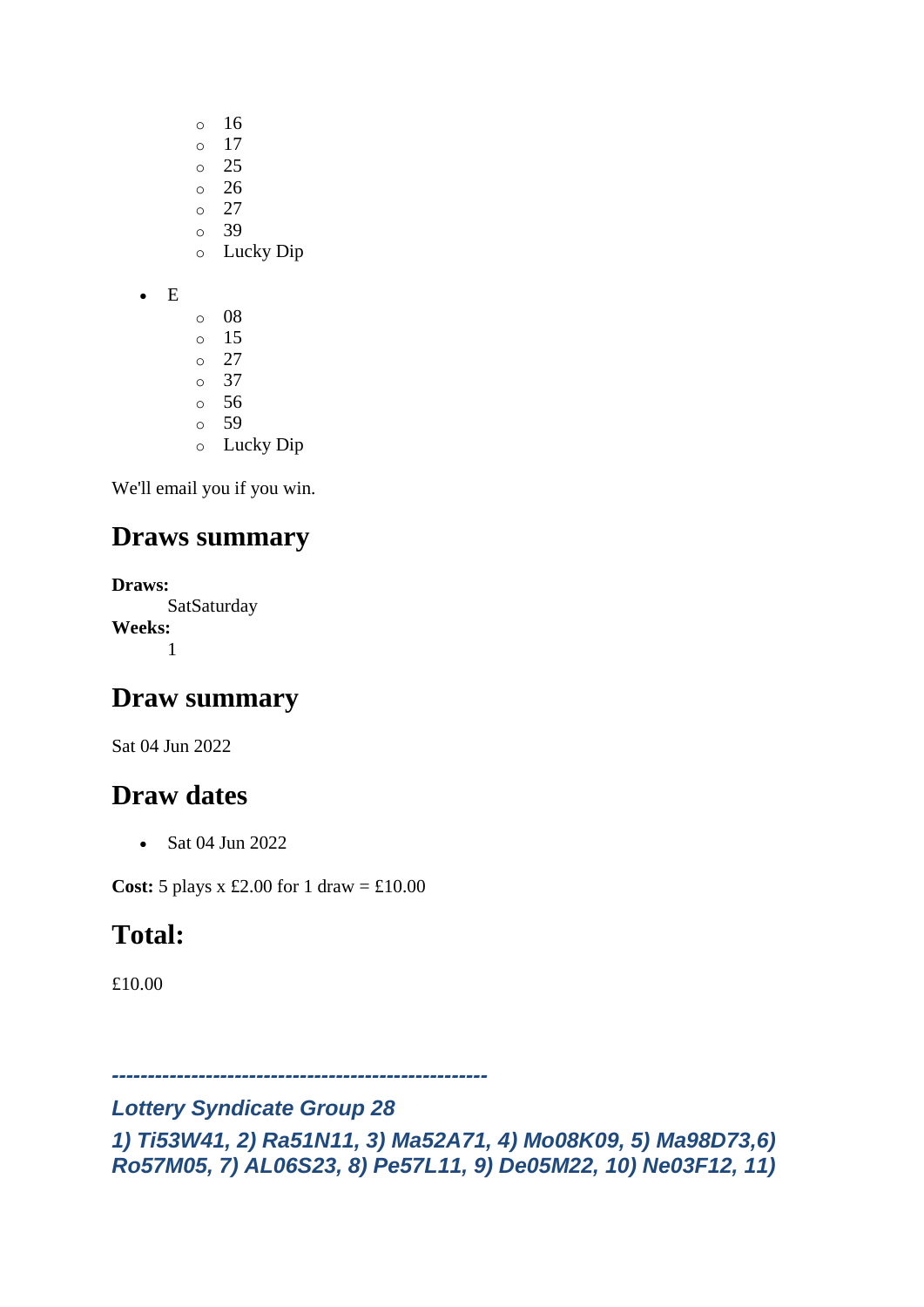- o 16
- o 17
- o 25
- $\circ$  26
- o 27 o 39
- o Lucky Dip
- E
- o 08 o 15 o 27 o 37 o 56
- o 59
- o Lucky Dip

## **Draws summary**

**Draws: SatSaturday Weeks:** 1

## **Draw summary**

Sat 04 Jun 2022

## **Draw dates**

• Sat 04 Jun 2022

**Cost:** 5 plays x £2.00 for 1 draw = £10.00

# **Total:**

£10.00

*----------------------------------------------------*

#### *Lottery Syndicate Group 28*

*1) Ti53W41, 2) Ra51N11, 3) Ma52A71, 4) Mo08K09, 5) Ma98D73,6) Ro57M05, 7) AL06S23, 8) Pe57L11, 9) De05M22, 10) Ne03F12, 11)*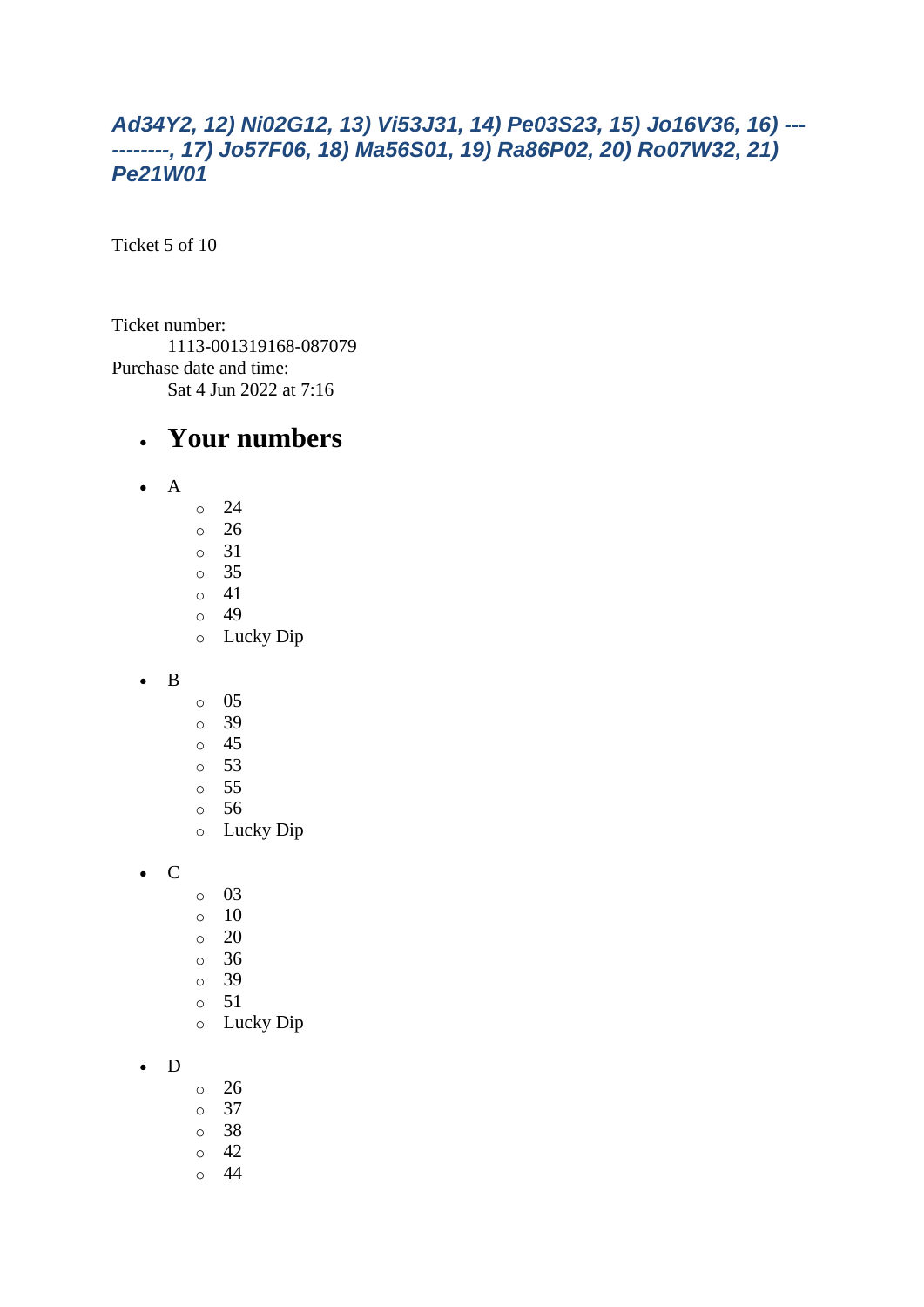#### *Ad34Y2, 12) Ni02G12, 13) Vi53J31, 14) Pe03S23, 15) Jo16V36, 16) --- --------, 17) Jo57F06, 18) Ma56S01, 19) Ra86P02, 20) Ro07W32, 21) Pe21W01*

Ticket 5 of 10

Ticket number: 1113-001319168-087079 Purchase date and time: Sat 4 Jun 2022 at 7:16

#### • **Your numbers**

- A
- o 24
- o 26 o 31
- o 35
- o 41
- o 49
- o Lucky Dip

• B

- o 05
- o 39
- o 45
- o 53
- o 55
- o 56 o Lucky Dip

• C

- o 03
- o 10
- $\circ$  20
- o 36
- o 39
- o 51
- o Lucky Dip

• D

- o 26
- o 37
- o 38
- o 42
- o 44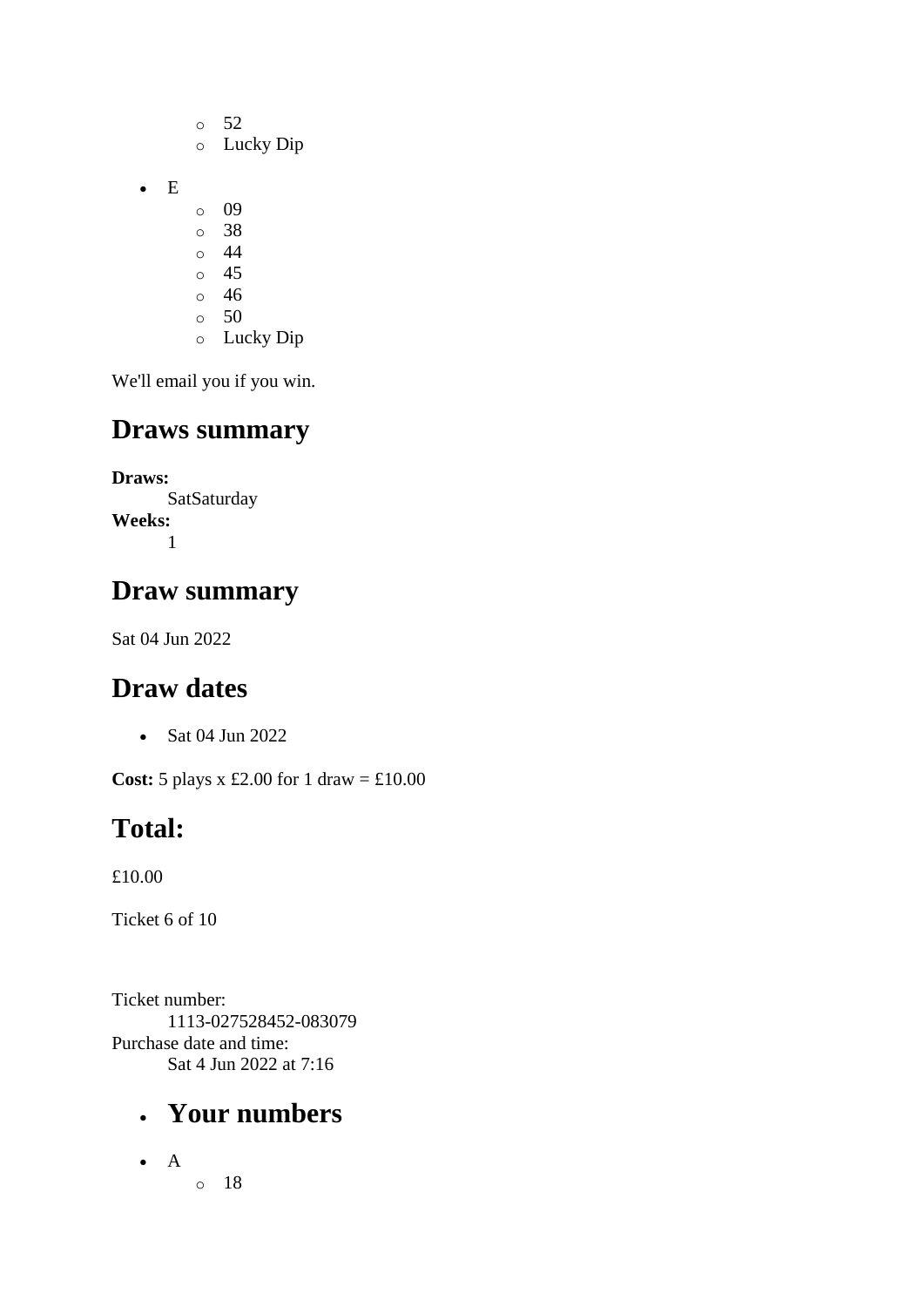- o 52 o Lucky Dip o 09 o 38 o 44 o 45
- o 46

• E

- $\circ$  50
- o Lucky Dip

We'll email you if you win.

## **Draws summary**

**Draws: SatSaturday Weeks:** 1

## **Draw summary**

Sat 04 Jun 2022

# **Draw dates**

• Sat 04 Jun 2022

**Cost:** 5 plays x £2.00 for 1 draw = £10.00

# **Total:**

£10.00

Ticket 6 of 10

Ticket number: 1113-027528452-083079 Purchase date and time: Sat 4 Jun 2022 at 7:16

# • **Your numbers**

• A o 18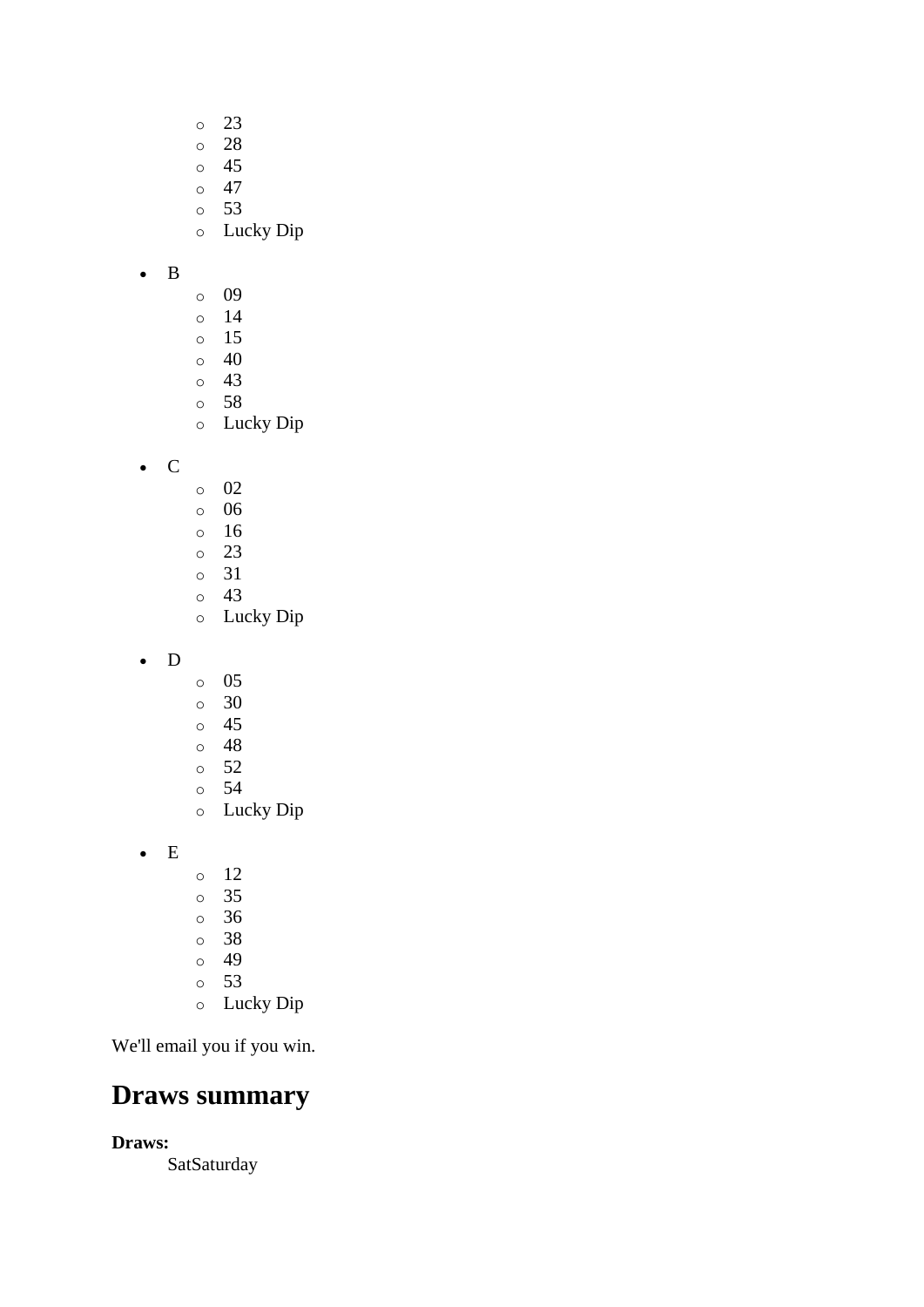- o 23
- o 28
- o 45
- $\circ$  47
- o 53
- o Lucky Dip
- B
- o 09
- o 14
- o 15
- o 40
- o 43 o 58
- o Lucky Dip

• C

- o 02
- o 06
- o 16 o 23
- o 31
- o 43
- o Lucky Dip
- D
- o 05
- o 30
- o 45
- o 48
- o 52
- o 54
- o Lucky Dip

• E

- o 12 o 35 o 36
- o 38
- o 49
- o 53
- o Lucky Dip

We'll email you if you win.

## **Draws summary**

**Draws:**

**SatSaturday**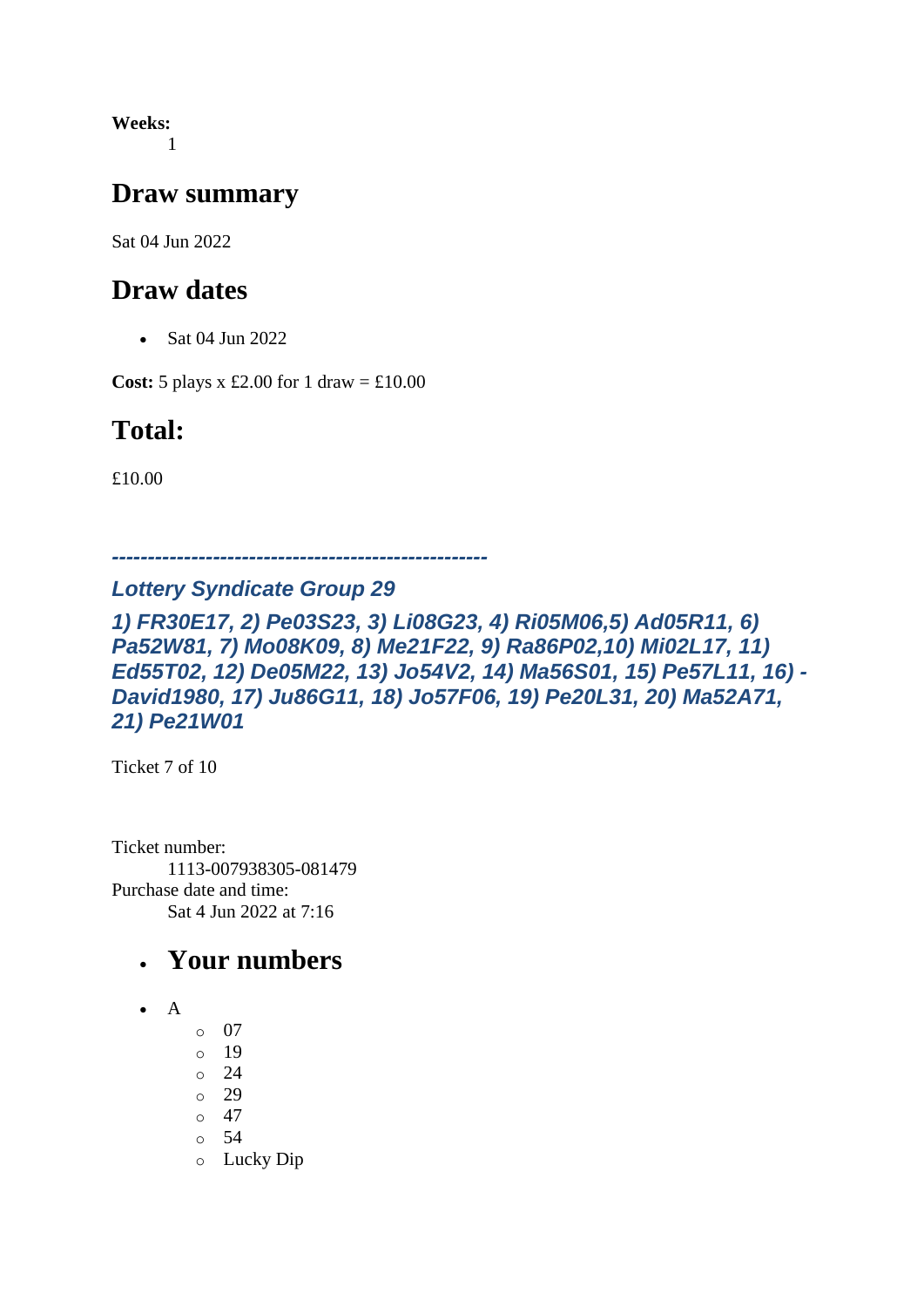**Weeks:** 1

#### **Draw summary**

Sat 04 Jun 2022

#### **Draw dates**

• Sat 04 Jun 2022

**Cost:** 5 plays x £2.00 for 1 draw =  $\text{\textsterling}10.00$ 

## **Total:**

£10.00

*----------------------------------------------------*

#### *Lottery Syndicate Group 29*

*1) FR30E17, 2) Pe03S23, 3) Li08G23, 4) Ri05M06,5) Ad05R11, 6) Pa52W81, 7) Mo08K09, 8) Me21F22, 9) Ra86P02,10) Mi02L17, 11) Ed55T02, 12) De05M22, 13) Jo54V2, 14) Ma56S01, 15) Pe57L11, 16) - David1980, 17) Ju86G11, 18) Jo57F06, 19) Pe20L31, 20) Ma52A71, 21) Pe21W01*

Ticket 7 of 10

Ticket number: 1113-007938305-081479 Purchase date and time: Sat 4 Jun 2022 at 7:16

### • **Your numbers**

- A
	- o 07
	- o 19
	- o 24
	- o 29
	- $\circ$  47
	- o 54
	- o Lucky Dip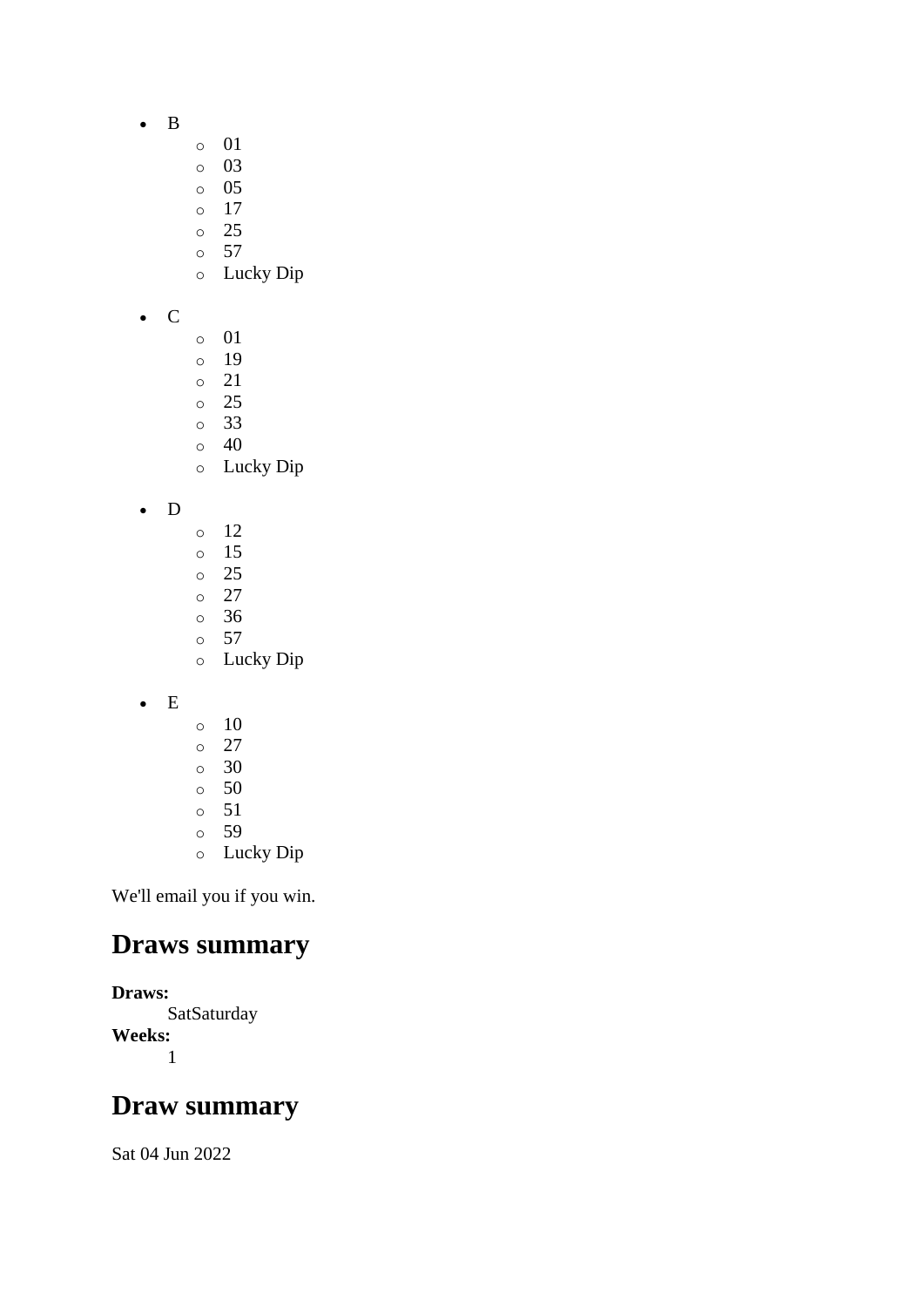- B
- o 01
- o 03
- o 05
- o 17
- o 25
- $\circ$  57
- o Lucky Dip
- C
- o 01
- o 19
- o 21
- o 25
- o 33 o 40
- o Lucky Dip

• D

- o 12
- o 15
- o 25
- o 27 o 36
- o 57
- o Lucky Dip
- E
- $\circ$  10
- o 27
- o 30
- o 50
- o 51
- o 59
- o Lucky Dip

We'll email you if you win.

### **Draws summary**

**Draws: SatSaturday Weeks:** 1

## **Draw summary**

Sat 04 Jun 2022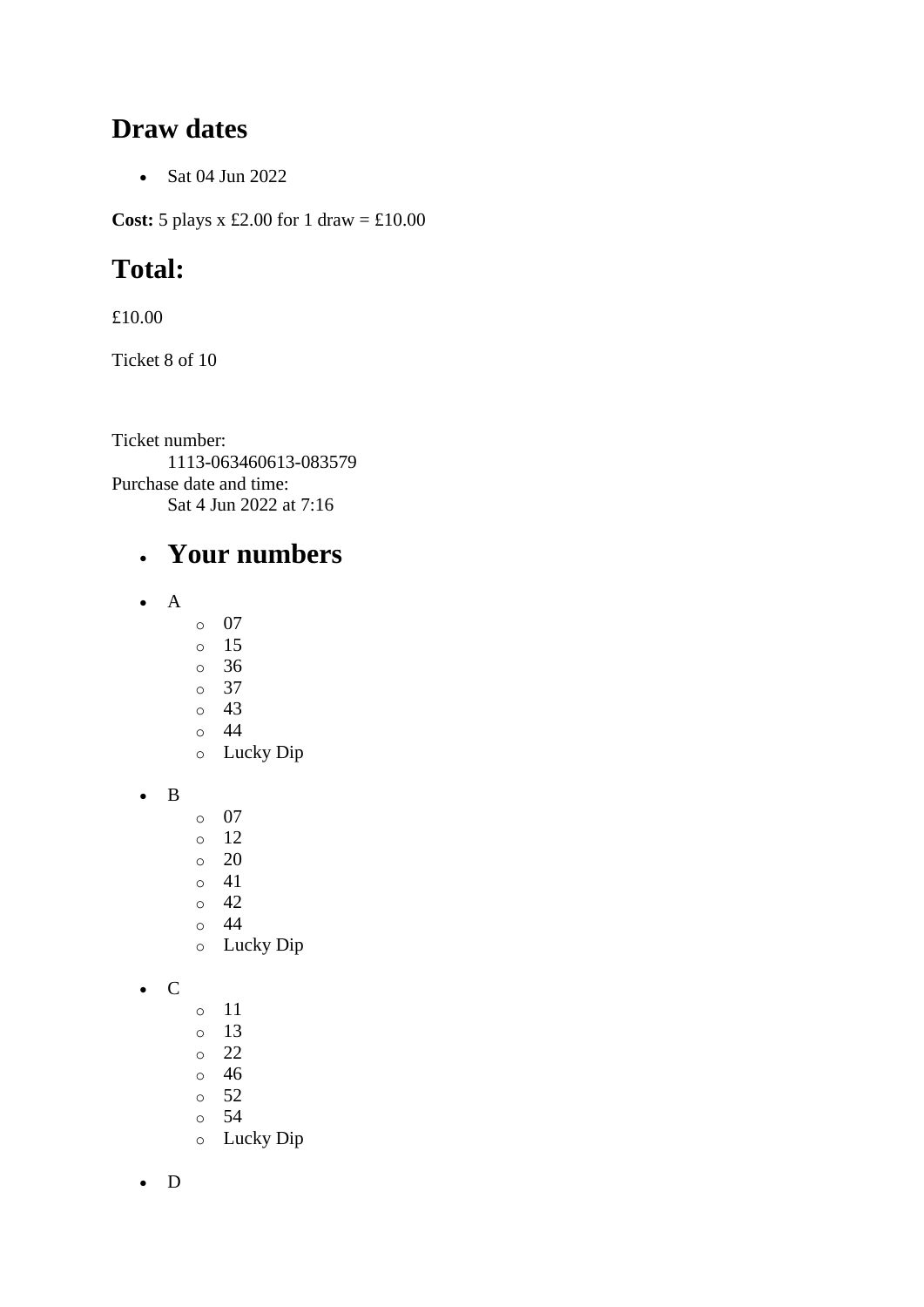#### **Draw dates**

• Sat 04 Jun 2022

**Cost:** 5 plays x £2.00 for 1 draw = £10.00

# **Total:**

£10.00

Ticket 8 of 10

Ticket number: 1113-063460613-083579 Purchase date and time: Sat 4 Jun 2022 at 7:16

## • **Your numbers**

- A
	- o 07
	- o 15
	- o 36
	- o 37
	- o 43 o 44
	- o Lucky Dip

• B

- o 07
- o 12
- o 20
- o 41
- o 42
- o 44
- o Lucky Dip

• C

- o 11
- o 13
- o 22
- o 46
- o 52
- o 54 o Lucky Dip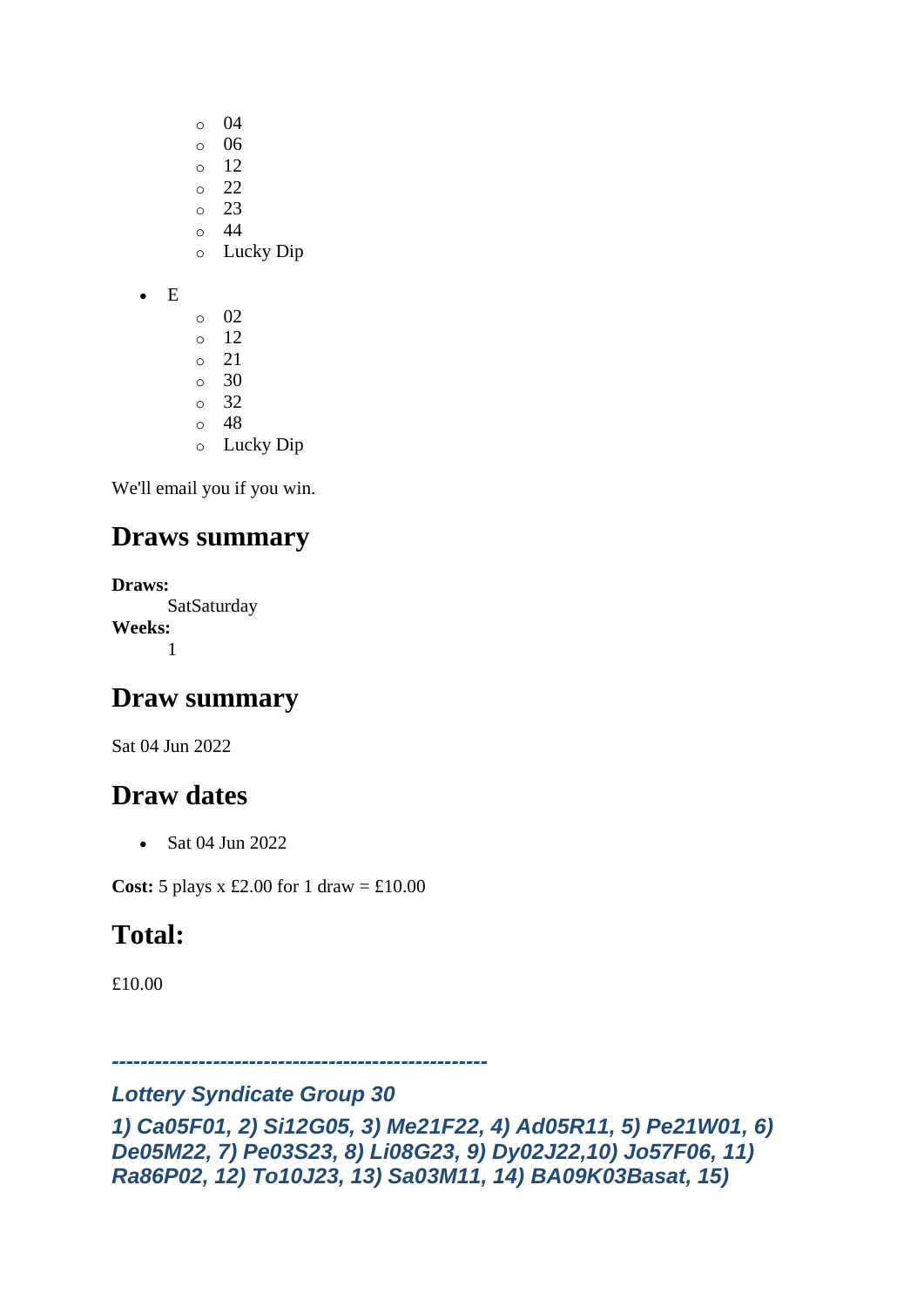- o 04
- o 06
- o 12
- $\degree$  22
- o 23
- $\circ$  44 o Lucky Dip
- E
- o 02 o 12 o 21  $\circ$  30 o 32 o 48
- o Lucky Dip

## **Draws summary**

**Draws: SatSaturday Weeks:** 1

# **Draw summary**

Sat 04 Jun 2022

## **Draw dates**

• Sat 04 Jun 2022

**Cost:**  $5$  plays x £2.00 for 1 draw = £10.00

# **Total:**

£10.00

*----------------------------------------------------*

#### *Lottery Syndicate Group 30*

```
1) Ca05F01, 2) Si12G05, 3) Me21F22, 4) Ad05R11, 5) Pe21W01, 6) 
De05M22, 7) Pe03S23, 8) Li08G23, 9) Dy02J22,10) Jo57F06, 11) 
Ra86P02, 12) To10J23, 13) Sa03M11, 14) BA09K03Basat, 15)
```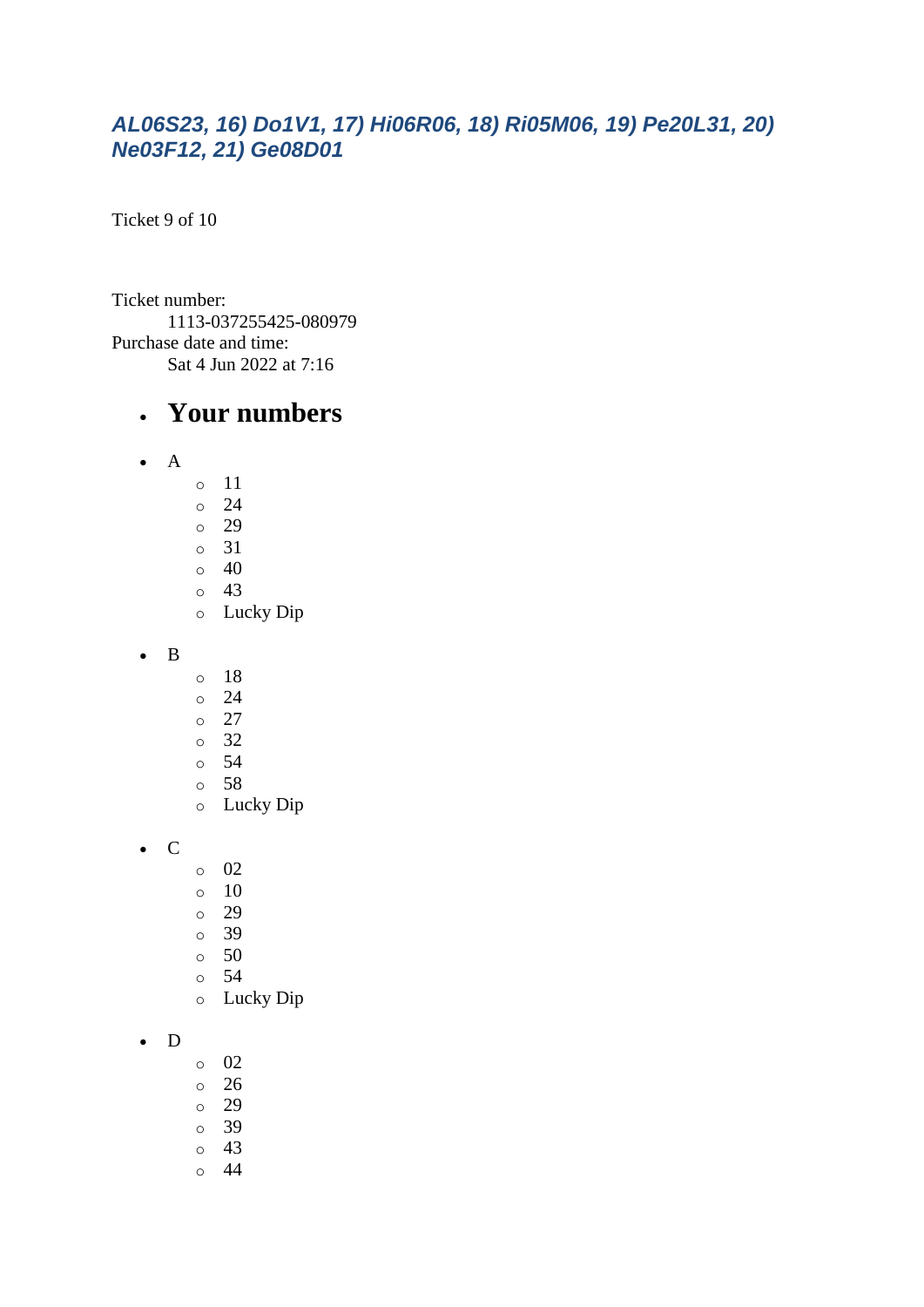#### *AL06S23, 16) Do1V1, 17) Hi06R06, 18) Ri05M06, 19) Pe20L31, 20) Ne03F12, 21) Ge08D01*

Ticket 9 of 10

Ticket number: 1113-037255425-080979 Purchase date and time: Sat 4 Jun 2022 at 7:16

#### • **Your numbers**

- $\bullet$  A
	- o 11
	- o 24
	- o 29
	- o 31
	- $\circ$  40  $\circ$  43
	- o Lucky Dip
- B
- o 18
- o 24
- o 27
- o 32
- o 54
- o 58
- o Lucky Dip

• C

- o 02
- $\circ$  10
- o 29
- o 39
- o 50
- o 54
- o Lucky Dip

#### • D

- $\circ$  02
- o 26
- o 29
- o 39
- o 43
- o 44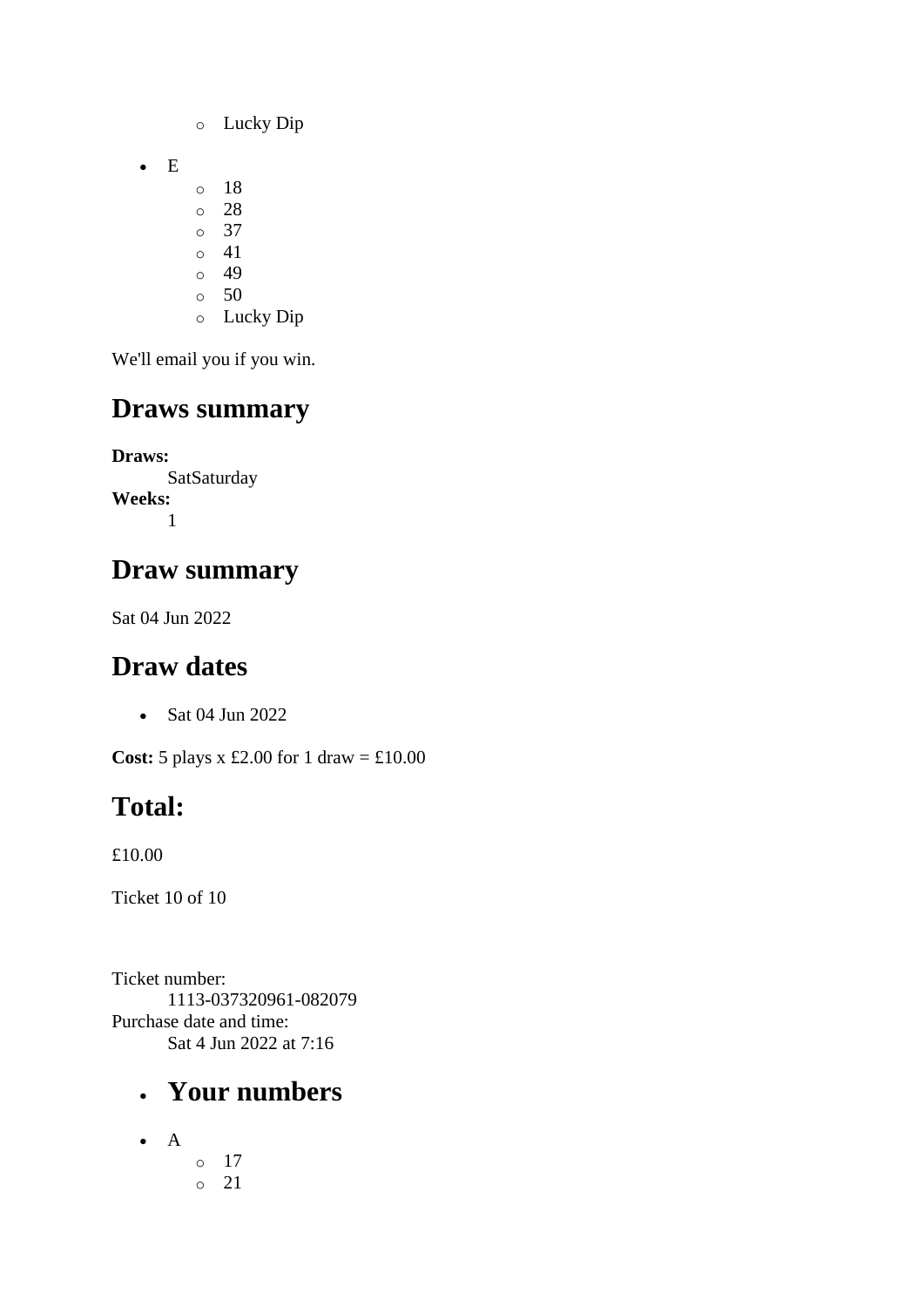- o Lucky Dip
- E
- o 18
- o 28
- o 37
- o 41  $\circ$  49
- o 50
- o Lucky Dip

# **Draws summary**

**Draws: SatSaturday Weeks:** 1

## **Draw summary**

Sat 04 Jun 2022

# **Draw dates**

• Sat 04 Jun 2022

**Cost:**  $5$  plays x £2.00 for 1 draw = £10.00

# **Total:**

£10.00

Ticket 10 of 10

Ticket number: 1113-037320961-082079 Purchase date and time: Sat 4 Jun 2022 at 7:16

### • **Your numbers**

 $\bullet$  A o 17 o 21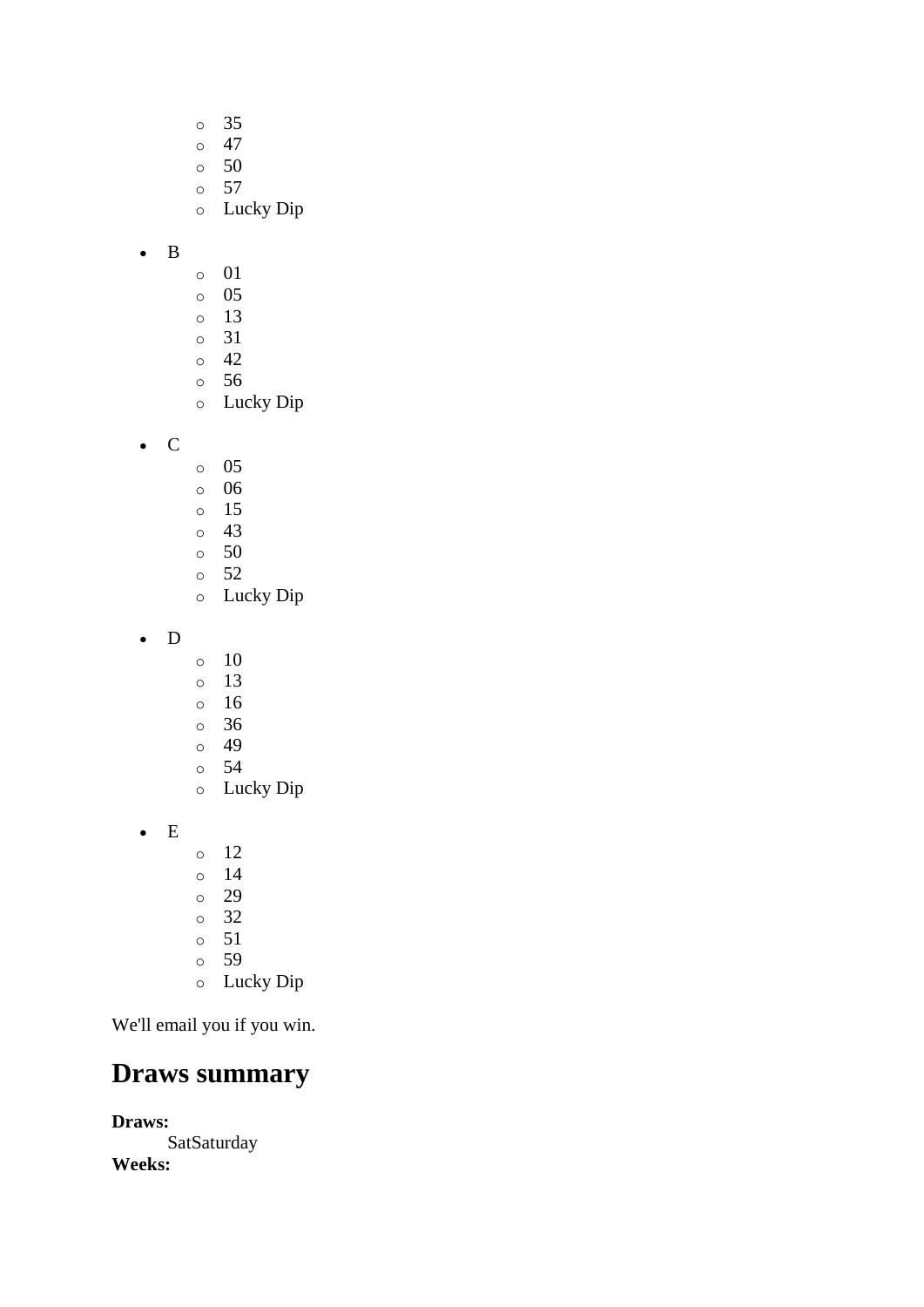- o 35
- $\circ$  47
- $\circ$  50
- o 57
- o Lucky Dip

#### • B

- o 01
- o 05
- o 13
- o 31
- o 42 o 56
- o Lucky Dip
- C
- o 05
- o 06
- o 15
- o 43
- $\circ$  50 o 52
- o Lucky Dip
- D
- $\circ$  10
- o 13
- o 16
- o 36
- o 49
- o 54
- o Lucky Dip
- E
- o 12
- o 14
- o 29
- o 32
- o 51
- o 59
- o Lucky Dip

We'll email you if you win.

### **Draws summary**

**Draws: SatSaturday Weeks:**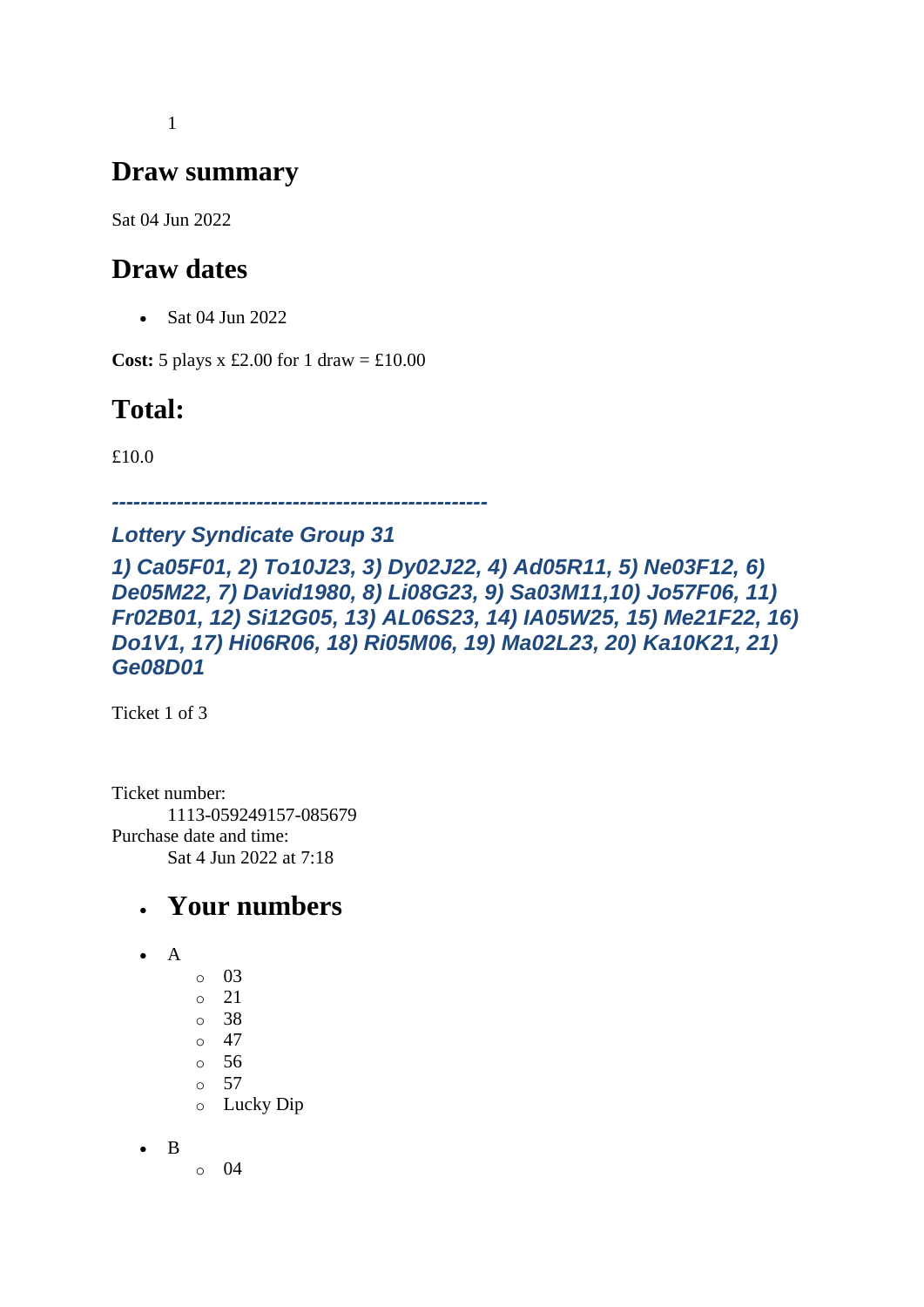1

### **Draw summary**

Sat 04 Jun 2022

## **Draw dates**

• Sat 04 Jun 2022

**Cost:** 5 plays x £2.00 for 1 draw =  $\text{\textsterling}10.00$ 

# **Total:**

£10.0

*----------------------------------------------------*

#### *Lottery Syndicate Group 31*

*1) Ca05F01, 2) To10J23, 3) Dy02J22, 4) Ad05R11, 5) Ne03F12, 6) De05M22, 7) David1980, 8) Li08G23, 9) Sa03M11,10) Jo57F06, 11) Fr02B01, 12) Si12G05, 13) AL06S23, 14) IA05W25, 15) Me21F22, 16) Do1V1, 17) Hi06R06, 18) Ri05M06, 19) Ma02L23, 20) Ka10K21, 21) Ge08D01*

Ticket 1 of 3

Ticket number: 1113-059249157-085679 Purchase date and time: Sat 4 Jun 2022 at 7:18

#### • **Your numbers**

- $\bullet$  A
- o 03
- $\circ$  21
- o 38
- $\circ$  47
- o 56
- o 57 o Lucky Dip
- 

• B

o 04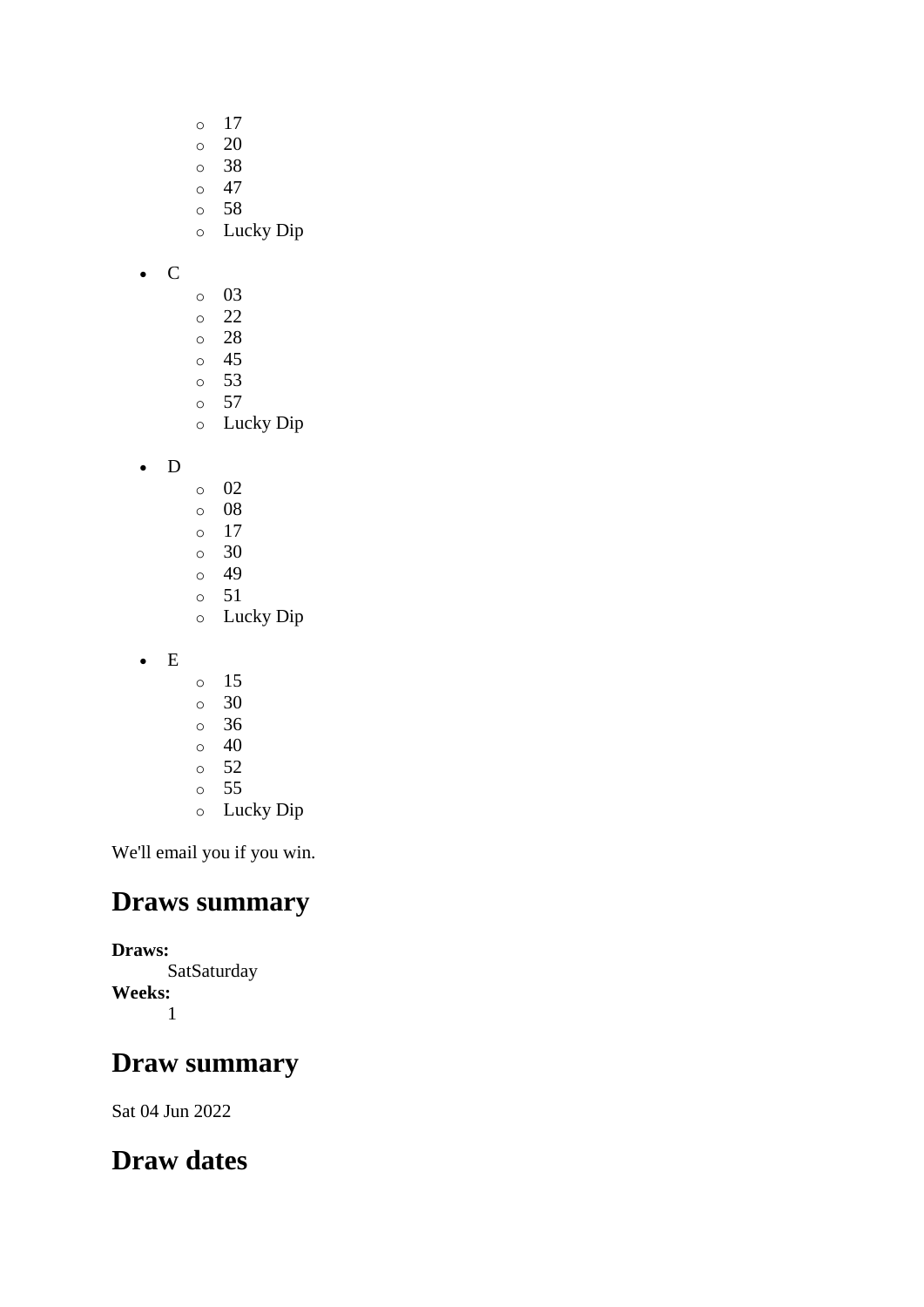- o 17
- $\circ$  20
- o 38
- $\circ$  47 o 58
- o Lucky Dip

• C

- o 03
- o 22
- o 28
- o 45
- o 53 o 57
- o Lucky Dip
- D
- o 02
- o 08
- o 17
- o 30  $\circ$  49
- o 51
- o Lucky Dip
- E
- o 15
- o 30
- o 36
- $\circ$  40
- $\circ$  52 o 55
- o Lucky Dip

We'll email you if you win.

## **Draws summary**

#### **Draws:**

**SatSaturday Weeks:** 1

# **Draw summary**

Sat 04 Jun 2022

# **Draw dates**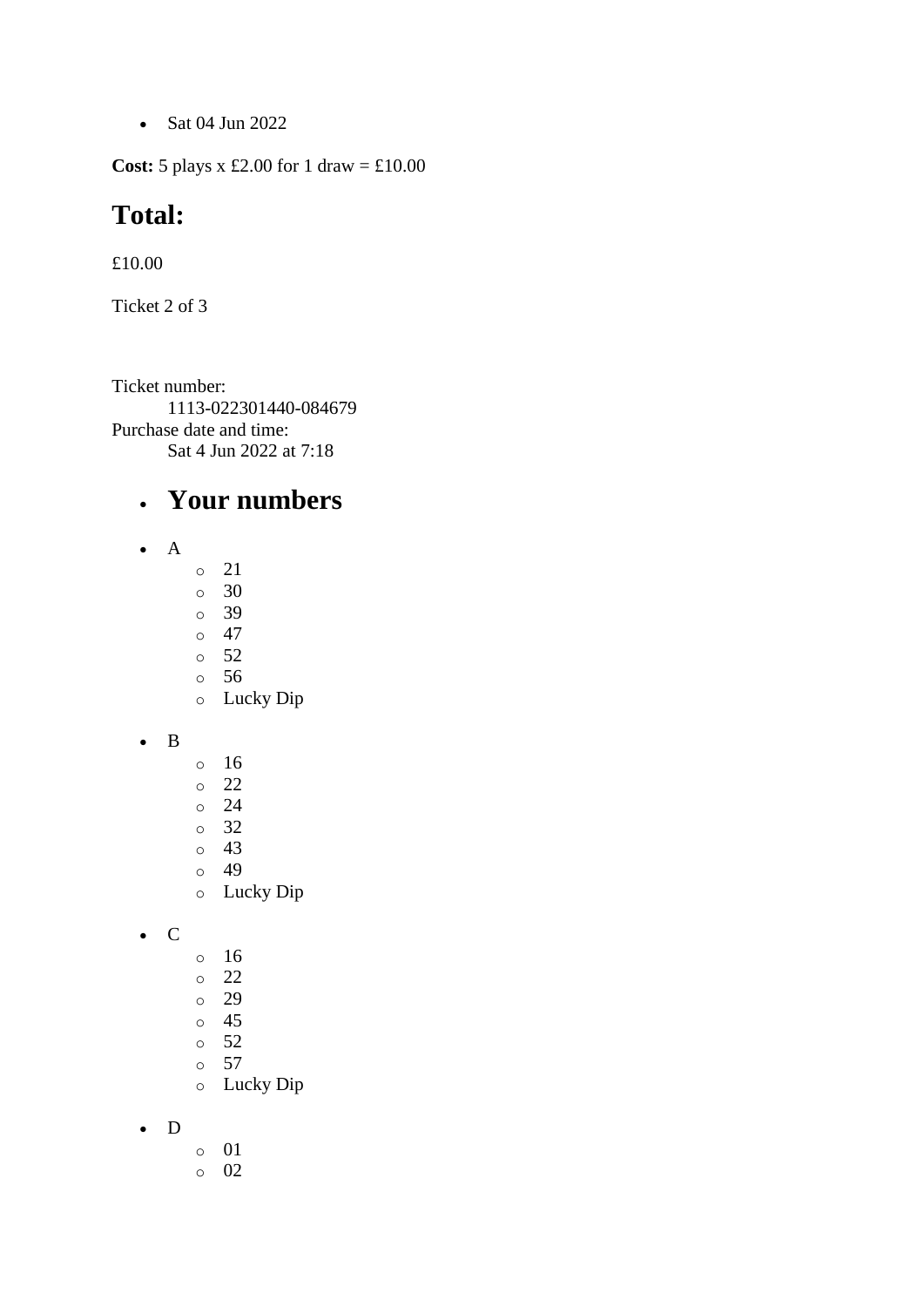• Sat 04 Jun 2022

**Cost:**  $5$  plays x £2.00 for 1 draw = £10.00

#### **Total:**

£10.00

Ticket 2 of 3

Ticket number: 1113-022301440-084679 Purchase date and time: Sat 4 Jun 2022 at 7:18

## • **Your numbers**

- A
- o 21
- $\circ$  30
- o 39  $\circ$  47
- o 52
- o 56
- o Lucky Dip
- B
- o 16 o 22 o 24
- o 32 o 43
- o 49
- o Lucky Dip

• C

- o 16
- o 22
- o 29
- o 45
- o 52
- o 57
- o Lucky Dip
- D
- o 01
- o 02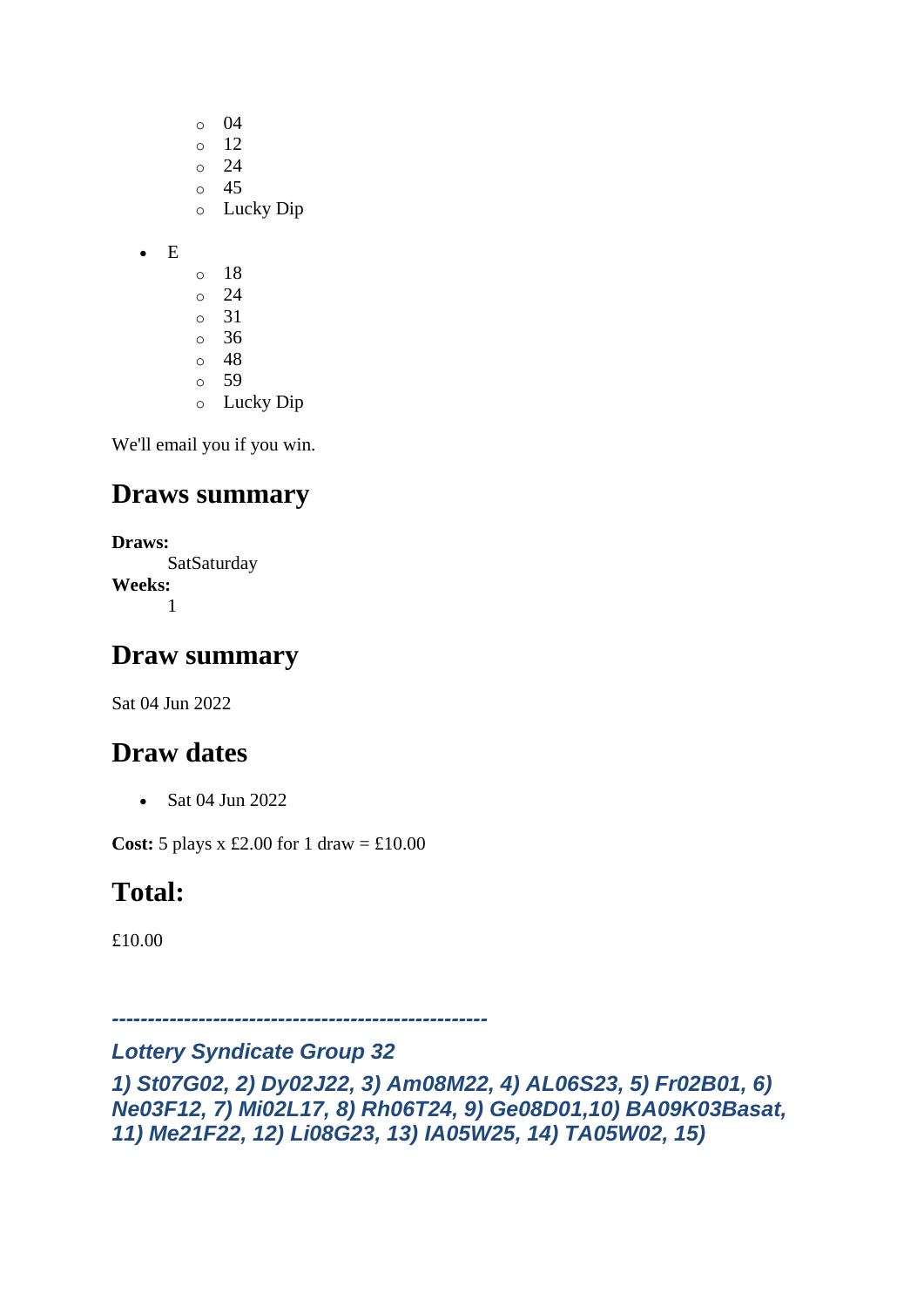o 04 o 12 o 24  $\circ$  45 o Lucky Dip

• E

- o 18 o 24
- o 31
- $\circ$  36 o 48
- o 59
- o Lucky Dip

We'll email you if you win.

#### **Draws summary**

**Draws: SatSaturday Weeks:** 1

#### **Draw summary**

Sat 04 Jun 2022

#### **Draw dates**

• Sat 04 Jun 2022

**Cost:** 5 plays x £2.00 for 1 draw =  $\text{\textsterling}10.00$ 

# **Total:**

£10.00

*----------------------------------------------------*

#### *Lottery Syndicate Group 32*

*1) St07G02, 2) Dy02J22, 3) Am08M22, 4) AL06S23, 5) Fr02B01, 6) Ne03F12, 7) Mi02L17, 8) Rh06T24, 9) Ge08D01,10) BA09K03Basat, 11) Me21F22, 12) Li08G23, 13) IA05W25, 14) TA05W02, 15)*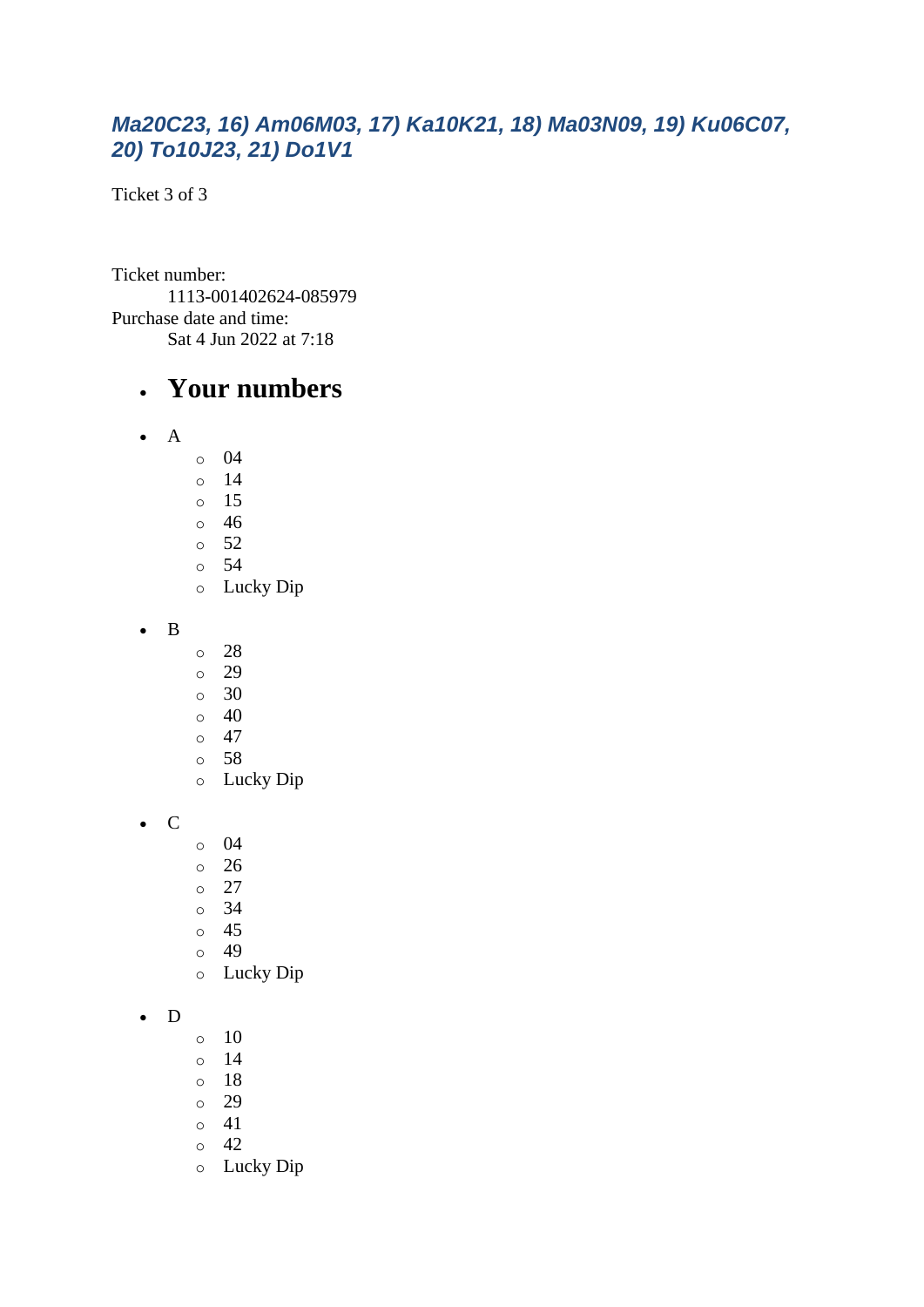#### *Ma20C23, 16) Am06M03, 17) Ka10K21, 18) Ma03N09, 19) Ku06C07, 20) To10J23, 21) Do1V1*

Ticket 3 of 3

Ticket number: 1113-001402624-085979 Purchase date and time: Sat 4 Jun 2022 at 7:18

#### • **Your numbers**

- A
- o 04
- o 14
- o 15
- o 46  $\circ$  52
- o 54
- o Lucky Dip

• B

- o 28
- o 29
- o 30
- o 40
- $\circ$  47
- o 58
- o Lucky Dip

• C

- o 04
- o 26
- o 27
- o 34
- o 45
- o 49
- o Lucky Dip

#### • D

- o 10
- o 14
- o 18
- o 29
- $\circ$  41
- $\circ$  42
- o Lucky Dip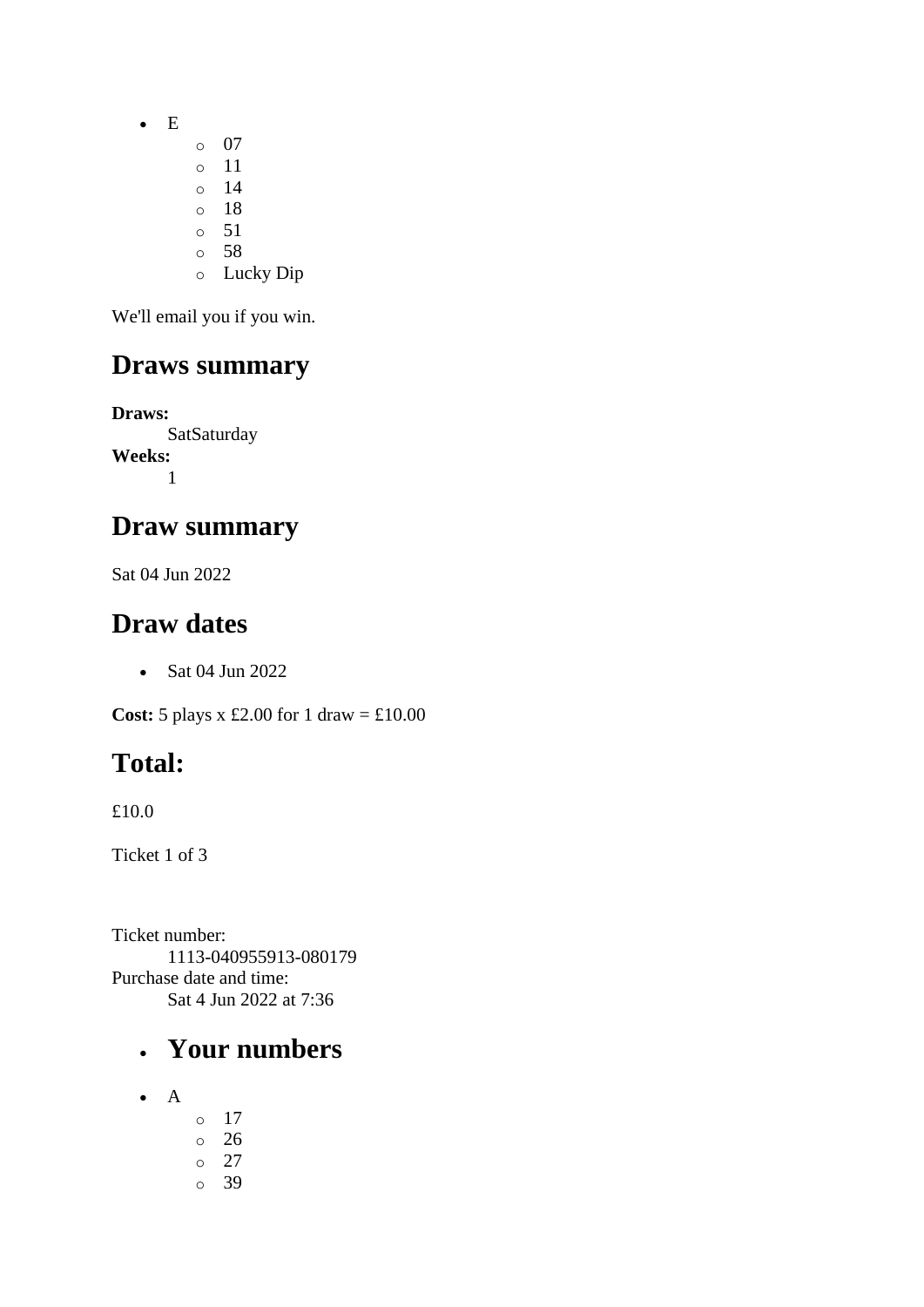- E
	- o 07
	- o 11
	- o 14
	- o 18  $\circ$  51
	- o 58
	- o Lucky Dip

We'll email you if you win.

### **Draws summary**

**Draws: SatSaturday Weeks:** 1

### **Draw summary**

Sat 04 Jun 2022

#### **Draw dates**

• Sat 04 Jun 2022

**Cost:** 5 plays x £2.00 for 1 draw = £10.00

# **Total:**

£10.0

Ticket 1 of 3

Ticket number: 1113-040955913-080179 Purchase date and time: Sat 4 Jun 2022 at 7:36

## • **Your numbers**

- A
- o 17 o 26 o 27
- o 39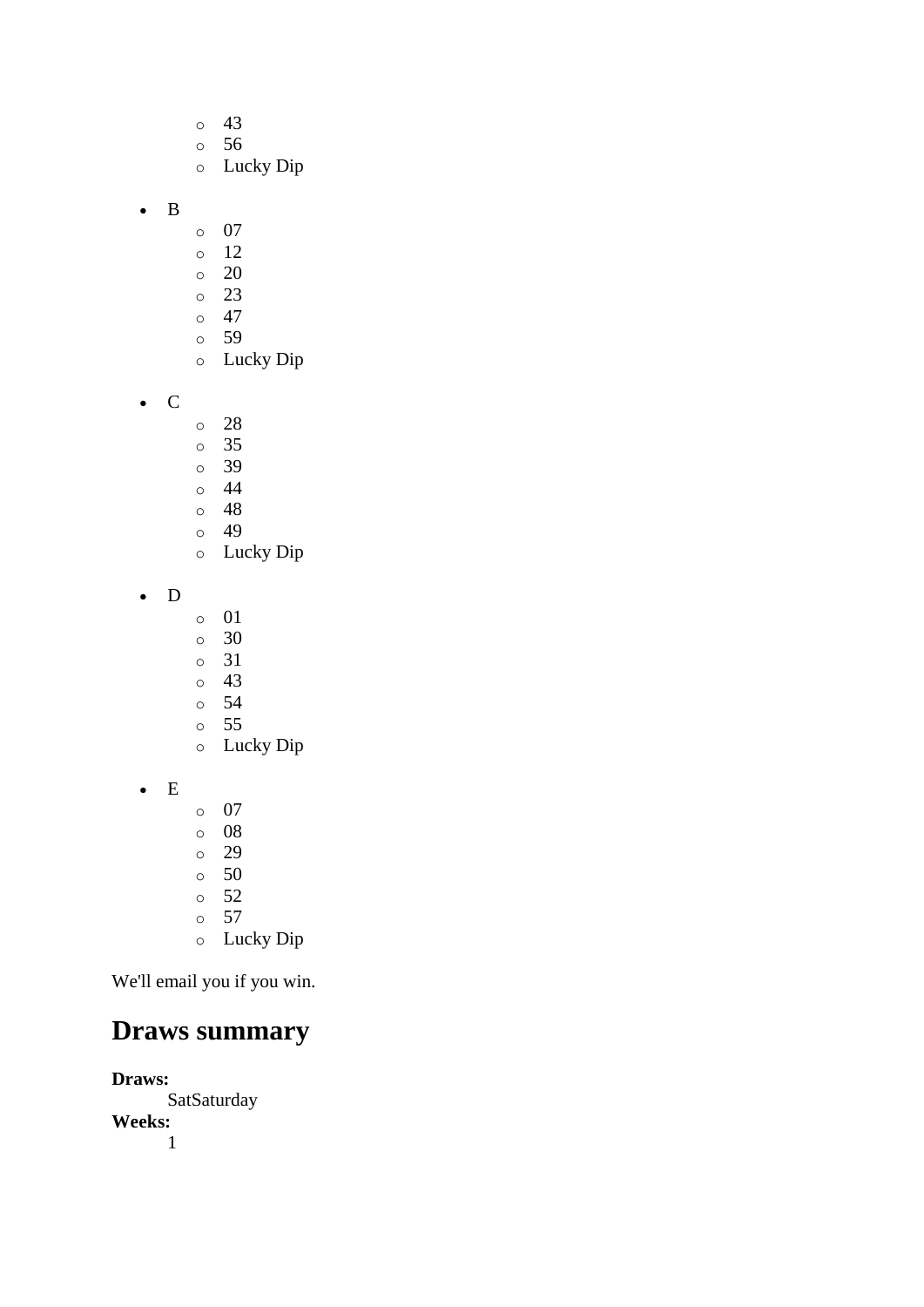- o 43
- o 56
- o Lucky Dip
- B
- o 07
- o 12
- o 20
- o 23
- $\circ$  47
- o 59
- o Lucky Dip
- C
- o 28
- o 35
- o 39
- o 44
- o 48 o 49
- o Lucky Dip
- D
- o 01
- o 30
- o 31
- o 43
- o 54 o 55
- o Lucky Dip
- E
- o 07
- o 08
- o 29 o 50
- o 52
- o 57
- o Lucky Dip

We'll email you if you win.

## **Draws summary**

**Draws: SatSaturday Weeks:** 1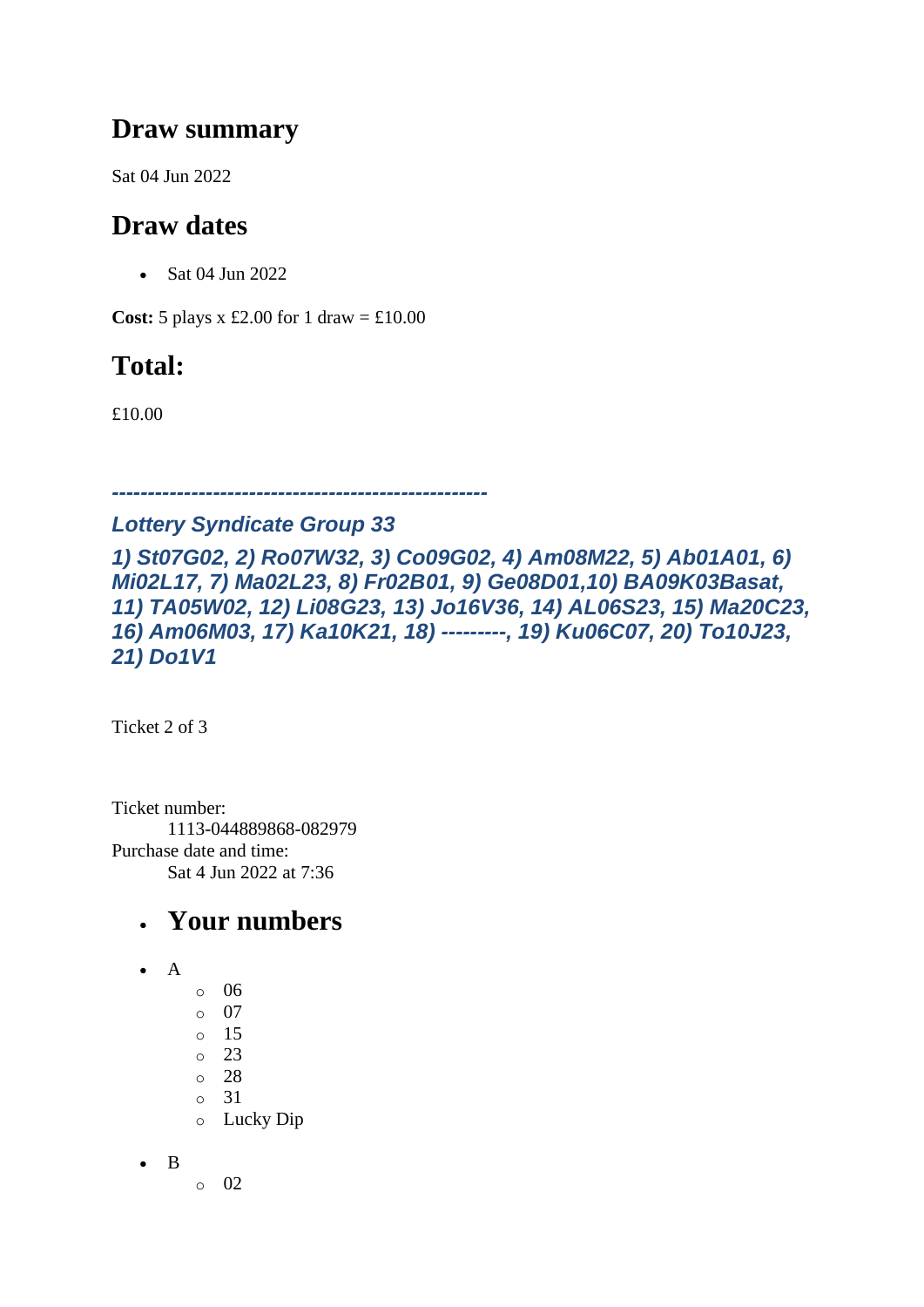#### **Draw summary**

Sat 04 Jun 2022

### **Draw dates**

• Sat 04 Jun 2022

**Cost:**  $5$  plays x £2.00 for 1 draw = £10.00

## **Total:**

£10.00

*----------------------------------------------------*

#### *Lottery Syndicate Group 33*

*1) St07G02, 2) Ro07W32, 3) Co09G02, 4) Am08M22, 5) Ab01A01, 6) Mi02L17, 7) Ma02L23, 8) Fr02B01, 9) Ge08D01,10) BA09K03Basat, 11) TA05W02, 12) Li08G23, 13) Jo16V36, 14) AL06S23, 15) Ma20C23, 16) Am06M03, 17) Ka10K21, 18) ---------, 19) Ku06C07, 20) To10J23, 21) Do1V1*

Ticket 2 of 3

Ticket number: 1113-044889868-082979 Purchase date and time: Sat 4 Jun 2022 at 7:36

## • **Your numbers**

- $\bullet$  A
- o 06 o 07 o 15 o 23 o 28  $\circ$  31 o Lucky Dip

• B

o 02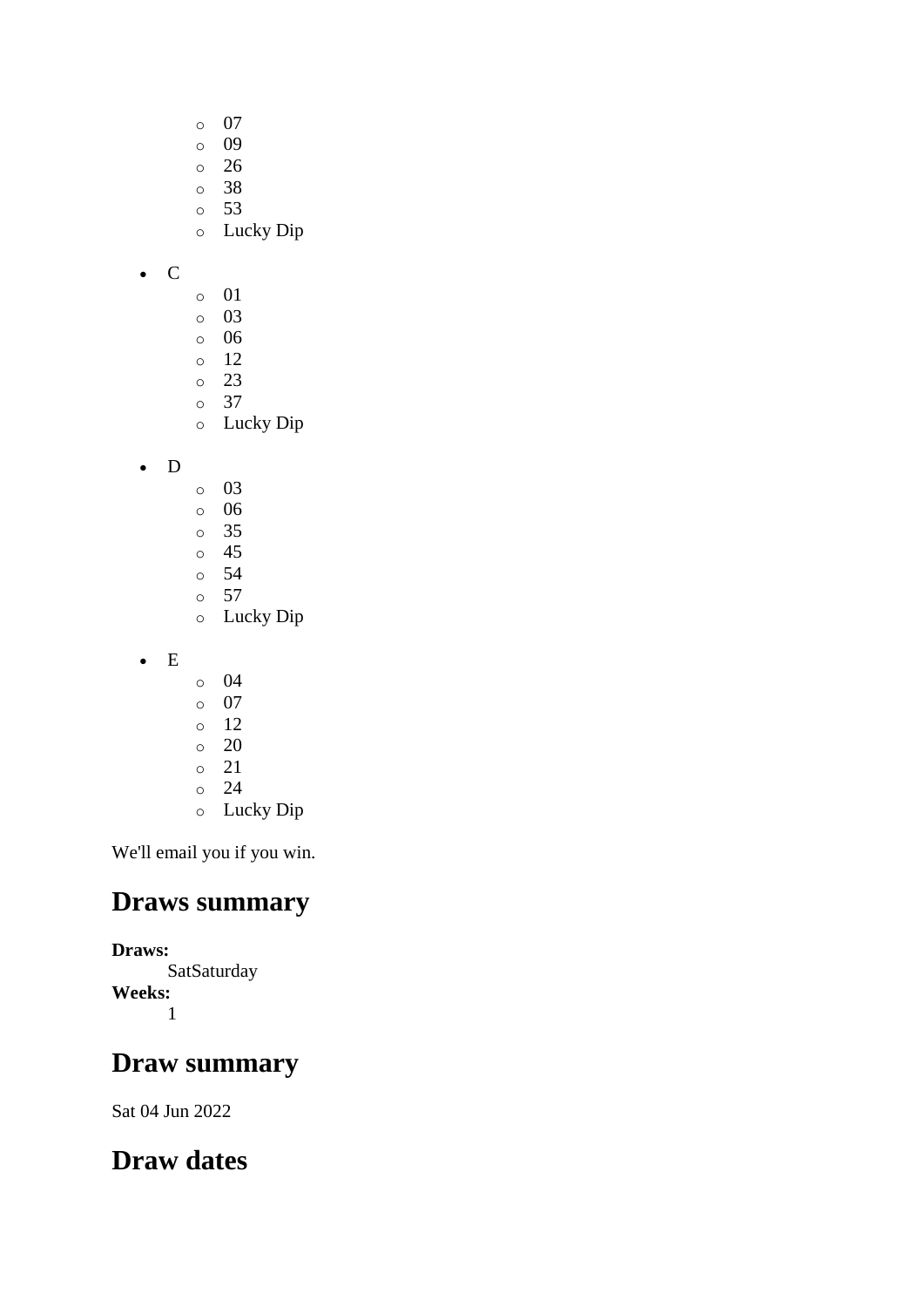- o 07
- o 09
- o 26
- o 38
- o 53
- o Lucky Dip

• C

- o 01
- o 03
- o 06
- o 12
- o 23 o 37
- o Lucky Dip
- D
- o 03
- o 06
- o 35
- o 45 o 54
- o 57
- o Lucky Dip
- E
- o 04
- o 07
- o 12
- o 20
- o 21
- o 24
- o Lucky Dip

We'll email you if you win.

#### **Draws summary**

#### **Draws:**

**SatSaturday Weeks:** 1

## **Draw summary**

Sat 04 Jun 2022

## **Draw dates**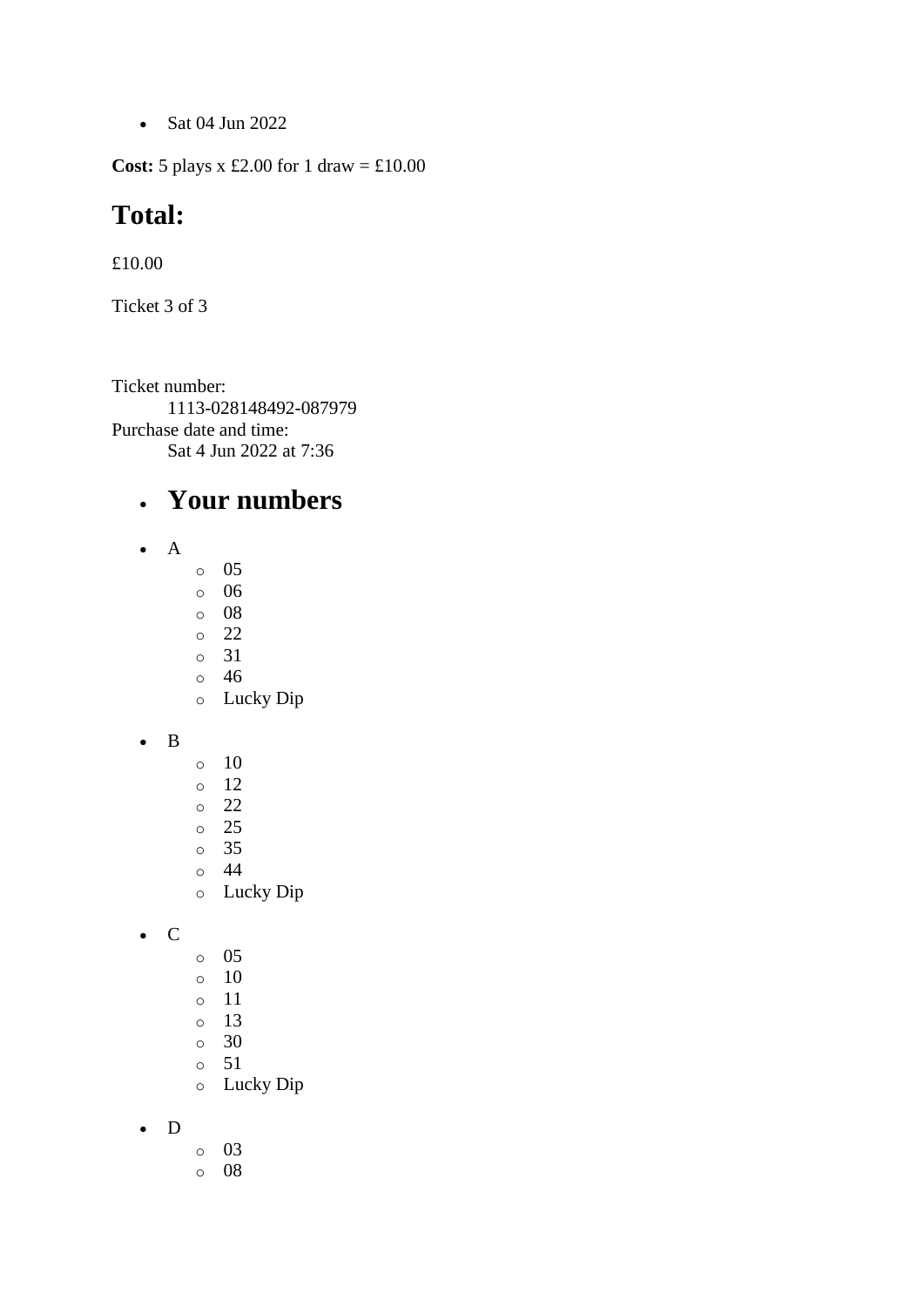• Sat 04 Jun 2022

**Cost:** 5 plays x £2.00 for 1 draw =  $\text{\textsterling}10.00$ 

#### **Total:**

£10.00

Ticket 3 of 3

Ticket number: 1113-028148492-087979 Purchase date and time: Sat 4 Jun 2022 at 7:36

#### • **Your numbers**

- A
- o 05
- o 06
- o 08
- o 22 o 31
- o 46
- o Lucky Dip
- B
- o 10 o 12
- o 22
- o 25
- o 35
- o 44
	- o Lucky Dip
- C
- o 05
- o 10
- o 11
- o 13
- o 30
- o 51
- o Lucky Dip
- D
- o 03
- o 08